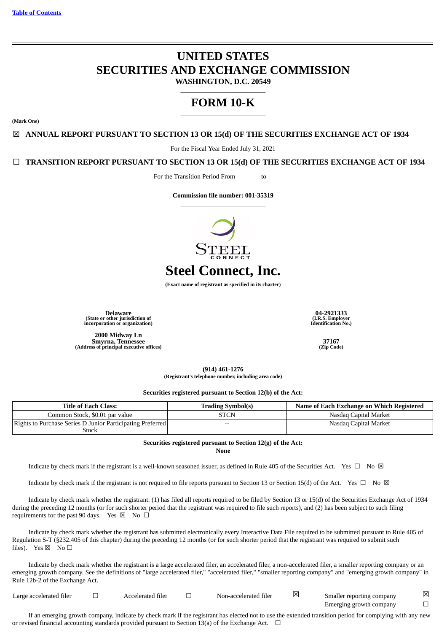## **UNITED STATES SECURITIES AND EXCHANGE COMMISSION**

**WASHINGTON, D.C. 20549** \_\_\_\_\_\_\_\_\_\_\_\_\_\_\_\_\_\_\_\_\_\_\_\_\_\_

## **FORM 10-K** \_\_\_\_\_\_\_\_\_\_\_\_\_\_\_\_\_\_\_\_\_\_\_\_\_\_

**(Mark One)**

☒ **ANNUAL REPORT PURSUANT TO SECTION 13 OR 15(d) OF THE SECURITIES EXCHANGE ACT OF 1934**

For the Fiscal Year Ended July 31, 2021

☐ **TRANSITION REPORT PURSUANT TO SECTION 13 OR 15(d) OF THE SECURITIES EXCHANGE ACT OF 1934**

For the Transition Period From to

**Commission file number: 001-35319** \_\_\_\_\_\_\_\_\_\_\_\_\_\_\_\_\_\_\_\_\_\_\_\_\_\_



# **Steel Connect, Inc.**

**(Exact name of registrant as specified in its charter)** \_\_\_\_\_\_\_\_\_\_\_\_\_\_\_\_\_\_\_\_\_\_\_\_\_\_

**Delaware (State or other jurisdiction of incorporation or organization)**

**2000 Midway Ln Smyrna, Tennessee (Address of principal executive offices)**

**04-2921333 (I.R.S. Employer Identification No.)**

> **37167 (Zip Code)**

**(914) 461-1276 (Registrant's telephone number, including area code)**

\_\_\_\_\_\_\_\_\_\_\_\_\_\_\_\_\_\_\_\_\_\_\_\_\_\_ **Securities registered pursuant to Section 12(b) of the Act:**

| Title of Each Class:                                                | <b>Trading Symbol(s)</b> | Name of Each Exchange on Which Registered |
|---------------------------------------------------------------------|--------------------------|-------------------------------------------|
| Common Stock, \$0.01 par value                                      | STCN                     | Nasdag Capital Market                     |
| Rights to Purchase Series D Junior Participating Preferred<br>Stock | $- -$                    | Nasdaq Capital Market                     |

**Securities registered pursuant to Section 12(g) of the Act: None**

Indicate by check mark if the registrant is a well-known seasoned issuer, as defined in Rule 405 of the Securities Act. Yes  $\Box$  No  $\boxtimes$ 

Indicate by check mark if the registrant is not required to file reports pursuant to Section 13 or Section 15(d) of the Act. Yes  $\square$  No  $\boxtimes$ 

Indicate by check mark whether the registrant: (1) has filed all reports required to be filed by Section 13 or 15(d) of the Securities Exchange Act of 1934 during the preceding 12 months (or for such shorter period that the registrant was required to file such reports), and (2) has been subject to such filing requirements for the past 90 days. Yes  $\boxtimes$  No  $\Box$ 

Indicate by check mark whether the registrant has submitted electronically every Interactive Data File required to be submitted pursuant to Rule 405 of Regulation S-T (§232.405 of this chapter) during the preceding 12 months (or for such shorter period that the registrant was required to submit such files). Yes  $\boxtimes$  No  $\square$ 

Indicate by check mark whether the registrant is a large accelerated filer, an accelerated filer, a non-accelerated filer, a smaller reporting company or an emerging growth company. See the definitions of "large accelerated filer," "accelerated filer," "smaller reporting company" and "emerging growth company" in Rule 12b-2 of the Exchange Act.

\_\_\_\_\_\_\_\_\_\_\_\_\_\_\_\_\_\_\_\_\_\_\_\_\_\_

Large accelerated filer ☐ Accelerated filer ☐ Non-accelerated filer ☒ Smaller reporting company ☒ Emerging growth company  $\Box$ 

If an emerging growth company, indicate by check mark if the registrant has elected not to use the extended transition period for complying with any new or revised financial accounting standards provided pursuant to Section 13(a) of the Exchange Act.  $\Box$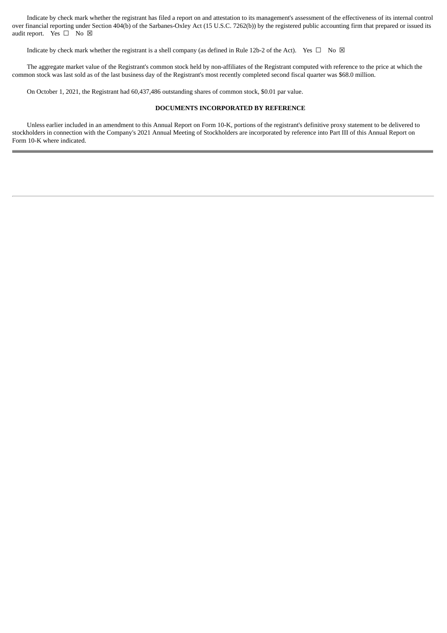Indicate by check mark whether the registrant has filed a report on and attestation to its management's assessment of the effectiveness of its internal control over financial reporting under Section 404(b) of the Sarbanes-Oxley Act (15 U.S.C. 7262(b)) by the registered public accounting firm that prepared or issued its audit report. Yes  $\square$  No  $\square$ 

Indicate by check mark whether the registrant is a shell company (as defined in Rule 12b-2 of the Act). Yes  $\Box$  No  $\boxtimes$ 

The aggregate market value of the Registrant's common stock held by non-affiliates of the Registrant computed with reference to the price at which the common stock was last sold as of the last business day of the Registrant's most recently completed second fiscal quarter was \$68.0 million.

On October 1, 2021, the Registrant had 60,437,486 outstanding shares of common stock, \$0.01 par value.

## **DOCUMENTS INCORPORATED BY REFERENCE**

<span id="page-1-0"></span>Unless earlier included in an amendment to this Annual Report on Form 10-K, portions of the registrant's definitive proxy statement to be delivered to stockholders in connection with the Company's 2021 Annual Meeting of Stockholders are incorporated by reference into Part III of this Annual Report on Form 10-K where indicated.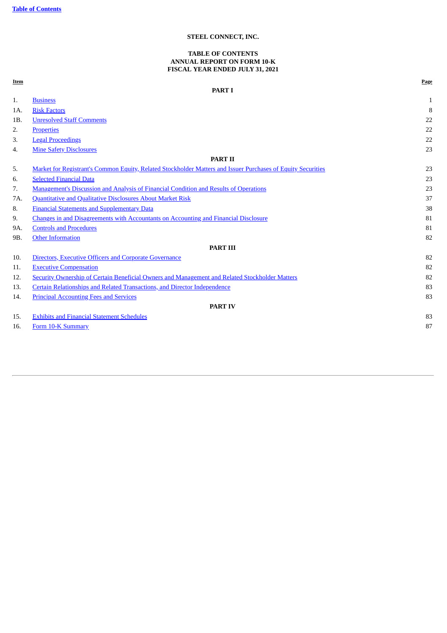## **STEEL CONNECT, INC.**

## **TABLE OF CONTENTS ANNUAL REPORT ON FORM 10-K FISCAL YEAR ENDED JULY 31, 2021**

<span id="page-2-0"></span>

| <b>Item</b> |                                                                                                              | Page         |
|-------------|--------------------------------------------------------------------------------------------------------------|--------------|
|             | <b>PART I</b>                                                                                                |              |
| 1.          | <b>Business</b>                                                                                              | $\mathbf{1}$ |
| 1A.         | <b>Risk Factors</b>                                                                                          | 8            |
| 1B.         | <b>Unresolved Staff Comments</b>                                                                             | 22           |
| 2.          | <b>Properties</b>                                                                                            | 22           |
| 3.          | <b>Legal Proceedings</b>                                                                                     | 22           |
| 4.          | <b>Mine Safety Disclosures</b>                                                                               | 23           |
|             | <b>PART II</b>                                                                                               |              |
| 5.          | Market for Registrant's Common Equity, Related Stockholder Matters and Issuer Purchases of Equity Securities | 23           |
| 6.          | <b>Selected Financial Data</b>                                                                               | 23           |
| 7.          | Management's Discussion and Analysis of Financial Condition and Results of Operations                        | 23           |
| 7A.         | <b>Quantitative and Qualitative Disclosures About Market Risk</b>                                            | 37           |
| 8.          | <b>Financial Statements and Supplementary Data</b>                                                           | 38           |
| 9.          | Changes in and Disagreements with Accountants on Accounting and Financial Disclosure                         | 81           |
| 9A.         | <b>Controls and Procedures</b>                                                                               | 81           |
| 9B.         | <b>Other Information</b>                                                                                     | 82           |
|             | <b>PART III</b>                                                                                              |              |
| 10.         | Directors, Executive Officers and Corporate Governance                                                       | 82           |
| 11.         | <b>Executive Compensation</b>                                                                                | 82           |
| 12.         | Security Ownership of Certain Beneficial Owners and Management and Related Stockholder Matters               | 82           |
| 13.         | Certain Relationships and Related Transactions, and Director Independence                                    | 83           |
| 14.         | <b>Principal Accounting Fees and Services</b>                                                                | 83           |
|             | <b>PART IV</b>                                                                                               |              |
| 15.         | <b>Exhibits and Financial Statement Schedules</b>                                                            | 83           |
| 16.         | Form 10-K Summary                                                                                            | 87           |
|             |                                                                                                              |              |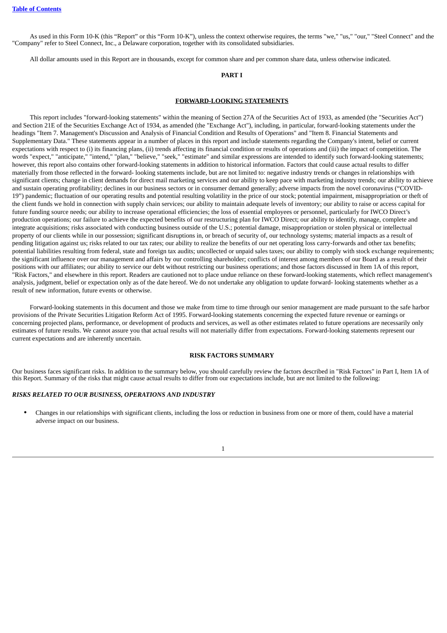As used in this Form 10-K (this "Report" or this "Form 10-K"), unless the context otherwise requires, the terms "we," "us," "our," "Steel Connect" and the "Company" refer to Steel Connect, Inc., a Delaware corporation, together with its consolidated subsidiaries.

All dollar amounts used in this Report are in thousands, except for common share and per common share data, unless otherwise indicated.

#### **PART I**

#### **FORWARD-LOOKING STATEMENTS**

<span id="page-3-0"></span>This report includes "forward-looking statements" within the meaning of Section 27A of the Securities Act of 1933, as amended (the "Securities Act") and Section 21E of the Securities Exchange Act of 1934, as amended (the "Exchange Act"), including, in particular, forward-looking statements under the headings "Item 7. Management's Discussion and Analysis of Financial Condition and Results of Operations" and "Item 8. Financial Statements and Supplementary Data." These statements appear in a number of places in this report and include statements regarding the Company's intent, belief or current expectations with respect to (i) its financing plans, (ii) trends affecting its financial condition or results of operations and (iii) the impact of competition. The words "expect," "anticipate," "intend," "plan," "believe," "seek," "estimate" and similar expressions are intended to identify such forward-looking statements; however, this report also contains other forward-looking statements in addition to historical information. Factors that could cause actual results to differ materially from those reflected in the forward- looking statements include, but are not limited to: negative industry trends or changes in relationships with significant clients; change in client demands for direct mail marketing services and our ability to keep pace with marketing industry trends; our ability to achieve and sustain operating profitability; declines in our business sectors or in consumer demand generally; adverse impacts from the novel coronavirus ("COVID-19") pandemic; fluctuation of our operating results and potential resulting volatility in the price of our stock; potential impairment, misappropriation or theft of the client funds we hold in connection with supply chain services; our ability to maintain adequate levels of inventory; our ability to raise or access capital for future funding source needs; our ability to increase operational efficiencies; the loss of essential employees or personnel, particularly for IWCO Direct's production operations; our failure to achieve the expected benefits of our restructuring plan for IWCO Direct; our ability to identify, manage, complete and integrate acquisitions; risks associated with conducting business outside of the U.S.; potential damage, misappropriation or stolen physical or intellectual property of our clients while in our possession; significant disruptions in, or breach of security of, our technology systems; material impacts as a result of pending litigation against us; risks related to our tax rates; our ability to realize the benefits of our net operating loss carry-forwards and other tax benefits; potential liabilities resulting from federal, state and foreign tax audits; uncollected or unpaid sales taxes; our ability to comply with stock exchange requirements; the significant influence over our management and affairs by our controlling shareholder; conflicts of interest among members of our Board as a result of their positions with our affiliates; our ability to service our debt without restricting our business operations; and those factors discussed in Item 1A of this report, "Risk Factors," and elsewhere in this report. Readers are cautioned not to place undue reliance on these forward-looking statements, which reflect management's analysis, judgment, belief or expectation only as of the date hereof. We do not undertake any obligation to update forward- looking statements whether as a result of new information, future events or otherwise.

Forward-looking statements in this document and those we make from time to time through our senior management are made pursuant to the safe harbor provisions of the Private Securities Litigation Reform Act of 1995. Forward-looking statements concerning the expected future revenue or earnings or concerning projected plans, performance, or development of products and services, as well as other estimates related to future operations are necessarily only estimates of future results. We cannot assure you that actual results will not materially differ from expectations. Forward-looking statements represent our current expectations and are inherently uncertain.

## **RISK FACTORS SUMMARY**

Our business faces significant risks. In addition to the summary below, you should carefully review the factors described in "Risk Factors" in Part I, Item 1A of this Report. Summary of the risks that might cause actual results to differ from our expectations include, but are not limited to the following:

## *RISKS RELATED TO OUR BUSINESS, OPERATIONS AND INDUSTRY*

• Changes in our relationships with significant clients, including the loss or reduction in business from one or more of them, could have a material adverse impact on our business.

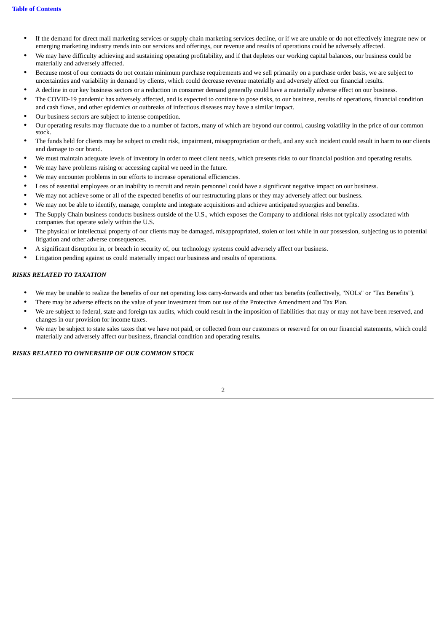- If the demand for direct mail marketing services or supply chain marketing services decline, or if we are unable or do not effectively integrate new or emerging marketing industry trends into our services and offerings, our revenue and results of operations could be adversely affected.
- We may have difficulty achieving and sustaining operating profitability, and if that depletes our working capital balances, our business could be materially and adversely affected.
- Because most of our contracts do not contain minimum purchase requirements and we sell primarily on a purchase order basis, we are subject to uncertainties and variability in demand by clients, which could decrease revenue materially and adversely affect our financial results.
- A decline in our key business sectors or a reduction in consumer demand generally could have a materially adverse effect on our business.
- The COVID-19 pandemic has adversely affected, and is expected to continue to pose risks, to our business, results of operations, financial condition and cash flows, and other epidemics or outbreaks of infectious diseases may have a similar impact.
- Our business sectors are subject to intense competition.
- Our operating results may fluctuate due to a number of factors, many of which are beyond our control, causing volatility in the price of our common stock.
- The funds held for clients may be subject to credit risk, impairment, misappropriation or theft, and any such incident could result in harm to our clients and damage to our brand.
- We must maintain adequate levels of inventory in order to meet client needs, which presents risks to our financial position and operating results.
- We may have problems raising or accessing capital we need in the future.
- We may encounter problems in our efforts to increase operational efficiencies.
- Loss of essential employees or an inability to recruit and retain personnel could have a significant negative impact on our business.
- We may not achieve some or all of the expected benefits of our restructuring plans or they may adversely affect our business.
- We may not be able to identify, manage, complete and integrate acquisitions and achieve anticipated synergies and benefits.
- The Supply Chain business conducts business outside of the U.S., which exposes the Company to additional risks not typically associated with companies that operate solely within the U.S.
- The physical or intellectual property of our clients may be damaged, misappropriated, stolen or lost while in our possession, subjecting us to potential litigation and other adverse consequences.
- A significant disruption in, or breach in security of, our technology systems could adversely affect our business.
- Litigation pending against us could materially impact our business and results of operations.

## *RISKS RELATED TO TAXATION*

- We may be unable to realize the benefits of our net operating loss carry-forwards and other tax benefits (collectively, "NOLs" or "Tax Benefits").
- There may be adverse effects on the value of your investment from our use of the Protective Amendment and Tax Plan.
- We are subject to federal, state and foreign tax audits, which could result in the imposition of liabilities that may or may not have been reserved, and changes in our provision for income taxes.
- We may be subject to state sales taxes that we have not paid, or collected from our customers or reserved for on our financial statements, which could materially and adversely affect our business, financial condition and operating results*.*

2

## *RISKS RELATED TO OWNERSHIP OF OUR COMMON STOCK*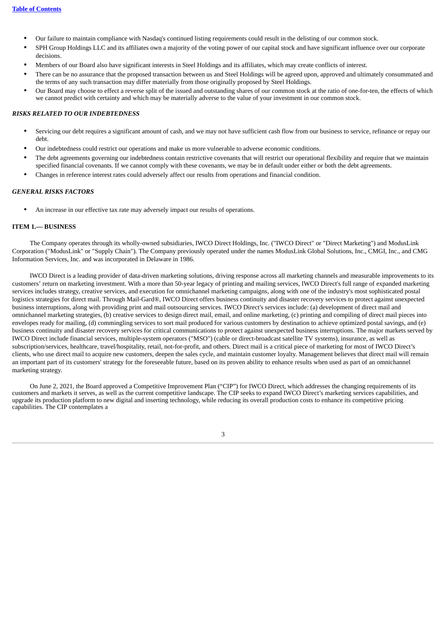- Our failure to maintain compliance with Nasdaq's continued listing requirements could result in the delisting of our common stock.
- SPH Group Holdings LLC and its affiliates own a majority of the voting power of our capital stock and have significant influence over our corporate decisions.
- Members of our Board also have significant interests in Steel Holdings and its affiliates, which may create conflicts of interest.
- There can be no assurance that the proposed transaction between us and Steel Holdings will be agreed upon, approved and ultimately consummated and the terms of any such transaction may differ materially from those originally proposed by Steel Holdings.
- Our Board may choose to effect a reverse split of the issued and outstanding shares of our common stock at the ratio of one-for-ten, the effects of which we cannot predict with certainty and which may be materially adverse to the value of your investment in our common stock.

## *RISKS RELATED TO OUR INDEBTEDNESS*

- Servicing our debt requires a significant amount of cash, and we may not have sufficient cash flow from our business to service, refinance or repay our debt.
- Our indebtedness could restrict our operations and make us more vulnerable to adverse economic conditions.
- The debt agreements governing our indebtedness contain restrictive covenants that will restrict our operational flexibility and require that we maintain specified financial covenants. If we cannot comply with these covenants, we may be in default under either or both the debt agreements.
- Changes in reference interest rates could adversely affect our results from operations and financial condition.

#### *GENERAL RISKS FACTORS*

• An increase in our effective tax rate may adversely impact our results of operations.

## **ITEM 1.— BUSINESS**

The Company operates through its wholly-owned subsidiaries, IWCO Direct Holdings, Inc. ("IWCO Direct" or "Direct Marketing") and ModusLink Corporation ("ModusLink" or "Supply Chain"). The Company previously operated under the names ModusLink Global Solutions, Inc., CMGI, Inc., and CMG Information Services, Inc. and was incorporated in Delaware in 1986.

IWCO Direct is a leading provider of data-driven marketing solutions, driving response across all marketing channels and measurable improvements to its customers' return on marketing investment. With a more than 50-year legacy of printing and mailing services, IWCO Direct's full range of expanded marketing services includes strategy, creative services, and execution for omnichannel marketing campaigns, along with one of the industry's most sophisticated postal logistics strategies for direct mail. Through Mail-Gard®, IWCO Direct offers business continuity and disaster recovery services to protect against unexpected business interruptions, along with providing print and mail outsourcing services. IWCO Direct's services include: (a) development of direct mail and omnichannel marketing strategies, (b) creative services to design direct mail, email, and online marketing, (c) printing and compiling of direct mail pieces into envelopes ready for mailing, (d) commingling services to sort mail produced for various customers by destination to achieve optimized postal savings, and (e) business continuity and disaster recovery services for critical communications to protect against unexpected business interruptions. The major markets served by IWCO Direct include financial services, multiple-system operators ("MSO") (cable or direct-broadcast satellite TV systems), insurance, as well as subscription/services, healthcare, travel/hospitality, retail, not-for-profit, and others. Direct mail is a critical piece of marketing for most of IWCO Direct's clients, who use direct mail to acquire new customers, deepen the sales cycle, and maintain customer loyalty. Management believes that direct mail will remain an important part of its customers' strategy for the foreseeable future, based on its proven ability to enhance results when used as part of an omnichannel marketing strategy.

On June 2, 2021, the Board approved a Competitive Improvement Plan ("CIP") for IWCO Direct, which addresses the changing requirements of its customers and markets it serves, as well as the current competitive landscape. The CIP seeks to expand IWCO Direct's marketing services capabilities, and upgrade its production platform to new digital and inserting technology, while reducing its overall production costs to enhance its competitive pricing capabilities. The CIP contemplates a

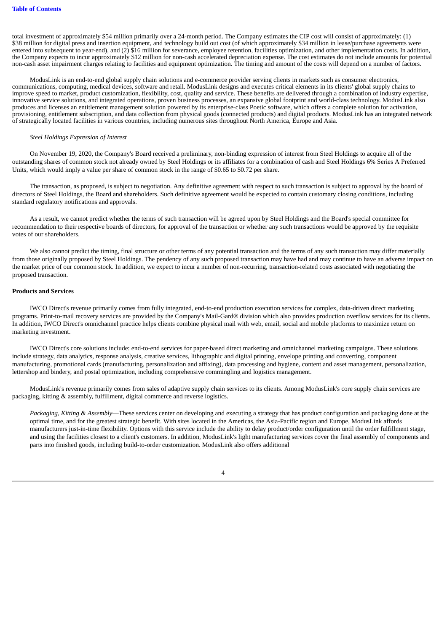total investment of approximately \$54 million primarily over a 24-month period. The Company estimates the CIP cost will consist of approximately: (1) \$38 million for digital press and insertion equipment, and technology build out cost (of which approximately \$34 million in lease/purchase agreements were entered into subsequent to year-end), and (2) \$16 million for severance, employee retention, facilities optimization, and other implementation costs. In addition, the Company expects to incur approximately \$12 million for non-cash accelerated depreciation expense. The cost estimates do not include amounts for potential non-cash asset impairment charges relating to facilities and equipment optimization. The timing and amount of the costs will depend on a number of factors.

ModusLink is an end-to-end global supply chain solutions and e-commerce provider serving clients in markets such as consumer electronics, communications, computing, medical devices, software and retail. ModusLink designs and executes critical elements in its clients' global supply chains to improve speed to market, product customization, flexibility, cost, quality and service. These benefits are delivered through a combination of industry expertise, innovative service solutions, and integrated operations, proven business processes, an expansive global footprint and world-class technology. ModusLink also produces and licenses an entitlement management solution powered by its enterprise-class Poetic software, which offers a complete solution for activation, provisioning, entitlement subscription, and data collection from physical goods (connected products) and digital products. ModusLink has an integrated network of strategically located facilities in various countries, including numerous sites throughout North America, Europe and Asia.

## *Steel Holdings Expression of Interest*

On November 19, 2020, the Company's Board received a preliminary, non-binding expression of interest from Steel Holdings to acquire all of the outstanding shares of common stock not already owned by Steel Holdings or its affiliates for a combination of cash and Steel Holdings 6% Series A Preferred Units, which would imply a value per share of common stock in the range of \$0.65 to \$0.72 per share.

The transaction, as proposed, is subject to negotiation. Any definitive agreement with respect to such transaction is subject to approval by the board of directors of Steel Holdings, the Board and shareholders. Such definitive agreement would be expected to contain customary closing conditions, including standard regulatory notifications and approvals.

As a result, we cannot predict whether the terms of such transaction will be agreed upon by Steel Holdings and the Board's special committee for recommendation to their respective boards of directors, for approval of the transaction or whether any such transactions would be approved by the requisite votes of our shareholders.

We also cannot predict the timing, final structure or other terms of any potential transaction and the terms of any such transaction may differ materially from those originally proposed by Steel Holdings. The pendency of any such proposed transaction may have had and may continue to have an adverse impact on the market price of our common stock. In addition, we expect to incur a number of non-recurring, transaction-related costs associated with negotiating the proposed transaction.

## **Products and Services**

IWCO Direct's revenue primarily comes from fully integrated, end-to-end production execution services for complex, data-driven direct marketing programs. Print-to-mail recovery services are provided by the Company's Mail-Gard® division which also provides production overflow services for its clients. In addition, IWCO Direct's omnichannel practice helps clients combine physical mail with web, email, social and mobile platforms to maximize return on marketing investment.

IWCO Direct's core solutions include: end-to-end services for paper-based direct marketing and omnichannel marketing campaigns. These solutions include strategy, data analytics, response analysis, creative services, lithographic and digital printing, envelope printing and converting, component manufacturing, promotional cards (manufacturing, personalization and affixing), data processing and hygiene, content and asset management, personalization, lettershop and bindery, and postal optimization, including comprehensive commingling and logistics management.

ModusLink's revenue primarily comes from sales of adaptive supply chain services to its clients. Among ModusLink's core supply chain services are packaging, kitting & assembly, fulfillment, digital commerce and reverse logistics.

*Packaging, Kitting & Assembly*—These services center on developing and executing a strategy that has product configuration and packaging done at the optimal time, and for the greatest strategic benefit. With sites located in the Americas, the Asia-Pacific region and Europe, ModusLink affords manufacturers just-in-time flexibility. Options with this service include the ability to delay product/order configuration until the order fulfillment stage, and using the facilities closest to a client's customers. In addition, ModusLink's light manufacturing services cover the final assembly of components and parts into finished goods, including build-to-order customization. ModusLink also offers additional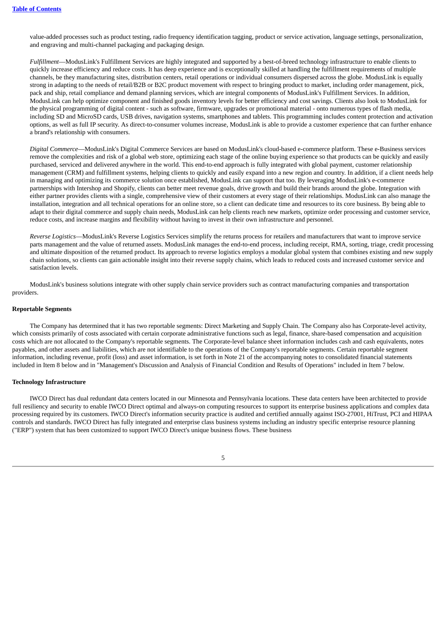value-added processes such as product testing, radio frequency identification tagging, product or service activation, language settings, personalization, and engraving and multi-channel packaging and packaging design.

*Fulfillment*—ModusLink's Fulfillment Services are highly integrated and supported by a best-of-breed technology infrastructure to enable clients to quickly increase efficiency and reduce costs. It has deep experience and is exceptionally skilled at handling the fulfillment requirements of multiple channels, be they manufacturing sites, distribution centers, retail operations or individual consumers dispersed across the globe. ModusLink is equally strong in adapting to the needs of retail/B2B or B2C product movement with respect to bringing product to market, including order management, pick, pack and ship, retail compliance and demand planning services, which are integral components of ModusLink's Fulfillment Services. In addition, ModusLink can help optimize component and finished goods inventory levels for better efficiency and cost savings. Clients also look to ModusLink for the physical programming of digital content - such as software, firmware, upgrades or promotional material - onto numerous types of flash media, including SD and MicroSD cards, USB drives, navigation systems, smartphones and tablets. This programming includes content protection and activation options, as well as full IP security. As direct-to-consumer volumes increase, ModusLink is able to provide a customer experience that can further enhance a brand's relationship with consumers.

*Digital Commerce*—ModusLink's Digital Commerce Services are based on ModusLink's cloud-based e-commerce platform. These e-Business services remove the complexities and risk of a global web store, optimizing each stage of the online buying experience so that products can be quickly and easily purchased, serviced and delivered anywhere in the world. This end-to-end approach is fully integrated with global payment, customer relationship management (CRM) and fulfillment systems, helping clients to quickly and easily expand into a new region and country. In addition, if a client needs help in managing and optimizing its commerce solution once established, ModusLink can support that too. By leveraging ModusLink's e-commerce partnerships with Intershop and Shopify, clients can better meet revenue goals, drive growth and build their brands around the globe. Integration with either partner provides clients with a single, comprehensive view of their customers at every stage of their relationships. ModusLink can also manage the installation, integration and all technical operations for an online store, so a client can dedicate time and resources to its core business. By being able to adapt to their digital commerce and supply chain needs, ModusLink can help clients reach new markets, optimize order processing and customer service, reduce costs, and increase margins and flexibility without having to invest in their own infrastructure and personnel.

*Reverse Logistics*—ModusLink's Reverse Logistics Services simplify the returns process for retailers and manufacturers that want to improve service parts management and the value of returned assets. ModusLink manages the end-to-end process, including receipt, RMA, sorting, triage, credit processing and ultimate disposition of the returned product. Its approach to reverse logistics employs a modular global system that combines existing and new supply chain solutions, so clients can gain actionable insight into their reverse supply chains, which leads to reduced costs and increased customer service and satisfaction levels.

ModusLink's business solutions integrate with other supply chain service providers such as contract manufacturing companies and transportation providers.

#### **Reportable Segments**

The Company has determined that it has two reportable segments: Direct Marketing and Supply Chain. The Company also has Corporate-level activity, which consists primarily of costs associated with certain corporate administrative functions such as legal, finance, share-based compensation and acquisition costs which are not allocated to the Company's reportable segments. The Corporate-level balance sheet information includes cash and cash equivalents, notes payables, and other assets and liabilities, which are not identifiable to the operations of the Company's reportable segments. Certain reportable segment information, including revenue, profit (loss) and asset information, is set forth in Note 21 of the accompanying notes to consolidated financial statements included in Item 8 below and in "Management's Discussion and Analysis of Financial Condition and Results of Operations" included in Item 7 below.

## **Technology Infrastructure**

IWCO Direct has dual redundant data centers located in our Minnesota and Pennsylvania locations. These data centers have been architected to provide full resiliency and security to enable IWCO Direct optimal and always-on computing resources to support its enterprise business applications and complex data processing required by its customers. IWCO Direct's information security practice is audited and certified annually against ISO-27001, HiTrust, PCI and HIPAA controls and standards. IWCO Direct has fully integrated and enterprise class business systems including an industry specific enterprise resource planning ("ERP") system that has been customized to support IWCO Direct's unique business flows. These business

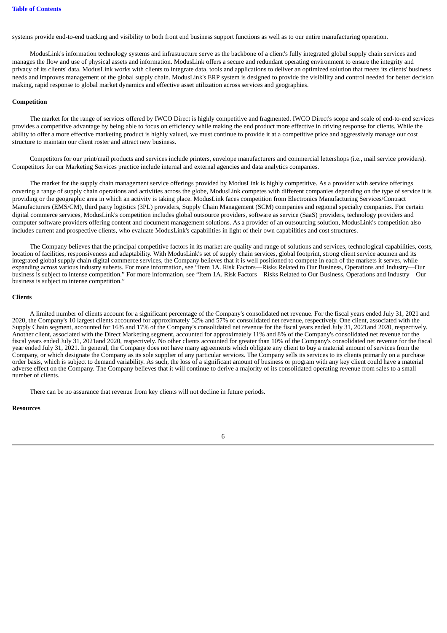systems provide end-to-end tracking and visibility to both front end business support functions as well as to our entire manufacturing operation.

ModusLink's information technology systems and infrastructure serve as the backbone of a client's fully integrated global supply chain services and manages the flow and use of physical assets and information. ModusLink offers a secure and redundant operating environment to ensure the integrity and privacy of its clients' data. ModusLink works with clients to integrate data, tools and applications to deliver an optimized solution that meets its clients' business needs and improves management of the global supply chain. ModusLink's ERP system is designed to provide the visibility and control needed for better decision making, rapid response to global market dynamics and effective asset utilization across services and geographies.

#### **Competition**

The market for the range of services offered by IWCO Direct is highly competitive and fragmented. IWCO Direct's scope and scale of end-to-end services provides a competitive advantage by being able to focus on efficiency while making the end product more effective in driving response for clients. While the ability to offer a more effective marketing product is highly valued, we must continue to provide it at a competitive price and aggressively manage our cost structure to maintain our client roster and attract new business.

Competitors for our print/mail products and services include printers, envelope manufacturers and commercial lettershops (i.e., mail service providers). Competitors for our Marketing Services practice include internal and external agencies and data analytics companies.

The market for the supply chain management service offerings provided by ModusLink is highly competitive. As a provider with service offerings covering a range of supply chain operations and activities across the globe, ModusLink competes with different companies depending on the type of service it is providing or the geographic area in which an activity is taking place. ModusLink faces competition from Electronics Manufacturing Services/Contract Manufacturers (EMS/CM), third party logistics (3PL) providers, Supply Chain Management (SCM) companies and regional specialty companies. For certain digital commerce services, ModusLink's competition includes global outsource providers, software as service (SaaS) providers, technology providers and computer software providers offering content and document management solutions. As a provider of an outsourcing solution, ModusLink's competition also includes current and prospective clients, who evaluate ModusLink's capabilities in light of their own capabilities and cost structures.

The Company believes that the principal competitive factors in its market are quality and range of solutions and services, technological capabilities, costs, location of facilities, responsiveness and adaptability. With ModusLink's set of supply chain services, global footprint, strong client service acumen and its integrated global supply chain digital commerce services, the Company believes that it is well positioned to compete in each of the markets it serves, while expanding across various industry subsets. For more information, see "Item 1A. Risk Factors—Risks Related to Our Business, Operations and Industry—Our business is subject to intense competition." For more information, see "Item 1A. Risk Factors—Risks Related to Our Business, Operations and Industry—Our business is subject to intense competition."

#### **Clients**

A limited number of clients account for a significant percentage of the Company's consolidated net revenue. For the fiscal years ended July 31, 2021 and 2020, the Company's 10 largest clients accounted for approximately 52% and 57% of consolidated net revenue, respectively. One client, associated with the Supply Chain segment, accounted for 16% and 17% of the Company's consolidated net revenue for the fiscal years ended July 31, 2021and 2020, respectively. Another client, associated with the Direct Marketing segment, accounted for approximately 11% and 8% of the Company's consolidated net revenue for the fiscal years ended July 31, 2021and 2020, respectively. No other clients accounted for greater than 10% of the Company's consolidated net revenue for the fiscal year ended July 31, 2021. In general, the Company does not have many agreements which obligate any client to buy a material amount of services from the Company, or which designate the Company as its sole supplier of any particular services. The Company sells its services to its clients primarily on a purchase order basis, which is subject to demand variability. As such, the loss of a significant amount of business or program with any key client could have a material adverse effect on the Company. The Company believes that it will continue to derive a majority of its consolidated operating revenue from sales to a small number of clients.

6

There can be no assurance that revenue from key clients will not decline in future periods.

#### **Resources**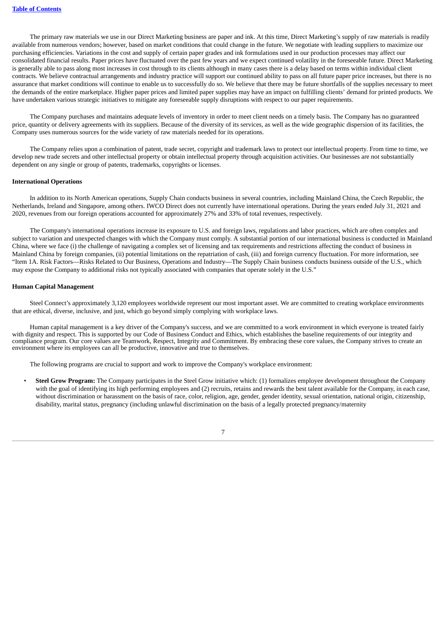The primary raw materials we use in our Direct Marketing business are paper and ink. At this time, Direct Marketing's supply of raw materials is readily available from numerous vendors; however, based on market conditions that could change in the future. We negotiate with leading suppliers to maximize our purchasing efficiencies. Variations in the cost and supply of certain paper grades and ink formulations used in our production processes may affect our consolidated financial results. Paper prices have fluctuated over the past few years and we expect continued volatility in the foreseeable future. Direct Marketing is generally able to pass along most increases in cost through to its clients although in many cases there is a delay based on terms within individual client contracts. We believe contractual arrangements and industry practice will support our continued ability to pass on all future paper price increases, but there is no assurance that market conditions will continue to enable us to successfully do so. We believe that there may be future shortfalls of the supplies necessary to meet the demands of the entire marketplace. Higher paper prices and limited paper supplies may have an impact on fulfilling clients' demand for printed products. We have undertaken various strategic initiatives to mitigate any foreseeable supply disruptions with respect to our paper requirements.

The Company purchases and maintains adequate levels of inventory in order to meet client needs on a timely basis. The Company has no guaranteed price, quantity or delivery agreements with its suppliers. Because of the diversity of its services, as well as the wide geographic dispersion of its facilities, the Company uses numerous sources for the wide variety of raw materials needed for its operations.

The Company relies upon a combination of patent, trade secret, copyright and trademark laws to protect our intellectual property. From time to time, we develop new trade secrets and other intellectual property or obtain intellectual property through acquisition activities. Our businesses are not substantially dependent on any single or group of patents, trademarks, copyrights or licenses.

#### **International Operations**

In addition to its North American operations, Supply Chain conducts business in several countries, including Mainland China, the Czech Republic, the Netherlands, Ireland and Singapore, among others. IWCO Direct does not currently have international operations. During the years ended July 31, 2021 and 2020, revenues from our foreign operations accounted for approximately 27% and 33% of total revenues, respectively.

The Company's international operations increase its exposure to U.S. and foreign laws, regulations and labor practices, which are often complex and subject to variation and unexpected changes with which the Company must comply. A substantial portion of our international business is conducted in Mainland China, where we face (i) the challenge of navigating a complex set of licensing and tax requirements and restrictions affecting the conduct of business in Mainland China by foreign companies, (ii) potential limitations on the repatriation of cash, (iii) and foreign currency fluctuation. For more information, see "Item 1A. Risk Factors—Risks Related to Our Business, Operations and Industry—The Supply Chain business conducts business outside of the U.S., which may expose the Company to additional risks not typically associated with companies that operate solely in the U.S."

#### **Human Capital Management**

Steel Connect's approximately 3,120 employees worldwide represent our most important asset. We are committed to creating workplace environments that are ethical, diverse, inclusive, and just, which go beyond simply complying with workplace laws.

Human capital management is a key driver of the Company's success, and we are committed to a work environment in which everyone is treated fairly with dignity and respect. This is supported by our Code of Business Conduct and Ethics, which establishes the baseline requirements of our integrity and compliance program. Our core values are Teamwork, Respect, Integrity and Commitment. By embracing these core values, the Company strives to create an environment where its employees can all be productive, innovative and true to themselves.

The following programs are crucial to support and work to improve the Company's workplace environment:

• **Steel Grow Program:** The Company participates in the Steel Grow initiative which: (1) formalizes employee development throughout the Company with the goal of identifying its high performing employees and (2) recruits, retains and rewards the best talent available for the Company, in each case, without discrimination or harassment on the basis of race, color, religion, age, gender, gender identity, sexual orientation, national origin, citizenship, disability, marital status, pregnancy (including unlawful discrimination on the basis of a legally protected pregnancy/maternity

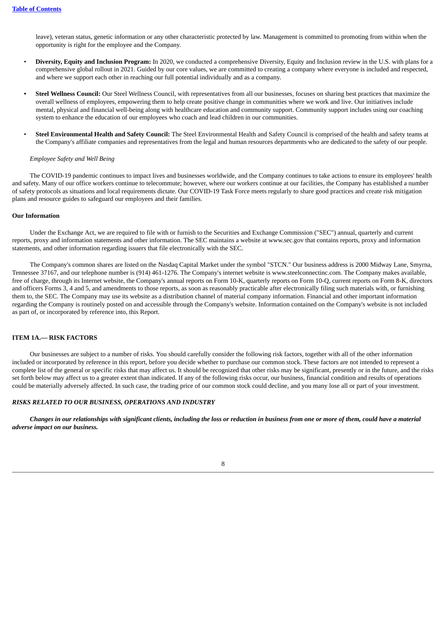leave), veteran status, genetic information or any other characteristic protected by law. Management is committed to promoting from within when the opportunity is right for the employee and the Company.

- **Diversity, Equity and Inclusion Program:** In 2020, we conducted a comprehensive Diversity, Equity and Inclusion review in the U.S. with plans for a comprehensive global rollout in 2021. Guided by our core values, we are committed to creating a company where everyone is included and respected, and where we support each other in reaching our full potential individually and as a company.
- **• Steel Wellness Council:** Our Steel Wellness Council, with representatives from all our businesses, focuses on sharing best practices that maximize the overall wellness of employees, empowering them to help create positive change in communities where we work and live. Our initiatives include mental, physical and financial well-being along with healthcare education and community support. Community support includes using our coaching system to enhance the education of our employees who coach and lead children in our communities.
- **Steel Environmental Health and Safety Council:** The Steel Environmental Health and Safety Council is comprised of the health and safety teams at the Company's affiliate companies and representatives from the legal and human resources departments who are dedicated to the safety of our people.

#### *Employee Safety and Well Being*

The COVID-19 pandemic continues to impact lives and businesses worldwide, and the Company continues to take actions to ensure its employees' health and safety. Many of our office workers continue to telecommute; however, where our workers continue at our facilities, the Company has established a number of safety protocols as situations and local requirements dictate. Our COVID-19 Task Force meets regularly to share good practices and create risk mitigation plans and resource guides to safeguard our employees and their families.

#### **Our Information**

Under the Exchange Act, we are required to file with or furnish to the Securities and Exchange Commission ("SEC") annual, quarterly and current reports, proxy and information statements and other information. The SEC maintains a website at www.sec.gov that contains reports, proxy and information statements, and other information regarding issuers that file electronically with the SEC.

The Company's common shares are listed on the Nasdaq Capital Market under the symbol "STCN." Our business address is 2000 Midway Lane, Smyrna, Tennessee 37167, and our telephone number is (914) 461-1276. The Company's internet website is www.steelconnectinc.com. The Company makes available, free of charge, through its Internet website, the Company's annual reports on Form 10-K, quarterly reports on Form 10-Q, current reports on Form 8-K, directors and officers Forms 3, 4 and 5, and amendments to those reports, as soon as reasonably practicable after electronically filing such materials with, or furnishing them to, the SEC. The Company may use its website as a distribution channel of material company information. Financial and other important information regarding the Company is routinely posted on and accessible through the Company's website. Information contained on the Company's website is not included as part of, or incorporated by reference into, this Report.

## <span id="page-10-0"></span>**ITEM 1A.— RISK FACTORS**

Our businesses are subject to a number of risks. You should carefully consider the following risk factors, together with all of the other information included or incorporated by reference in this report, before you decide whether to purchase our common stock. These factors are not intended to represent a complete list of the general or specific risks that may affect us. It should be recognized that other risks may be significant, presently or in the future, and the risks set forth below may affect us to a greater extent than indicated. If any of the following risks occur, our business, financial condition and results of operations could be materially adversely affected. In such case, the trading price of our common stock could decline, and you many lose all or part of your investment.

#### *RISKS RELATED TO OUR BUSINESS, OPERATIONS AND INDUSTRY*

Changes in our relationships with significant clients, including the loss or reduction in business from one or more of them, could have a material *adverse impact on our business.*

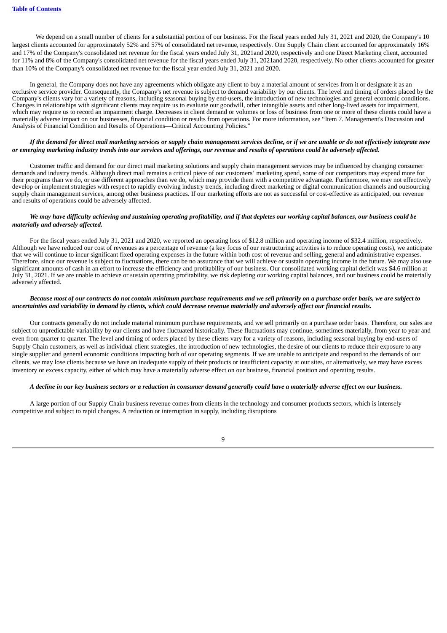We depend on a small number of clients for a substantial portion of our business. For the fiscal years ended July 31, 2021 and 2020, the Company's 10 largest clients accounted for approximately 52% and 57% of consolidated net revenue, respectively. One Supply Chain client accounted for approximately 16% and 17% of the Company's consolidated net revenue for the fiscal years ended July 31, 2021and 2020, respectively and one Direct Marketing client, accounted for 11% and 8% of the Company's consolidated net revenue for the fiscal years ended July 31, 2021and 2020, respectively. No other clients accounted for greater than 10% of the Company's consolidated net revenue for the fiscal year ended July 31, 2021 and 2020.

In general, the Company does not have any agreements which obligate any client to buy a material amount of services from it or designate it as an exclusive service provider. Consequently, the Company's net revenue is subject to demand variability by our clients. The level and timing of orders placed by the Company's clients vary for a variety of reasons, including seasonal buying by end-users, the introduction of new technologies and general economic conditions. Changes in relationships with significant clients may require us to evaluate our goodwill, other intangible assets and other long-lived assets for impairment, which may require us to record an impairment charge. Decreases in client demand or volumes or loss of business from one or more of these clients could have a materially adverse impact on our businesses, financial condition or results from operations. For more information, see "Item 7. Management's Discussion and Analysis of Financial Condition and Results of Operations—Critical Accounting Policies."

## If the demand for direct mail marketing services or supply chain management services decline, or if we are unable or do not effectively integrate new or emerging marketing industry trends into our services and offerings, our revenue and results of operations could be adversely affected.

Customer traffic and demand for our direct mail marketing solutions and supply chain management services may be influenced by changing consumer demands and industry trends. Although direct mail remains a critical piece of our customers' marketing spend, some of our competitors may expend more for their programs than we do, or use different approaches than we do, which may provide them with a competitive advantage. Furthermore, we may not effectively develop or implement strategies with respect to rapidly evolving industry trends, including direct marketing or digital communication channels and outsourcing supply chain management services, among other business practices. If our marketing efforts are not as successful or cost-effective as anticipated, our revenue and results of operations could be adversely affected.

### We may have difficulty achieving and sustaining operating profitability, and if that depletes our working capital balances, our business could be *materially and adversely affected.*

For the fiscal years ended July 31, 2021 and 2020, we reported an operating loss of \$12.8 million and operating income of \$32.4 million, respectively. Although we have reduced our cost of revenues as a percentage of revenue (a key focus of our restructuring activities is to reduce operating costs), we anticipate that we will continue to incur significant fixed operating expenses in the future within both cost of revenue and selling, general and administrative expenses. Therefore, since our revenue is subject to fluctuations, there can be no assurance that we will achieve or sustain operating income in the future. We may also use significant amounts of cash in an effort to increase the efficiency and profitability of our business. Our consolidated working capital deficit was \$4.6 million at July 31, 2021. If we are unable to achieve or sustain operating profitability, we risk depleting our working capital balances, and our business could be materially adversely affected.

## Because most of our contracts do not contain minimum purchase requirements and we sell primarily on a purchase order basis, we are subject to uncertainties and variability in demand by clients, which could decrease revenue materially and adversely affect our financial results.

Our contracts generally do not include material minimum purchase requirements, and we sell primarily on a purchase order basis. Therefore, our sales are subject to unpredictable variability by our clients and have fluctuated historically. These fluctuations may continue, sometimes materially, from year to year and even from quarter to quarter. The level and timing of orders placed by these clients vary for a variety of reasons, including seasonal buying by end-users of Supply Chain customers, as well as individual client strategies, the introduction of new technologies, the desire of our clients to reduce their exposure to any single supplier and general economic conditions impacting both of our operating segments. If we are unable to anticipate and respond to the demands of our clients, we may lose clients because we have an inadequate supply of their products or insufficient capacity at our sites, or alternatively, we may have excess inventory or excess capacity, either of which may have a materially adverse effect on our business, financial position and operating results.

## A decline in our key business sectors or a reduction in consumer demand generally could have a materially adverse effect on our business.

A large portion of our Supply Chain business revenue comes from clients in the technology and consumer products sectors, which is intensely competitive and subject to rapid changes. A reduction or interruption in supply, including disruptions

9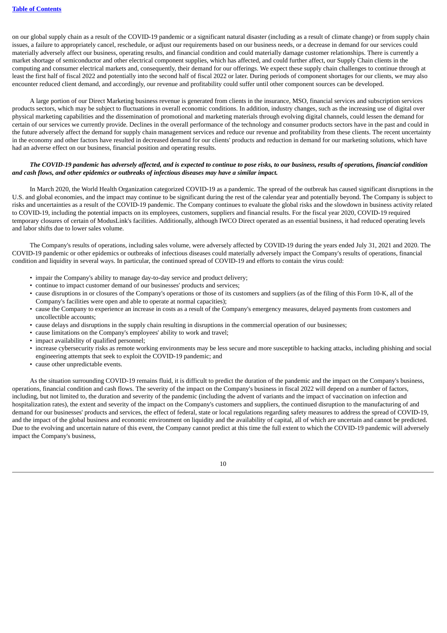on our global supply chain as a result of the COVID-19 pandemic or a significant natural disaster (including as a result of climate change) or from supply chain issues, a failure to appropriately cancel, reschedule, or adjust our requirements based on our business needs, or a decrease in demand for our services could materially adversely affect our business, operating results, and financial condition and could materially damage customer relationships. There is currently a market shortage of semiconductor and other electrical component supplies, which has affected, and could further affect, our Supply Chain clients in the computing and consumer electrical markets and, consequently, their demand for our offerings. We expect these supply chain challenges to continue through at least the first half of fiscal 2022 and potentially into the second half of fiscal 2022 or later. During periods of component shortages for our clients, we may also encounter reduced client demand, and accordingly, our revenue and profitability could suffer until other component sources can be developed.

A large portion of our Direct Marketing business revenue is generated from clients in the insurance, MSO, financial services and subscription services products sectors, which may be subject to fluctuations in overall economic conditions. In addition, industry changes, such as the increasing use of digital over physical marketing capabilities and the dissemination of promotional and marketing materials through evolving digital channels, could lessen the demand for certain of our services we currently provide. Declines in the overall performance of the technology and consumer products sectors have in the past and could in the future adversely affect the demand for supply chain management services and reduce our revenue and profitability from these clients. The recent uncertainty in the economy and other factors have resulted in decreased demand for our clients' products and reduction in demand for our marketing solutions, which have had an adverse effect on our business, financial position and operating results.

## The COVID-19 pandemic has adversely affected, and is expected to continue to pose risks, to our business, results of operations, financial condition *and cash flows, and other epidemics or outbreaks of infectious diseases may have a similar impact.*

In March 2020, the World Health Organization categorized COVID-19 as a pandemic. The spread of the outbreak has caused significant disruptions in the U.S. and global economies, and the impact may continue to be significant during the rest of the calendar year and potentially beyond. The Company is subject to risks and uncertainties as a result of the COVID-19 pandemic. The Company continues to evaluate the global risks and the slowdown in business activity related to COVID-19, including the potential impacts on its employees, customers, suppliers and financial results. For the fiscal year 2020, COVID-19 required temporary closures of certain of ModusLink's facilities. Additionally, although IWCO Direct operated as an essential business, it had reduced operating levels and labor shifts due to lower sales volume.

The Company's results of operations, including sales volume, were adversely affected by COVID-19 during the years ended July 31, 2021 and 2020. The COVID-19 pandemic or other epidemics or outbreaks of infectious diseases could materially adversely impact the Company's results of operations, financial condition and liquidity in several ways. In particular, the continued spread of COVID-19 and efforts to contain the virus could:

- impair the Company's ability to manage day-to-day service and product delivery;
- continue to impact customer demand of our businesses' products and services;
- cause disruptions in or closures of the Company's operations or those of its customers and suppliers (as of the filing of this Form 10-K, all of the Company's facilities were open and able to operate at normal capacities);
- cause the Company to experience an increase in costs as a result of the Company's emergency measures, delayed payments from customers and uncollectible accounts;
- cause delays and disruptions in the supply chain resulting in disruptions in the commercial operation of our businesses;
- cause limitations on the Company's employees' ability to work and travel;
- impact availability of qualified personnel;
- increase cybersecurity risks as remote working environments may be less secure and more susceptible to hacking attacks, including phishing and social engineering attempts that seek to exploit the COVID-19 pandemic; and
- cause other unpredictable events.

As the situation surrounding COVID-19 remains fluid, it is difficult to predict the duration of the pandemic and the impact on the Company's business, operations, financial condition and cash flows. The severity of the impact on the Company's business in fiscal 2022 will depend on a number of factors, including, but not limited to, the duration and severity of the pandemic (including the advent of variants and the impact of vaccination on infection and hospitalization rates), the extent and severity of the impact on the Company's customers and suppliers, the continued disruption to the manufacturing of and demand for our businesses' products and services, the effect of federal, state or local regulations regarding safety measures to address the spread of COVID-19, and the impact of the global business and economic environment on liquidity and the availability of capital, all of which are uncertain and cannot be predicted. Due to the evolving and uncertain nature of this event, the Company cannot predict at this time the full extent to which the COVID-19 pandemic will adversely impact the Company's business,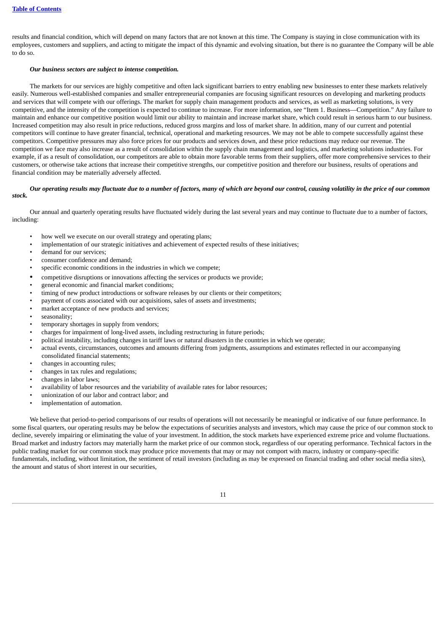results and financial condition, which will depend on many factors that are not known at this time. The Company is staying in close communication with its employees, customers and suppliers, and acting to mitigate the impact of this dynamic and evolving situation, but there is no guarantee the Company will be able to do so.

## *Our business sectors are subject to intense competition.*

The markets for our services are highly competitive and often lack significant barriers to entry enabling new businesses to enter these markets relatively easily. Numerous well-established companies and smaller entrepreneurial companies are focusing significant resources on developing and marketing products and services that will compete with our offerings. The market for supply chain management products and services, as well as marketing solutions, is very competitive, and the intensity of the competition is expected to continue to increase. For more information, see "Item 1. Business—Competition." Any failure to maintain and enhance our competitive position would limit our ability to maintain and increase market share, which could result in serious harm to our business. Increased competition may also result in price reductions, reduced gross margins and loss of market share. In addition, many of our current and potential competitors will continue to have greater financial, technical, operational and marketing resources. We may not be able to compete successfully against these competitors. Competitive pressures may also force prices for our products and services down, and these price reductions may reduce our revenue. The competition we face may also increase as a result of consolidation within the supply chain management and logistics, and marketing solutions industries. For example, if as a result of consolidation, our competitors are able to obtain more favorable terms from their suppliers, offer more comprehensive services to their customers, or otherwise take actions that increase their competitive strengths, our competitive position and therefore our business, results of operations and financial condition may be materially adversely affected.

## Our operating results may fluctuate due to a number of factors, many of which are beyond our control, causing volatility in the price of our common *stock.*

Our annual and quarterly operating results have fluctuated widely during the last several years and may continue to fluctuate due to a number of factors, including:

- how well we execute on our overall strategy and operating plans:
- implementation of our strategic initiatives and achievement of expected results of these initiatives;
- demand for our services;
- consumer confidence and demand;
- specific economic conditions in the industries in which we compete;
- competitive disruptions or innovations affecting the services or products we provide;
- general economic and financial market conditions;
- timing of new product introductions or software releases by our clients or their competitors;
- payment of costs associated with our acquisitions, sales of assets and investments;
- market acceptance of new products and services;
- seasonality;
- temporary shortages in supply from vendors;
- charges for impairment of long-lived assets, including restructuring in future periods;
- political instability, including changes in tariff laws or natural disasters in the countries in which we operate;
- actual events, circumstances, outcomes and amounts differing from judgments, assumptions and estimates reflected in our accompanying consolidated financial statements;
- changes in accounting rules;
- changes in tax rules and regulations;
- changes in labor laws;
- availability of labor resources and the variability of available rates for labor resources;
- unionization of our labor and contract labor; and
- implementation of automation.

We believe that period-to-period comparisons of our results of operations will not necessarily be meaningful or indicative of our future performance. In some fiscal quarters, our operating results may be below the expectations of securities analysts and investors, which may cause the price of our common stock to decline, severely impairing or eliminating the value of your investment. In addition, the stock markets have experienced extreme price and volume fluctuations. Broad market and industry factors may materially harm the market price of our common stock, regardless of our operating performance. Technical factors in the public trading market for our common stock may produce price movements that may or may not comport with macro, industry or company-specific fundamentals, including, without limitation, the sentiment of retail investors (including as may be expressed on financial trading and other social media sites), the amount and status of short interest in our securities,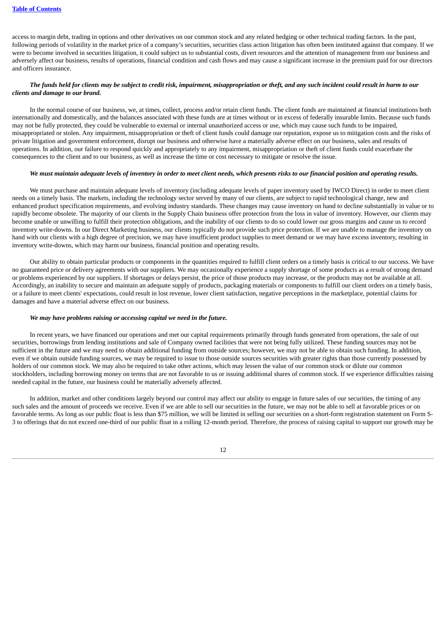access to margin debt, trading in options and other derivatives on our common stock and any related hedging or other technical trading factors. In the past, following periods of volatility in the market price of a company's securities, securities class action litigation has often been instituted against that company. If we were to become involved in securities litigation, it could subject us to substantial costs, divert resources and the attention of management from our business and adversely affect our business, results of operations, financial condition and cash flows and may cause a significant increase in the premium paid for our directors and officers insurance.

## The funds held for clients may be subject to credit risk, impairment, misappropriation or theft, and any such incident could result in harm to our *clients and damage to our brand.*

In the normal course of our business, we, at times, collect, process and/or retain client funds. The client funds are maintained at financial institutions both internationally and domestically, and the balances associated with these funds are at times without or in excess of federally insurable limits. Because such funds may not be fully protected, they could be vulnerable to external or internal unauthorized access or use, which may cause such funds to be impaired, misappropriated or stolen. Any impairment, misappropriation or theft of client funds could damage our reputation, expose us to mitigation costs and the risks of private litigation and government enforcement, disrupt our business and otherwise have a materially adverse effect on our business, sales and results of operations. In addition, our failure to respond quickly and appropriately to any impairment, misappropriation or theft of client funds could exacerbate the consequences to the client and to our business, as well as increase the time or cost necessary to mitigate or resolve the issue.

#### We must maintain adequate levels of inventory in order to meet client needs, which presents risks to our financial position and operating results.

We must purchase and maintain adequate levels of inventory (including adequate levels of paper inventory used by IWCO Direct) in order to meet client needs on a timely basis. The markets, including the technology sector served by many of our clients, are subject to rapid technological change, new and enhanced product specification requirements, and evolving industry standards. These changes may cause inventory on hand to decline substantially in value or to rapidly become obsolete. The majority of our clients in the Supply Chain business offer protection from the loss in value of inventory. However, our clients may become unable or unwilling to fulfill their protection obligations, and the inability of our clients to do so could lower our gross margins and cause us to record inventory write-downs. In our Direct Marketing business, our clients typically do not provide such price protection. If we are unable to manage the inventory on hand with our clients with a high degree of precision, we may have insufficient product supplies to meet demand or we may have excess inventory, resulting in inventory write-downs, which may harm our business, financial position and operating results.

Our ability to obtain particular products or components in the quantities required to fulfill client orders on a timely basis is critical to our success. We have no guaranteed price or delivery agreements with our suppliers. We may occasionally experience a supply shortage of some products as a result of strong demand or problems experienced by our suppliers. If shortages or delays persist, the price of those products may increase, or the products may not be available at all. Accordingly, an inability to secure and maintain an adequate supply of products, packaging materials or components to fulfill our client orders on a timely basis, or a failure to meet clients' expectations, could result in lost revenue, lower client satisfaction, negative perceptions in the marketplace, potential claims for damages and have a material adverse effect on our business.

#### *We may have problems raising or accessing capital we need in the future.*

In recent years, we have financed our operations and met our capital requirements primarily through funds generated from operations, the sale of our securities, borrowings from lending institutions and sale of Company owned facilities that were not being fully utilized. These funding sources may not be sufficient in the future and we may need to obtain additional funding from outside sources; however, we may not be able to obtain such funding. In addition, even if we obtain outside funding sources, we may be required to issue to those outside sources securities with greater rights than those currently possessed by holders of our common stock. We may also be required to take other actions, which may lessen the value of our common stock or dilute our common stockholders, including borrowing money on terms that are not favorable to us or issuing additional shares of common stock. If we experience difficulties raising needed capital in the future, our business could be materially adversely affected.

In addition, market and other conditions largely beyond our control may affect our ability to engage in future sales of our securities, the timing of any such sales and the amount of proceeds we receive. Even if we are able to sell our securities in the future, we may not be able to sell at favorable prices or on favorable terms. As long as our public float is less than \$75 million, we will be limited in selling our securities on a short-form registration statement on Form S-3 to offerings that do not exceed one-third of our public float in a rolling 12-month period. Therefore, the process of raising capital to support our growth may be

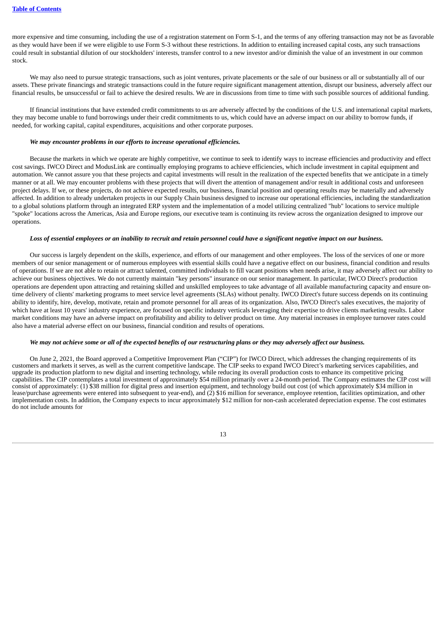more expensive and time consuming, including the use of a registration statement on Form S-1, and the terms of any offering transaction may not be as favorable as they would have been if we were eligible to use Form S-3 without these restrictions. In addition to entailing increased capital costs, any such transactions could result in substantial dilution of our stockholders' interests, transfer control to a new investor and/or diminish the value of an investment in our common stock.

We may also need to pursue strategic transactions, such as joint ventures, private placements or the sale of our business or all or substantially all of our assets. These private financings and strategic transactions could in the future require significant management attention, disrupt our business, adversely affect our financial results, be unsuccessful or fail to achieve the desired results. We are in discussions from time to time with such possible sources of additional funding.

If financial institutions that have extended credit commitments to us are adversely affected by the conditions of the U.S. and international capital markets, they may become unable to fund borrowings under their credit commitments to us, which could have an adverse impact on our ability to borrow funds, if needed, for working capital, capital expenditures, acquisitions and other corporate purposes.

#### *We may encounter problems in our efforts to increase operational efficiencies.*

Because the markets in which we operate are highly competitive, we continue to seek to identify ways to increase efficiencies and productivity and effect cost savings. IWCO Direct and ModusLink are continually employing programs to achieve efficiencies, which include investment in capital equipment and automation. We cannot assure you that these projects and capital investments will result in the realization of the expected benefits that we anticipate in a timely manner or at all. We may encounter problems with these projects that will divert the attention of management and/or result in additional costs and unforeseen project delays. If we, or these projects, do not achieve expected results, our business, financial position and operating results may be materially and adversely affected. In addition to already undertaken projects in our Supply Chain business designed to increase our operational efficiencies, including the standardization to a global solutions platform through an integrated ERP system and the implementation of a model utilizing centralized "hub" locations to service multiple "spoke" locations across the Americas, Asia and Europe regions, our executive team is continuing its review across the organization designed to improve our operations.

#### Loss of essential employees or an inability to recruit and retain personnel could haye a significant negative impact on our business.

Our success is largely dependent on the skills, experience, and efforts of our management and other employees. The loss of the services of one or more members of our senior management or of numerous employees with essential skills could have a negative effect on our business, financial condition and results of operations. If we are not able to retain or attract talented, committed individuals to fill vacant positions when needs arise, it may adversely affect our ability to achieve our business objectives. We do not currently maintain "key persons" insurance on our senior management. In particular, IWCO Direct's production operations are dependent upon attracting and retaining skilled and unskilled employees to take advantage of all available manufacturing capacity and ensure ontime delivery of clients' marketing programs to meet service level agreements (SLAs) without penalty. IWCO Direct's future success depends on its continuing ability to identify, hire, develop, motivate, retain and promote personnel for all areas of its organization. Also, IWCO Direct's sales executives, the majority of which have at least 10 years' industry experience, are focused on specific industry verticals leveraging their expertise to drive clients marketing results. Labor market conditions may have an adverse impact on profitability and ability to deliver product on time. Any material increases in employee turnover rates could also have a material adverse effect on our business, financial condition and results of operations.

#### We may not achieve some or all of the expected benefits of our restructuring plans or they may adversely affect our business.

On June 2, 2021, the Board approved a Competitive Improvement Plan ("CIP") for IWCO Direct, which addresses the changing requirements of its customers and markets it serves, as well as the current competitive landscape. The CIP seeks to expand IWCO Direct's marketing services capabilities, and upgrade its production platform to new digital and inserting technology, while reducing its overall production costs to enhance its competitive pricing capabilities. The CIP contemplates a total investment of approximately \$54 million primarily over a 24-month period. The Company estimates the CIP cost will consist of approximately: (1) \$38 million for digital press and insertion equipment, and technology build out cost (of which approximately \$34 million in lease/purchase agreements were entered into subsequent to year-end), and (2) \$16 million for severance, employee retention, facilities optimization, and other implementation costs. In addition, the Company expects to incur approximately \$12 million for non-cash accelerated depreciation expense. The cost estimates do not include amounts for

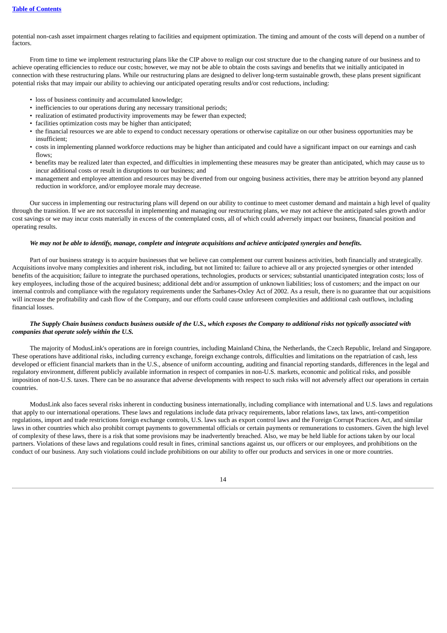potential non-cash asset impairment charges relating to facilities and equipment optimization. The timing and amount of the costs will depend on a number of factors.

From time to time we implement restructuring plans like the CIP above to realign our cost structure due to the changing nature of our business and to achieve operating efficiencies to reduce our costs; however, we may not be able to obtain the costs savings and benefits that we initially anticipated in connection with these restructuring plans. While our restructuring plans are designed to deliver long-term sustainable growth, these plans present significant potential risks that may impair our ability to achieving our anticipated operating results and/or cost reductions, including:

- loss of business continuity and accumulated knowledge;
- inefficiencies to our operations during any necessary transitional periods;
- realization of estimated productivity improvements may be fewer than expected;
- facilities optimization costs may be higher than anticipated;
- the financial resources we are able to expend to conduct necessary operations or otherwise capitalize on our other business opportunities may be insufficient;
- costs in implementing planned workforce reductions may be higher than anticipated and could have a significant impact on our earnings and cash flows;
- benefits may be realized later than expected, and difficulties in implementing these measures may be greater than anticipated, which may cause us to incur additional costs or result in disruptions to our business; and
- management and employee attention and resources may be diverted from our ongoing business activities, there may be attrition beyond any planned reduction in workforce, and/or employee morale may decrease.

Our success in implementing our restructuring plans will depend on our ability to continue to meet customer demand and maintain a high level of quality through the transition. If we are not successful in implementing and managing our restructuring plans, we may not achieve the anticipated sales growth and/or cost savings or we may incur costs materially in excess of the contemplated costs, all of which could adversely impact our business, financial position and operating results.

#### We may not be able to identify, manage, complete and integrate acquisitions and achieve anticipated synergies and benefits.

Part of our business strategy is to acquire businesses that we believe can complement our current business activities, both financially and strategically. Acquisitions involve many complexities and inherent risk, including, but not limited to: failure to achieve all or any projected synergies or other intended benefits of the acquisition; failure to integrate the purchased operations, technologies, products or services; substantial unanticipated integration costs; loss of key employees, including those of the acquired business; additional debt and/or assumption of unknown liabilities; loss of customers; and the impact on our internal controls and compliance with the regulatory requirements under the Sarbanes-Oxley Act of 2002. As a result, there is no guarantee that our acquisitions will increase the profitability and cash flow of the Company, and our efforts could cause unforeseen complexities and additional cash outflows, including financial losses.

## The Supply Chain business conducts business outside of the U.S., which exposes the Company to additional risks not typically associated with *companies that operate solely within the U.S.*

The majority of ModusLink's operations are in foreign countries, including Mainland China, the Netherlands, the Czech Republic, Ireland and Singapore. These operations have additional risks, including currency exchange, foreign exchange controls, difficulties and limitations on the repatriation of cash, less developed or efficient financial markets than in the U.S., absence of uniform accounting, auditing and financial reporting standards, differences in the legal and regulatory environment, different publicly available information in respect of companies in non-U.S. markets, economic and political risks, and possible imposition of non-U.S. taxes. There can be no assurance that adverse developments with respect to such risks will not adversely affect our operations in certain countries.

ModusLink also faces several risks inherent in conducting business internationally, including compliance with international and U.S. laws and regulations that apply to our international operations. These laws and regulations include data privacy requirements, labor relations laws, tax laws, anti-competition regulations, import and trade restrictions foreign exchange controls, U.S. laws such as export control laws and the Foreign Corrupt Practices Act, and similar laws in other countries which also prohibit corrupt payments to governmental officials or certain payments or remunerations to customers. Given the high level of complexity of these laws, there is a risk that some provisions may be inadvertently breached. Also, we may be held liable for actions taken by our local partners. Violations of these laws and regulations could result in fines, criminal sanctions against us, our officers or our employees, and prohibitions on the conduct of our business. Any such violations could include prohibitions on our ability to offer our products and services in one or more countries.

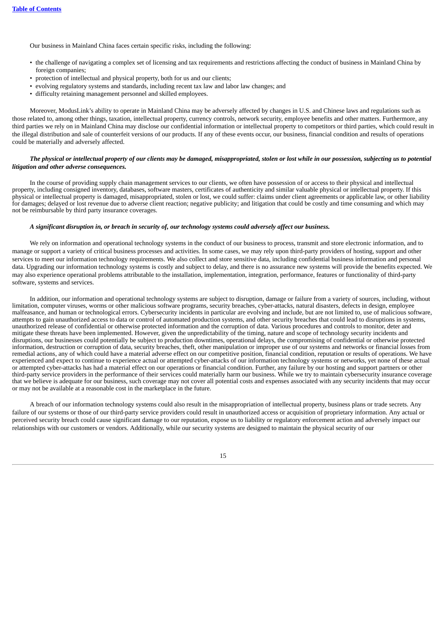Our business in Mainland China faces certain specific risks, including the following:

- the challenge of navigating a complex set of licensing and tax requirements and restrictions affecting the conduct of business in Mainland China by foreign companies;
- protection of intellectual and physical property, both for us and our clients;
- evolving regulatory systems and standards, including recent tax law and labor law changes; and
- difficulty retaining management personnel and skilled employees.

Moreover, ModusLink's ability to operate in Mainland China may be adversely affected by changes in U.S. and Chinese laws and regulations such as those related to, among other things, taxation, intellectual property, currency controls, network security, employee benefits and other matters. Furthermore, any third parties we rely on in Mainland China may disclose our confidential information or intellectual property to competitors or third parties, which could result in the illegal distribution and sale of counterfeit versions of our products. If any of these events occur, our business, financial condition and results of operations could be materially and adversely affected.

## The physical or intellectual property of our clients may be damaged, misappropriated, stolen or lost while in our possession, subjecting us to potential *litigation and other adverse consequences.*

In the course of providing supply chain management services to our clients, we often have possession of or access to their physical and intellectual property, including consigned inventory, databases, software masters, certificates of authenticity and similar valuable physical or intellectual property. If this physical or intellectual property is damaged, misappropriated, stolen or lost, we could suffer: claims under client agreements or applicable law, or other liability for damages; delayed or lost revenue due to adverse client reaction; negative publicity; and litigation that could be costly and time consuming and which may not be reimbursable by third party insurance coverages.

## A significant disruption in, or breach in security of, our technology systems could adversely affect our business.

We rely on information and operational technology systems in the conduct of our business to process, transmit and store electronic information, and to manage or support a variety of critical business processes and activities. In some cases, we may rely upon third-party providers of hosting, support and other services to meet our information technology requirements. We also collect and store sensitive data, including confidential business information and personal data. Upgrading our information technology systems is costly and subject to delay, and there is no assurance new systems will provide the benefits expected. We may also experience operational problems attributable to the installation, implementation, integration, performance, features or functionality of third-party software, systems and services.

In addition, our information and operational technology systems are subject to disruption, damage or failure from a variety of sources, including, without limitation, computer viruses, worms or other malicious software programs, security breaches, cyber-attacks, natural disasters, defects in design, employee malfeasance, and human or technological errors. Cybersecurity incidents in particular are evolving and include, but are not limited to, use of malicious software, attempts to gain unauthorized access to data or control of automated production systems, and other security breaches that could lead to disruptions in systems, unauthorized release of confidential or otherwise protected information and the corruption of data. Various procedures and controls to monitor, deter and mitigate these threats have been implemented. However, given the unpredictability of the timing, nature and scope of technology security incidents and disruptions, our businesses could potentially be subject to production downtimes, operational delays, the compromising of confidential or otherwise protected information, destruction or corruption of data, security breaches, theft, other manipulation or improper use of our systems and networks or financial losses from remedial actions, any of which could have a material adverse effect on our competitive position, financial condition, reputation or results of operations. We have experienced and expect to continue to experience actual or attempted cyber-attacks of our information technology systems or networks, yet none of these actual or attempted cyber-attacks has had a material effect on our operations or financial condition. Further, any failure by our hosting and support partners or other third-party service providers in the performance of their services could materially harm our business. While we try to maintain cybersecurity insurance coverage that we believe is adequate for our business, such coverage may not cover all potential costs and expenses associated with any security incidents that may occur or may not be available at a reasonable cost in the marketplace in the future.

A breach of our information technology systems could also result in the misappropriation of intellectual property, business plans or trade secrets. Any failure of our systems or those of our third-party service providers could result in unauthorized access or acquisition of proprietary information. Any actual or perceived security breach could cause significant damage to our reputation, expose us to liability or regulatory enforcement action and adversely impact our relationships with our customers or vendors. Additionally, while our security systems are designed to maintain the physical security of our

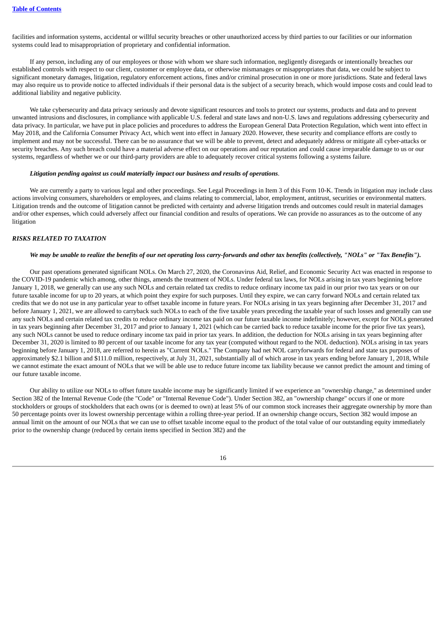facilities and information systems, accidental or willful security breaches or other unauthorized access by third parties to our facilities or our information systems could lead to misappropriation of proprietary and confidential information.

If any person, including any of our employees or those with whom we share such information, negligently disregards or intentionally breaches our established controls with respect to our client, customer or employee data, or otherwise mismanages or misappropriates that data, we could be subject to significant monetary damages, litigation, regulatory enforcement actions, fines and/or criminal prosecution in one or more jurisdictions. State and federal laws may also require us to provide notice to affected individuals if their personal data is the subject of a security breach, which would impose costs and could lead to additional liability and negative publicity.

We take cybersecurity and data privacy seriously and devote significant resources and tools to protect our systems, products and data and to prevent unwanted intrusions and disclosures, in compliance with applicable U.S. federal and state laws and non-U.S. laws and regulations addressing cybersecurity and data privacy. In particular, we have put in place policies and procedures to address the European General Data Protection Regulation, which went into effect in May 2018, and the California Consumer Privacy Act, which went into effect in January 2020. However, these security and compliance efforts are costly to implement and may not be successful. There can be no assurance that we will be able to prevent, detect and adequately address or mitigate all cyber-attacks or security breaches. Any such breach could have a material adverse effect on our operations and our reputation and could cause irreparable damage to us or our systems, regardless of whether we or our third-party providers are able to adequately recover critical systems following a systems failure.

## *Litigation pending against us could materially impact our business and results of operations*.

We are currently a party to various legal and other proceedings. See Legal Proceedings in Item 3 of this Form 10-K. Trends in litigation may include class actions involving consumers, shareholders or employees, and claims relating to commercial, labor, employment, antitrust, securities or environmental matters. Litigation trends and the outcome of litigation cannot be predicted with certainty and adverse litigation trends and outcomes could result in material damages and/or other expenses, which could adversely affect our financial condition and results of operations. We can provide no assurances as to the outcome of any litigation

## *RISKS RELATED TO TAXATION*

#### We may be unable to realize the benefits of our net operating loss carry-forwards and other tax benefits (collectively, "NOLs" or "Tax Benefits").

Our past operations generated significant NOLs. On March 27, 2020, the Coronavirus Aid, Relief, and Economic Security Act was enacted in response to the COVID-19 pandemic which among, other things, amends the treatment of NOLs. Under federal tax laws, for NOLs arising in tax years beginning before January 1, 2018, we generally can use any such NOLs and certain related tax credits to reduce ordinary income tax paid in our prior two tax years or on our future taxable income for up to 20 years, at which point they expire for such purposes. Until they expire, we can carry forward NOLs and certain related tax credits that we do not use in any particular year to offset taxable income in future years. For NOLs arising in tax years beginning after December 31, 2017 and before January 1, 2021, we are allowed to carryback such NOLs to each of the five taxable years preceding the taxable year of such losses and generally can use any such NOLs and certain related tax credits to reduce ordinary income tax paid on our future taxable income indefinitely; however, except for NOLs generated in tax years beginning after December 31, 2017 and prior to January 1, 2021 (which can be carried back to reduce taxable income for the prior five tax years), any such NOLs cannot be used to reduce ordinary income tax paid in prior tax years. In addition, the deduction for NOLs arising in tax years beginning after December 31, 2020 is limited to 80 percent of our taxable income for any tax year (computed without regard to the NOL deduction). NOLs arising in tax years beginning before January 1, 2018, are referred to herein as "Current NOLs." The Company had net NOL carryforwards for federal and state tax purposes of approximately \$2.1 billion and \$111.0 million, respectively, at July 31, 2021, substantially all of which arose in tax years ending before January 1, 2018, While we cannot estimate the exact amount of NOLs that we will be able use to reduce future income tax liability because we cannot predict the amount and timing of our future taxable income.

Our ability to utilize our NOLs to offset future taxable income may be significantly limited if we experience an "ownership change," as determined under Section 382 of the Internal Revenue Code (the "Code" or "Internal Revenue Code"). Under Section 382, an "ownership change" occurs if one or more stockholders or groups of stockholders that each owns (or is deemed to own) at least 5% of our common stock increases their aggregate ownership by more than 50 percentage points over its lowest ownership percentage within a rolling three-year period. If an ownership change occurs, Section 382 would impose an annual limit on the amount of our NOLs that we can use to offset taxable income equal to the product of the total value of our outstanding equity immediately prior to the ownership change (reduced by certain items specified in Section 382) and the

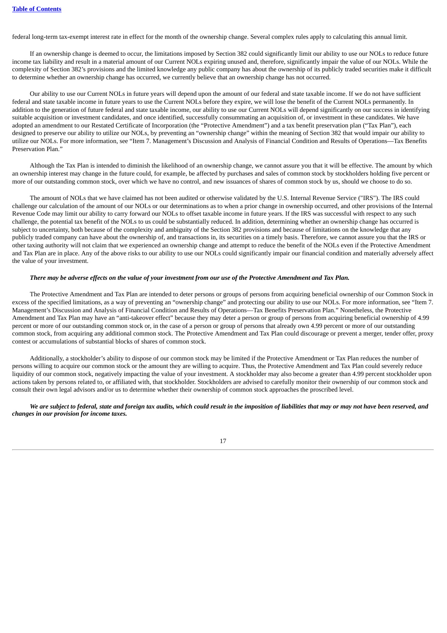federal long-term tax-exempt interest rate in effect for the month of the ownership change. Several complex rules apply to calculating this annual limit.

If an ownership change is deemed to occur, the limitations imposed by Section 382 could significantly limit our ability to use our NOLs to reduce future income tax liability and result in a material amount of our Current NOLs expiring unused and, therefore, significantly impair the value of our NOLs. While the complexity of Section 382's provisions and the limited knowledge any public company has about the ownership of its publicly traded securities make it difficult to determine whether an ownership change has occurred, we currently believe that an ownership change has not occurred.

Our ability to use our Current NOLs in future years will depend upon the amount of our federal and state taxable income. If we do not have sufficient federal and state taxable income in future years to use the Current NOLs before they expire, we will lose the benefit of the Current NOLs permanently. In addition to the generation of future federal and state taxable income, our ability to use our Current NOLs will depend significantly on our success in identifying suitable acquisition or investment candidates, and once identified, successfully consummating an acquisition of, or investment in these candidates. We have adopted an amendment to our Restated Certificate of Incorporation (the "Protective Amendment") and a tax benefit preservation plan ("Tax Plan"), each designed to preserve our ability to utilize our NOLs, by preventing an "ownership change" within the meaning of Section 382 that would impair our ability to utilize our NOLs. For more information, see "Item 7. Management's Discussion and Analysis of Financial Condition and Results of Operations—Tax Benefits Preservation Plan."

Although the Tax Plan is intended to diminish the likelihood of an ownership change, we cannot assure you that it will be effective. The amount by which an ownership interest may change in the future could, for example, be affected by purchases and sales of common stock by stockholders holding five percent or more of our outstanding common stock, over which we have no control, and new issuances of shares of common stock by us, should we choose to do so.

The amount of NOLs that we have claimed has not been audited or otherwise validated by the U.S. Internal Revenue Service ("IRS"). The IRS could challenge our calculation of the amount of our NOLs or our determinations as to when a prior change in ownership occurred, and other provisions of the Internal Revenue Code may limit our ability to carry forward our NOLs to offset taxable income in future years. If the IRS was successful with respect to any such challenge, the potential tax benefit of the NOLs to us could be substantially reduced. In addition, determining whether an ownership change has occurred is subject to uncertainty, both because of the complexity and ambiguity of the Section 382 provisions and because of limitations on the knowledge that any publicly traded company can have about the ownership of, and transactions in, its securities on a timely basis. Therefore, we cannot assure you that the IRS or other taxing authority will not claim that we experienced an ownership change and attempt to reduce the benefit of the NOLs even if the Protective Amendment and Tax Plan are in place. Any of the above risks to our ability to use our NOLs could significantly impair our financial condition and materially adversely affect the value of your investment.

#### There may be adverse effects on the value of your investment from our use of the Protective Amendment and Tax Plan.

The Protective Amendment and Tax Plan are intended to deter persons or groups of persons from acquiring beneficial ownership of our Common Stock in excess of the specified limitations, as a way of preventing an "ownership change" and protecting our ability to use our NOLs. For more information, see "Item 7. Management's Discussion and Analysis of Financial Condition and Results of Operations—Tax Benefits Preservation Plan." Nonetheless, the Protective Amendment and Tax Plan may have an "anti-takeover effect" because they may deter a person or group of persons from acquiring beneficial ownership of 4.99 percent or more of our outstanding common stock or, in the case of a person or group of persons that already own 4.99 percent or more of our outstanding common stock, from acquiring any additional common stock. The Protective Amendment and Tax Plan could discourage or prevent a merger, tender offer, proxy contest or accumulations of substantial blocks of shares of common stock.

Additionally, a stockholder's ability to dispose of our common stock may be limited if the Protective Amendment or Tax Plan reduces the number of persons willing to acquire our common stock or the amount they are willing to acquire. Thus, the Protective Amendment and Tax Plan could severely reduce liquidity of our common stock, negatively impacting the value of your investment. A stockholder may also become a greater than 4.99 percent stockholder upon actions taken by persons related to, or affiliated with, that stockholder. Stockholders are advised to carefully monitor their ownership of our common stock and consult their own legal advisors and/or us to determine whether their ownership of common stock approaches the proscribed level.

We are subject to federal, state and foreign tax audits, which could result in the imposition of liabilities that may or may not have been reserved, and *changes in our provision for income taxes.*

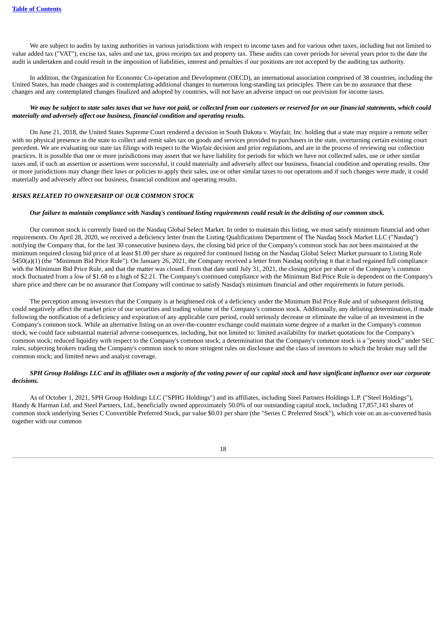We are subject to audits by taxing authorities in various jurisdictions with respect to income taxes and for various other taxes, including but not limited to value added tax ("VAT"), excise tax, sales and use tax, gross receipts tax and property tax. These audits can cover periods for several years prior to the date the audit is undertaken and could result in the imposition of liabilities, interest and penalties if our positions are not accepted by the auditing tax authority.

In addition, the Organization for Economic Co-operation and Development (OECD), an international association comprised of 38 countries, including the United States, has made changes and is contemplating additional changes to numerous long-standing tax principles. There can be no assurance that these changes and any contemplated changes finalized and adopted by countries, will not have an adverse impact on our provision for income taxes.

## We may be subject to state sales taxes that we have not paid, or collected from our customers or reserved for on our financial statements, which could *materially and adversely affect our business, financial condition and operating results.*

On June 21, 2018, the United States Supreme Court rendered a decision in South Dakota v. Wayfair, Inc. holding that a state may require a remote seller with no physical presence in the state to collect and remit sales tax on goods and services provided to purchasers in the state, overturning certain existing court precedent. We are evaluating our state tax filings with respect to the Wayfair decision and prior regulations, and are in the process of reviewing our collection practices. It is possible that one or more jurisdictions may assert that we have liability for periods for which we have not collected sales, use or other similar taxes and, if such an assertion or assertions were successful, it could materially and adversely affect our business, financial condition and operating results. One or more jurisdictions may change their laws or policies to apply their sales, use or other similar taxes to our operations and if such changes were made, it could materially and adversely affect our business, financial condition and operating results.

## *RISKS RELATED TO OWNERSHIP OF OUR COMMON STOCK*

#### Our failure to maintain compliance with Nasdaq's continued listing requirements could result in the delisting of our common stock.

Our common stock is currently listed on the Nasdaq Global Select Market. In order to maintain this listing, we must satisfy minimum financial and other requirements. On April 28, 2020, we received a deficiency letter from the Listing Qualifications Department of The Nasdaq Stock Market LLC ("Nasdaq") notifying the Company that, for the last 30 consecutive business days, the closing bid price of the Company's common stock has not been maintained at the minimum required closing bid price of at least \$1.00 per share as required for continued listing on the Nasdaq Global Select Market pursuant to Listing Rule 5450(a)(1) (the "Minimum Bid Price Rule"). On January 26, 2021, the Company received a letter from Nasdaq notifying it that it had regained full compliance with the Minimum Bid Price Rule, and that the matter was closed. From that date until July 31, 2021, the closing price per share of the Company's common stock fluctuated from a low of \$1.68 to a high of \$2.21. The Company's continued compliance with the Minimum Bid Price Rule is dependent on the Company's share price and there can be no assurance that Company will continue to satisfy Nasdaq's minimum financial and other requirements in future periods.

The perception among investors that the Company is at heightened risk of a deficiency under the Minimum Bid Price Rule and of subsequent delisting could negatively affect the market price of our securities and trading volume of the Company's common stock. Additionally, any delisting determination, if made following the notification of a deficiency and expiration of any applicable cure period, could seriously decrease or eliminate the value of an investment in the Company's common stock. While an alternative listing on an over-the-counter exchange could maintain some degree of a market in the Company's common stock, we could face substantial material adverse consequences, including, but not limited to: limited availability for market quotations for the Company's common stock; reduced liquidity with respect to the Company's common stock; a determination that the Company's common stock is a "penny stock" under SEC rules, subjecting brokers trading the Company's common stock to more stringent rules on disclosure and the class of investors to which the broker may sell the common stock; and limited news and analyst coverage.

## SPH Group Holdings LLC and its affiliates own a majority of the voting power of our capital stock and have significant influence over our corporate *decisions.*

As of October 1, 2021, SPH Group Holdings LLC ("SPHG Holdings") and its affiliates, including Steel Partners Holdings L.P. ("Steel Holdings"), Handy & Harman Ltd. and Steel Partners, Ltd., beneficially owned approximately 50.0% of our outstanding capital stock, including 17,857,143 shares of common stock underlying Series C Convertible Preferred Stock, par value \$0.01 per share (the "Series C Preferred Stock"), which vote on an as-converted basis together with our common

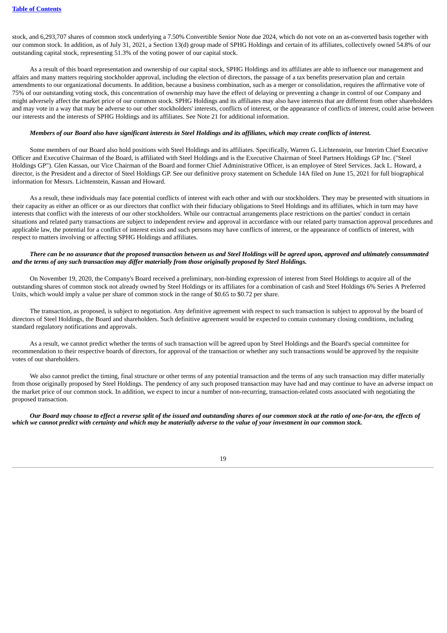stock, and 6,293,707 shares of common stock underlying a 7.50% Convertible Senior Note due 2024, which do not vote on an as-converted basis together with our common stock. In addition, as of July 31, 2021, a Section 13(d) group made of SPHG Holdings and certain of its affiliates, collectively owned 54.8% of our outstanding capital stock, representing 51.3% of the voting power of our capital stock.

As a result of this board representation and ownership of our capital stock, SPHG Holdings and its affiliates are able to influence our management and affairs and many matters requiring stockholder approval, including the election of directors, the passage of a tax benefits preservation plan and certain amendments to our organizational documents. In addition, because a business combination, such as a merger or consolidation, requires the affirmative vote of 75% of our outstanding voting stock, this concentration of ownership may have the effect of delaying or preventing a change in control of our Company and might adversely affect the market price of our common stock. SPHG Holdings and its affiliates may also have interests that are different from other shareholders and may vote in a way that may be adverse to our other stockholders' interests, conflicts of interest, or the appearance of conflicts of interest, could arise between our interests and the interests of SPHG Holdings and its affiliates. See Note 21 for additional information.

## Members of our Board also have sianificant interests in Steel Holdinas and its affiliates, which may create conflicts of interest.

Some members of our Board also hold positions with Steel Holdings and its affiliates. Specifically, Warren G. Lichtenstein, our Interim Chief Executive Officer and Executive Chairman of the Board, is affiliated with Steel Holdings and is the Executive Chairman of Steel Partners Holdings GP Inc. ("Steel Holdings GP"). Glen Kassan, our Vice Chairman of the Board and former Chief Administrative Officer, is an employee of Steel Services. Jack L. Howard, a director, is the President and a director of Steel Holdings GP. See our definitive proxy statement on Schedule 14A filed on June 15, 2021 for full biographical information for Messrs. Lichtenstein, Kassan and Howard.

As a result, these individuals may face potential conflicts of interest with each other and with our stockholders. They may be presented with situations in their capacity as either an officer or as our directors that conflict with their fiduciary obligations to Steel Holdings and its affiliates, which in turn may have interests that conflict with the interests of our other stockholders. While our contractual arrangements place restrictions on the parties' conduct in certain situations and related party transactions are subject to independent review and approval in accordance with our related party transaction approval procedures and applicable law, the potential for a conflict of interest exists and such persons may have conflicts of interest, or the appearance of conflicts of interest, with respect to matters involving or affecting SPHG Holdings and affiliates.

## There can be no assurance that the proposed transaction between us and Steel Holdings will be agreed upon, approved and ultimately consummated and the terms of any such transaction may differ materially from those originally proposed by Steel Holdings.

On November 19, 2020, the Company's Board received a preliminary, non-binding expression of interest from Steel Holdings to acquire all of the outstanding shares of common stock not already owned by Steel Holdings or its affiliates for a combination of cash and Steel Holdings 6% Series A Preferred Units, which would imply a value per share of common stock in the range of \$0.65 to \$0.72 per share.

The transaction, as proposed, is subject to negotiation. Any definitive agreement with respect to such transaction is subject to approval by the board of directors of Steel Holdings, the Board and shareholders. Such definitive agreement would be expected to contain customary closing conditions, including standard regulatory notifications and approvals.

As a result, we cannot predict whether the terms of such transaction will be agreed upon by Steel Holdings and the Board's special committee for recommendation to their respective boards of directors, for approval of the transaction or whether any such transactions would be approved by the requisite votes of our shareholders.

We also cannot predict the timing, final structure or other terms of any potential transaction and the terms of any such transaction may differ materially from those originally proposed by Steel Holdings. The pendency of any such proposed transaction may have had and may continue to have an adverse impact on the market price of our common stock. In addition, we expect to incur a number of non-recurring, transaction-related costs associated with negotiating the proposed transaction.

Our Board may choose to effect a reverse split of the issued and outstanding shares of our common stock at the ratio of one-for-ten, the effects of which we cannot predict with certainty and which may be materially adverse to the value of your investment in our common stock.

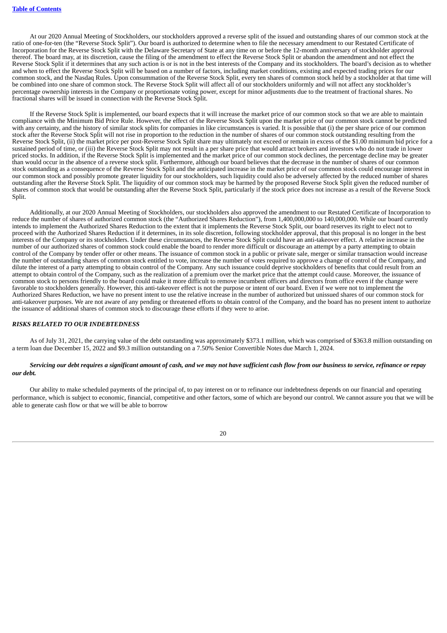At our 2020 Annual Meeting of Stockholders, our stockholders approved a reverse split of the issued and outstanding shares of our common stock at the ratio of one-for-ten (the "Reverse Stock Split"). Our board is authorized to determine when to file the necessary amendment to our Restated Certificate of Incorporation for the Reverse Stock Split with the Delaware Secretary of State at any time on or before the 12-month anniversary of stockholder approval thereof. The board may, at its discretion, cause the filing of the amendment to effect the Reverse Stock Split or abandon the amendment and not effect the Reverse Stock Split if it determines that any such action is or is not in the best interests of the Company and its stockholders. The board's decision as to whether and when to effect the Reverse Stock Split will be based on a number of factors, including market conditions, existing and expected trading prices for our common stock, and the Nasdaq Rules. Upon consummation of the Reverse Stock Split, every ten shares of common stock held by a stockholder at that time will be combined into one share of common stock. The Reverse Stock Split will affect all of our stockholders uniformly and will not affect any stockholder's percentage ownership interests in the Company or proportionate voting power, except for minor adjustments due to the treatment of fractional shares. No fractional shares will be issued in connection with the Reverse Stock Split.

If the Reverse Stock Split is implemented, our board expects that it will increase the market price of our common stock so that we are able to maintain compliance with the Minimum Bid Price Rule. However, the effect of the Reverse Stock Split upon the market price of our common stock cannot be predicted with any certainty, and the history of similar stock splits for companies in like circumstances is varied. It is possible that (i) the per share price of our common stock after the Reverse Stock Split will not rise in proportion to the reduction in the number of shares of our common stock outstanding resulting from the Reverse Stock Split, (ii) the market price per post-Reverse Stock Split share may ultimately not exceed or remain in excess of the \$1.00 minimum bid price for a sustained period of time, or (iii) the Reverse Stock Split may not result in a per share price that would attract brokers and investors who do not trade in lower priced stocks. In addition, if the Reverse Stock Split is implemented and the market price of our common stock declines, the percentage decline may be greater than would occur in the absence of a reverse stock split. Furthermore, although our board believes that the decrease in the number of shares of our common stock outstanding as a consequence of the Reverse Stock Split and the anticipated increase in the market price of our common stock could encourage interest in our common stock and possibly promote greater liquidity for our stockholders, such liquidity could also be adversely affected by the reduced number of shares outstanding after the Reverse Stock Split. The liquidity of our common stock may be harmed by the proposed Reverse Stock Split given the reduced number of shares of common stock that would be outstanding after the Reverse Stock Split, particularly if the stock price does not increase as a result of the Reverse Stock Split.

Additionally, at our 2020 Annual Meeting of Stockholders, our stockholders also approved the amendment to our Restated Certificate of Incorporation to reduce the number of shares of authorized common stock (the "Authorized Shares Reduction"), from 1,400,000,000 to 140,000,000. While our board currently intends to implement the Authorized Shares Reduction to the extent that it implements the Reverse Stock Split, our board reserves its right to elect not to proceed with the Authorized Shares Reduction if it determines, in its sole discretion, following stockholder approval, that this proposal is no longer in the best interests of the Company or its stockholders. Under these circumstances, the Reverse Stock Split could have an anti-takeover effect. A relative increase in the number of our authorized shares of common stock could enable the board to render more difficult or discourage an attempt by a party attempting to obtain control of the Company by tender offer or other means. The issuance of common stock in a public or private sale, merger or similar transaction would increase the number of outstanding shares of common stock entitled to vote, increase the number of votes required to approve a change of control of the Company, and dilute the interest of a party attempting to obtain control of the Company. Any such issuance could deprive stockholders of benefits that could result from an attempt to obtain control of the Company, such as the realization of a premium over the market price that the attempt could cause. Moreover, the issuance of common stock to persons friendly to the board could make it more difficult to remove incumbent officers and directors from office even if the change were favorable to stockholders generally. However, this anti-takeover effect is not the purpose or intent of our board. Even if we were not to implement the Authorized Shares Reduction, we have no present intent to use the relative increase in the number of authorized but unissued shares of our common stock for anti-takeover purposes. We are not aware of any pending or threatened efforts to obtain control of the Company, and the board has no present intent to authorize the issuance of additional shares of common stock to discourage these efforts if they were to arise.

## *RISKS RELATED TO OUR INDEBTEDNESS*

As of July 31, 2021, the carrying value of the debt outstanding was approximately \$373.1 million, which was comprised of \$363.8 million outstanding on a term loan due December 15, 2022 and \$9.3 million outstanding on a 7.50% Senior Convertible Notes due March 1, 2024.

## Servicing our debt requires a significant amount of cash, and we may not have sufficient cash flow from our business to service, refinance or repay *our debt.*

Our ability to make scheduled payments of the principal of, to pay interest on or to refinance our indebtedness depends on our financial and operating performance, which is subject to economic, financial, competitive and other factors, some of which are beyond our control. We cannot assure you that we will be able to generate cash flow or that we will be able to borrow

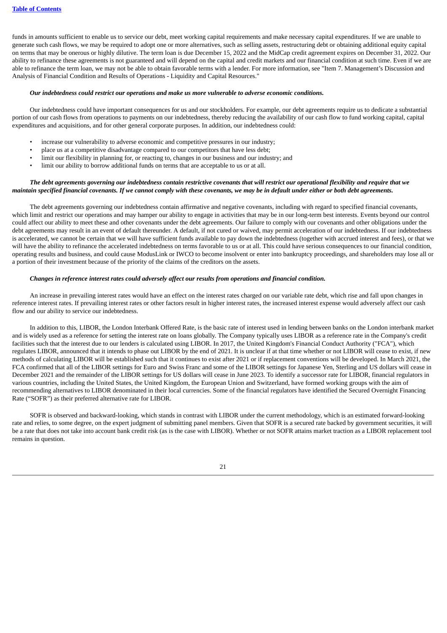funds in amounts sufficient to enable us to service our debt, meet working capital requirements and make necessary capital expenditures. If we are unable to generate such cash flows, we may be required to adopt one or more alternatives, such as selling assets, restructuring debt or obtaining additional equity capital on terms that may be onerous or highly dilutive. The term loan is due December 15, 2022 and the MidCap credit agreement expires on December 31, 2022. Our ability to refinance these agreements is not guaranteed and will depend on the capital and credit markets and our financial condition at such time. Even if we are able to refinance the term loan, we may not be able to obtain favorable terms with a lender. For more information, see "Item 7. Management's Discussion and Analysis of Financial Condition and Results of Operations - Liquidity and Capital Resources."

#### *Our indebtedness could restrict our operations and make us more vulnerable to adverse economic conditions.*

Our indebtedness could have important consequences for us and our stockholders. For example, our debt agreements require us to dedicate a substantial portion of our cash flows from operations to payments on our indebtedness, thereby reducing the availability of our cash flow to fund working capital, capital expenditures and acquisitions, and for other general corporate purposes. In addition, our indebtedness could:

- increase our vulnerability to adverse economic and competitive pressures in our industry;
- place us at a competitive disadvantage compared to our competitors that have less debt;
- limit our flexibility in planning for, or reacting to, changes in our business and our industry; and
- limit our ability to borrow additional funds on terms that are acceptable to us or at all.

## The debt aareements aovernina our indebtedness contain restrictive covenants that will restrict our operational flexibility and reauire that we maintain specified financial covenants. If we cannot comply with these covenants, we may be in default under either or both debt agreements.

The debt agreements governing our indebtedness contain affirmative and negative covenants, including with regard to specified financial covenants, which limit and restrict our operations and may hamper our ability to engage in activities that may be in our long-term best interests. Events beyond our control could affect our ability to meet these and other covenants under the debt agreements. Our failure to comply with our covenants and other obligations under the debt agreements may result in an event of default thereunder. A default, if not cured or waived, may permit acceleration of our indebtedness. If our indebtedness is accelerated, we cannot be certain that we will have sufficient funds available to pay down the indebtedness (together with accrued interest and fees), or that we will have the ability to refinance the accelerated indebtedness on terms favorable to us or at all. This could have serious consequences to our financial condition, operating results and business, and could cause ModusLink or IWCO to become insolvent or enter into bankruptcy proceedings, and shareholders may lose all or a portion of their investment because of the priority of the claims of the creditors on the assets.

## *Changes in reference interest rates could adversely affect our results from operations and financial condition.*

An increase in prevailing interest rates would have an effect on the interest rates charged on our variable rate debt, which rise and fall upon changes in reference interest rates. If prevailing interest rates or other factors result in higher interest rates, the increased interest expense would adversely affect our cash flow and our ability to service our indebtedness.

In addition to this, LIBOR, the London Interbank Offered Rate, is the basic rate of interest used in lending between banks on the London interbank market and is widely used as a reference for setting the interest rate on loans globally. The Company typically uses LIBOR as a reference rate in the Company's credit facilities such that the interest due to our lenders is calculated using LIBOR. In 2017, the United Kingdom's Financial Conduct Authority ("FCA"), which regulates LIBOR, announced that it intends to phase out LIBOR by the end of 2021. It is unclear if at that time whether or not LIBOR will cease to exist, if new methods of calculating LIBOR will be established such that it continues to exist after 2021 or if replacement conventions will be developed. In March 2021, the FCA confirmed that all of the LIBOR settings for Euro and Swiss Franc and some of the LIBOR settings for Japanese Yen, Sterling and US dollars will cease in December 2021 and the remainder of the LIBOR settings for US dollars will cease in June 2023. To identify a successor rate for LIBOR, financial regulators in various countries, including the United States, the United Kingdom, the European Union and Switzerland, have formed working groups with the aim of recommending alternatives to LIBOR denominated in their local currencies. Some of the financial regulators have identified the Secured Overnight Financing Rate ("SOFR") as their preferred alternative rate for LIBOR.

SOFR is observed and backward-looking, which stands in contrast with LIBOR under the current methodology, which is an estimated forward-looking rate and relies, to some degree, on the expert judgment of submitting panel members. Given that SOFR is a secured rate backed by government securities, it will be a rate that does not take into account bank credit risk (as is the case with LIBOR). Whether or not SOFR attains market traction as a LIBOR replacement tool remains in question.

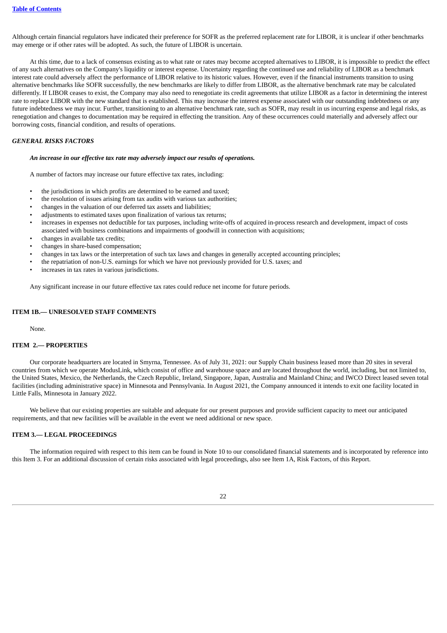Although certain financial regulators have indicated their preference for SOFR as the preferred replacement rate for LIBOR, it is unclear if other benchmarks may emerge or if other rates will be adopted. As such, the future of LIBOR is uncertain.

At this time, due to a lack of consensus existing as to what rate or rates may become accepted alternatives to LIBOR, it is impossible to predict the effect of any such alternatives on the Company's liquidity or interest expense. Uncertainty regarding the continued use and reliability of LIBOR as a benchmark interest rate could adversely affect the performance of LIBOR relative to its historic values. However, even if the financial instruments transition to using alternative benchmarks like SOFR successfully, the new benchmarks are likely to differ from LIBOR, as the alternative benchmark rate may be calculated differently. If LIBOR ceases to exist, the Company may also need to renegotiate its credit agreements that utilize LIBOR as a factor in determining the interest rate to replace LIBOR with the new standard that is established. This may increase the interest expense associated with our outstanding indebtedness or any future indebtedness we may incur. Further, transitioning to an alternative benchmark rate, such as SOFR, may result in us incurring expense and legal risks, as renegotiation and changes to documentation may be required in effecting the transition. Any of these occurrences could materially and adversely affect our borrowing costs, financial condition, and results of operations.

## *GENERAL RISKS FACTORS*

#### *An increase in our effective tax rate may adversely impact our results of operations.*

A number of factors may increase our future effective tax rates, including:

- the jurisdictions in which profits are determined to be earned and taxed;
- the resolution of issues arising from tax audits with various tax authorities;
- changes in the valuation of our deferred tax assets and liabilities;
- adjustments to estimated taxes upon finalization of various tax returns;
- increases in expenses not deductible for tax purposes, including write-offs of acquired in-process research and development, impact of costs associated with business combinations and impairments of goodwill in connection with acquisitions;
- changes in available tax credits;
- changes in share-based compensation;
- changes in tax laws or the interpretation of such tax laws and changes in generally accepted accounting principles;
- the repatriation of non-U.S. earnings for which we have not previously provided for U.S. taxes; and
- increases in tax rates in various jurisdictions.

Any significant increase in our future effective tax rates could reduce net income for future periods.

## <span id="page-24-0"></span>**ITEM 1B.— UNRESOLVED STAFF COMMENTS**

None.

#### <span id="page-24-1"></span>**ITEM 2.— PROPERTIES**

Our corporate headquarters are located in Smyrna, Tennessee. As of July 31, 2021: our Supply Chain business leased more than 20 sites in several countries from which we operate ModusLink, which consist of office and warehouse space and are located throughout the world, including, but not limited to, the United States, Mexico, the Netherlands, the Czech Republic, Ireland, Singapore, Japan, Australia and Mainland China; and IWCO Direct leased seven total facilities (including administrative space) in Minnesota and Pennsylvania. In August 2021, the Company announced it intends to exit one facility located in Little Falls, Minnesota in January 2022.

We believe that our existing properties are suitable and adequate for our present purposes and provide sufficient capacity to meet our anticipated requirements, and that new facilities will be available in the event we need additional or new space.

## <span id="page-24-2"></span>**ITEM 3.— LEGAL PROCEEDINGS**

<span id="page-24-3"></span>The information required with respect to this item can be found in Note 10 to our consolidated financial statements and is incorporated by reference into this Item 3. For an additional discussion of certain risks associated with legal proceedings, also see Item 1A, Risk Factors, of this Report.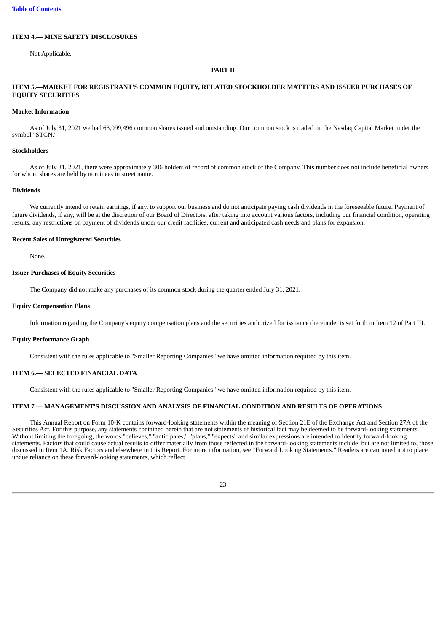## **ITEM 4.— MINE SAFETY DISCLOSURES**

Not Applicable.

## **PART II**

## <span id="page-25-1"></span><span id="page-25-0"></span>**ITEM 5.—MARKET FOR REGISTRANT'S COMMON EQUITY, RELATED STOCKHOLDER MATTERS AND ISSUER PURCHASES OF EQUITY SECURITIES**

## **Market Information**

As of July 31, 2021 we had 63,099,496 common shares issued and outstanding. Our common stock is traded on the Nasdaq Capital Market under the symbol "STCN.

#### **Stockholders**

As of July 31, 2021, there were approximately 306 holders of record of common stock of the Company. This number does not include beneficial owners for whom shares are held by nominees in street name.

#### **Dividends**

We currently intend to retain earnings, if any, to support our business and do not anticipate paying cash dividends in the foreseeable future. Payment of future dividends, if any, will be at the discretion of our Board of Directors, after taking into account various factors, including our financial condition, operating results, any restrictions on payment of dividends under our credit facilities, current and anticipated cash needs and plans for expansion.

#### **Recent Sales of Unregistered Securities**

None.

#### **Issuer Purchases of Equity Securities**

The Company did not make any purchases of its common stock during the quarter ended July 31, 2021.

#### **Equity Compensation Plans**

Information regarding the Company's equity compensation plans and the securities authorized for issuance thereunder is set forth in Item 12 of Part III.

## **Equity Performance Graph**

Consistent with the rules applicable to "Smaller Reporting Companies" we have omitted information required by this item.

## <span id="page-25-2"></span>**ITEM 6.— SELECTED FINANCIAL DATA**

Consistent with the rules applicable to "Smaller Reporting Companies" we have omitted information required by this item.

## <span id="page-25-3"></span>**ITEM 7.— MANAGEMENT'S DISCUSSION AND ANALYSIS OF FINANCIAL CONDITION AND RESULTS OF OPERATIONS**

This Annual Report on Form 10-K contains forward-looking statements within the meaning of Section 21E of the Exchange Act and Section 27A of the Securities Act. For this purpose, any statements contained herein that are not statements of historical fact may be deemed to be forward-looking statements. Without limiting the foregoing, the words "believes," "anticipates," "plans," "expects" and similar expressions are intended to identify forward-looking statements. Factors that could cause actual results to differ materially from those reflected in the forward-looking statements include, but are not limited to, those discussed in Item 1A. Risk Factors and elsewhere in this Report. For more information, see "Forward Looking Statements." Readers are cautioned not to place undue reliance on these forward-looking statements, which reflect

 $2<sub>2</sub>$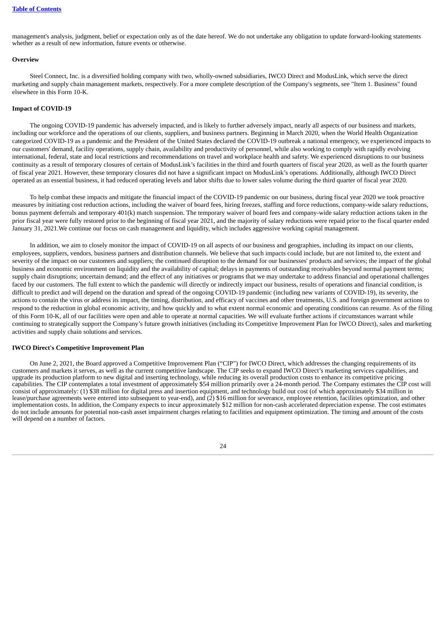management's analysis, judgment, belief or expectation only as of the date hereof. We do not undertake any obligation to update forward-looking statements whether as a result of new information, future events or otherwise.

#### **Overview**

Steel Connect, Inc. is a diversified holding company with two, wholly-owned subsidiaries, IWCO Direct and ModusLink, which serve the direct marketing and supply chain management markets, respectively. For a more complete description of the Company's segments, see "Item 1. Business" found elsewhere in this Form 10-K.

#### **Impact of COVID-19**

The ongoing COVID-19 pandemic has adversely impacted, and is likely to further adversely impact, nearly all aspects of our business and markets, including our workforce and the operations of our clients, suppliers, and business partners. Beginning in March 2020, when the World Health Organization categorized COVID-19 as a pandemic and the President of the United States declared the COVID-19 outbreak a national emergency, we experienced impacts to our customers' demand, facility operations, supply chain, availability and productivity of personnel, while also working to comply with rapidly evolving international, federal, state and local restrictions and recommendations on travel and workplace health and safety. We experienced disruptions to our business continuity as a result of temporary closures of certain of ModusLink's facilities in the third and fourth quarters of fiscal year 2020, as well as the fourth quarter of fiscal year 2021. However, these temporary closures did not have a significant impact on ModusLink's operations. Additionally, although IWCO Direct operated as an essential business, it had reduced operating levels and labor shifts due to lower sales volume during the third quarter of fiscal year 2020.

To help combat these impacts and mitigate the financial impact of the COVID-19 pandemic on our business, during fiscal year 2020 we took proactive measures by initiating cost reduction actions, including the waiver of board fees, hiring freezes, staffing and force reductions, company-wide salary reductions, bonus payment deferrals and temporary 401(k) match suspension. The temporary waiver of board fees and company-wide salary reduction actions taken in the prior fiscal year were fully restored prior to the beginning of fiscal year 2021, and the majority of salary reductions were repaid prior to the fiscal quarter ended January 31, 2021.We continue our focus on cash management and liquidity, which includes aggressive working capital management.

In addition, we aim to closely monitor the impact of COVID-19 on all aspects of our business and geographies, including its impact on our clients, employees, suppliers, vendors, business partners and distribution channels. We believe that such impacts could include, but are not limited to, the extent and severity of the impact on our customers and suppliers; the continued disruption to the demand for our businesses' products and services; the impact of the global business and economic environment on liquidity and the availability of capital; delays in payments of outstanding receivables beyond normal payment terms; supply chain disruptions; uncertain demand; and the effect of any initiatives or programs that we may undertake to address financial and operational challenges faced by our customers. The full extent to which the pandemic will directly or indirectly impact our business, results of operations and financial condition, is difficult to predict and will depend on the duration and spread of the ongoing COVID-19 pandemic (including new variants of COVID-19), its severity, the actions to contain the virus or address its impact, the timing, distribution, and efficacy of vaccines and other treatments, U.S. and foreign government actions to respond to the reduction in global economic activity, and how quickly and to what extent normal economic and operating conditions can resume. As of the filing of this Form 10-K, all of our facilities were open and able to operate at normal capacities. We will evaluate further actions if circumstances warrant while continuing to strategically support the Company's future growth initiatives (including its Competitive Improvement Plan for IWCO Direct), sales and marketing activities and supply chain solutions and services.

#### **IWCO Direct's Competitive Improvement Plan**

On June 2, 2021, the Board approved a Competitive Improvement Plan ("CIP") for IWCO Direct, which addresses the changing requirements of its customers and markets it serves, as well as the current competitive landscape. The CIP seeks to expand IWCO Direct's marketing services capabilities, and upgrade its production platform to new digital and inserting technology, while reducing its overall production costs to enhance its competitive pricing capabilities. The CIP contemplates a total investment of approximately \$54 million primarily over a 24-month period. The Company estimates the CIP cost will consist of approximately: (1) \$38 million for digital press and insertion equipment, and technology build out cost (of which approximately \$34 million in lease/purchase agreements were entered into subsequent to year-end), and (2) \$16 million for severance, employee retention, facilities optimization, and other implementation costs. In addition, the Company expects to incur approximately \$12 million for non-cash accelerated depreciation expense. The cost estimates do not include amounts for potential non-cash asset impairment charges relating to facilities and equipment optimization. The timing and amount of the costs will depend on a number of factors.

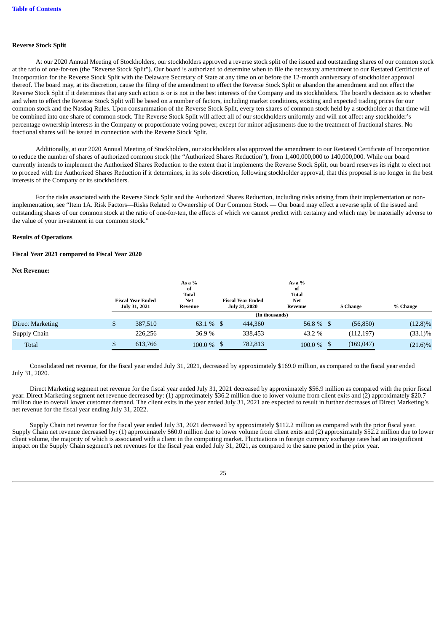## **Reverse Stock Split**

At our 2020 Annual Meeting of Stockholders, our stockholders approved a reverse stock split of the issued and outstanding shares of our common stock at the ratio of one-for-ten (the "Reverse Stock Split"). Our board is authorized to determine when to file the necessary amendment to our Restated Certificate of Incorporation for the Reverse Stock Split with the Delaware Secretary of State at any time on or before the 12-month anniversary of stockholder approval thereof. The board may, at its discretion, cause the filing of the amendment to effect the Reverse Stock Split or abandon the amendment and not effect the Reverse Stock Split if it determines that any such action is or is not in the best interests of the Company and its stockholders. The board's decision as to whether and when to effect the Reverse Stock Split will be based on a number of factors, including market conditions, existing and expected trading prices for our common stock and the Nasdaq Rules. Upon consummation of the Reverse Stock Split, every ten shares of common stock held by a stockholder at that time will be combined into one share of common stock. The Reverse Stock Split will affect all of our stockholders uniformly and will not affect any stockholder's percentage ownership interests in the Company or proportionate voting power, except for minor adjustments due to the treatment of fractional shares. No fractional shares will be issued in connection with the Reverse Stock Split.

Additionally, at our 2020 Annual Meeting of Stockholders, our stockholders also approved the amendment to our Restated Certificate of Incorporation to reduce the number of shares of authorized common stock (the "Authorized Shares Reduction"), from 1,400,000,000 to 140,000,000. While our board currently intends to implement the Authorized Shares Reduction to the extent that it implements the Reverse Stock Split, our board reserves its right to elect not to proceed with the Authorized Shares Reduction if it determines, in its sole discretion, following stockholder approval, that this proposal is no longer in the best interests of the Company or its stockholders.

For the risks associated with the Reverse Stock Split and the Authorized Shares Reduction, including risks arising from their implementation or nonimplementation, see "Item 1A. Risk Factors—Risks Related to Ownership of Our Common Stock — Our board may effect a reverse split of the issued and outstanding shares of our common stock at the ratio of one-for-ten, the effects of which we cannot predict with certainty and which may be materially adverse to the value of your investment in our common stock."

#### **Results of Operations**

#### **Fiscal Year 2021 compared to Fiscal Year 2020**

**Net Revenue:**

|                  | <b>Fiscal Year Ended</b><br><b>July 31, 2021</b> | As a $%$<br>of<br>Total<br><b>Net</b><br>Revenue |   | <b>Fiscal Year Ended</b><br><b>July 31, 2020</b> | As a $%$<br>of<br><b>Total</b><br>Net<br>Revenue | \$ Change  | % Change   |
|------------------|--------------------------------------------------|--------------------------------------------------|---|--------------------------------------------------|--------------------------------------------------|------------|------------|
|                  |                                                  |                                                  |   |                                                  | (In thousands)                                   |            |            |
| Direct Marketing | \$<br>387,510                                    | 63.1 % \$                                        |   | 444,360                                          | 56.8 $%$ \$                                      | (56, 850)  | $(12.8)\%$ |
| Supply Chain     | 226,256                                          | 36.9 %                                           |   | 338,453                                          | 43.2 %                                           | (112, 197) | $(33.1)\%$ |
| Total            | 613,766                                          | 100.0 %                                          | Ф | 782,813                                          | $100.0\%$ \$                                     | (169, 047) | $(21.6)\%$ |

Consolidated net revenue, for the fiscal year ended July 31, 2021, decreased by approximately \$169.0 million, as compared to the fiscal year ended July 31, 2020.

Direct Marketing segment net revenue for the fiscal year ended July 31, 2021 decreased by approximately \$56.9 million as compared with the prior fiscal year. Direct Marketing segment net revenue decreased by: (1) approximately \$36.2 million due to lower volume from client exits and (2) approximately \$20.7 million due to overall lower customer demand. The client exits in the year ended July 31, 2021 are expected to result in further decreases of Direct Marketing's net revenue for the fiscal year ending July 31, 2022.

Supply Chain net revenue for the fiscal year ended July 31, 2021 decreased by approximately \$112.2 million as compared with the prior fiscal year. Supply Chain net revenue decreased by: (1) approximately \$60.0 million due to lower volume from client exits and (2) approximately \$52.2 million due to lower client volume, the majority of which is associated with a client in the computing market. Fluctuations in foreign currency exchange rates had an insignificant impact on the Supply Chain segment's net revenues for the fiscal year ended July 31, 2021, as compared to the same period in the prior year.

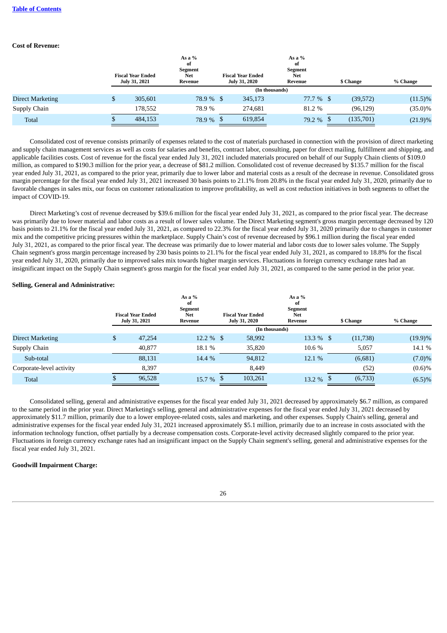## **Cost of Revenue:**

|                  |   | <b>Fiscal Year Ended</b><br><b>July 31, 2021</b> | As a $%$<br>of<br>Segment<br><b>Net</b><br>Revenue | <b>Fiscal Year Ended</b><br><b>July 31, 2020</b> | As a $%$<br>of<br>Segment<br>Net<br>Revenue | \$ Change  | % Change   |
|------------------|---|--------------------------------------------------|----------------------------------------------------|--------------------------------------------------|---------------------------------------------|------------|------------|
|                  |   |                                                  |                                                    |                                                  | (In thousands)                              |            |            |
| Direct Marketing | ъ | 305,601                                          | 78.9 % \$                                          | 345,173                                          | $77.7\%$ \$                                 | (39, 572)  | $(11.5)\%$ |
| Supply Chain     |   | 178,552                                          | 78.9 %                                             | 274.681                                          | 81.2 %                                      | (96, 129)  | $(35.0)\%$ |
| Total            |   | 484,153                                          | 78.9%                                              | 619,854                                          | $79.2\%$ \$                                 | (135, 701) | $(21.9)\%$ |

Consolidated cost of revenue consists primarily of expenses related to the cost of materials purchased in connection with the provision of direct marketing and supply chain management services as well as costs for salaries and benefits, contract labor, consulting, paper for direct mailing, fulfillment and shipping, and applicable facilities costs. Cost of revenue for the fiscal year ended July 31, 2021 included materials procured on behalf of our Supply Chain clients of \$109.0 million, as compared to \$190.3 million for the prior year, a decrease of \$81.2 million. Consolidated cost of revenue decreased by \$135.7 million for the fiscal year ended July 31, 2021, as compared to the prior year, primarily due to lower labor and material costs as a result of the decrease in revenue. Consolidated gross margin percentage for the fiscal year ended July 31, 2021 increased 30 basis points to 21.1% from 20.8% in the fiscal year ended July 31, 2020, primarily due to favorable changes in sales mix, our focus on customer rationalization to improve profitability, as well as cost reduction initiatives in both segments to offset the impact of COVID-19.

Direct Marketing's cost of revenue decreased by \$39.6 million for the fiscal year ended July 31, 2021, as compared to the prior fiscal year. The decrease was primarily due to lower material and labor costs as a result of lower sales volume. The Direct Marketing segment's gross margin percentage decreased by 120 basis points to 21.1% for the fiscal year ended July 31, 2021, as compared to 22.3% for the fiscal year ended July 31, 2020 primarily due to changes in customer mix and the competitive pricing pressures within the marketplace. Supply Chain's cost of revenue decreased by \$96.1 million during the fiscal year ended July 31, 2021, as compared to the prior fiscal year. The decrease was primarily due to lower material and labor costs due to lower sales volume. The Supply Chain segment's gross margin percentage increased by 230 basis points to 21.1% for the fiscal year ended July 31, 2021, as compared to 18.8% for the fiscal year ended July 31, 2020, primarily due to improved sales mix towards higher margin services. Fluctuations in foreign currency exchange rates had an insignificant impact on the Supply Chain segment's gross margin for the fiscal year ended July 31, 2021, as compared to the same period in the prior year.

## **Selling, General and Administrative:**

|                          |   | <b>Fiscal Year Ended</b><br><b>July 31, 2021</b> | As a $%$<br>of<br>Segment<br>Net<br>Revenue | <b>Fiscal Year Ended</b><br>July 31, 2020 | As a $%$<br>of<br>Segment<br><b>Net</b><br>Revenue | \$ Change | % Change   |
|--------------------------|---|--------------------------------------------------|---------------------------------------------|-------------------------------------------|----------------------------------------------------|-----------|------------|
|                          |   |                                                  |                                             |                                           | (In thousands)                                     |           |            |
| <b>Direct Marketing</b>  | Ф | 47,254                                           | $12.2 \%$ \$                                | 58,992                                    | $13.3\%$ \$                                        | (11,738)  | $(19.9)\%$ |
| Supply Chain             |   | 40,877                                           | 18.1 %                                      | 35,820                                    | 10.6 %                                             | 5,057     | 14.1 %     |
| Sub-total                |   | 88,131                                           | 14.4 %                                      | 94,812                                    | 12.1 %                                             | (6,681)   | $(7.0)\%$  |
| Corporate-level activity |   | 8,397                                            |                                             | 8,449                                     |                                                    | (52)      | (0.6)%     |
| <b>Total</b>             |   | 96,528                                           | $15.7\%$ \$                                 | 103,261                                   | $13.2\%$ \$                                        | (6, 733)  | $(6.5)\%$  |

Consolidated selling, general and administrative expenses for the fiscal year ended July 31, 2021 decreased by approximately \$6.7 million, as compared to the same period in the prior year. Direct Marketing's selling, general and administrative expenses for the fiscal year ended July 31, 2021 decreased by approximately \$11.7 million, primarily due to a lower employee-related costs, sales and marketing, and other expenses. Supply Chain's selling, general and administrative expenses for the fiscal year ended July 31, 2021 increased approximately \$5.1 million, primarily due to an increase in costs associated with the information technology function, offset partially by a decrease compensation costs. Corporate-level activity decreased slightly compared to the prior year. Fluctuations in foreign currency exchange rates had an insignificant impact on the Supply Chain segment's selling, general and administrative expenses for the fiscal year ended July 31, 2021.

## **Goodwill Impairment Charge:**

## 26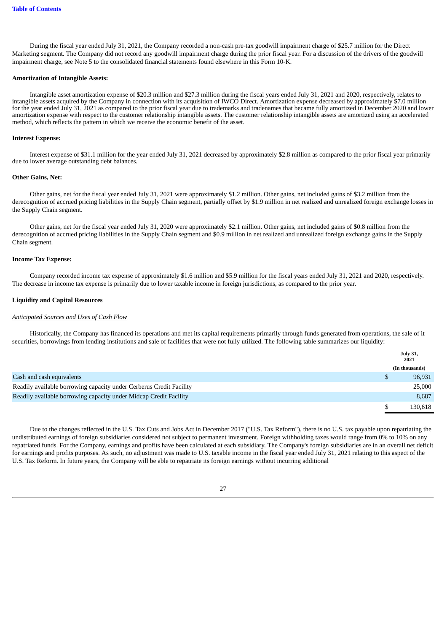During the fiscal year ended July 31, 2021, the Company recorded a non-cash pre-tax goodwill impairment charge of \$25.7 million for the Direct Marketing segment. The Company did not record any goodwill impairment charge during the prior fiscal year. For a discussion of the drivers of the goodwill impairment charge, see Note 5 to the consolidated financial statements found elsewhere in this Form 10-K.

### **Amortization of Intangible Assets:**

Intangible asset amortization expense of \$20.3 million and \$27.3 million during the fiscal years ended July 31, 2021 and 2020, respectively, relates to intangible assets acquired by the Company in connection with its acquisition of IWCO Direct. Amortization expense decreased by approximately \$7.0 million for the year ended July 31, 2021 as compared to the prior fiscal year due to trademarks and tradenames that became fully amortized in December 2020 and lower amortization expense with respect to the customer relationship intangible assets. The customer relationship intangible assets are amortized using an accelerated method, which reflects the pattern in which we receive the economic benefit of the asset.

#### **Interest Expense:**

Interest expense of \$31.1 million for the year ended July 31, 2021 decreased by approximately \$2.8 million as compared to the prior fiscal year primarily due to lower average outstanding debt balances.

## **Other Gains, Net:**

Other gains, net for the fiscal year ended July 31, 2021 were approximately \$1.2 million. Other gains, net included gains of \$3.2 million from the derecognition of accrued pricing liabilities in the Supply Chain segment, partially offset by \$1.9 million in net realized and unrealized foreign exchange losses in the Supply Chain segment.

Other gains, net for the fiscal year ended July 31, 2020 were approximately \$2.1 million. Other gains, net included gains of \$0.8 million from the derecognition of accrued pricing liabilities in the Supply Chain segment and \$0.9 million in net realized and unrealized foreign exchange gains in the Supply Chain segment.

#### **Income Tax Expense:**

Company recorded income tax expense of approximately \$1.6 million and \$5.9 million for the fiscal years ended July 31, 2021 and 2020, respectively. The decrease in income tax expense is primarily due to lower taxable income in foreign jurisdictions, as compared to the prior year.

#### **Liquidity and Capital Resources**

## *Anticipated Sources and Uses of Cash Flow*

Historically, the Company has financed its operations and met its capital requirements primarily through funds generated from operations, the sale of it securities, borrowings from lending institutions and sale of facilities that were not fully utilized. The following table summarizes our liquidity:

|                                                                     | <b>July 31,</b><br>2021 |
|---------------------------------------------------------------------|-------------------------|
|                                                                     | (In thousands)          |
| Cash and cash equivalents                                           | \$<br>96,931            |
| Readily available borrowing capacity under Cerberus Credit Facility | 25,000                  |
| Readily available borrowing capacity under Midcap Credit Facility   | 8,687                   |
|                                                                     | 130,618                 |

Due to the changes reflected in the U.S. Tax Cuts and Jobs Act in December 2017 ("U.S. Tax Reform"), there is no U.S. tax payable upon repatriating the undistributed earnings of foreign subsidiaries considered not subject to permanent investment. Foreign withholding taxes would range from 0% to 10% on any repatriated funds. For the Company, earnings and profits have been calculated at each subsidiary. The Company's foreign subsidiaries are in an overall net deficit for earnings and profits purposes. As such, no adjustment was made to U.S. taxable income in the fiscal year ended July 31, 2021 relating to this aspect of the U.S. Tax Reform. In future years, the Company will be able to repatriate its foreign earnings without incurring additional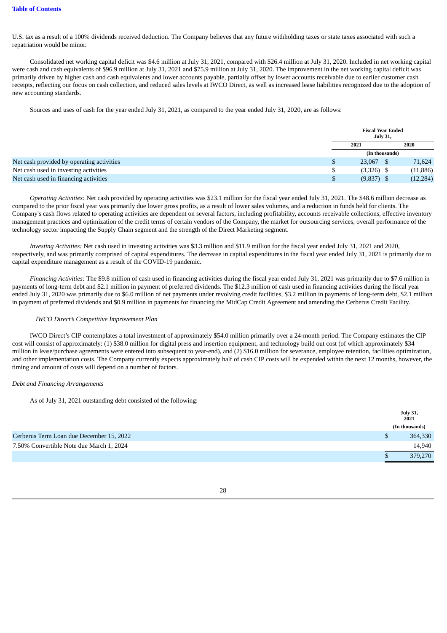U.S. tax as a result of a 100% dividends received deduction. The Company believes that any future withholding taxes or state taxes associated with such a repatriation would be minor.

Consolidated net working capital deficit was \$4.6 million at July 31, 2021, compared with \$26.4 million at July 31, 2020. Included in net working capital were cash and cash equivalents of \$96.9 million at July 31, 2021 and \$75.9 million at July 31, 2020. The improvement in the net working capital deficit was primarily driven by higher cash and cash equivalents and lower accounts payable, partially offset by lower accounts receivable due to earlier customer cash receipts, reflecting our focus on cash collection, and reduced sales levels at IWCO Direct, as well as increased lease liabilities recognized due to the adoption of new accounting standards.

Sources and uses of cash for the year ended July 31, 2021, as compared to the year ended July 31, 2020, are as follows:

|                                           |              | <b>Fiscal Year Ended</b><br><b>July 31.</b> |           |
|-------------------------------------------|--------------|---------------------------------------------|-----------|
|                                           | 2021         |                                             | 2020      |
|                                           |              | (In thousands)                              |           |
| Net cash provided by operating activities | 23,067       |                                             | 71,624    |
| Net cash used in investing activities     | $(3,326)$ \$ |                                             | (11, 886) |
| Net cash used in financing activities     | $(9,837)$ \$ |                                             | (12, 284) |

*Operating Activities:* Net cash provided by operating activities was \$23.1 million for the fiscal year ended July 31, 2021. The \$48.6 million decrease as compared to the prior fiscal year was primarily due lower gross profits, as a result of lower sales volumes, and a reduction in funds held for clients. The Company's cash flows related to operating activities are dependent on several factors, including profitability, accounts receivable collections, effective inventory management practices and optimization of the credit terms of certain vendors of the Company, the market for outsourcing services, overall performance of the technology sector impacting the Supply Chain segment and the strength of the Direct Marketing segment.

*Investing Activities:* Net cash used in investing activities was \$3.3 million and \$11.9 million for the fiscal year ended July 31, 2021 and 2020, respectively, and was primarily comprised of capital expenditures. The decrease in capital expenditures in the fiscal year ended July 31, 2021 is primarily due to capital expenditure management as a result of the COVID-19 pandemic.

*Financing Activities:* The \$9.8 million of cash used in financing activities during the fiscal year ended July 31, 2021 was primarily due to \$7.6 million in payments of long-term debt and \$2.1 million in payment of preferred dividends. The \$12.3 million of cash used in financing activities during the fiscal year ended July 31, 2020 was primarily due to \$6.0 million of net payments under revolving credit facilities, \$3.2 million in payments of long-term debt, \$2.1 million in payment of preferred dividends and \$0.9 million in payments for financing the MidCap Credit Agreement and amending the Cerberus Credit Facility.

## *IWCO Direct's Competitive Improvement Plan*

IWCO Direct's CIP contemplates a total investment of approximately \$54.0 million primarily over a 24-month period. The Company estimates the CIP cost will consist of approximately: (1) \$38.0 million for digital press and insertion equipment, and technology build out cost (of which approximately \$34 million in lease/purchase agreements were entered into subsequent to year-end), and (2) \$16.0 million for severance, employee retention, facilities optimization, and other implementation costs. The Company currently expects approximately half of cash CIP costs will be expended within the next 12 months, however, the timing and amount of costs will depend on a number of factors.

## *Debt and Financing Arrangements*

As of July 31, 2021 outstanding debt consisted of the following:

|                                          | <b>July 31,</b><br>2021 |                |
|------------------------------------------|-------------------------|----------------|
|                                          |                         | (In thousands) |
| Cerberus Term Loan due December 15, 2022 | S                       | 364,330        |
| 7.50% Convertible Note due March 1, 2024 |                         | 14,940         |
|                                          |                         | 379,270        |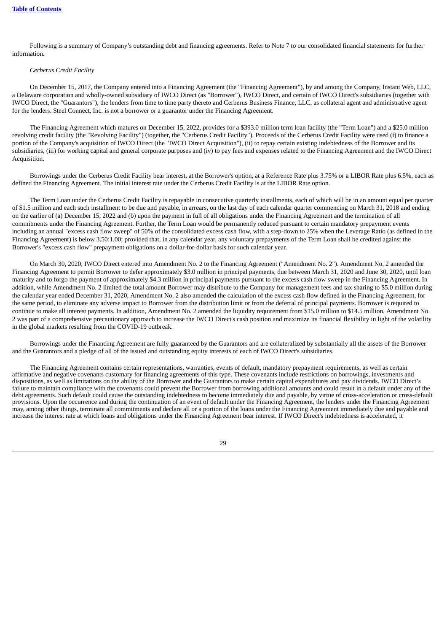Following is a summary of Company's outstanding debt and financing agreements. Refer to Note 7 to our consolidated financial statements for further information.

## *Cerberus Credit Facility*

On December 15, 2017, the Company entered into a Financing Agreement (the "Financing Agreement"), by and among the Company, Instant Web, LLC, a Delaware corporation and wholly-owned subsidiary of IWCO Direct (as "Borrower"), IWCO Direct, and certain of IWCO Direct's subsidiaries (together with IWCO Direct, the "Guarantors"), the lenders from time to time party thereto and Cerberus Business Finance, LLC, as collateral agent and administrative agent for the lenders. Steel Connect, Inc. is not a borrower or a guarantor under the Financing Agreement.

The Financing Agreement which matures on December 15, 2022, provides for a \$393.0 million term loan facility (the "Term Loan") and a \$25.0 million revolving credit facility (the "Revolving Facility") (together, the "Cerberus Credit Facility"). Proceeds of the Cerberus Credit Facility were used (i) to finance a portion of the Company's acquisition of IWCO Direct (the "IWCO Direct Acquisition"), (ii) to repay certain existing indebtedness of the Borrower and its subsidiaries, (iii) for working capital and general corporate purposes and (iv) to pay fees and expenses related to the Financing Agreement and the IWCO Direct Acquisition.

Borrowings under the Cerberus Credit Facility bear interest, at the Borrower's option, at a Reference Rate plus 3.75% or a LIBOR Rate plus 6.5%, each as defined the Financing Agreement. The initial interest rate under the Cerberus Credit Facility is at the LIBOR Rate option.

The Term Loan under the Cerberus Credit Facility is repayable in consecutive quarterly installments, each of which will be in an amount equal per quarter of \$1.5 million and each such installment to be due and payable, in arrears, on the last day of each calendar quarter commencing on March 31, 2018 and ending on the earlier of (a) December 15, 2022 and (b) upon the payment in full of all obligations under the Financing Agreement and the termination of all commitments under the Financing Agreement. Further, the Term Loan would be permanently reduced pursuant to certain mandatory prepayment events including an annual "excess cash flow sweep" of 50% of the consolidated excess cash flow, with a step-down to 25% when the Leverage Ratio (as defined in the Financing Agreement) is below 3.50:1.00; provided that, in any calendar year, any voluntary prepayments of the Term Loan shall be credited against the Borrower's "excess cash flow" prepayment obligations on a dollar-for-dollar basis for such calendar year.

On March 30, 2020, IWCO Direct entered into Amendment No. 2 to the Financing Agreement ("Amendment No. 2"). Amendment No. 2 amended the Financing Agreement to permit Borrower to defer approximately \$3.0 million in principal payments, due between March 31, 2020 and June 30, 2020, until loan maturity and to forgo the payment of approximately \$4.3 million in principal payments pursuant to the excess cash flow sweep in the Financing Agreement. In addition, while Amendment No. 2 limited the total amount Borrower may distribute to the Company for management fees and tax sharing to \$5.0 million during the calendar year ended December 31, 2020, Amendment No. 2 also amended the calculation of the excess cash flow defined in the Financing Agreement, for the same period, to eliminate any adverse impact to Borrower from the distribution limit or from the deferral of principal payments. Borrower is required to continue to make all interest payments. In addition, Amendment No. 2 amended the liquidity requirement from \$15.0 million to \$14.5 million. Amendment No. 2 was part of a comprehensive precautionary approach to increase the IWCO Direct's cash position and maximize its financial flexibility in light of the volatility in the global markets resulting from the COVID-19 outbreak.

Borrowings under the Financing Agreement are fully guaranteed by the Guarantors and are collateralized by substantially all the assets of the Borrower and the Guarantors and a pledge of all of the issued and outstanding equity interests of each of IWCO Direct's subsidiaries.

The Financing Agreement contains certain representations, warranties, events of default, mandatory prepayment requirements, as well as certain affirmative and negative covenants customary for financing agreements of this type. These covenants include restrictions on borrowings, investments and dispositions, as well as limitations on the ability of the Borrower and the Guarantors to make certain capital expenditures and pay dividends. IWCO Direct's failure to maintain compliance with the covenants could prevent the Borrower from borrowing additional amounts and could result in a default under any of the debt agreements. Such default could cause the outstanding indebtedness to become immediately due and payable, by virtue of cross-acceleration or cross-default provisions. Upon the occurrence and during the continuation of an event of default under the Financing Agreement, the lenders under the Financing Agreement may, among other things, terminate all commitments and declare all or a portion of the loans under the Financing Agreement immediately due and payable and increase the interest rate at which loans and obligations under the Financing Agreement bear interest. If IWCO Direct's indebtedness is accelerated, it

29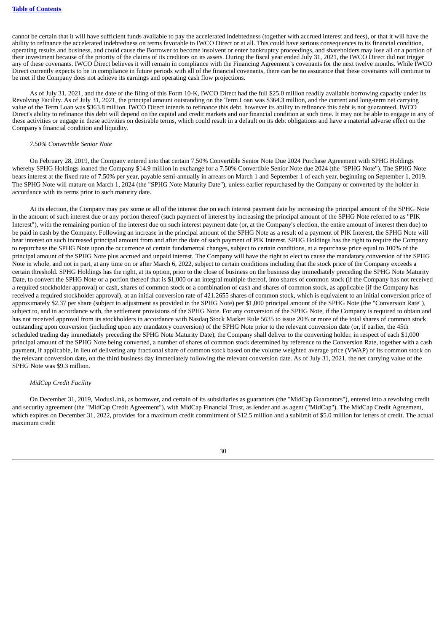cannot be certain that it will have sufficient funds available to pay the accelerated indebtedness (together with accrued interest and fees), or that it will have the ability to refinance the accelerated indebtedness on terms favorable to IWCO Direct or at all. This could have serious consequences to its financial condition, operating results and business, and could cause the Borrower to become insolvent or enter bankruptcy proceedings, and shareholders may lose all or a portion of their investment because of the priority of the claims of its creditors on its assets. During the fiscal year ended July 31, 2021, the IWCO Direct did not trigger any of these covenants. IWCO Direct believes it will remain in compliance with the Financing Agreement's covenants for the next twelve months. While IWCO Direct currently expects to be in compliance in future periods with all of the financial covenants, there can be no assurance that these covenants will continue to be met if the Company does not achieve its earnings and operating cash flow projections.

As of July 31, 2021, and the date of the filing of this Form 10-K, IWCO Direct had the full \$25.0 million readily available borrowing capacity under its Revolving Facility. As of July 31, 2021, the principal amount outstanding on the Term Loan was \$364.3 million, and the current and long-term net carrying value of the Term Loan was \$363.8 million. IWCO Direct intends to refinance this debt, however its ability to refinance this debt is not guaranteed. IWCO Direct's ability to refinance this debt will depend on the capital and credit markets and our financial condition at such time. It may not be able to engage in any of these activities or engage in these activities on desirable terms, which could result in a default on its debt obligations and have a material adverse effect on the Company's financial condition and liquidity.

#### *7.50% Convertible Senior Note*

On February 28, 2019, the Company entered into that certain 7.50% Convertible Senior Note Due 2024 Purchase Agreement with SPHG Holdings whereby SPHG Holdings loaned the Company \$14.9 million in exchange for a 7.50% Convertible Senior Note due 2024 (the "SPHG Note"). The SPHG Note bears interest at the fixed rate of 7.50% per year, payable semi-annually in arrears on March 1 and September 1 of each year, beginning on September 1, 2019. The SPHG Note will mature on March 1, 2024 (the "SPHG Note Maturity Date"), unless earlier repurchased by the Company or converted by the holder in accordance with its terms prior to such maturity date.

At its election, the Company may pay some or all of the interest due on each interest payment date by increasing the principal amount of the SPHG Note in the amount of such interest due or any portion thereof (such payment of interest by increasing the principal amount of the SPHG Note referred to as "PIK Interest"), with the remaining portion of the interest due on such interest payment date (or, at the Company's election, the entire amount of interest then due) to be paid in cash by the Company. Following an increase in the principal amount of the SPHG Note as a result of a payment of PIK Interest, the SPHG Note will bear interest on such increased principal amount from and after the date of such payment of PIK Interest. SPHG Holdings has the right to require the Company to repurchase the SPHG Note upon the occurrence of certain fundamental changes, subject to certain conditions, at a repurchase price equal to 100% of the principal amount of the SPHG Note plus accrued and unpaid interest. The Company will have the right to elect to cause the mandatory conversion of the SPHG Note in whole, and not in part, at any time on or after March 6, 2022, subject to certain conditions including that the stock price of the Company exceeds a certain threshold. SPHG Holdings has the right, at its option, prior to the close of business on the business day immediately preceding the SPHG Note Maturity Date, to convert the SPHG Note or a portion thereof that is \$1,000 or an integral multiple thereof, into shares of common stock (if the Company has not received a required stockholder approval) or cash, shares of common stock or a combination of cash and shares of common stock, as applicable (if the Company has received a required stockholder approval), at an initial conversion rate of 421.2655 shares of common stock, which is equivalent to an initial conversion price of approximately \$2.37 per share (subject to adjustment as provided in the SPHG Note) per \$1,000 principal amount of the SPHG Note (the "Conversion Rate"), subject to, and in accordance with, the settlement provisions of the SPHG Note. For any conversion of the SPHG Note, if the Company is required to obtain and has not received approval from its stockholders in accordance with Nasdaq Stock Market Rule 5635 to issue 20% or more of the total shares of common stock outstanding upon conversion (including upon any mandatory conversion) of the SPHG Note prior to the relevant conversion date (or, if earlier, the 45th scheduled trading day immediately preceding the SPHG Note Maturity Date), the Company shall deliver to the converting holder, in respect of each \$1,000 principal amount of the SPHG Note being converted, a number of shares of common stock determined by reference to the Conversion Rate, together with a cash payment, if applicable, in lieu of delivering any fractional share of common stock based on the volume weighted average price (VWAP) of its common stock on the relevant conversion date, on the third business day immediately following the relevant conversion date. As of July 31, 2021, the net carrying value of the SPHG Note was \$9.3 million.

#### *MidCap Credit Facility*

On December 31, 2019, ModusLink, as borrower, and certain of its subsidiaries as guarantors (the "MidCap Guarantors"), entered into a revolving credit and security agreement (the "MidCap Credit Agreement"), with MidCap Financial Trust, as lender and as agent ("MidCap"). The MidCap Credit Agreement, which expires on December 31, 2022, provides for a maximum credit commitment of \$12.5 million and a sublimit of \$5.0 million for letters of credit. The actual maximum credit

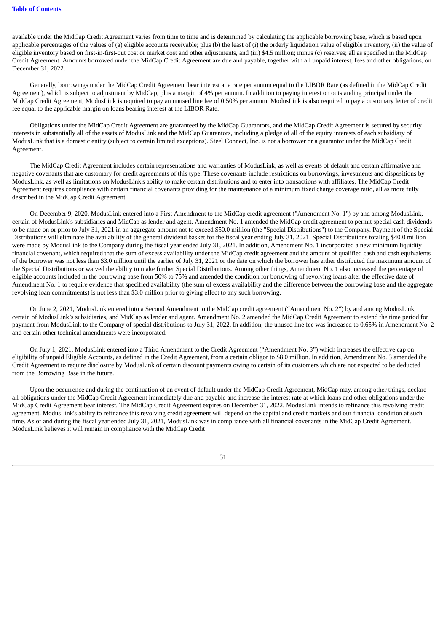available under the MidCap Credit Agreement varies from time to time and is determined by calculating the applicable borrowing base, which is based upon applicable percentages of the values of (a) eligible accounts receivable; plus (b) the least of (i) the orderly liquidation value of eligible inventory, (ii) the value of eligible inventory based on first-in-first-out cost or market cost and other adjustments, and (iii) \$4.5 million; minus (c) reserves; all as specified in the MidCap Credit Agreement. Amounts borrowed under the MidCap Credit Agreement are due and payable, together with all unpaid interest, fees and other obligations, on December 31, 2022.

Generally, borrowings under the MidCap Credit Agreement bear interest at a rate per annum equal to the LIBOR Rate (as defined in the MidCap Credit Agreement), which is subject to adjustment by MidCap, plus a margin of 4% per annum. In addition to paying interest on outstanding principal under the MidCap Credit Agreement, ModusLink is required to pay an unused line fee of 0.50% per annum. ModusLink is also required to pay a customary letter of credit fee equal to the applicable margin on loans bearing interest at the LIBOR Rate.

Obligations under the MidCap Credit Agreement are guaranteed by the MidCap Guarantors, and the MidCap Credit Agreement is secured by security interests in substantially all of the assets of ModusLink and the MidCap Guarantors, including a pledge of all of the equity interests of each subsidiary of ModusLink that is a domestic entity (subject to certain limited exceptions). Steel Connect, Inc. is not a borrower or a guarantor under the MidCap Credit Agreement.

The MidCap Credit Agreement includes certain representations and warranties of ModusLink, as well as events of default and certain affirmative and negative covenants that are customary for credit agreements of this type. These covenants include restrictions on borrowings, investments and dispositions by ModusLink, as well as limitations on ModusLink's ability to make certain distributions and to enter into transactions with affiliates. The MidCap Credit Agreement requires compliance with certain financial covenants providing for the maintenance of a minimum fixed charge coverage ratio, all as more fully described in the MidCap Credit Agreement.

On December 9, 2020, ModusLink entered into a First Amendment to the MidCap credit agreement ("Amendment No. 1") by and among ModusLink, certain of ModusLink's subsidiaries and MidCap as lender and agent. Amendment No. 1 amended the MidCap credit agreement to permit special cash dividends to be made on or prior to July 31, 2021 in an aggregate amount not to exceed \$50.0 million (the "Special Distributions") to the Company. Payment of the Special Distributions will eliminate the availability of the general dividend basket for the fiscal year ending July 31, 2021. Special Distributions totaling \$40.0 million were made by ModusLink to the Company during the fiscal year ended July 31, 2021. In addition, Amendment No. 1 incorporated a new minimum liquidity financial covenant, which required that the sum of excess availability under the MidCap credit agreement and the amount of qualified cash and cash equivalents of the borrower was not less than \$3.0 million until the earlier of July 31, 2021 or the date on which the borrower has either distributed the maximum amount of the Special Distributions or waived the ability to make further Special Distributions. Among other things, Amendment No. 1 also increased the percentage of eligible accounts included in the borrowing base from 50% to 75% and amended the condition for borrowing of revolving loans after the effective date of Amendment No. 1 to require evidence that specified availability (the sum of excess availability and the difference between the borrowing base and the aggregate revolving loan commitments) is not less than \$3.0 million prior to giving effect to any such borrowing.

On June 2, 2021, ModusLink entered into a Second Amendment to the MidCap credit agreement ("Amendment No. 2") by and among ModusLink, certain of ModusLink's subsidiaries, and MidCap as lender and agent. Amendment No. 2 amended the MidCap Credit Agreement to extend the time period for payment from ModusLink to the Company of special distributions to July 31, 2022. In addition, the unused line fee was increased to 0.65% in Amendment No. 2 and certain other technical amendments were incorporated.

On July 1, 2021, ModusLink entered into a Third Amendment to the Credit Agreement ("Amendment No. 3") which increases the effective cap on eligibility of unpaid Eligible Accounts, as defined in the Credit Agreement, from a certain obligor to \$8.0 million. In addition, Amendment No. 3 amended the Credit Agreement to require disclosure by ModusLink of certain discount payments owing to certain of its customers which are not expected to be deducted from the Borrowing Base in the future.

Upon the occurrence and during the continuation of an event of default under the MidCap Credit Agreement, MidCap may, among other things, declare all obligations under the MidCap Credit Agreement immediately due and payable and increase the interest rate at which loans and other obligations under the MidCap Credit Agreement bear interest. The MidCap Credit Agreement expires on December 31, 2022. ModusLink intends to refinance this revolving credit agreement. ModusLink's ability to refinance this revolving credit agreement will depend on the capital and credit markets and our financial condition at such time. As of and during the fiscal year ended July 31, 2021, ModusLink was in compliance with all financial covenants in the MidCap Credit Agreement. ModusLink believes it will remain in compliance with the MidCap Credit

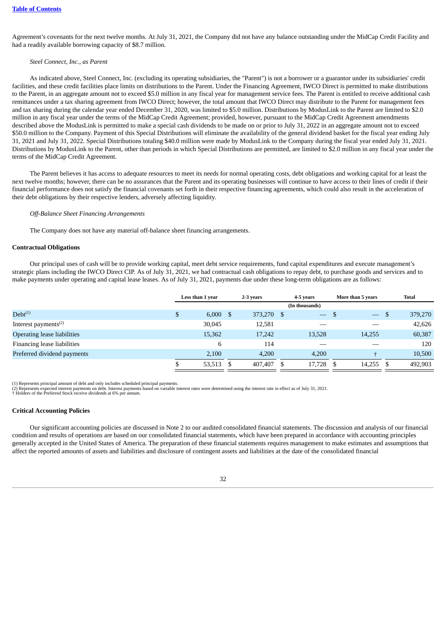Agreement's covenants for the next twelve months. At July 31, 2021, the Company did not have any balance outstanding under the MidCap Credit Facility and had a readily available borrowing capacity of \$8.7 million.

## *Steel Connect, Inc., as Parent*

As indicated above, Steel Connect, Inc. (excluding its operating subsidiaries, the "Parent") is not a borrower or a guarantor under its subsidiaries' credit facilities, and these credit facilities place limits on distributions to the Parent. Under the Financing Agreement, IWCO Direct is permitted to make distributions to the Parent, in an aggregate amount not to exceed \$5.0 million in any fiscal year for management service fees. The Parent is entitled to receive additional cash remittances under a tax sharing agreement from IWCO Direct; however, the total amount that IWCO Direct may distribute to the Parent for management fees and tax sharing during the calendar year ended December 31, 2020, was limited to \$5.0 million. Distributions by ModusLink to the Parent are limited to \$2.0 million in any fiscal year under the terms of the MidCap Credit Agreement; provided, however, pursuant to the MidCap Credit Agreement amendments described above the ModusLink is permitted to make a special cash dividends to be made on or prior to July 31, 2022 in an aggregate amount not to exceed \$50.0 million to the Company. Payment of this Special Distributions will eliminate the availability of the general dividend basket for the fiscal year ending July 31, 2021 and July 31, 2022. Special Distributions totaling \$40.0 million were made by ModusLink to the Company during the fiscal year ended July 31, 2021. Distributions by ModusLink to the Parent, other than periods in which Special Distributions are permitted, are limited to \$2.0 million in any fiscal year under the terms of the MidCap Credit Agreement.

The Parent believes it has access to adequate resources to meet its needs for normal operating costs, debt obligations and working capital for at least the next twelve months; however, there can be no assurances that the Parent and its operating businesses will continue to have access to their lines of credit if their financial performance does not satisfy the financial covenants set forth in their respective financing agreements, which could also result in the acceleration of their debt obligations by their respective lenders, adversely affecting liquidity.

#### *Off-Balance Sheet Financing Arrangements*

The Company does not have any material off-balance sheet financing arrangements.

#### **Contractual Obligations**

Our principal uses of cash will be to provide working capital, meet debt service requirements, fund capital expenditures and execute management's strategic plans including the IWCO Direct CIP. As of July 31, 2021, we had contractual cash obligations to repay debt, to purchase goods and services and to make payments under operating and capital lease leases. As of July 31, 2021, payments due under these long-term obligations are as follows:

|                                               |   | Less than 1 year |  | 2-3 years |    | 4-5 years                | More than 5 years        |     | Total   |
|-----------------------------------------------|---|------------------|--|-----------|----|--------------------------|--------------------------|-----|---------|
|                                               |   |                  |  |           |    | (In thousands)           |                          |     |         |
| $Debt^{(1)}$                                  | S | $6,000$ \$       |  | 373,270   | -S | $\overline{\phantom{m}}$ | $\overline{\phantom{a}}$ | - S | 379,270 |
| Interest payments <sup><math>(2)</math></sup> |   | 30,045           |  | 12,581    |    |                          |                          |     | 42,626  |
| Operating lease liabilities                   |   | 15,362           |  | 17,242    |    | 13,528                   | 14,255                   |     | 60,387  |
| Financing lease liabilities                   |   | 6                |  | 114       |    |                          |                          |     | 120     |
| Preferred dividend payments                   |   | 2.100            |  | 4.200     |    | 4.200                    |                          |     | 10,500  |
|                                               |   | 53,513 \$        |  | 407,407   |    | 17,728                   | $14,255$ \$              |     | 492,903 |

(1) Represents principal amount of debt and only includes scheduled principal payments.

(2) Represents expected interest payments on debt. Interest payments based on variable interest rates were determined using the interest rate in effect as of July 31, 2021.<br>† Holders of the Preferred Stock receive dividend

#### **Critical Accounting Policies**

Our significant accounting policies are discussed in Note 2 to our audited consolidated financial statements. The discussion and analysis of our financial condition and results of operations are based on our consolidated financial statements, which have been prepared in accordance with accounting principles generally accepted in the United States of America. The preparation of these financial statements requires management to make estimates and assumptions that affect the reported amounts of assets and liabilities and disclosure of contingent assets and liabilities at the date of the consolidated financial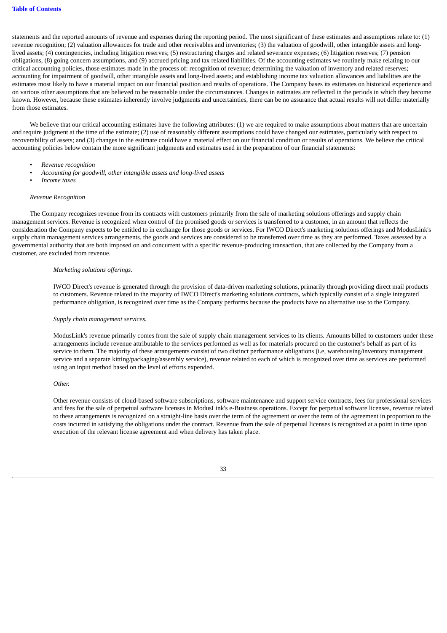statements and the reported amounts of revenue and expenses during the reporting period. The most significant of these estimates and assumptions relate to: (1) revenue recognition; (2) valuation allowances for trade and other receivables and inventories; (3) the valuation of goodwill, other intangible assets and longlived assets; (4) contingencies, including litigation reserves; (5) restructuring charges and related severance expenses; (6) litigation reserves; (7) pension obligations, (8) going concern assumptions, and (9) accrued pricing and tax related liabilities. Of the accounting estimates we routinely make relating to our critical accounting policies, those estimates made in the process of: recognition of revenue; determining the valuation of inventory and related reserves; accounting for impairment of goodwill, other intangible assets and long-lived assets; and establishing income tax valuation allowances and liabilities are the estimates most likely to have a material impact on our financial position and results of operations. The Company bases its estimates on historical experience and on various other assumptions that are believed to be reasonable under the circumstances. Changes in estimates are reflected in the periods in which they become known. However, because these estimates inherently involve judgments and uncertainties, there can be no assurance that actual results will not differ materially from those estimates.

We believe that our critical accounting estimates have the following attributes: (1) we are required to make assumptions about matters that are uncertain and require judgment at the time of the estimate; (2) use of reasonably different assumptions could have changed our estimates, particularly with respect to recoverability of assets; and (3) changes in the estimate could have a material effect on our financial condition or results of operations. We believe the critical accounting policies below contain the more significant judgments and estimates used in the preparation of our financial statements:

- *• Revenue recognition*
- *• Accounting for goodwill, other intangible assets and long-lived assets*
- *• Income taxes*

#### *Revenue Recognition*

The Company recognizes revenue from its contracts with customers primarily from the sale of marketing solutions offerings and supply chain management services. Revenue is recognized when control of the promised goods or services is transferred to a customer, in an amount that reflects the consideration the Company expects to be entitled to in exchange for those goods or services. For IWCO Direct's marketing solutions offerings and ModusLink's supply chain management services arrangements, the goods and services are considered to be transferred over time as they are performed. Taxes assessed by a governmental authority that are both imposed on and concurrent with a specific revenue-producing transaction, that are collected by the Company from a customer, are excluded from revenue.

#### *Marketing solutions offerings.*

IWCO Direct's revenue is generated through the provision of data-driven marketing solutions, primarily through providing direct mail products to customers. Revenue related to the majority of IWCO Direct's marketing solutions contracts, which typically consist of a single integrated performance obligation, is recognized over time as the Company performs because the products have no alternative use to the Company.

#### *Supply chain management services.*

ModusLink's revenue primarily comes from the sale of supply chain management services to its clients. Amounts billed to customers under these arrangements include revenue attributable to the services performed as well as for materials procured on the customer's behalf as part of its service to them. The majority of these arrangements consist of two distinct performance obligations (i.e, warehousing/inventory management service and a separate kitting/packaging/assembly service), revenue related to each of which is recognized over time as services are performed using an input method based on the level of efforts expended.

#### *Other.*

Other revenue consists of cloud-based software subscriptions, software maintenance and support service contracts, fees for professional services and fees for the sale of perpetual software licenses in ModusLink's e-Business operations. Except for perpetual software licenses, revenue related to these arrangements is recognized on a straight-line basis over the term of the agreement or over the term of the agreement in proportion to the costs incurred in satisfying the obligations under the contract. Revenue from the sale of perpetual licenses is recognized at a point in time upon execution of the relevant license agreement and when delivery has taken place.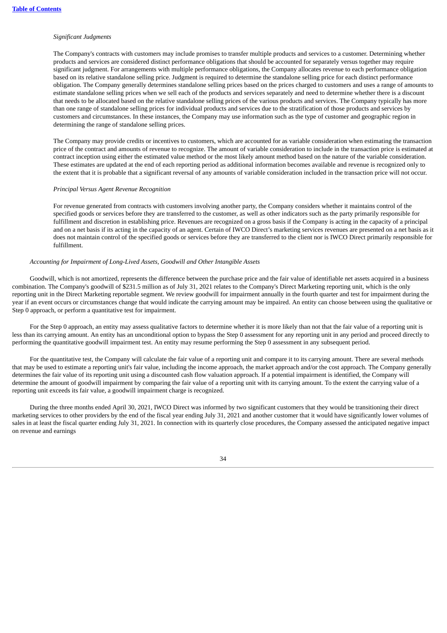## *Significant Judgments*

The Company's contracts with customers may include promises to transfer multiple products and services to a customer. Determining whether products and services are considered distinct performance obligations that should be accounted for separately versus together may require significant judgment. For arrangements with multiple performance obligations, the Company allocates revenue to each performance obligation based on its relative standalone selling price. Judgment is required to determine the standalone selling price for each distinct performance obligation. The Company generally determines standalone selling prices based on the prices charged to customers and uses a range of amounts to estimate standalone selling prices when we sell each of the products and services separately and need to determine whether there is a discount that needs to be allocated based on the relative standalone selling prices of the various products and services. The Company typically has more than one range of standalone selling prices for individual products and services due to the stratification of those products and services by customers and circumstances. In these instances, the Company may use information such as the type of customer and geographic region in determining the range of standalone selling prices.

The Company may provide credits or incentives to customers, which are accounted for as variable consideration when estimating the transaction price of the contract and amounts of revenue to recognize. The amount of variable consideration to include in the transaction price is estimated at contract inception using either the estimated value method or the most likely amount method based on the nature of the variable consideration. These estimates are updated at the end of each reporting period as additional information becomes available and revenue is recognized only to the extent that it is probable that a significant reversal of any amounts of variable consideration included in the transaction price will not occur.

#### *Principal Versus Agent Revenue Recognition*

For revenue generated from contracts with customers involving another party, the Company considers whether it maintains control of the specified goods or services before they are transferred to the customer, as well as other indicators such as the party primarily responsible for fulfillment and discretion in establishing price. Revenues are recognized on a gross basis if the Company is acting in the capacity of a principal and on a net basis if its acting in the capacity of an agent. Certain of IWCO Direct's marketing services revenues are presented on a net basis as it does not maintain control of the specified goods or services before they are transferred to the client nor is IWCO Direct primarily responsible for fulfillment.

# *Accounting for Impairment of Long-Lived Assets, Goodwill and Other Intangible Assets*

Goodwill, which is not amortized, represents the difference between the purchase price and the fair value of identifiable net assets acquired in a business combination. The Company's goodwill of \$231.5 million as of July 31, 2021 relates to the Company's Direct Marketing reporting unit, which is the only reporting unit in the Direct Marketing reportable segment. We review goodwill for impairment annually in the fourth quarter and test for impairment during the year if an event occurs or circumstances change that would indicate the carrying amount may be impaired. An entity can choose between using the qualitative or Step 0 approach, or perform a quantitative test for impairment.

For the Step 0 approach, an entity may assess qualitative factors to determine whether it is more likely than not that the fair value of a reporting unit is less than its carrying amount. An entity has an unconditional option to bypass the Step 0 assessment for any reporting unit in any period and proceed directly to performing the quantitative goodwill impairment test. An entity may resume performing the Step 0 assessment in any subsequent period.

For the quantitative test, the Company will calculate the fair value of a reporting unit and compare it to its carrying amount. There are several methods that may be used to estimate a reporting unit's fair value, including the income approach, the market approach and/or the cost approach. The Company generally determines the fair value of its reporting unit using a discounted cash flow valuation approach. If a potential impairment is identified, the Company will determine the amount of goodwill impairment by comparing the fair value of a reporting unit with its carrying amount. To the extent the carrying value of a reporting unit exceeds its fair value, a goodwill impairment charge is recognized.

During the three months ended April 30, 2021, IWCO Direct was informed by two significant customers that they would be transitioning their direct marketing services to other providers by the end of the fiscal year ending July 31, 2021 and another customer that it would have significantly lower volumes of sales in at least the fiscal quarter ending July 31, 2021. In connection with its quarterly close procedures, the Company assessed the anticipated negative impact on revenue and earnings

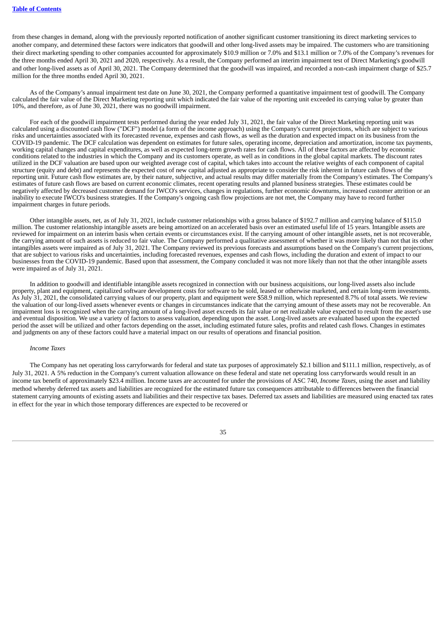from these changes in demand, along with the previously reported notification of another significant customer transitioning its direct marketing services to another company, and determined these factors were indicators that goodwill and other long-lived assets may be impaired. The customers who are transitioning their direct marketing spending to other companies accounted for approximately \$10.9 million or 7.0% and \$13.1 million or 7.0% of the Company's revenues for the three months ended April 30, 2021 and 2020, respectively. As a result, the Company performed an interim impairment test of Direct Marketing's goodwill and other long-lived assets as of April 30, 2021. The Company determined that the goodwill was impaired, and recorded a non-cash impairment charge of \$25.7 million for the three months ended April 30, 2021.

As of the Company's annual impairment test date on June 30, 2021, the Company performed a quantitative impairment test of goodwill. The Company calculated the fair value of the Direct Marketing reporting unit which indicated the fair value of the reporting unit exceeded its carrying value by greater than 10%, and therefore, as of June 30, 2021, there was no goodwill impairment.

For each of the goodwill impairment tests performed during the year ended July 31, 2021, the fair value of the Direct Marketing reporting unit was calculated using a discounted cash flow ("DCF") model (a form of the income approach) using the Company's current projections, which are subject to various risks and uncertainties associated with its forecasted revenue, expenses and cash flows, as well as the duration and expected impact on its business from the COVID-19 pandemic. The DCF calculation was dependent on estimates for future sales, operating income, depreciation and amortization, income tax payments, working capital changes and capital expenditures, as well as expected long-term growth rates for cash flows. All of these factors are affected by economic conditions related to the industries in which the Company and its customers operate, as well as in conditions in the global capital markets. The discount rates utilized in the DCF valuation are based upon our weighted average cost of capital, which takes into account the relative weights of each component of capital structure (equity and debt) and represents the expected cost of new capital adjusted as appropriate to consider the risk inherent in future cash flows of the reporting unit. Future cash flow estimates are, by their nature, subjective, and actual results may differ materially from the Company's estimates. The Company's estimates of future cash flows are based on current economic climates, recent operating results and planned business strategies. These estimates could be negatively affected by decreased customer demand for IWCO's services, changes in regulations, further economic downturns, increased customer attrition or an inability to execute IWCO's business strategies. If the Company's ongoing cash flow projections are not met, the Company may have to record further impairment charges in future periods.

Other intangible assets, net, as of July 31, 2021, include customer relationships with a gross balance of \$192.7 million and carrying balance of \$115.0 million. The customer relationship intangible assets are being amortized on an accelerated basis over an estimated useful life of 15 years. Intangible assets are reviewed for impairment on an interim basis when certain events or circumstances exist. If the carrying amount of other intangible assets, net is not recoverable, the carrying amount of such assets is reduced to fair value. The Company performed a qualitative assessment of whether it was more likely than not that its other intangibles assets were impaired as of July 31, 2021. The Company reviewed its previous forecasts and assumptions based on the Company's current projections, that are subject to various risks and uncertainties, including forecasted revenues, expenses and cash flows, including the duration and extent of impact to our businesses from the COVID-19 pandemic. Based upon that assessment, the Company concluded it was not more likely than not that the other intangible assets were impaired as of July 31, 2021.

In addition to goodwill and identifiable intangible assets recognized in connection with our business acquisitions, our long-lived assets also include property, plant and equipment, capitalized software development costs for software to be sold, leased or otherwise marketed, and certain long-term investments. As July 31, 2021, the consolidated carrying values of our property, plant and equipment were \$58.9 million, which represented 8.7% of total assets. We review the valuation of our long-lived assets whenever events or changes in circumstances indicate that the carrying amount of these assets may not be recoverable. An impairment loss is recognized when the carrying amount of a long-lived asset exceeds its fair value or net realizable value expected to result from the asset's use and eventual disposition. We use a variety of factors to assess valuation, depending upon the asset. Long-lived assets are evaluated based upon the expected period the asset will be utilized and other factors depending on the asset, including estimated future sales, profits and related cash flows. Changes in estimates and judgments on any of these factors could have a material impact on our results of operations and financial position.

## *Income Taxes*

The Company has net operating loss carryforwards for federal and state tax purposes of approximately \$2.1 billion and \$111.1 million, respectively, as of July 31, 2021. A 5% reduction in the Company's current valuation allowance on these federal and state net operating loss carryforwards would result in an income tax benefit of approximately \$23.4 million. Income taxes are accounted for under the provisions of ASC 740, *Income Taxes*, using the asset and liability method whereby deferred tax assets and liabilities are recognized for the estimated future tax consequences attributable to differences between the financial statement carrying amounts of existing assets and liabilities and their respective tax bases. Deferred tax assets and liabilities are measured using enacted tax rates in effect for the year in which those temporary differences are expected to be recovered or

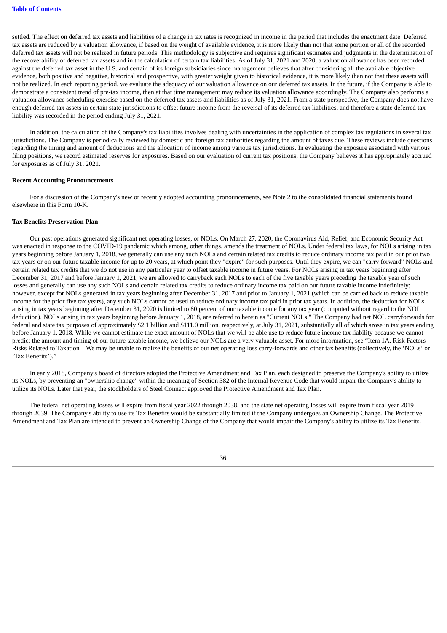settled. The effect on deferred tax assets and liabilities of a change in tax rates is recognized in income in the period that includes the enactment date. Deferred tax assets are reduced by a valuation allowance, if based on the weight of available evidence, it is more likely than not that some portion or all of the recorded deferred tax assets will not be realized in future periods. This methodology is subjective and requires significant estimates and judgments in the determination of the recoverability of deferred tax assets and in the calculation of certain tax liabilities. As of July 31, 2021 and 2020, a valuation allowance has been recorded against the deferred tax asset in the U.S. and certain of its foreign subsidiaries since management believes that after considering all the available objective evidence, both positive and negative, historical and prospective, with greater weight given to historical evidence, it is more likely than not that these assets will not be realized. In each reporting period, we evaluate the adequacy of our valuation allowance on our deferred tax assets. In the future, if the Company is able to demonstrate a consistent trend of pre-tax income, then at that time management may reduce its valuation allowance accordingly. The Company also performs a valuation allowance scheduling exercise based on the deferred tax assets and liabilities as of July 31, 2021. From a state perspective, the Company does not have enough deferred tax assets in certain state jurisdictions to offset future income from the reversal of its deferred tax liabilities, and therefore a state deferred tax liability was recorded in the period ending July 31, 2021.

In addition, the calculation of the Company's tax liabilities involves dealing with uncertainties in the application of complex tax regulations in several tax jurisdictions. The Company is periodically reviewed by domestic and foreign tax authorities regarding the amount of taxes due. These reviews include questions regarding the timing and amount of deductions and the allocation of income among various tax jurisdictions. In evaluating the exposure associated with various filing positions, we record estimated reserves for exposures. Based on our evaluation of current tax positions, the Company believes it has appropriately accrued for exposures as of July 31, 2021.

## **Recent Accounting Pronouncements**

For a discussion of the Company's new or recently adopted accounting pronouncements, see Note 2 to the consolidated financial statements found elsewhere in this Form 10-K.

#### **Tax Benefits Preservation Plan**

Our past operations generated significant net operating losses, or NOLs. On March 27, 2020, the Coronavirus Aid, Relief, and Economic Security Act was enacted in response to the COVID-19 pandemic which among, other things, amends the treatment of NOLs. Under federal tax laws, for NOLs arising in tax years beginning before January 1, 2018, we generally can use any such NOLs and certain related tax credits to reduce ordinary income tax paid in our prior two tax years or on our future taxable income for up to 20 years, at which point they "expire" for such purposes. Until they expire, we can "carry forward" NOLs and certain related tax credits that we do not use in any particular year to offset taxable income in future years. For NOLs arising in tax years beginning after December 31, 2017 and before January 1, 2021, we are allowed to carryback such NOLs to each of the five taxable years preceding the taxable year of such losses and generally can use any such NOLs and certain related tax credits to reduce ordinary income tax paid on our future taxable income indefinitely; however, except for NOLs generated in tax years beginning after December 31, 2017 and prior to January 1, 2021 (which can be carried back to reduce taxable income for the prior five tax years), any such NOLs cannot be used to reduce ordinary income tax paid in prior tax years. In addition, the deduction for NOLs arising in tax years beginning after December 31, 2020 is limited to 80 percent of our taxable income for any tax year (computed without regard to the NOL deduction). NOLs arising in tax years beginning before January 1, 2018, are referred to herein as "Current NOLs." The Company had net NOL carryforwards for federal and state tax purposes of approximately \$2.1 billion and \$111.0 million, respectively, at July 31, 2021, substantially all of which arose in tax years ending before January 1, 2018. While we cannot estimate the exact amount of NOLs that we will be able use to reduce future income tax liability because we cannot predict the amount and timing of our future taxable income, we believe our NOLs are a very valuable asset. For more information, see "Item 1A. Risk Factors-Risks Related to Taxation—We may be unable to realize the benefits of our net operating loss carry-forwards and other tax benefits (collectively, the 'NOLs' or 'Tax Benefits')."

In early 2018, Company's board of directors adopted the Protective Amendment and Tax Plan, each designed to preserve the Company's ability to utilize its NOLs, by preventing an "ownership change" within the meaning of Section 382 of the Internal Revenue Code that would impair the Company's ability to utilize its NOLs. Later that year, the stockholders of Steel Connect approved the Protective Amendment and Tax Plan.

The federal net operating losses will expire from fiscal year 2022 through 2038, and the state net operating losses will expire from fiscal year 2019 through 2039. The Company's ability to use its Tax Benefits would be substantially limited if the Company undergoes an Ownership Change. The Protective Amendment and Tax Plan are intended to prevent an Ownership Change of the Company that would impair the Company's ability to utilize its Tax Benefits.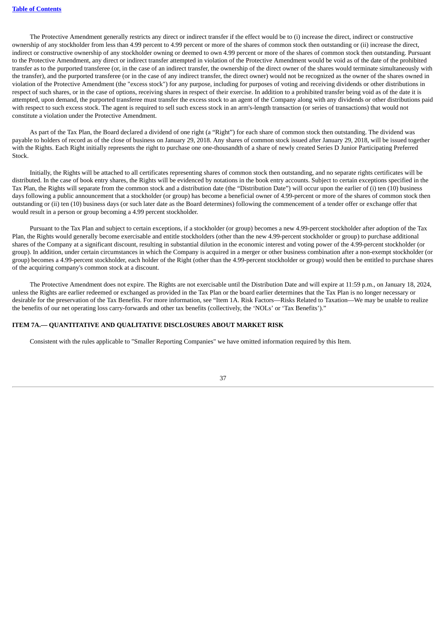The Protective Amendment generally restricts any direct or indirect transfer if the effect would be to (i) increase the direct, indirect or constructive ownership of any stockholder from less than 4.99 percent to 4.99 percent or more of the shares of common stock then outstanding or (ii) increase the direct, indirect or constructive ownership of any stockholder owning or deemed to own 4.99 percent or more of the shares of common stock then outstanding. Pursuant to the Protective Amendment, any direct or indirect transfer attempted in violation of the Protective Amendment would be void as of the date of the prohibited transfer as to the purported transferee (or, in the case of an indirect transfer, the ownership of the direct owner of the shares would terminate simultaneously with the transfer), and the purported transferee (or in the case of any indirect transfer, the direct owner) would not be recognized as the owner of the shares owned in violation of the Protective Amendment (the "excess stock") for any purpose, including for purposes of voting and receiving dividends or other distributions in respect of such shares, or in the case of options, receiving shares in respect of their exercise. In addition to a prohibited transfer being void as of the date it is attempted, upon demand, the purported transferee must transfer the excess stock to an agent of the Company along with any dividends or other distributions paid with respect to such excess stock. The agent is required to sell such excess stock in an arm's-length transaction (or series of transactions) that would not constitute a violation under the Protective Amendment.

As part of the Tax Plan, the Board declared a dividend of one right (a "Right") for each share of common stock then outstanding. The dividend was payable to holders of record as of the close of business on January 29, 2018. Any shares of common stock issued after January 29, 2018, will be issued together with the Rights. Each Right initially represents the right to purchase one one-thousandth of a share of newly created Series D Junior Participating Preferred Stock.

Initially, the Rights will be attached to all certificates representing shares of common stock then outstanding, and no separate rights certificates will be distributed. In the case of book entry shares, the Rights will be evidenced by notations in the book entry accounts. Subject to certain exceptions specified in the Tax Plan, the Rights will separate from the common stock and a distribution date (the "Distribution Date") will occur upon the earlier of (i) ten (10) business days following a public announcement that a stockholder (or group) has become a beneficial owner of 4.99-percent or more of the shares of common stock then outstanding or (ii) ten (10) business days (or such later date as the Board determines) following the commencement of a tender offer or exchange offer that would result in a person or group becoming a 4.99 percent stockholder.

Pursuant to the Tax Plan and subject to certain exceptions, if a stockholder (or group) becomes a new 4.99-percent stockholder after adoption of the Tax Plan, the Rights would generally become exercisable and entitle stockholders (other than the new 4.99-percent stockholder or group) to purchase additional shares of the Company at a significant discount, resulting in substantial dilution in the economic interest and voting power of the 4.99-percent stockholder (or group). In addition, under certain circumstances in which the Company is acquired in a merger or other business combination after a non-exempt stockholder (or group) becomes a 4.99-percent stockholder, each holder of the Right (other than the 4.99-percent stockholder or group) would then be entitled to purchase shares of the acquiring company's common stock at a discount.

The Protective Amendment does not expire. The Rights are not exercisable until the Distribution Date and will expire at 11:59 p.m., on January 18, 2024, unless the Rights are earlier redeemed or exchanged as provided in the Tax Plan or the board earlier determines that the Tax Plan is no longer necessary or desirable for the preservation of the Tax Benefits. For more information, see "Item 1A. Risk Factors—Risks Related to Taxation—We may be unable to realize the benefits of our net operating loss carry-forwards and other tax benefits (collectively, the 'NOLs' or 'Tax Benefits')."

# **ITEM 7A.— QUANTITATIVE AND QUALITATIVE DISCLOSURES ABOUT MARKET RISK**

Consistent with the rules applicable to "Smaller Reporting Companies" we have omitted information required by this Item.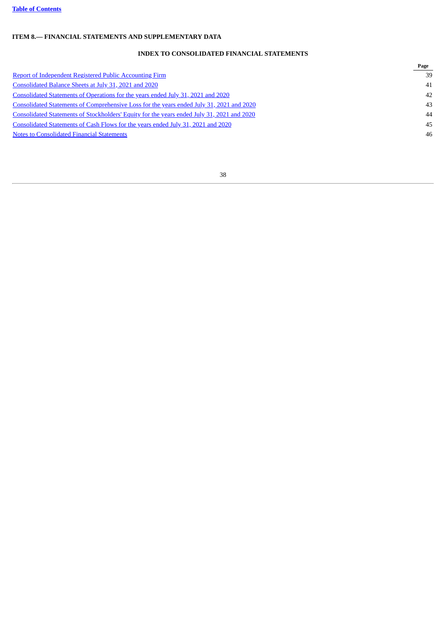# **ITEM 8.— FINANCIAL STATEMENTS AND SUPPLEMENTARY DATA**

# **INDEX TO CONSOLIDATED FINANCIAL STATEMENTS**

<span id="page-40-0"></span>

|                                                                                            | Page |
|--------------------------------------------------------------------------------------------|------|
| <b>Report of Independent Registered Public Accounting Firm</b>                             | 39   |
| Consolidated Balance Sheets at July 31, 2021 and 2020                                      | 41   |
| Consolidated Statements of Operations for the years ended July 31, 2021 and 2020           | 42   |
| Consolidated Statements of Comprehensive Loss for the years ended July 31, 2021 and 2020   | 43   |
| Consolidated Statements of Stockholders' Equity for the years ended July 31, 2021 and 2020 | 44   |
| Consolidated Statements of Cash Flows for the years ended July 31, 2021 and 2020           | 45   |
| <b>Notes to Consolidated Financial Statements</b>                                          | 46   |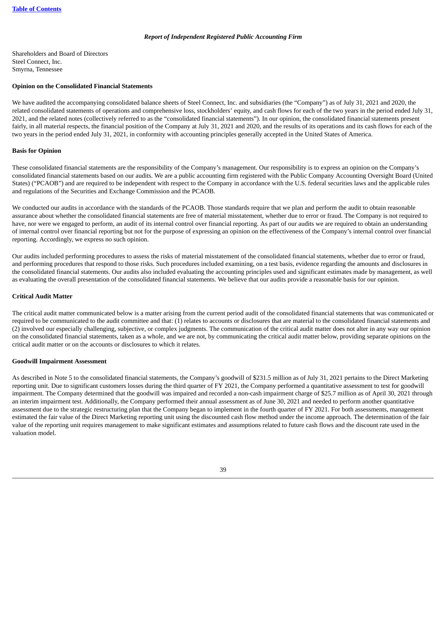## *Report of Independent Registered Public Accounting Firm*

Shareholders and Board of Directors Steel Connect, Inc. Smyrna, Tennessee

## **Opinion on the Consolidated Financial Statements**

We have audited the accompanying consolidated balance sheets of Steel Connect, Inc. and subsidiaries (the "Company") as of July 31, 2021 and 2020, the related consolidated statements of operations and comprehensive loss, stockholders' equity, and cash flows for each of the two years in the period ended July 31, 2021, and the related notes (collectively referred to as the "consolidated financial statements"). In our opinion, the consolidated financial statements present fairly, in all material respects, the financial position of the Company at July 31, 2021 and 2020, and the results of its operations and its cash flows for each of the two years in the period ended July 31, 2021, in conformity with accounting principles generally accepted in the United States of America.

### **Basis for Opinion**

These consolidated financial statements are the responsibility of the Company's management. Our responsibility is to express an opinion on the Company's consolidated financial statements based on our audits. We are a public accounting firm registered with the Public Company Accounting Oversight Board (United States) ("PCAOB") and are required to be independent with respect to the Company in accordance with the U.S. federal securities laws and the applicable rules and regulations of the Securities and Exchange Commission and the PCAOB.

We conducted our audits in accordance with the standards of the PCAOB. Those standards require that we plan and perform the audit to obtain reasonable assurance about whether the consolidated financial statements are free of material misstatement, whether due to error or fraud. The Company is not required to have, nor were we engaged to perform, an audit of its internal control over financial reporting. As part of our audits we are required to obtain an understanding of internal control over financial reporting but not for the purpose of expressing an opinion on the effectiveness of the Company's internal control over financial reporting. Accordingly, we express no such opinion.

Our audits included performing procedures to assess the risks of material misstatement of the consolidated financial statements, whether due to error or fraud, and performing procedures that respond to those risks. Such procedures included examining, on a test basis, evidence regarding the amounts and disclosures in the consolidated financial statements. Our audits also included evaluating the accounting principles used and significant estimates made by management, as well as evaluating the overall presentation of the consolidated financial statements. We believe that our audits provide a reasonable basis for our opinion.

#### **Critical Audit Matter**

The critical audit matter communicated below is a matter arising from the current period audit of the consolidated financial statements that was communicated or required to be communicated to the audit committee and that: (1) relates to accounts or disclosures that are material to the consolidated financial statements and (2) involved our especially challenging, subjective, or complex judgments. The communication of the critical audit matter does not alter in any way our opinion on the consolidated financial statements, taken as a whole, and we are not, by communicating the critical audit matter below, providing separate opinions on the critical audit matter or on the accounts or disclosures to which it relates.

# **Goodwill Impairment Assessment**

As described in Note 5 to the consolidated financial statements, the Company's goodwill of \$231.5 million as of July 31, 2021 pertains to the Direct Marketing reporting unit. Due to significant customers losses during the third quarter of FY 2021, the Company performed a quantitative assessment to test for goodwill impairment. The Company determined that the goodwill was impaired and recorded a non-cash impairment charge of \$25.7 million as of April 30, 2021 through an interim impairment test. Additionally, the Company performed their annual assessment as of June 30, 2021 and needed to perform another quantitative assessment due to the strategic restructuring plan that the Company began to implement in the fourth quarter of FY 2021. For both assessments, management estimated the fair value of the Direct Marketing reporting unit using the discounted cash flow method under the income approach. The determination of the fair value of the reporting unit requires management to make significant estimates and assumptions related to future cash flows and the discount rate used in the valuation model.

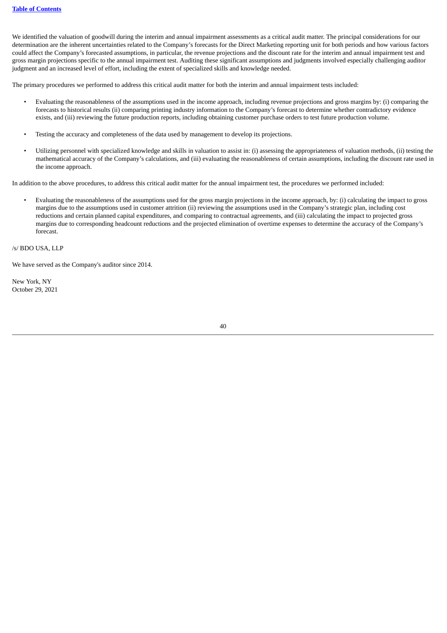We identified the valuation of goodwill during the interim and annual impairment assessments as a critical audit matter. The principal considerations for our determination are the inherent uncertainties related to the Company's forecasts for the Direct Marketing reporting unit for both periods and how various factors could affect the Company's forecasted assumptions, in particular, the revenue projections and the discount rate for the interim and annual impairment test and gross margin projections specific to the annual impairment test. Auditing these significant assumptions and judgments involved especially challenging auditor judgment and an increased level of effort, including the extent of specialized skills and knowledge needed.

The primary procedures we performed to address this critical audit matter for both the interim and annual impairment tests included:

- Evaluating the reasonableness of the assumptions used in the income approach, including revenue projections and gross margins by: (i) comparing the forecasts to historical results (ii) comparing printing industry information to the Company's forecast to determine whether contradictory evidence exists, and (iii) reviewing the future production reports, including obtaining customer purchase orders to test future production volume.
- Testing the accuracy and completeness of the data used by management to develop its projections.
- Utilizing personnel with specialized knowledge and skills in valuation to assist in: (i) assessing the appropriateness of valuation methods, (ii) testing the mathematical accuracy of the Company's calculations, and (iii) evaluating the reasonableness of certain assumptions, including the discount rate used in the income approach.

In addition to the above procedures, to address this critical audit matter for the annual impairment test, the procedures we performed included:

• Evaluating the reasonableness of the assumptions used for the gross margin projections in the income approach, by: (i) calculating the impact to gross margins due to the assumptions used in customer attrition (ii) reviewing the assumptions used in the Company's strategic plan, including cost reductions and certain planned capital expenditures, and comparing to contractual agreements, and (iii) calculating the impact to projected gross margins due to corresponding headcount reductions and the projected elimination of overtime expenses to determine the accuracy of the Company's forecast.

/s/ BDO USA, LLP

We have served as the Company's auditor since 2014.

<span id="page-42-0"></span>New York, NY October 29, 2021

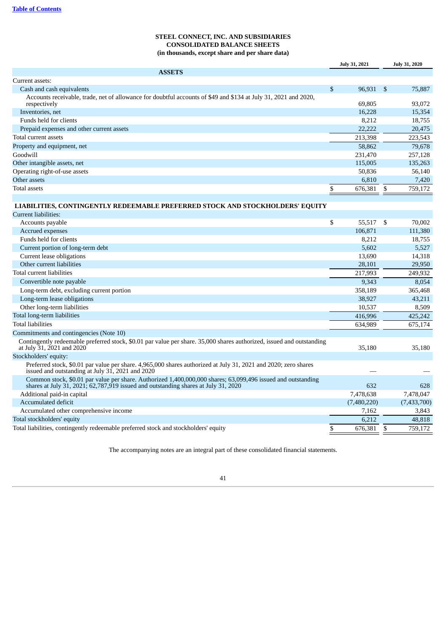# **STEEL CONNECT, INC. AND SUBSIDIARIES CONSOLIDATED BALANCE SHEETS (in thousands, except share and per share data)**

|                                                                                                                                 | <b>July 31, 2021</b> | <b>July 31, 2020</b> |
|---------------------------------------------------------------------------------------------------------------------------------|----------------------|----------------------|
| <b>ASSETS</b>                                                                                                                   |                      |                      |
| Current assets:                                                                                                                 |                      |                      |
| Cash and cash equivalents                                                                                                       | \$<br>96,931 \$      | 75,887               |
| Accounts receivable, trade, net of allowance for doubtful accounts of \$49 and \$134 at July 31, 2021 and 2020,<br>respectively | 69,805               | 93,072               |
| Inventories, net                                                                                                                | 16,228               | 15,354               |
| Funds held for clients                                                                                                          | 8.212                | 18,755               |
| Prepaid expenses and other current assets                                                                                       | 22,222               | 20,475               |
| Total current assets                                                                                                            | 213,398              | 223,543              |
| Property and equipment, net                                                                                                     | 58.862               | 79.678               |
| Goodwill                                                                                                                        | 231,470              | 257,128              |
| Other intangible assets, net                                                                                                    | 115,005              | 135,263              |
| Operating right-of-use assets                                                                                                   | 50,836               | 56,140               |
| Other assets                                                                                                                    | 6,810                | 7,420                |
| Total assets                                                                                                                    | 676,381              | 759,172              |

# **LIABILITIES, CONTINGENTLY REDEEMABLE PREFERRED STOCK AND STOCKHOLDERS' EQUITY**

| Current liabilities:                                                                                                                                                                               |              |    |             |
|----------------------------------------------------------------------------------------------------------------------------------------------------------------------------------------------------|--------------|----|-------------|
| Accounts payable                                                                                                                                                                                   | \$<br>55,517 | -S | 70,002      |
| Accrued expenses                                                                                                                                                                                   | 106.871      |    | 111,380     |
| Funds held for clients                                                                                                                                                                             | 8,212        |    | 18,755      |
| Current portion of long-term debt                                                                                                                                                                  | 5,602        |    | 5,527       |
| Current lease obligations                                                                                                                                                                          | 13,690       |    | 14,318      |
| Other current liabilities                                                                                                                                                                          | 28,101       |    | 29,950      |
| Total current liabilities                                                                                                                                                                          | 217,993      |    | 249,932     |
| Convertible note payable                                                                                                                                                                           | 9,343        |    | 8,054       |
| Long-term debt, excluding current portion                                                                                                                                                          | 358,189      |    | 365,468     |
| Long-term lease obligations                                                                                                                                                                        | 38,927       |    | 43,211      |
| Other long-term liabilities                                                                                                                                                                        | 10,537       |    | 8,509       |
| Total long-term liabilities                                                                                                                                                                        | 416,996      |    | 425,242     |
| <b>Total liabilities</b>                                                                                                                                                                           | 634,989      |    | 675,174     |
| Commitments and contingencies (Note 10)                                                                                                                                                            |              |    |             |
| Contingently redeemable preferred stock, \$0.01 par value per share. 35,000 shares authorized, issued and outstanding<br>at July 31, 2021 and 2020                                                 | 35,180       |    | 35,180      |
| Stockholders' equity:                                                                                                                                                                              |              |    |             |
| Preferred stock, \$0.01 par value per share. 4,965,000 shares authorized at July 31, 2021 and 2020; zero shares<br>issued and outstanding at July 31, 2021 and 2020                                |              |    |             |
| Common stock, \$0.01 par value per share. Authorized 1,400,000,000 shares; 63,099,496 issued and outstanding<br>shares at July 31, 2021; 62,787,919 issued and outstanding shares at July 31, 2020 | 632          |    | 628         |
| Additional paid-in capital                                                                                                                                                                         | 7,478,638    |    | 7,478,047   |
| Accumulated deficit                                                                                                                                                                                | (7,480,220)  |    | (7,433,700) |
| Accumulated other comprehensive income                                                                                                                                                             | 7,162        |    | 3,843       |
| Total stockholders' equity                                                                                                                                                                         | 6,212        |    | 48,818      |
| Total liabilities, contingently redeemable preferred stock and stockholders' equity                                                                                                                | 676,381      | \$ | 759,172     |

<span id="page-43-0"></span>The accompanying notes are an integral part of these consolidated financial statements.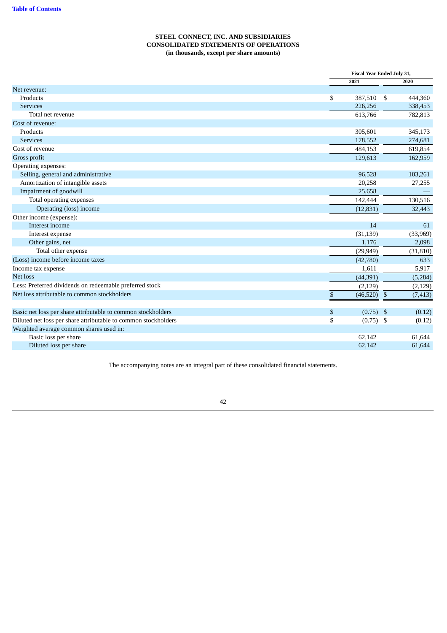# **STEEL CONNECT, INC. AND SUBSIDIARIES CONSOLIDATED STATEMENTS OF OPERATIONS (in thousands, except per share amounts)**

|                                                                |      | <b>Fiscal Year Ended July 31,</b> |           |  |  |
|----------------------------------------------------------------|------|-----------------------------------|-----------|--|--|
|                                                                | 2021 |                                   | 2020      |  |  |
| Net revenue:                                                   |      |                                   |           |  |  |
| Products                                                       | \$   | 387,510<br>\$                     | 444,360   |  |  |
| <b>Services</b>                                                |      | 226,256                           | 338,453   |  |  |
| Total net revenue                                              |      | 613,766                           | 782,813   |  |  |
| Cost of revenue:                                               |      |                                   |           |  |  |
| Products                                                       |      | 305,601                           | 345,173   |  |  |
| <b>Services</b>                                                |      | 178,552                           | 274,681   |  |  |
| Cost of revenue                                                |      | 484,153                           | 619,854   |  |  |
| Gross profit                                                   |      | 129,613                           | 162,959   |  |  |
| Operating expenses:                                            |      |                                   |           |  |  |
| Selling, general and administrative                            |      | 96,528                            | 103,261   |  |  |
| Amortization of intangible assets                              |      | 20,258                            | 27,255    |  |  |
| Impairment of goodwill                                         |      | 25,658                            |           |  |  |
| Total operating expenses                                       |      | 142,444                           | 130,516   |  |  |
| Operating (loss) income                                        |      | (12, 831)                         | 32,443    |  |  |
| Other income (expense):                                        |      |                                   |           |  |  |
| Interest income                                                |      | 14                                | 61        |  |  |
| Interest expense                                               |      | (31, 139)                         | (33,969)  |  |  |
| Other gains, net                                               |      | 1,176                             | 2,098     |  |  |
| Total other expense                                            |      | (29, 949)                         | (31, 810) |  |  |
| (Loss) income before income taxes                              |      | (42,780)                          | 633       |  |  |
| Income tax expense                                             |      | 1,611                             | 5,917     |  |  |
| Net loss                                                       |      | (44, 391)                         | (5,284)   |  |  |
| Less: Preferred dividends on redeemable preferred stock        |      | (2, 129)                          | (2,129)   |  |  |
| Net loss attributable to common stockholders                   | \$   | (46,520)<br>\$                    | (7, 413)  |  |  |
|                                                                |      |                                   |           |  |  |
| Basic net loss per share attributable to common stockholders   | \$   | $(0.75)$ \$                       | (0.12)    |  |  |
| Diluted net loss per share attributable to common stockholders | \$   | $(0.75)$ \$                       | (0.12)    |  |  |
| Weighted average common shares used in:                        |      |                                   |           |  |  |
| Basic loss per share                                           |      | 62,142                            | 61,644    |  |  |
| Diluted loss per share                                         |      | 62,142                            | 61,644    |  |  |

<span id="page-44-0"></span>The accompanying notes are an integral part of these consolidated financial statements.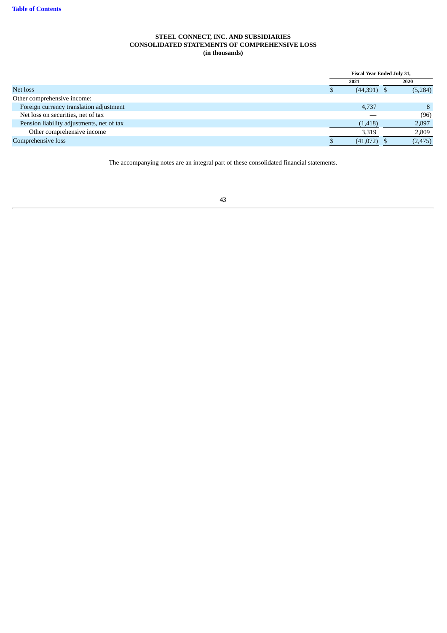# **STEEL CONNECT, INC. AND SUBSIDIARIES CONSOLIDATED STATEMENTS OF COMPREHENSIVE LOSS (in thousands)**

|                                           | <b>Fiscal Year Ended July 31,</b> |               |  |          |
|-------------------------------------------|-----------------------------------|---------------|--|----------|
|                                           |                                   | 2021          |  | 2020     |
| Net loss                                  |                                   | $(44,391)$ \$ |  | (5,284)  |
| Other comprehensive income:               |                                   |               |  |          |
| Foreign currency translation adjustment   |                                   | 4,737         |  | 8        |
| Net loss on securities, net of tax        |                                   |               |  | (96)     |
| Pension liability adjustments, net of tax |                                   | (1, 418)      |  | 2,897    |
| Other comprehensive income                |                                   | 3,319         |  | 2,809    |
| Comprehensive loss                        |                                   | (41,072)      |  | (2, 475) |

<span id="page-45-0"></span>The accompanying notes are an integral part of these consolidated financial statements.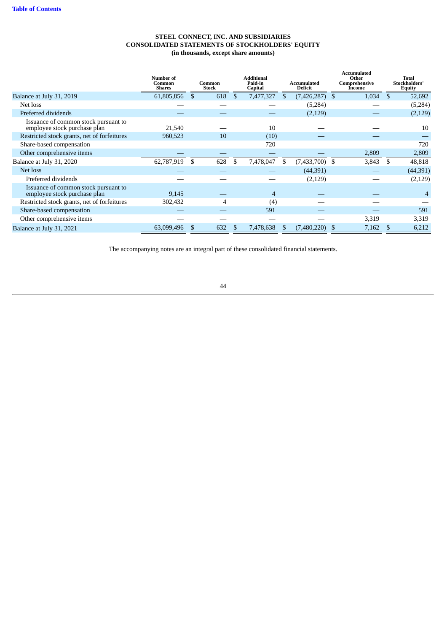# **STEEL CONNECT, INC. AND SUBSIDIARIES CONSOLIDATED STATEMENTS OF STOCKHOLDERS' EQUITY (in thousands, except share amounts)**

|                                                                      | Number of<br>Common<br><b>Shares</b> |    | Common<br>Stock |     | <b>Additional</b><br>Paid-in<br>Capital |     | Accumulated<br>Deficit |     | <b>Accumulated</b><br>Other<br>Comprehensive<br>Income |     | <b>Total</b><br>Stockholders'<br><b>Equity</b> |
|----------------------------------------------------------------------|--------------------------------------|----|-----------------|-----|-----------------------------------------|-----|------------------------|-----|--------------------------------------------------------|-----|------------------------------------------------|
| Balance at July 31, 2019                                             | 61,805,856                           | \$ | 618 \$          |     | 7,477,327                               | \$. | $(7,426,287)$ \$       |     | 1,034                                                  | \$  | 52,692                                         |
| Net loss                                                             |                                      |    |                 |     |                                         |     | (5,284)                |     |                                                        |     | (5,284)                                        |
| Preferred dividends                                                  |                                      |    |                 |     |                                         |     | (2,129)                |     |                                                        |     | (2, 129)                                       |
| Issuance of common stock pursuant to<br>employee stock purchase plan | 21,540                               |    |                 |     | 10                                      |     |                        |     |                                                        |     | 10                                             |
| Restricted stock grants, net of forfeitures                          | 960,523                              |    | 10              |     | (10)                                    |     |                        |     |                                                        |     |                                                |
| Share-based compensation                                             |                                      |    |                 |     | 720                                     |     |                        |     |                                                        |     | 720                                            |
| Other comprehensive items                                            |                                      |    |                 |     |                                         |     |                        |     | 2,809                                                  |     | 2,809                                          |
| Balance at July 31, 2020                                             | 62,787,919                           | £. | 628             | -SS | 7,478,047                               | S.  | (7,433,700)            | -\$ | 3,843                                                  | \$. | 48,818                                         |
| Net loss                                                             |                                      |    |                 |     |                                         |     | (44, 391)              |     |                                                        |     | (44, 391)                                      |
| Preferred dividends                                                  |                                      |    |                 |     |                                         |     | (2,129)                |     |                                                        |     | (2, 129)                                       |
| Issuance of common stock pursuant to<br>employee stock purchase plan | 9,145                                |    |                 |     | $\overline{4}$                          |     |                        |     |                                                        |     | 4                                              |
| Restricted stock grants, net of forfeitures                          | 302,432                              |    | 4               |     | (4)                                     |     |                        |     |                                                        |     |                                                |
| Share-based compensation                                             |                                      |    |                 |     | 591                                     |     |                        |     |                                                        |     | 591                                            |
| Other comprehensive items                                            |                                      |    |                 |     |                                         |     |                        |     | 3,319                                                  |     | 3,319                                          |
| Balance at July 31, 2021                                             | 63,099,496                           |    | 632             |     | 7,478,638                               |     | (7,480,220)            | Ъ   | 7,162                                                  |     | 6,212                                          |

<span id="page-46-0"></span>The accompanying notes are an integral part of these consolidated financial statements.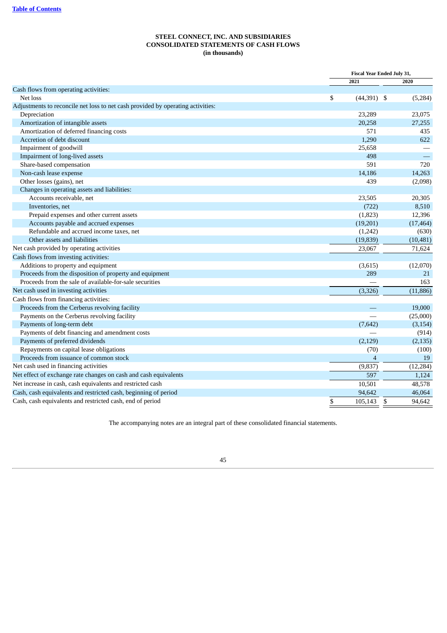# **STEEL CONNECT, INC. AND SUBSIDIARIES CONSOLIDATED STATEMENTS OF CASH FLOWS (in thousands)**

|                                                                                 | <b>Fiscal Year Ended July 31,</b> |    |           |
|---------------------------------------------------------------------------------|-----------------------------------|----|-----------|
|                                                                                 | 2021                              |    | 2020      |
| Cash flows from operating activities:                                           |                                   |    |           |
| Net loss                                                                        | \$<br>$(44,391)$ \$               |    | (5,284)   |
| Adjustments to reconcile net loss to net cash provided by operating activities: |                                   |    |           |
| Depreciation                                                                    | 23,289                            |    | 23,075    |
| Amortization of intangible assets                                               | 20,258                            |    | 27,255    |
| Amortization of deferred financing costs                                        | 571                               |    | 435       |
| Accretion of debt discount                                                      | 1,290                             |    | 622       |
| Impairment of goodwill                                                          | 25,658                            |    |           |
| Impairment of long-lived assets                                                 | 498                               |    |           |
| Share-based compensation                                                        | 591                               |    | 720       |
| Non-cash lease expense                                                          | 14,186                            |    | 14,263    |
| Other losses (gains), net                                                       | 439                               |    | (2,098)   |
| Changes in operating assets and liabilities:                                    |                                   |    |           |
| Accounts receivable, net                                                        | 23,505                            |    | 20,305    |
| Inventories, net                                                                | (722)                             |    | 8,510     |
| Prepaid expenses and other current assets                                       | (1,823)                           |    | 12,396    |
| Accounts payable and accrued expenses                                           | (19,201)                          |    | (17, 464) |
| Refundable and accrued income taxes, net                                        | (1,242)                           |    | (630)     |
| Other assets and liabilities                                                    | (19, 839)                         |    | (10, 481) |
| Net cash provided by operating activities                                       | 23,067                            |    | 71,624    |
| Cash flows from investing activities:                                           |                                   |    |           |
| Additions to property and equipment                                             | (3,615)                           |    | (12,070)  |
| Proceeds from the disposition of property and equipment                         | 289                               |    | 21        |
| Proceeds from the sale of available-for-sale securities                         |                                   |    | 163       |
| Net cash used in investing activities                                           | (3, 326)                          |    | (11, 886) |
| Cash flows from financing activities:                                           |                                   |    |           |
| Proceeds from the Cerberus revolving facility                                   |                                   |    | 19,000    |
| Payments on the Cerberus revolving facility                                     |                                   |    | (25,000)  |
| Payments of long-term debt                                                      | (7,642)                           |    | (3, 154)  |
| Payments of debt financing and amendment costs                                  |                                   |    | (914)     |
| Payments of preferred dividends                                                 | (2, 129)                          |    | (2, 135)  |
| Repayments on capital lease obligations                                         | (70)                              |    | (100)     |
| Proceeds from issuance of common stock                                          | $\overline{4}$                    |    | 19        |
| Net cash used in financing activities                                           | (9, 837)                          |    | (12, 284) |
| Net effect of exchange rate changes on cash and cash equivalents                | 597                               |    | 1,124     |
| Net increase in cash, cash equivalents and restricted cash                      | 10,501                            |    | 48,578    |
| Cash, cash equivalents and restricted cash, beginning of period                 | 94,642                            |    | 46,064    |
| Cash, cash equivalents and restricted cash, end of period                       | \$<br>105,143                     | \$ | 94,642    |

<span id="page-47-0"></span>The accompanying notes are an integral part of these consolidated financial statements.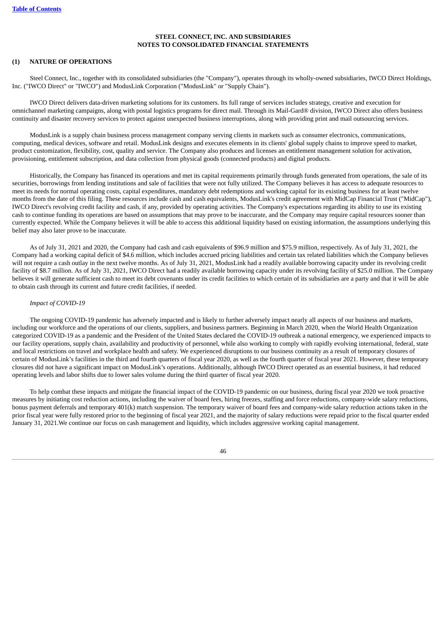# **STEEL CONNECT, INC. AND SUBSIDIARIES NOTES TO CONSOLIDATED FINANCIAL STATEMENTS**

# **(1) NATURE OF OPERATIONS**

Steel Connect, Inc., together with its consolidated subsidiaries (the "Company"), operates through its wholly-owned subsidiaries, IWCO Direct Holdings, Inc. ("IWCO Direct" or "IWCO") and ModusLink Corporation ("ModusLink" or "Supply Chain").

IWCO Direct delivers data-driven marketing solutions for its customers. Its full range of services includes strategy, creative and execution for omnichannel marketing campaigns, along with postal logistics programs for direct mail. Through its Mail-Gard® division, IWCO Direct also offers business continuity and disaster recovery services to protect against unexpected business interruptions, along with providing print and mail outsourcing services.

ModusLink is a supply chain business process management company serving clients in markets such as consumer electronics, communications, computing, medical devices, software and retail. ModusLink designs and executes elements in its clients' global supply chains to improve speed to market, product customization, flexibility, cost, quality and service. The Company also produces and licenses an entitlement management solution for activation, provisioning, entitlement subscription, and data collection from physical goods (connected products) and digital products.

Historically, the Company has financed its operations and met its capital requirements primarily through funds generated from operations, the sale of its securities, borrowings from lending institutions and sale of facilities that were not fully utilized. The Company believes it has access to adequate resources to meet its needs for normal operating costs, capital expenditures, mandatory debt redemptions and working capital for its existing business for at least twelve months from the date of this filing. These resources include cash and cash equivalents, ModusLink's credit agreement with MidCap Financial Trust ("MidCap"), IWCO Direct's revolving credit facility and cash, if any, provided by operating activities. The Company's expectations regarding its ability to use its existing cash to continue funding its operations are based on assumptions that may prove to be inaccurate, and the Company may require capital resources sooner than currently expected. While the Company believes it will be able to access this additional liquidity based on existing information, the assumptions underlying this belief may also later prove to be inaccurate.

As of July 31, 2021 and 2020, the Company had cash and cash equivalents of \$96.9 million and \$75.9 million, respectively. As of July 31, 2021, the Company had a working capital deficit of \$4.6 million, which includes accrued pricing liabilities and certain tax related liabilities which the Company believes will not require a cash outlay in the next twelve months. As of July 31, 2021, ModusLink had a readily available borrowing capacity under its revolving credit facility of \$8.7 million. As of July 31, 2021, IWCO Direct had a readily available borrowing capacity under its revolving facility of \$25.0 million. The Company believes it will generate sufficient cash to meet its debt covenants under its credit facilities to which certain of its subsidiaries are a party and that it will be able to obtain cash through its current and future credit facilities, if needed.

## *Impact of COVID-19*

The ongoing COVID-19 pandemic has adversely impacted and is likely to further adversely impact nearly all aspects of our business and markets, including our workforce and the operations of our clients, suppliers, and business partners. Beginning in March 2020, when the World Health Organization categorized COVID-19 as a pandemic and the President of the United States declared the COVID-19 outbreak a national emergency, we experienced impacts to our facility operations, supply chain, availability and productivity of personnel, while also working to comply with rapidly evolving international, federal, state and local restrictions on travel and workplace health and safety. We experienced disruptions to our business continuity as a result of temporary closures of certain of ModusLink's facilities in the third and fourth quarters of fiscal year 2020, as well as the fourth quarter of fiscal year 2021. However, these temporary closures did not have a significant impact on ModusLink's operations. Additionally, although IWCO Direct operated as an essential business, it had reduced operating levels and labor shifts due to lower sales volume during the third quarter of fiscal year 2020.

To help combat these impacts and mitigate the financial impact of the COVID-19 pandemic on our business, during fiscal year 2020 we took proactive measures by initiating cost reduction actions, including the waiver of board fees, hiring freezes, staffing and force reductions, company-wide salary reductions, bonus payment deferrals and temporary 401(k) match suspension. The temporary waiver of board fees and company-wide salary reduction actions taken in the prior fiscal year were fully restored prior to the beginning of fiscal year 2021, and the majority of salary reductions were repaid prior to the fiscal quarter ended January 31, 2021.We continue our focus on cash management and liquidity, which includes aggressive working capital management.

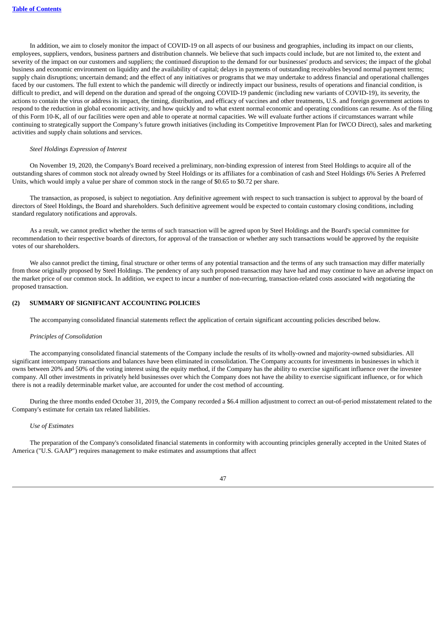In addition, we aim to closely monitor the impact of COVID-19 on all aspects of our business and geographies, including its impact on our clients, employees, suppliers, vendors, business partners and distribution channels. We believe that such impacts could include, but are not limited to, the extent and severity of the impact on our customers and suppliers; the continued disruption to the demand for our businesses' products and services; the impact of the global business and economic environment on liquidity and the availability of capital; delays in payments of outstanding receivables beyond normal payment terms; supply chain disruptions; uncertain demand; and the effect of any initiatives or programs that we may undertake to address financial and operational challenges faced by our customers. The full extent to which the pandemic will directly or indirectly impact our business, results of operations and financial condition, is difficult to predict, and will depend on the duration and spread of the ongoing COVID-19 pandemic (including new variants of COVID-19), its severity, the actions to contain the virus or address its impact, the timing, distribution, and efficacy of vaccines and other treatments, U.S. and foreign government actions to respond to the reduction in global economic activity, and how quickly and to what extent normal economic and operating conditions can resume. As of the filing of this Form 10-K, all of our facilities were open and able to operate at normal capacities. We will evaluate further actions if circumstances warrant while continuing to strategically support the Company's future growth initiatives (including its Competitive Improvement Plan for IWCO Direct), sales and marketing activities and supply chain solutions and services.

#### *Steel Holdings Expression of Interest*

On November 19, 2020, the Company's Board received a preliminary, non-binding expression of interest from Steel Holdings to acquire all of the outstanding shares of common stock not already owned by Steel Holdings or its affiliates for a combination of cash and Steel Holdings 6% Series A Preferred Units, which would imply a value per share of common stock in the range of \$0.65 to \$0.72 per share.

The transaction, as proposed, is subject to negotiation. Any definitive agreement with respect to such transaction is subject to approval by the board of directors of Steel Holdings, the Board and shareholders. Such definitive agreement would be expected to contain customary closing conditions, including standard regulatory notifications and approvals.

As a result, we cannot predict whether the terms of such transaction will be agreed upon by Steel Holdings and the Board's special committee for recommendation to their respective boards of directors, for approval of the transaction or whether any such transactions would be approved by the requisite votes of our shareholders.

We also cannot predict the timing, final structure or other terms of any potential transaction and the terms of any such transaction may differ materially from those originally proposed by Steel Holdings. The pendency of any such proposed transaction may have had and may continue to have an adverse impact on the market price of our common stock. In addition, we expect to incur a number of non-recurring, transaction-related costs associated with negotiating the proposed transaction.

# **(2) SUMMARY OF SIGNIFICANT ACCOUNTING POLICIES**

The accompanying consolidated financial statements reflect the application of certain significant accounting policies described below.

#### *Principles of Consolidation*

The accompanying consolidated financial statements of the Company include the results of its wholly-owned and majority-owned subsidiaries. All significant intercompany transactions and balances have been eliminated in consolidation. The Company accounts for investments in businesses in which it owns between 20% and 50% of the voting interest using the equity method, if the Company has the ability to exercise significant influence over the investee company. All other investments in privately held businesses over which the Company does not have the ability to exercise significant influence, or for which there is not a readily determinable market value, are accounted for under the cost method of accounting.

During the three months ended October 31, 2019, the Company recorded a \$6.4 million adjustment to correct an out-of-period misstatement related to the Company's estimate for certain tax related liabilities.

## *Use of Estimates*

The preparation of the Company's consolidated financial statements in conformity with accounting principles generally accepted in the United States of America ("U.S. GAAP") requires management to make estimates and assumptions that affect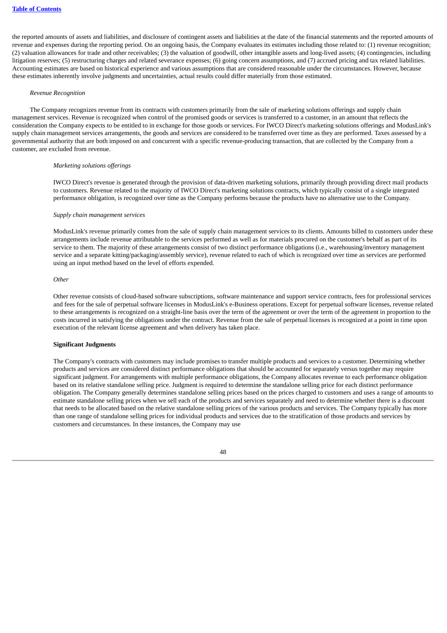the reported amounts of assets and liabilities, and disclosure of contingent assets and liabilities at the date of the financial statements and the reported amounts of revenue and expenses during the reporting period. On an ongoing basis, the Company evaluates its estimates including those related to: (1) revenue recognition; (2) valuation allowances for trade and other receivables; (3) the valuation of goodwill, other intangible assets and long-lived assets; (4) contingencies, including litigation reserves; (5) restructuring charges and related severance expenses; (6) going concern assumptions, and (7) accrued pricing and tax related liabilities. Accounting estimates are based on historical experience and various assumptions that are considered reasonable under the circumstances. However, because these estimates inherently involve judgments and uncertainties, actual results could differ materially from those estimated.

#### *Revenue Recognition*

The Company recognizes revenue from its contracts with customers primarily from the sale of marketing solutions offerings and supply chain management services. Revenue is recognized when control of the promised goods or services is transferred to a customer, in an amount that reflects the consideration the Company expects to be entitled to in exchange for those goods or services. For IWCO Direct's marketing solutions offerings and ModusLink's supply chain management services arrangements, the goods and services are considered to be transferred over time as they are performed. Taxes assessed by a governmental authority that are both imposed on and concurrent with a specific revenue-producing transaction, that are collected by the Company from a customer, are excluded from revenue.

### *Marketing solutions offerings*

IWCO Direct's revenue is generated through the provision of data-driven marketing solutions, primarily through providing direct mail products to customers. Revenue related to the majority of IWCO Direct's marketing solutions contracts, which typically consist of a single integrated performance obligation, is recognized over time as the Company performs because the products have no alternative use to the Company.

#### *Supply chain management services*

ModusLink's revenue primarily comes from the sale of supply chain management services to its clients. Amounts billed to customers under these arrangements include revenue attributable to the services performed as well as for materials procured on the customer's behalf as part of its service to them. The majority of these arrangements consist of two distinct performance obligations (i.e., warehousing/inventory management service and a separate kitting/packaging/assembly service), revenue related to each of which is recognized over time as services are performed using an input method based on the level of efforts expended.

## *Other*

Other revenue consists of cloud-based software subscriptions, software maintenance and support service contracts, fees for professional services and fees for the sale of perpetual software licenses in ModusLink's e-Business operations. Except for perpetual software licenses, revenue related to these arrangements is recognized on a straight-line basis over the term of the agreement or over the term of the agreement in proportion to the costs incurred in satisfying the obligations under the contract. Revenue from the sale of perpetual licenses is recognized at a point in time upon execution of the relevant license agreement and when delivery has taken place.

## **Significant Judgments**

The Company's contracts with customers may include promises to transfer multiple products and services to a customer. Determining whether products and services are considered distinct performance obligations that should be accounted for separately versus together may require significant judgment. For arrangements with multiple performance obligations, the Company allocates revenue to each performance obligation based on its relative standalone selling price. Judgment is required to determine the standalone selling price for each distinct performance obligation. The Company generally determines standalone selling prices based on the prices charged to customers and uses a range of amounts to estimate standalone selling prices when we sell each of the products and services separately and need to determine whether there is a discount that needs to be allocated based on the relative standalone selling prices of the various products and services. The Company typically has more than one range of standalone selling prices for individual products and services due to the stratification of those products and services by customers and circumstances. In these instances, the Company may use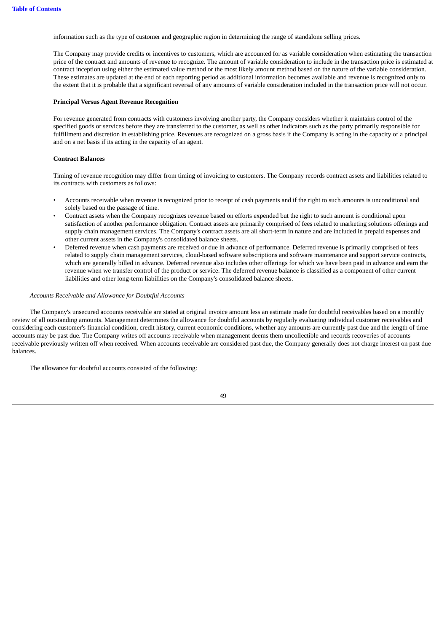information such as the type of customer and geographic region in determining the range of standalone selling prices.

The Company may provide credits or incentives to customers, which are accounted for as variable consideration when estimating the transaction price of the contract and amounts of revenue to recognize. The amount of variable consideration to include in the transaction price is estimated at contract inception using either the estimated value method or the most likely amount method based on the nature of the variable consideration. These estimates are updated at the end of each reporting period as additional information becomes available and revenue is recognized only to the extent that it is probable that a significant reversal of any amounts of variable consideration included in the transaction price will not occur.

### **Principal Versus Agent Revenue Recognition**

For revenue generated from contracts with customers involving another party, the Company considers whether it maintains control of the specified goods or services before they are transferred to the customer, as well as other indicators such as the party primarily responsible for fulfillment and discretion in establishing price. Revenues are recognized on a gross basis if the Company is acting in the capacity of a principal and on a net basis if its acting in the capacity of an agent.

## **Contract Balances**

Timing of revenue recognition may differ from timing of invoicing to customers. The Company records contract assets and liabilities related to its contracts with customers as follows:

- Accounts receivable when revenue is recognized prior to receipt of cash payments and if the right to such amounts is unconditional and solely based on the passage of time.
- Contract assets when the Company recognizes revenue based on efforts expended but the right to such amount is conditional upon satisfaction of another performance obligation. Contract assets are primarily comprised of fees related to marketing solutions offerings and supply chain management services. The Company's contract assets are all short-term in nature and are included in prepaid expenses and other current assets in the Company's consolidated balance sheets.
- Deferred revenue when cash payments are received or due in advance of performance. Deferred revenue is primarily comprised of fees related to supply chain management services, cloud-based software subscriptions and software maintenance and support service contracts, which are generally billed in advance. Deferred revenue also includes other offerings for which we have been paid in advance and earn the revenue when we transfer control of the product or service. The deferred revenue balance is classified as a component of other current liabilities and other long-term liabilities on the Company's consolidated balance sheets.

#### *Accounts Receivable and Allowance for Doubtful Accounts*

The Company's unsecured accounts receivable are stated at original invoice amount less an estimate made for doubtful receivables based on a monthly review of all outstanding amounts. Management determines the allowance for doubtful accounts by regularly evaluating individual customer receivables and considering each customer's financial condition, credit history, current economic conditions, whether any amounts are currently past due and the length of time accounts may be past due. The Company writes off accounts receivable when management deems them uncollectible and records recoveries of accounts receivable previously written off when received. When accounts receivable are considered past due, the Company generally does not charge interest on past due balances.

The allowance for doubtful accounts consisted of the following: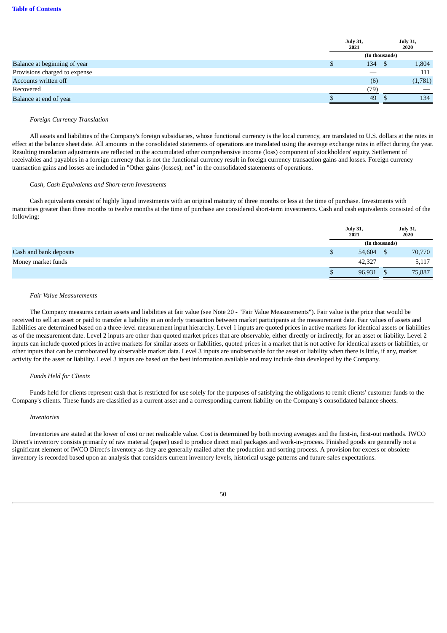|                               | <b>July 31,</b><br>2021 |                | <b>July 31,</b><br>2020 |  |
|-------------------------------|-------------------------|----------------|-------------------------|--|
|                               |                         | (In thousands) |                         |  |
| Balance at beginning of year  | 134                     |                | 1,804                   |  |
| Provisions charged to expense |                         |                | 111                     |  |
| Accounts written off          | (6)                     |                | (1,781)                 |  |
| Recovered                     | (79)                    |                |                         |  |
| Balance at end of year        | 49                      |                | 134                     |  |
|                               |                         |                |                         |  |

#### *Foreign Currency Translation*

All assets and liabilities of the Company's foreign subsidiaries, whose functional currency is the local currency, are translated to U.S. dollars at the rates in effect at the balance sheet date. All amounts in the consolidated statements of operations are translated using the average exchange rates in effect during the year. Resulting translation adjustments are reflected in the accumulated other comprehensive income (loss) component of stockholders' equity. Settlement of receivables and payables in a foreign currency that is not the functional currency result in foreign currency transaction gains and losses. Foreign currency transaction gains and losses are included in "Other gains (losses), net" in the consolidated statements of operations.

## *Cash, Cash Equivalents and Short-term Investments*

Cash equivalents consist of highly liquid investments with an original maturity of three months or less at the time of purchase. Investments with maturities greater than three months to twelve months at the time of purchase are considered short-term investments. Cash and cash equivalents consisted of the following:

|                        | <b>July 31,</b><br>2021 |                | <b>July 31,</b><br>2020 |
|------------------------|-------------------------|----------------|-------------------------|
|                        |                         | (In thousands) |                         |
| Cash and bank deposits | 54,604                  | <sup>\$</sup>  | 70,770                  |
| Money market funds     | 42,327                  |                | 5,117                   |
|                        | 96,931                  | \$             | 75,887                  |

## *Fair Value Measurements*

The Company measures certain assets and liabilities at fair value (see Note 20 - "Fair Value Measurements"). Fair value is the price that would be received to sell an asset or paid to transfer a liability in an orderly transaction between market participants at the measurement date. Fair values of assets and liabilities are determined based on a three-level measurement input hierarchy. Level 1 inputs are quoted prices in active markets for identical assets or liabilities as of the measurement date. Level 2 inputs are other than quoted market prices that are observable, either directly or indirectly, for an asset or liability. Level 2 inputs can include quoted prices in active markets for similar assets or liabilities, quoted prices in a market that is not active for identical assets or liabilities, or other inputs that can be corroborated by observable market data. Level 3 inputs are unobservable for the asset or liability when there is little, if any, market activity for the asset or liability. Level 3 inputs are based on the best information available and may include data developed by the Company.

## *Funds Held for Clients*

Funds held for clients represent cash that is restricted for use solely for the purposes of satisfying the obligations to remit clients' customer funds to the Company's clients. These funds are classified as a current asset and a corresponding current liability on the Company's consolidated balance sheets.

### *Inventories*

Inventories are stated at the lower of cost or net realizable value. Cost is determined by both moving averages and the first-in, first-out methods. IWCO Direct's inventory consists primarily of raw material (paper) used to produce direct mail packages and work-in-process. Finished goods are generally not a significant element of IWCO Direct's inventory as they are generally mailed after the production and sorting process. A provision for excess or obsolete inventory is recorded based upon an analysis that considers current inventory levels, historical usage patterns and future sales expectations.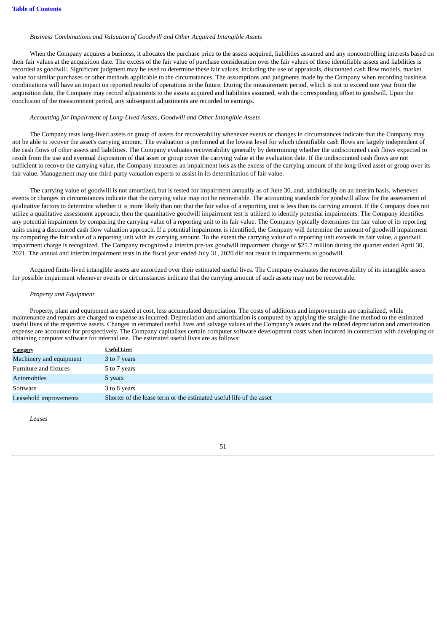## *Business Combinations and Valuation of Goodwill and Other Acquired Intangible Assets*

When the Company acquires a business, it allocates the purchase price to the assets acquired, liabilities assumed and any noncontrolling interests based on their fair values at the acquisition date. The excess of the fair value of purchase consideration over the fair values of these identifiable assets and liabilities is recorded as goodwill. Significant judgment may be used to determine these fair values, including the use of appraisals, discounted cash flow models, market value for similar purchases or other methods applicable to the circumstances. The assumptions and judgments made by the Company when recording business combinations will have an impact on reported results of operations in the future. During the measurement period, which is not to exceed one year from the acquisition date, the Company may record adjustments to the assets acquired and liabilities assumed, with the corresponding offset to goodwill. Upon the conclusion of the measurement period, any subsequent adjustments are recorded to earnings.

#### *Accounting for Impairment of Long-Lived Assets, Goodwill and Other Intangible Assets*

The Company tests long-lived assets or group of assets for recoverability whenever events or changes in circumstances indicate that the Company may not be able to recover the asset's carrying amount. The evaluation is performed at the lowest level for which identifiable cash flows are largely independent of the cash flows of other assets and liabilities. The Company evaluates recoverability generally by determining whether the undiscounted cash flows expected to result from the use and eventual disposition of that asset or group cover the carrying value at the evaluation date. If the undiscounted cash flows are not sufficient to recover the carrying value, the Company measures an impairment loss as the excess of the carrying amount of the long-lived asset or group over its fair value. Management may use third-party valuation experts to assist in its determination of fair value.

The carrying value of goodwill is not amortized, but is tested for impairment annually as of June 30, and, additionally on an interim basis, whenever events or changes in circumstances indicate that the carrying value may not be recoverable. The accounting standards for goodwill allow for the assessment of qualitative factors to determine whether it is more likely than not that the fair value of a reporting unit is less than its carrying amount. If the Company does not utilize a qualitative assessment approach, then the quantitative goodwill impairment test is utilized to identify potential impairments. The Company identifies any potential impairment by comparing the carrying value of a reporting unit to its fair value. The Company typically determines the fair value of its reporting units using a discounted cash flow valuation approach. If a potential impairment is identified, the Company will determine the amount of goodwill impairment by comparing the fair value of a reporting unit with its carrying amount. To the extent the carrying value of a reporting unit exceeds its fair value, a goodwill impairment charge is recognized. The Company recognized a interim pre-tax goodwill impairment charge of \$25.7 million during the quarter ended April 30, 2021. The annual and interim impairment tests in the fiscal year ended July 31, 2020 did not result in impairments to goodwill.

Acquired finite-lived intangible assets are amortized over their estimated useful lives. The Company evaluates the recoverability of its intangible assets for possible impairment whenever events or circumstances indicate that the carrying amount of such assets may not be recoverable.

#### *Property and Equipment*

Property, plant and equipment are stated at cost, less accumulated depreciation. The costs of additions and improvements are capitalized, while maintenance and repairs are charged to expense as incurred. Depreciation and amortization is computed by applying the straight-line method to the estimated useful lives of the respective assets. Changes in estimated useful lives and salvage values of the Company's assets and the related depreciation and amortization expense are accounted for prospectively. The Company capitalizes certain computer software development costs when incurred in connection with developing or obtaining computer software for internal use. The estimated useful lives are as follows:

| <b>Category</b>         | <b>Useful Lives</b>                                                 |
|-------------------------|---------------------------------------------------------------------|
| Machinery and equipment | 3 to 7 years                                                        |
| Furniture and fixtures  | 5 to 7 years                                                        |
| <b>Automobiles</b>      | 5 years                                                             |
| Software                | 3 to 8 years                                                        |
| Leasehold improvements  | Shorter of the lease term or the estimated useful life of the asset |

*Leases*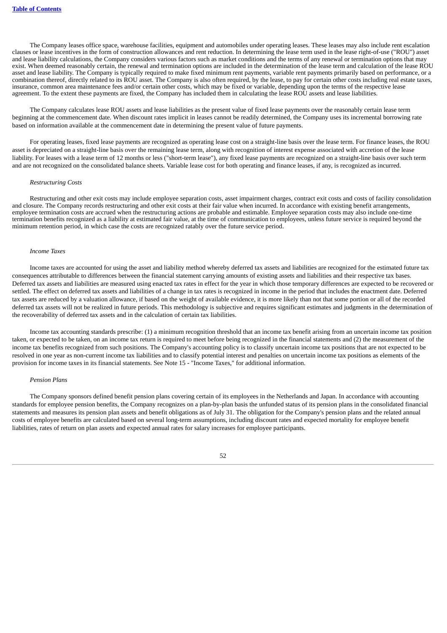The Company leases office space, warehouse facilities, equipment and automobiles under operating leases. These leases may also include rent escalation clauses or lease incentives in the form of construction allowances and rent reduction. In determining the lease term used in the lease right-of-use ("ROU") asset and lease liability calculations, the Company considers various factors such as market conditions and the terms of any renewal or termination options that may exist. When deemed reasonably certain, the renewal and termination options are included in the determination of the lease term and calculation of the lease ROU asset and lease liability. The Company is typically required to make fixed minimum rent payments, variable rent payments primarily based on performance, or a combination thereof, directly related to its ROU asset. The Company is also often required, by the lease, to pay for certain other costs including real estate taxes, insurance, common area maintenance fees and/or certain other costs, which may be fixed or variable, depending upon the terms of the respective lease agreement. To the extent these payments are fixed, the Company has included them in calculating the lease ROU assets and lease liabilities.

The Company calculates lease ROU assets and lease liabilities as the present value of fixed lease payments over the reasonably certain lease term beginning at the commencement date. When discount rates implicit in leases cannot be readily determined, the Company uses its incremental borrowing rate based on information available at the commencement date in determining the present value of future payments.

For operating leases, fixed lease payments are recognized as operating lease cost on a straight-line basis over the lease term. For finance leases, the ROU asset is depreciated on a straight-line basis over the remaining lease term, along with recognition of interest expense associated with accretion of the lease liability. For leases with a lease term of 12 months or less ("short-term lease"), any fixed lease payments are recognized on a straight-line basis over such term and are not recognized on the consolidated balance sheets. Variable lease cost for both operating and finance leases, if any, is recognized as incurred.

### *Restructuring Costs*

Restructuring and other exit costs may include employee separation costs, asset impairment charges, contract exit costs and costs of facility consolidation and closure. The Company records restructuring and other exit costs at their fair value when incurred. In accordance with existing benefit arrangements, employee termination costs are accrued when the restructuring actions are probable and estimable. Employee separation costs may also include one-time termination benefits recognized as a liability at estimated fair value, at the time of communication to employees, unless future service is required beyond the minimum retention period, in which case the costs are recognized ratably over the future service period.

## *Income Taxes*

Income taxes are accounted for using the asset and liability method whereby deferred tax assets and liabilities are recognized for the estimated future tax consequences attributable to differences between the financial statement carrying amounts of existing assets and liabilities and their respective tax bases. Deferred tax assets and liabilities are measured using enacted tax rates in effect for the year in which those temporary differences are expected to be recovered or settled. The effect on deferred tax assets and liabilities of a change in tax rates is recognized in income in the period that includes the enactment date. Deferred tax assets are reduced by a valuation allowance, if based on the weight of available evidence, it is more likely than not that some portion or all of the recorded deferred tax assets will not be realized in future periods. This methodology is subjective and requires significant estimates and judgments in the determination of the recoverability of deferred tax assets and in the calculation of certain tax liabilities.

Income tax accounting standards prescribe: (1) a minimum recognition threshold that an income tax benefit arising from an uncertain income tax position taken, or expected to be taken, on an income tax return is required to meet before being recognized in the financial statements and (2) the measurement of the income tax benefits recognized from such positions. The Company's accounting policy is to classify uncertain income tax positions that are not expected to be resolved in one year as non-current income tax liabilities and to classify potential interest and penalties on uncertain income tax positions as elements of the provision for income taxes in its financial statements. See Note 15 - "Income Taxes," for additional information.

#### *Pension Plans*

The Company sponsors defined benefit pension plans covering certain of its employees in the Netherlands and Japan. In accordance with accounting standards for employee pension benefits, the Company recognizes on a plan-by-plan basis the unfunded status of its pension plans in the consolidated financial statements and measures its pension plan assets and benefit obligations as of July 31. The obligation for the Company's pension plans and the related annual costs of employee benefits are calculated based on several long-term assumptions, including discount rates and expected mortality for employee benefit liabilities, rates of return on plan assets and expected annual rates for salary increases for employee participants.

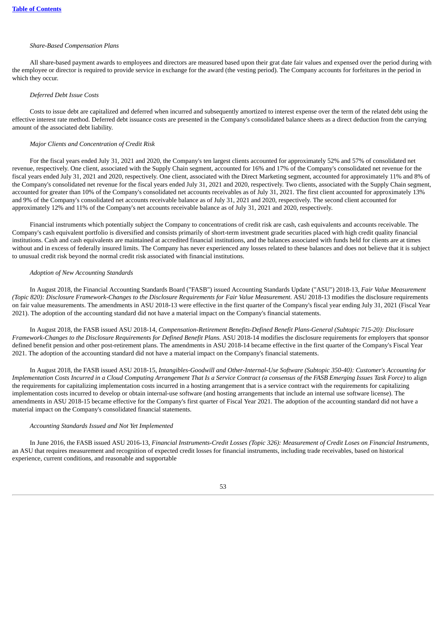## *Share-Based Compensation Plans*

All share-based payment awards to employees and directors are measured based upon their grat date fair values and expensed over the period during with the employee or director is required to provide service in exchange for the award (the vesting period). The Company accounts for forfeitures in the period in which they occur.

## *Deferred Debt Issue Costs*

Costs to issue debt are capitalized and deferred when incurred and subsequently amortized to interest expense over the term of the related debt using the effective interest rate method. Deferred debt issuance costs are presented in the Company's consolidated balance sheets as a direct deduction from the carrying amount of the associated debt liability.

## *Major Clients and Concentration of Credit Risk*

For the fiscal years ended July 31, 2021 and 2020, the Company's ten largest clients accounted for approximately 52% and 57% of consolidated net revenue, respectively. One client, associated with the Supply Chain segment, accounted for 16% and 17% of the Company's consolidated net revenue for the fiscal years ended July 31, 2021 and 2020, respectively. One client, associated with the Direct Marketing segment, accounted for approximately 11% and 8% of the Company's consolidated net revenue for the fiscal years ended July 31, 2021 and 2020, respectively. Two clients, associated with the Supply Chain segment, accounted for greater than 10% of the Company's consolidated net accounts receivables as of July 31, 2021. The first client accounted for approximately 13% and 9% of the Company's consolidated net accounts receivable balance as of July 31, 2021 and 2020, respectively. The second client accounted for approximately 12% and 11% of the Company's net accounts receivable balance as of July 31, 2021 and 2020, respectively.

Financial instruments which potentially subject the Company to concentrations of credit risk are cash, cash equivalents and accounts receivable. The Company's cash equivalent portfolio is diversified and consists primarily of short-term investment grade securities placed with high credit quality financial institutions. Cash and cash equivalents are maintained at accredited financial institutions, and the balances associated with funds held for clients are at times without and in excess of federally insured limits. The Company has never experienced any losses related to these balances and does not believe that it is subject to unusual credit risk beyond the normal credit risk associated with financial institutions.

#### *Adoption of New Accounting Standards*

In August 2018, the Financial Accounting Standards Board ("FASB") issued Accounting Standards Update ("ASU") 2018-13, *Fair Value Measurement* (Topic 820): Disclosure Framework-Changes to the Disclosure Requirements for Fair Value Measurement. ASU 2018-13 modifies the disclosure requirements on fair value measurements. The amendments in ASU 2018-13 were effective in the first quarter of the Company's fiscal year ending July 31, 2021 (Fiscal Year 2021). The adoption of the accounting standard did not have a material impact on the Company's financial statements.

In August 2018, the FASB issued ASU 2018-14, *Compensation-Retirement Benefits-Defined Benefit Plans-General (Subtopic 715-20): Disclosure Framework-Changes to the Disclosure Requirements for Defined Benefit Plans.* ASU 2018-14 modifies the disclosure requirements for employers that sponsor defined benefit pension and other post-retirement plans. The amendments in ASU 2018-14 became effective in the first quarter of the Company's Fiscal Year 2021. The adoption of the accounting standard did not have a material impact on the Company's financial statements.

In August 2018, the FASB issued ASU 2018-15, *Intangibles-Goodwill and Other-Internal-Use Software (Subtopic 350-40): Customer's Accounting for* Implementation Costs Incurred in a Cloud Computing Arrangement That Is a Service Contract (a consensus of the FASB Emerging Issues Task Force) to align the requirements for capitalizing implementation costs incurred in a hosting arrangement that is a service contract with the requirements for capitalizing implementation costs incurred to develop or obtain internal-use software (and hosting arrangements that include an internal use software license). The amendments in ASU 2018-15 became effective for the Company's first quarter of Fiscal Year 2021. The adoption of the accounting standard did not have a material impact on the Company's consolidated financial statements.

#### *Accounting Standards Issued and Not Yet Implemented*

In June 2016, the FASB issued ASU 2016-13, Financial Instruments-Credit Losses (Topic 326): Measurement of Credit Loses on Financial Instruments, an ASU that requires measurement and recognition of expected credit losses for financial instruments, including trade receivables, based on historical experience, current conditions, and reasonable and supportable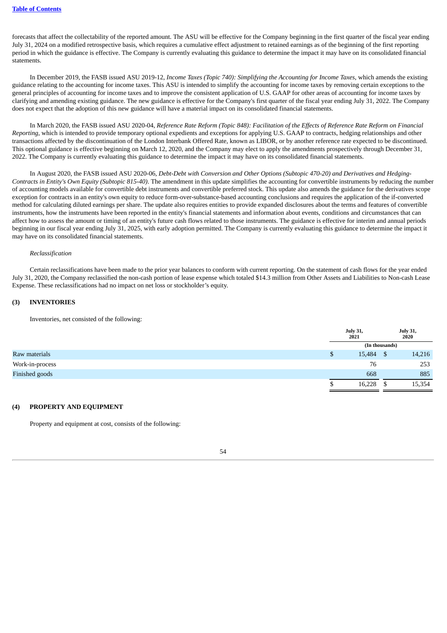forecasts that affect the collectability of the reported amount. The ASU will be effective for the Company beginning in the first quarter of the fiscal year ending July 31, 2024 on a modified retrospective basis, which requires a cumulative effect adjustment to retained earnings as of the beginning of the first reporting period in which the guidance is effective. The Company is currently evaluating this guidance to determine the impact it may have on its consolidated financial statements.

In December 2019, the FASB issued ASU 2019-12, *Income Taxes (Topic 740): Simplifying the Accounting for Income Taxes*, which amends the existing guidance relating to the accounting for income taxes. This ASU is intended to simplify the accounting for income taxes by removing certain exceptions to the general principles of accounting for income taxes and to improve the consistent application of U.S. GAAP for other areas of accounting for income taxes by clarifying and amending existing guidance. The new guidance is effective for the Company's first quarter of the fiscal year ending July 31, 2022. The Company does not expect that the adoption of this new guidance will have a material impact on its consolidated financial statements.

In March 2020, the FASB issued ASU 2020-04, Reference Rate Reform (Topic 848): Facilitation of the Effects of Reference Rate Reform on Financial *Reporting*, which is intended to provide temporary optional expedients and exceptions for applying U.S. GAAP to contracts, hedging relationships and other transactions affected by the discontinuation of the London Interbank Offered Rate, known as LIBOR, or by another reference rate expected to be discontinued. This optional guidance is effective beginning on March 12, 2020, and the Company may elect to apply the amendments prospectively through December 31, 2022. The Company is currently evaluating this guidance to determine the impact it may have on its consolidated financial statements.

In August 2020, the FASB issued ASU 2020-06, *Debt-Debt with Conversion and Other Options (Subtopic 470-20) and Derivatives and Hedging-Contracts in Entity's Own Equity (Subtopic 815-40)*. The amendment in this update simplifies the accounting for convertible instruments by reducing the number of accounting models available for convertible debt instruments and convertible preferred stock. This update also amends the guidance for the derivatives scope exception for contracts in an entity's own equity to reduce form-over-substance-based accounting conclusions and requires the application of the if-converted method for calculating diluted earnings per share. The update also requires entities to provide expanded disclosures about the terms and features of convertible instruments, how the instruments have been reported in the entity's financial statements and information about events, conditions and circumstances that can affect how to assess the amount or timing of an entity's future cash flows related to those instruments. The guidance is effective for interim and annual periods beginning in our fiscal year ending July 31, 2025, with early adoption permitted. The Company is currently evaluating this guidance to determine the impact it may have on its consolidated financial statements.

### *Reclassification*

Certain reclassifications have been made to the prior year balances to conform with current reporting. On the statement of cash flows for the year ended July 31, 2020, the Company reclassified the non-cash portion of lease expense which totaled \$14.3 million from Other Assets and Liabilities to Non-cash Lease Expense. These reclassifications had no impact on net loss or stockholder's equity.

## **(3) INVENTORIES**

Inventories, net consisted of the following:

|                 | <b>July 31,</b><br>2021 |                | <b>July 31,</b><br>2020 |
|-----------------|-------------------------|----------------|-------------------------|
|                 |                         | (In thousands) |                         |
| Raw materials   | 15,484                  | - \$           | 14,216                  |
| Work-in-process | 76                      |                | 253                     |
| Finished goods  | 668                     |                | 885                     |
|                 | 16,228                  | - \$           | 15,354                  |

# **(4) PROPERTY AND EQUIPMENT**

Property and equipment at cost, consists of the following:

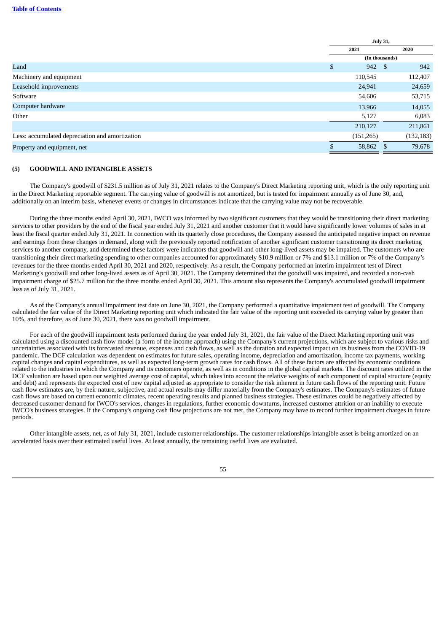#### **Table of [Contents](#page-1-0)**

|                                                 | <b>July 31,</b> |            |                |            |
|-------------------------------------------------|-----------------|------------|----------------|------------|
|                                                 |                 | 2021       | 2020           |            |
|                                                 |                 |            | (In thousands) |            |
| Land                                            | \$              | 942        | -\$            | 942        |
| Machinery and equipment                         |                 | 110,545    |                | 112,407    |
| Leasehold improvements                          |                 | 24,941     |                | 24,659     |
| Software                                        |                 | 54,606     |                | 53,715     |
| Computer hardware                               |                 | 13,966     |                | 14,055     |
| Other                                           |                 | 5,127      |                | 6,083      |
|                                                 |                 | 210,127    |                | 211,861    |
| Less: accumulated depreciation and amortization |                 | (151, 265) |                | (132, 183) |
| Property and equipment, net                     |                 | 58,862     | -S             | 79,678     |

# **(5) GOODWILL AND INTANGIBLE ASSETS**

The Company's goodwill of \$231.5 million as of July 31, 2021 relates to the Company's Direct Marketing reporting unit, which is the only reporting unit in the Direct Marketing reportable segment. The carrying value of goodwill is not amortized, but is tested for impairment annually as of June 30, and, additionally on an interim basis, whenever events or changes in circumstances indicate that the carrying value may not be recoverable.

During the three months ended April 30, 2021, IWCO was informed by two significant customers that they would be transitioning their direct marketing services to other providers by the end of the fiscal year ended July 31, 2021 and another customer that it would have significantly lower volumes of sales in at least the fiscal quarter ended July 31, 2021. In connection with its quarterly close procedures, the Company assessed the anticipated negative impact on revenue and earnings from these changes in demand, along with the previously reported notification of another significant customer transitioning its direct marketing services to another company, and determined these factors were indicators that goodwill and other long-lived assets may be impaired. The customers who are transitioning their direct marketing spending to other companies accounted for approximately \$10.9 million or 7% and \$13.1 million or 7% of the Company's revenues for the three months ended April 30, 2021 and 2020, respectively. As a result, the Company performed an interim impairment test of Direct Marketing's goodwill and other long-lived assets as of April 30, 2021. The Company determined that the goodwill was impaired, and recorded a non-cash impairment charge of \$25.7 million for the three months ended April 30, 2021. This amount also represents the Company's accumulated goodwill impairment loss as of July 31, 2021.

As of the Company's annual impairment test date on June 30, 2021, the Company performed a quantitative impairment test of goodwill. The Company calculated the fair value of the Direct Marketing reporting unit which indicated the fair value of the reporting unit exceeded its carrying value by greater than 10%, and therefore, as of June 30, 2021, there was no goodwill impairment.

For each of the goodwill impairment tests performed during the year ended July 31, 2021, the fair value of the Direct Marketing reporting unit was calculated using a discounted cash flow model (a form of the income approach) using the Company's current projections, which are subject to various risks and uncertainties associated with its forecasted revenue, expenses and cash flows, as well as the duration and expected impact on its business from the COVID-19 pandemic. The DCF calculation was dependent on estimates for future sales, operating income, depreciation and amortization, income tax payments, working capital changes and capital expenditures, as well as expected long-term growth rates for cash flows. All of these factors are affected by economic conditions related to the industries in which the Company and its customers operate, as well as in conditions in the global capital markets. The discount rates utilized in the DCF valuation are based upon our weighted average cost of capital, which takes into account the relative weights of each component of capital structure (equity and debt) and represents the expected cost of new capital adjusted as appropriate to consider the risk inherent in future cash flows of the reporting unit. Future cash flow estimates are, by their nature, subjective, and actual results may differ materially from the Company's estimates. The Company's estimates of future cash flows are based on current economic climates, recent operating results and planned business strategies. These estimates could be negatively affected by decreased customer demand for IWCO's services, changes in regulations, further economic downturns, increased customer attrition or an inability to execute IWCO's business strategies. If the Company's ongoing cash flow projections are not met, the Company may have to record further impairment charges in future periods.

Other intangible assets, net, as of July 31, 2021, include customer relationships. The customer relationships intangible asset is being amortized on an accelerated basis over their estimated useful lives. At least annually, the remaining useful lives are evaluated.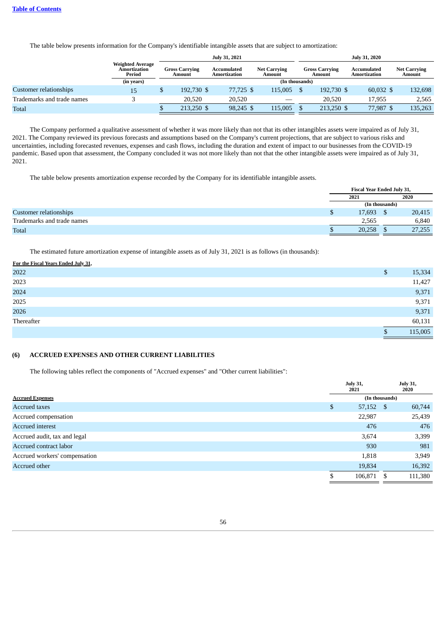The table below presents information for the Company's identifiable intangible assets that are subject to amortization:

|                            |                                                          | July 31, 2021 |                                 |                                    |                               | <b>July 31, 2020</b>            |                                    |                               |  |
|----------------------------|----------------------------------------------------------|---------------|---------------------------------|------------------------------------|-------------------------------|---------------------------------|------------------------------------|-------------------------------|--|
|                            | <b>Weighted Average</b><br><b>Amortization</b><br>Period |               | <b>Gross Carrying</b><br>Amount | Accumulated<br><b>Amortization</b> | <b>Net Carrying</b><br>Amount | <b>Gross Carrying</b><br>Amount | Accumulated<br><b>Amortization</b> | <b>Net Carrying</b><br>Amount |  |
|                            | (in years)                                               |               |                                 |                                    | (In thousands)                |                                 |                                    |                               |  |
| Customer relationships     | 15                                                       | \$            | 192,730 \$                      | 77.725 \$                          | 115,005                       | 192,730 \$                      | 60,032 \$                          | 132,698                       |  |
| Trademarks and trade names |                                                          |               | 20,520                          | 20,520                             |                               | 20,520                          | 17.955                             | 2,565                         |  |
| <b>Total</b>               |                                                          |               | 213.250 \$                      | $98.245$ \$                        | 115,005                       | 213,250 \$                      | 77,987 \$                          | 135,263                       |  |

The Company performed a qualitative assessment of whether it was more likely than not that its other intangibles assets were impaired as of July 31, 2021. The Company reviewed its previous forecasts and assumptions based on the Company's current projections, that are subject to various risks and uncertainties, including forecasted revenues, expenses and cash flows, including the duration and extent of impact to our businesses from the COVID-19 pandemic. Based upon that assessment, the Company concluded it was not more likely than not that the other intangible assets were impaired as of July 31, 2021.

The table below presents amortization expense recorded by the Company for its identifiable intangible assets.

|                            | <b>Fiscal Year Ended July 31,</b> |                |        |
|----------------------------|-----------------------------------|----------------|--------|
|                            | 2021                              |                | 2020   |
|                            |                                   | (In thousands) |        |
| Customer relationships     | 17,693                            |                | 20,415 |
| Trademarks and trade names | 2,565                             |                | 6,840  |
| <b>Total</b>               | 20,258                            |                | 27,255 |

The estimated future amortization expense of intangible assets as of July 31, 2021 is as follows (in thousands):

| For the Fiscal Years Ended July 31, |               |
|-------------------------------------|---------------|
| 2022                                | \$<br>15,334  |
| 2023                                | 11,427        |
| 2024                                | 9,371         |
| 2025                                | 9,371         |
| 2026                                | 9,371         |
| Thereafter                          | 60,131        |
|                                     | \$<br>115,005 |

# **(6) ACCRUED EXPENSES AND OTHER CURRENT LIABILITIES**

The following tables reflect the components of "Accrued expenses" and "Other current liabilities":

|                               |                | <b>July 31,</b><br>2021 |  | <b>July 31,</b><br>2020 |
|-------------------------------|----------------|-------------------------|--|-------------------------|
| <b>Accrued Expenses</b>       | (In thousands) |                         |  |                         |
| Accrued taxes                 | \$             | 57,152 \$               |  | 60,744                  |
| Accrued compensation          |                | 22,987                  |  | 25,439                  |
| <b>Accrued</b> interest       |                | 476                     |  | 476                     |
| Accrued audit, tax and legal  |                | 3,674                   |  | 3,399                   |
| Accrued contract labor        |                | 930                     |  | 981                     |
| Accrued workers' compensation |                | 1,818                   |  | 3,949                   |
| Accrued other                 |                | 19,834                  |  | 16,392                  |
|                               |                | 106,871                 |  | 111,380                 |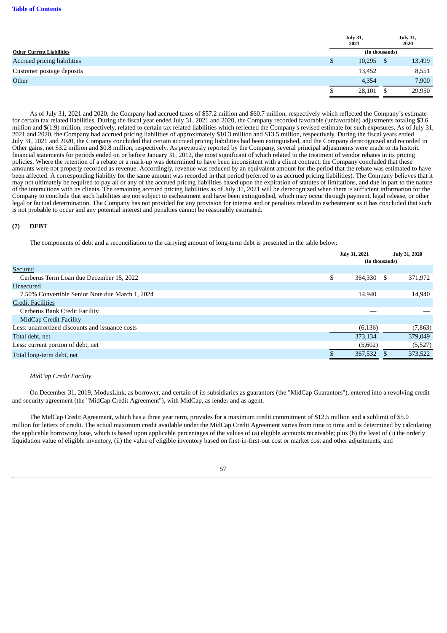|                                  |   | <b>July 31,</b><br>2021 |     | <b>July 31,</b><br>2020 |
|----------------------------------|---|-------------------------|-----|-------------------------|
| <b>Other Current Liabilities</b> |   | (In thousands)          |     |                         |
| Accrued pricing liabilities      | S | 10,295                  | - S | 13,499                  |
| Customer postage deposits        |   | 13,452                  |     | 8,551                   |
| Other                            |   | 4,354                   |     | 7,900                   |
|                                  |   | 28,101                  | S   | 29,950                  |

As of July 31, 2021 and 2020, the Company had accrued taxes of \$57.2 million and \$60.7 million, respectively which reflected the Company's estimate for certain tax related liabilities. During the fiscal year ended July 31, 2021 and 2020, the Company recorded favorable (unfavorable) adjustments totaling \$3.6 million and \$(1.9) million, respectively, related to certain tax related liabilities which reflected the Company's revised estimate for such exposures. As of July 31, 2021 and 2020, the Company had accrued pricing liabilities of approximately \$10.3 million and \$13.5 million, respectively. During the fiscal years ended July 31, 2021 and 2020, the Company concluded that certain accrued pricing liabilities had been extinguished, and the Company derecognized and recorded in Other gains, net \$3.2 million and \$0.8 million, respectively. As previously reported by the Company, several principal adjustments were made to its historic financial statements for periods ended on or before January 31, 2012, the most significant of which related to the treatment of vendor rebates in its pricing policies. Where the retention of a rebate or a mark-up was determined to have been inconsistent with a client contract, the Company concluded that these amounts were not properly recorded as revenue. Accordingly, revenue was reduced by an equivalent amount for the period that the rebate was estimated to have been affected. A corresponding liability for the same amount was recorded in that period (referred to as accrued pricing liabilities). The Company believes that it may not ultimately be required to pay all or any of the accrued pricing liabilities based upon the expiration of statutes of limitations, and due in part to the nature of the interactions with its clients. The remaining accrued pricing liabilities as of July 31, 2021 will be derecognized when there is sufficient information for the Company to conclude that such liabilities are not subject to escheatment and have been extinguished, which may occur through payment, legal release, or other legal or factual determination. The Company has not provided for any provision for interest and or penalties related to escheatment as it has concluded that such is not probable to occur and any potential interest and penalties cannot be reasonably estimated.

# **(7) DEBT**

The components of debt and a reconciliation to the carrying amount of long-term debt is presented in the table below:

|                                                 | July 31, 2021  |    | <b>July 31, 2020</b> |
|-------------------------------------------------|----------------|----|----------------------|
|                                                 | (In thousands) |    |                      |
| Secured                                         |                |    |                      |
| Cerberus Term Loan due December 15, 2022        | \$<br>364,330  | -S | 371,972              |
| <b>Unsecured</b>                                |                |    |                      |
| 7.50% Convertible Senior Note due March 1, 2024 | 14,940         |    | 14,940               |
| <b>Credit Facilities</b>                        |                |    |                      |
| Cerberus Bank Credit Facility                   |                |    |                      |
| MidCap Credit Facility                          |                |    |                      |
| Less: unamortized discounts and issuance costs  | (6, 136)       |    | (7,863)              |
| Total debt, net                                 | 373,134        |    | 379,049              |
| Less: current portion of debt, net              | (5,602)        |    | (5,527)              |
| Total long-term debt, net                       | 367,532        |    | 373,522              |

# *MidCap Credit Facility*

On December 31, 2019, ModusLink, as borrower, and certain of its subsidiaries as guarantors (the "MidCap Guarantors"), entered into a revolving credit and security agreement (the "MidCap Credit Agreement"), with MidCap, as lender and as agent.

The MidCap Credit Agreement, which has a three year term, provides for a maximum credit commitment of \$12.5 million and a sublimit of \$5.0 million for letters of credit. The actual maximum credit available under the MidCap Credit Agreement varies from time to time and is determined by calculating the applicable borrowing base, which is based upon applicable percentages of the values of (a) eligible accounts receivable; plus (b) the least of (i) the orderly liquidation value of eligible inventory, (ii) the value of eligible inventory based on first-in-first-out cost or market cost and other adjustments, and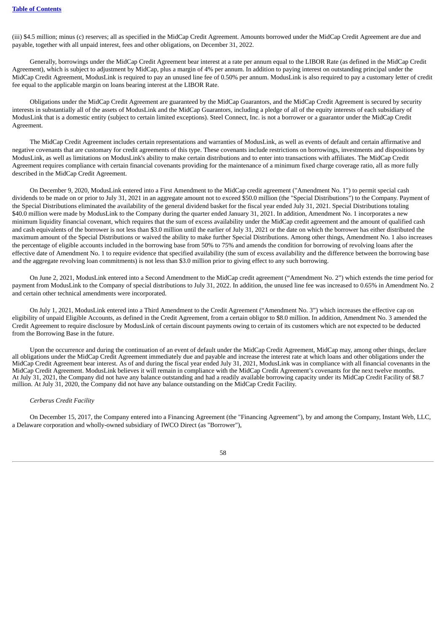(iii) \$4.5 million; minus (c) reserves; all as specified in the MidCap Credit Agreement. Amounts borrowed under the MidCap Credit Agreement are due and payable, together with all unpaid interest, fees and other obligations, on December 31, 2022.

Generally, borrowings under the MidCap Credit Agreement bear interest at a rate per annum equal to the LIBOR Rate (as defined in the MidCap Credit Agreement), which is subject to adjustment by MidCap, plus a margin of 4% per annum. In addition to paying interest on outstanding principal under the MidCap Credit Agreement, ModusLink is required to pay an unused line fee of 0.50% per annum. ModusLink is also required to pay a customary letter of credit fee equal to the applicable margin on loans bearing interest at the LIBOR Rate.

Obligations under the MidCap Credit Agreement are guaranteed by the MidCap Guarantors, and the MidCap Credit Agreement is secured by security interests in substantially all of the assets of ModusLink and the MidCap Guarantors, including a pledge of all of the equity interests of each subsidiary of ModusLink that is a domestic entity (subject to certain limited exceptions). Steel Connect, Inc. is not a borrower or a guarantor under the MidCap Credit Agreement.

The MidCap Credit Agreement includes certain representations and warranties of ModusLink, as well as events of default and certain affirmative and negative covenants that are customary for credit agreements of this type. These covenants include restrictions on borrowings, investments and dispositions by ModusLink, as well as limitations on ModusLink's ability to make certain distributions and to enter into transactions with affiliates. The MidCap Credit Agreement requires compliance with certain financial covenants providing for the maintenance of a minimum fixed charge coverage ratio, all as more fully described in the MidCap Credit Agreement.

On December 9, 2020, ModusLink entered into a First Amendment to the MidCap credit agreement ("Amendment No. 1") to permit special cash dividends to be made on or prior to July 31, 2021 in an aggregate amount not to exceed \$50.0 million (the "Special Distributions") to the Company. Payment of the Special Distributions eliminated the availability of the general dividend basket for the fiscal year ended July 31, 2021. Special Distributions totaling \$40.0 million were made by ModusLink to the Company during the quarter ended January 31, 2021. In addition, Amendment No. 1 incorporates a new minimum liquidity financial covenant, which requires that the sum of excess availability under the MidCap credit agreement and the amount of qualified cash and cash equivalents of the borrower is not less than \$3.0 million until the earlier of July 31, 2021 or the date on which the borrower has either distributed the maximum amount of the Special Distributions or waived the ability to make further Special Distributions. Among other things, Amendment No. 1 also increases the percentage of eligible accounts included in the borrowing base from 50% to 75% and amends the condition for borrowing of revolving loans after the effective date of Amendment No. 1 to require evidence that specified availability (the sum of excess availability and the difference between the borrowing base and the aggregate revolving loan commitments) is not less than \$3.0 million prior to giving effect to any such borrowing.

On June 2, 2021, ModusLink entered into a Second Amendment to the MidCap credit agreement ("Amendment No. 2") which extends the time period for payment from ModusLink to the Company of special distributions to July 31, 2022. In addition, the unused line fee was increased to 0.65% in Amendment No. 2 and certain other technical amendments were incorporated.

On July 1, 2021, ModusLink entered into a Third Amendment to the Credit Agreement ("Amendment No. 3") which increases the effective cap on eligibility of unpaid Eligible Accounts, as defined in the Credit Agreement, from a certain obligor to \$8.0 million. In addition, Amendment No. 3 amended the Credit Agreement to require disclosure by ModusLink of certain discount payments owing to certain of its customers which are not expected to be deducted from the Borrowing Base in the future.

Upon the occurrence and during the continuation of an event of default under the MidCap Credit Agreement, MidCap may, among other things, declare all obligations under the MidCap Credit Agreement immediately due and payable and increase the interest rate at which loans and other obligations under the MidCap Credit Agreement bear interest. As of and during the fiscal year ended July 31, 2021, ModusLink was in compliance with all financial covenants in the MidCap Credit Agreement. ModusLink believes it will remain in compliance with the MidCap Credit Agreement's covenants for the next twelve months. At July 31, 2021, the Company did not have any balance outstanding and had a readily available borrowing capacity under its MidCap Credit Facility of \$8.7 million. At July 31, 2020, the Company did not have any balance outstanding on the MidCap Credit Facility.

#### *Cerberus Credit Facility*

On December 15, 2017, the Company entered into a Financing Agreement (the "Financing Agreement"), by and among the Company, Instant Web, LLC, a Delaware corporation and wholly-owned subsidiary of IWCO Direct (as "Borrower"),

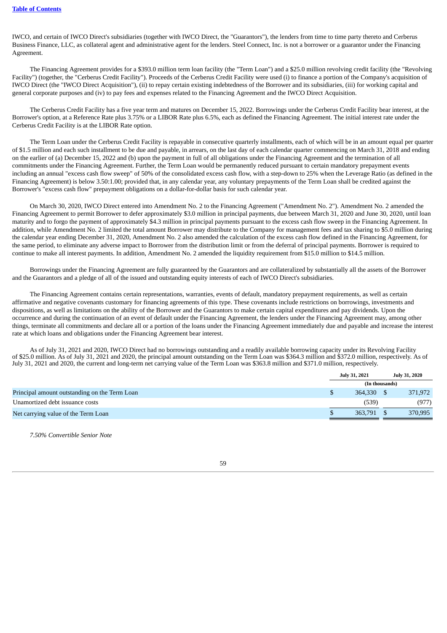IWCO, and certain of IWCO Direct's subsidiaries (together with IWCO Direct, the "Guarantors"), the lenders from time to time party thereto and Cerberus Business Finance, LLC, as collateral agent and administrative agent for the lenders. Steel Connect, Inc. is not a borrower or a guarantor under the Financing Agreement.

The Financing Agreement provides for a \$393.0 million term loan facility (the "Term Loan") and a \$25.0 million revolving credit facility (the "Revolving Facility") (together, the "Cerberus Credit Facility"). Proceeds of the Cerberus Credit Facility were used (i) to finance a portion of the Company's acquisition of IWCO Direct (the "IWCO Direct Acquisition"), (ii) to repay certain existing indebtedness of the Borrower and its subsidiaries, (iii) for working capital and general corporate purposes and (iv) to pay fees and expenses related to the Financing Agreement and the IWCO Direct Acquisition.

The Cerberus Credit Facility has a five year term and matures on December 15, 2022. Borrowings under the Cerberus Credit Facility bear interest, at the Borrower's option, at a Reference Rate plus 3.75% or a LIBOR Rate plus 6.5%, each as defined the Financing Agreement. The initial interest rate under the Cerberus Credit Facility is at the LIBOR Rate option.

The Term Loan under the Cerberus Credit Facility is repayable in consecutive quarterly installments, each of which will be in an amount equal per quarter of \$1.5 million and each such installment to be due and payable, in arrears, on the last day of each calendar quarter commencing on March 31, 2018 and ending on the earlier of (a) December 15, 2022 and (b) upon the payment in full of all obligations under the Financing Agreement and the termination of all commitments under the Financing Agreement. Further, the Term Loan would be permanently reduced pursuant to certain mandatory prepayment events including an annual "excess cash flow sweep" of 50% of the consolidated excess cash flow, with a step-down to 25% when the Leverage Ratio (as defined in the Financing Agreement) is below 3.50:1.00; provided that, in any calendar year, any voluntary prepayments of the Term Loan shall be credited against the Borrower's "excess cash flow" prepayment obligations on a dollar-for-dollar basis for such calendar year.

On March 30, 2020, IWCO Direct entered into Amendment No. 2 to the Financing Agreement ("Amendment No. 2"). Amendment No. 2 amended the Financing Agreement to permit Borrower to defer approximately \$3.0 million in principal payments, due between March 31, 2020 and June 30, 2020, until loan maturity and to forgo the payment of approximately \$4.3 million in principal payments pursuant to the excess cash flow sweep in the Financing Agreement. In addition, while Amendment No. 2 limited the total amount Borrower may distribute to the Company for management fees and tax sharing to \$5.0 million during the calendar year ending December 31, 2020, Amendment No. 2 also amended the calculation of the excess cash flow defined in the Financing Agreement, for the same period, to eliminate any adverse impact to Borrower from the distribution limit or from the deferral of principal payments. Borrower is required to continue to make all interest payments. In addition, Amendment No. 2 amended the liquidity requirement from \$15.0 million to \$14.5 million.

Borrowings under the Financing Agreement are fully guaranteed by the Guarantors and are collateralized by substantially all the assets of the Borrower and the Guarantors and a pledge of all of the issued and outstanding equity interests of each of IWCO Direct's subsidiaries.

The Financing Agreement contains certain representations, warranties, events of default, mandatory prepayment requirements, as well as certain affirmative and negative covenants customary for financing agreements of this type. These covenants include restrictions on borrowings, investments and dispositions, as well as limitations on the ability of the Borrower and the Guarantors to make certain capital expenditures and pay dividends. Upon the occurrence and during the continuation of an event of default under the Financing Agreement, the lenders under the Financing Agreement may, among other things, terminate all commitments and declare all or a portion of the loans under the Financing Agreement immediately due and payable and increase the interest rate at which loans and obligations under the Financing Agreement bear interest.

As of July 31, 2021 and 2020, IWCO Direct had no borrowings outstanding and a readily available borrowing capacity under its Revolving Facility of \$25.0 million. As of July 31, 2021 and 2020, the principal amount outstanding on the Term Loan was \$364.3 million and \$372.0 million, respectively. As of July 31, 2021 and 2020, the current and long-term net carrying value of the Term Loan was \$363.8 million and \$371.0 million, respectively.

|                                               | July 31, 2021  |  | <b>July 31, 2020</b> |
|-----------------------------------------------|----------------|--|----------------------|
|                                               | (In thousands) |  |                      |
| Principal amount outstanding on the Term Loan | 364.330        |  | 371,972              |
| Unamortized debt issuance costs               | (539)          |  | (977)                |
| Net carrying value of the Term Loan           | 363.791        |  | 370.995              |
|                                               |                |  |                      |

*7.50% Convertible Senior Note*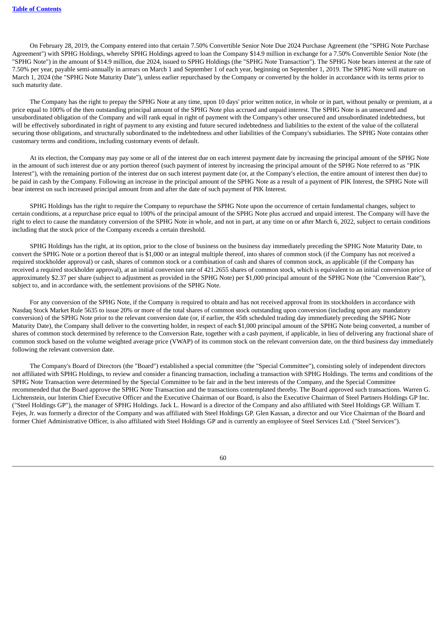On February 28, 2019, the Company entered into that certain 7.50% Convertible Senior Note Due 2024 Purchase Agreement (the "SPHG Note Purchase Agreement") with SPHG Holdings, whereby SPHG Holdings agreed to loan the Company \$14.9 million in exchange for a 7.50% Convertible Senior Note (the "SPHG Note") in the amount of \$14.9 million, due 2024, issued to SPHG Holdings (the "SPHG Note Transaction"). The SPHG Note bears interest at the rate of 7.50% per year, payable semi-annually in arrears on March 1 and September 1 of each year, beginning on September 1, 2019. The SPHG Note will mature on March 1, 2024 (the "SPHG Note Maturity Date"), unless earlier repurchased by the Company or converted by the holder in accordance with its terms prior to such maturity date.

The Company has the right to prepay the SPHG Note at any time, upon 10 days' prior written notice, in whole or in part, without penalty or premium, at a price equal to 100% of the then outstanding principal amount of the SPHG Note plus accrued and unpaid interest. The SPHG Note is an unsecured and unsubordinated obligation of the Company and will rank equal in right of payment with the Company's other unsecured and unsubordinated indebtedness, but will be effectively subordinated in right of payment to any existing and future secured indebtedness and liabilities to the extent of the value of the collateral securing those obligations, and structurally subordinated to the indebtedness and other liabilities of the Company's subsidiaries. The SPHG Note contains other customary terms and conditions, including customary events of default.

At its election, the Company may pay some or all of the interest due on each interest payment date by increasing the principal amount of the SPHG Note in the amount of such interest due or any portion thereof (such payment of interest by increasing the principal amount of the SPHG Note referred to as "PIK Interest"), with the remaining portion of the interest due on such interest payment date (or, at the Company's election, the entire amount of interest then due) to be paid in cash by the Company. Following an increase in the principal amount of the SPHG Note as a result of a payment of PIK Interest, the SPHG Note will bear interest on such increased principal amount from and after the date of such payment of PIK Interest.

SPHG Holdings has the right to require the Company to repurchase the SPHG Note upon the occurrence of certain fundamental changes, subject to certain conditions, at a repurchase price equal to 100% of the principal amount of the SPHG Note plus accrued and unpaid interest. The Company will have the right to elect to cause the mandatory conversion of the SPHG Note in whole, and not in part, at any time on or after March 6, 2022, subject to certain conditions including that the stock price of the Company exceeds a certain threshold.

SPHG Holdings has the right, at its option, prior to the close of business on the business day immediately preceding the SPHG Note Maturity Date, to convert the SPHG Note or a portion thereof that is \$1,000 or an integral multiple thereof, into shares of common stock (if the Company has not received a required stockholder approval) or cash, shares of common stock or a combination of cash and shares of common stock, as applicable (if the Company has received a required stockholder approval), at an initial conversion rate of 421.2655 shares of common stock, which is equivalent to an initial conversion price of approximately \$2.37 per share (subject to adjustment as provided in the SPHG Note) per \$1,000 principal amount of the SPHG Note (the "Conversion Rate"), subject to, and in accordance with, the settlement provisions of the SPHG Note.

For any conversion of the SPHG Note, if the Company is required to obtain and has not received approval from its stockholders in accordance with Nasdaq Stock Market Rule 5635 to issue 20% or more of the total shares of common stock outstanding upon conversion (including upon any mandatory conversion) of the SPHG Note prior to the relevant conversion date (or, if earlier, the 45th scheduled trading day immediately preceding the SPHG Note Maturity Date), the Company shall deliver to the converting holder, in respect of each \$1,000 principal amount of the SPHG Note being converted, a number of shares of common stock determined by reference to the Conversion Rate, together with a cash payment, if applicable, in lieu of delivering any fractional share of common stock based on the volume weighted average price (VWAP) of its common stock on the relevant conversion date, on the third business day immediately following the relevant conversion date.

The Company's Board of Directors (the "Board") established a special committee (the "Special Committee"), consisting solely of independent directors not affiliated with SPHG Holdings, to review and consider a financing transaction, including a transaction with SPHG Holdings. The terms and conditions of the SPHG Note Transaction were determined by the Special Committee to be fair and in the best interests of the Company, and the Special Committee recommended that the Board approve the SPHG Note Transaction and the transactions contemplated thereby. The Board approved such transactions. Warren G. Lichtenstein, our Interim Chief Executive Officer and the Executive Chairman of our Board, is also the Executive Chairman of Steel Partners Holdings GP Inc. ("Steel Holdings GP"), the manager of SPHG Holdings. Jack L. Howard is a director of the Company and also affiliated with Steel Holdings GP. William T. Fejes, Jr. was formerly a director of the Company and was affiliated with Steel Holdings GP. Glen Kassan, a director and our Vice Chairman of the Board and former Chief Administrative Officer, is also affiliated with Steel Holdings GP and is currently an employee of Steel Services Ltd. ("Steel Services").

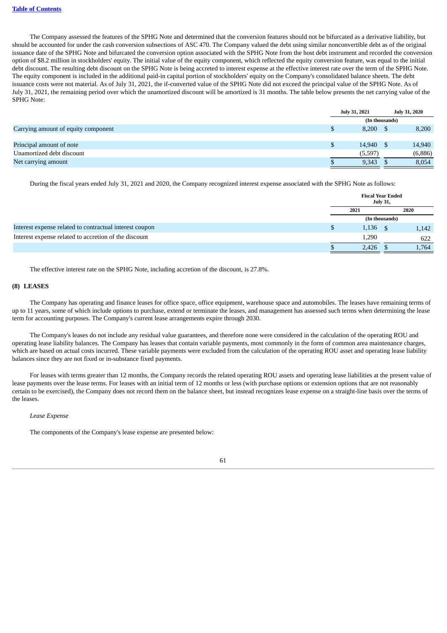The Company assessed the features of the SPHG Note and determined that the conversion features should not be bifurcated as a derivative liability, but should be accounted for under the cash conversion subsections of ASC 470. The Company valued the debt using similar nonconvertible debt as of the original issuance date of the SPHG Note and bifurcated the conversion option associated with the SPHG Note from the host debt instrument and recorded the conversion option of \$8.2 million in stockholders' equity. The initial value of the equity component, which reflected the equity conversion feature, was equal to the initial debt discount. The resulting debt discount on the SPHG Note is being accreted to interest expense at the effective interest rate over the term of the SPHG Note. The equity component is included in the additional paid-in capital portion of stockholders' equity on the Company's consolidated balance sheets. The debt issuance costs were not material. As of July 31, 2021, the if-converted value of the SPHG Note did not exceed the principal value of the SPHG Note. As of July 31, 2021, the remaining period over which the unamortized discount will be amortized is 31 months. The table below presents the net carrying value of the SPHG Note:

|                                     | July 31, 2021  |  | <b>July 31, 2020</b> |
|-------------------------------------|----------------|--|----------------------|
|                                     | (In thousands) |  |                      |
| Carrying amount of equity component | 8,200          |  | 8,200                |
|                                     |                |  |                      |
| Principal amount of note            | 14,940         |  | 14,940               |
| Unamortized debt discount           | (5,597)        |  | (6,886)              |
| Net carrying amount                 | 9,343          |  | 8,054                |

During the fiscal years ended July 31, 2021 and 2020, the Company recognized interest expense associated with the SPHG Note as follows:

|                                                         | <b>Fiscal Year Ended</b> | <b>July 31,</b> |       |
|---------------------------------------------------------|--------------------------|-----------------|-------|
|                                                         | 2021                     |                 | 2020  |
|                                                         |                          | (In thousands)  |       |
| Interest expense related to contractual interest coupon | 1,136                    |                 | 1,142 |
| Interest expense related to accretion of the discount   | 1,290                    |                 | 622   |
|                                                         | 2,426                    |                 | 1,764 |

The effective interest rate on the SPHG Note, including accretion of the discount, is 27.8%.

## **(8) LEASES**

The Company has operating and finance leases for office space, office equipment, warehouse space and automobiles. The leases have remaining terms of up to 11 years, some of which include options to purchase, extend or terminate the leases, and management has assessed such terms when determining the lease term for accounting purposes. The Company's current lease arrangements expire through 2030.

The Company's leases do not include any residual value guarantees, and therefore none were considered in the calculation of the operating ROU and operating lease liability balances. The Company has leases that contain variable payments, most commonly in the form of common area maintenance charges, which are based on actual costs incurred. These variable payments were excluded from the calculation of the operating ROU asset and operating lease liability balances since they are not fixed or in-substance fixed payments.

For leases with terms greater than 12 months, the Company records the related operating ROU assets and operating lease liabilities at the present value of lease payments over the lease terms. For leases with an initial term of 12 months or less (with purchase options or extension options that are not reasonably certain to be exercised), the Company does not record them on the balance sheet, but instead recognizes lease expense on a straight-line basis over the terms of the leases.

# *Lease Expense*

The components of the Company's lease expense are presented below: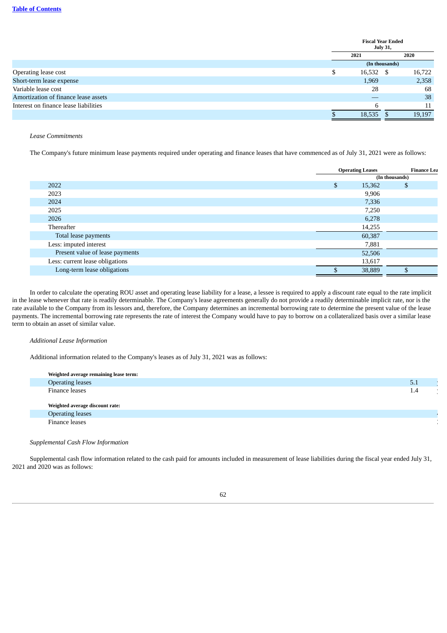|                                       | <b>Fiscal Year Ended</b><br><b>July 31,</b> |                |        |
|---------------------------------------|---------------------------------------------|----------------|--------|
|                                       | 2021                                        |                | 2020   |
|                                       |                                             | (In thousands) |        |
| Operating lease cost                  | 16,532 \$                                   |                | 16,722 |
| Short-term lease expense              | 1,969                                       |                | 2,358  |
| Variable lease cost                   | 28                                          |                | 68     |
| Amortization of finance lease assets  |                                             |                | 38     |
| Interest on finance lease liabilities | h                                           |                | 11     |
|                                       | 18,535                                      |                | 19,197 |

## *Lease Commitments*

The Company's future minimum lease payments required under operating and finance leases that have commenced as of July 31, 2021 were as follows:

|                                 | <b>Operating Leases</b> |        |                | <b>Finance Lea</b> |
|---------------------------------|-------------------------|--------|----------------|--------------------|
|                                 |                         |        | (In thousands) |                    |
| 2022                            | \$                      | 15,362 | \$             |                    |
| 2023                            |                         | 9,906  |                |                    |
| 2024                            |                         | 7,336  |                |                    |
| 2025                            |                         | 7,250  |                |                    |
| 2026                            |                         | 6,278  |                |                    |
| Thereafter                      |                         | 14,255 |                |                    |
| Total lease payments            |                         | 60,387 |                |                    |
| Less: imputed interest          |                         | 7,881  |                |                    |
| Present value of lease payments |                         | 52,506 |                |                    |
| Less: current lease obligations |                         | 13,617 |                |                    |
| Long-term lease obligations     |                         | 38,889 |                |                    |

In order to calculate the operating ROU asset and operating lease liability for a lease, a lessee is required to apply a discount rate equal to the rate implicit in the lease whenever that rate is readily determinable. The Company's lease agreements generally do not provide a readily determinable implicit rate, nor is the rate available to the Company from its lessors and, therefore, the Company determines an incremental borrowing rate to determine the present value of the lease payments. The incremental borrowing rate represents the rate of interest the Company would have to pay to borrow on a collateralized basis over a similar lease term to obtain an asset of similar value.

# *Additional Lease Information*

Additional information related to the Company's leases as of July 31, 2021 was as follows:

| Weighted average remaining lease term: |     |  |
|----------------------------------------|-----|--|
| <b>Operating leases</b>                | 5.1 |  |
| Finance leases                         | 1.4 |  |
|                                        |     |  |
|                                        |     |  |
| Weighted average discount rate:        |     |  |
| <b>Operating leases</b>                |     |  |
| Finance leases                         |     |  |

## *Supplemental Cash Flow Information*

Supplemental cash flow information related to the cash paid for amounts included in measurement of lease liabilities during the fiscal year ended July 31, 2021 and 2020 was as follows: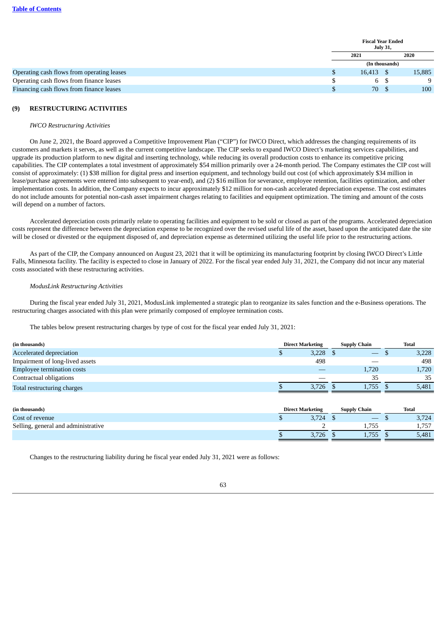|                                            | <b>Fiscal Year Ended</b> | <b>July 31,</b> |        |
|--------------------------------------------|--------------------------|-----------------|--------|
|                                            | 2021                     |                 | 2020   |
|                                            | (In thousands)           |                 |        |
| Operating cash flows from operating leases | 16,413 \$                |                 | 15,885 |
| Operating cash flows from finance leases   | 6 S                      |                 |        |
| Financing cash flows from finance leases   | 70                       |                 | 100    |

# **(9) RESTRUCTURING ACTIVITIES**

## *IWCO Restructuring Activities*

On June 2, 2021, the Board approved a Competitive Improvement Plan ("CIP") for IWCO Direct, which addresses the changing requirements of its customers and markets it serves, as well as the current competitive landscape. The CIP seeks to expand IWCO Direct's marketing services capabilities, and upgrade its production platform to new digital and inserting technology, while reducing its overall production costs to enhance its competitive pricing capabilities. The CIP contemplates a total investment of approximately \$54 million primarily over a 24-month period. The Company estimates the CIP cost will consist of approximately: (1) \$38 million for digital press and insertion equipment, and technology build out cost (of which approximately \$34 million in lease/purchase agreements were entered into subsequent to year-end), and (2) \$16 million for severance, employee retention, facilities optimization, and other implementation costs. In addition, the Company expects to incur approximately \$12 million for non-cash accelerated depreciation expense. The cost estimates do not include amounts for potential non-cash asset impairment charges relating to facilities and equipment optimization. The timing and amount of the costs will depend on a number of factors.

Accelerated depreciation costs primarily relate to operating facilities and equipment to be sold or closed as part of the programs. Accelerated depreciation costs represent the difference between the depreciation expense to be recognized over the revised useful life of the asset, based upon the anticipated date the site will be closed or divested or the equipment disposed of, and depreciation expense as determined utilizing the useful life prior to the restructuring actions.

As part of the CIP, the Company announced on August 23, 2021 that it will be optimizing its manufacturing footprint by closing IWCO Direct's Little Falls, Minnesota facility. The facility is expected to close in January of 2022. For the fiscal year ended July 31, 2021, the Company did not incur any material costs associated with these restructuring activities.

## *ModusLink Restructuring Activities*

During the fiscal year ended July 31, 2021, ModusLink implemented a strategic plan to reorganize its sales function and the e-Business operations. The restructuring charges associated with this plan were primarily composed of employee termination costs.

The tables below present restructuring charges by type of cost for the fiscal year ended July 31, 2021:

| (in thousands)                      | <b>Direct Marketing</b> | <b>Supply Chain</b>     | Total |       |  |
|-------------------------------------|-------------------------|-------------------------|-------|-------|--|
| Accelerated depreciation            | 3,228<br>D              | £.<br>$\hspace{0.05cm}$ | D     | 3,228 |  |
| Impairment of long-lived assets     | 498                     |                         |       | 498   |  |
| <b>Employee termination costs</b>   |                         | 1,720                   |       | 1,720 |  |
| Contractual obligations             |                         | 35                      |       | 35    |  |
| Total restructuring charges         | 3.726                   | 1,755                   |       | 5,481 |  |
|                                     |                         |                         |       |       |  |
| (in thousands)                      | <b>Direct Marketing</b> | <b>Supply Chain</b>     | Total |       |  |
| Cost of revenue                     | 3,724<br>S              | S<br>$\hspace{0.05cm}$  | -S    | 3,724 |  |
| Selling, general and administrative |                         | 1,755                   |       | 1,757 |  |
|                                     | 3.726                   | 1.755                   |       | 5.481 |  |

Changes to the restructuring liability during he fiscal year ended July 31, 2021 were as follows: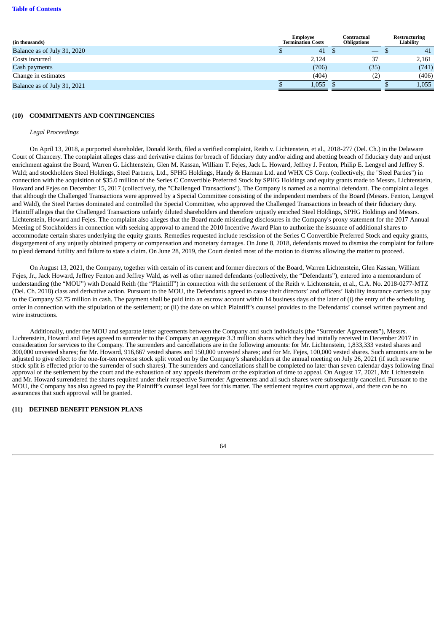| (in thousands)              | Employee<br><b>Termination Costs</b> |       |                   |  |       |  |  |  |  |  |  |  |  |  |  |  |  |  |  |  |  |  | Contractual<br><b>Obligations</b> |  | <b>Restructuring</b><br>Liability |
|-----------------------------|--------------------------------------|-------|-------------------|--|-------|--|--|--|--|--|--|--|--|--|--|--|--|--|--|--|--|--|-----------------------------------|--|-----------------------------------|
| Balance as of July 31, 2020 |                                      | 41    |                   |  | 41    |  |  |  |  |  |  |  |  |  |  |  |  |  |  |  |  |  |                                   |  |                                   |
| Costs incurred              |                                      | 2,124 | 37                |  | 2,161 |  |  |  |  |  |  |  |  |  |  |  |  |  |  |  |  |  |                                   |  |                                   |
| Cash payments               |                                      | (706) | (35)              |  | (741) |  |  |  |  |  |  |  |  |  |  |  |  |  |  |  |  |  |                                   |  |                                   |
| Change in estimates         |                                      | (404) | (2)               |  | (406) |  |  |  |  |  |  |  |  |  |  |  |  |  |  |  |  |  |                                   |  |                                   |
| Balance as of July 31, 2021 |                                      | 1,055 | $\hspace{0.05cm}$ |  | 1,055 |  |  |  |  |  |  |  |  |  |  |  |  |  |  |  |  |  |                                   |  |                                   |

## **(10) COMMITMENTS AND CONTINGENCIES**

## *Legal Proceedings*

On April 13, 2018, a purported shareholder, Donald Reith, filed a verified complaint, Reith v. Lichtenstein, et al., 2018-277 (Del. Ch.) in the Delaware Court of Chancery. The complaint alleges class and derivative claims for breach of fiduciary duty and/or aiding and abetting breach of fiduciary duty and unjust enrichment against the Board, Warren G. Lichtenstein, Glen M. Kassan, William T. Fejes, Jack L. Howard, Jeffrey J. Fenton, Philip E. Lengyel and Jeffrey S. Wald; and stockholders Steel Holdings, Steel Partners, Ltd., SPHG Holdings, Handy & Harman Ltd. and WHX CS Corp. (collectively, the "Steel Parties") in connection with the acquisition of \$35.0 million of the Series C Convertible Preferred Stock by SPHG Holdings and equity grants made to Messrs. Lichtenstein, Howard and Fejes on December 15, 2017 (collectively, the "Challenged Transactions"). The Company is named as a nominal defendant. The complaint alleges that although the Challenged Transactions were approved by a Special Committee consisting of the independent members of the Board (Messrs. Fenton, Lengyel and Wald), the Steel Parties dominated and controlled the Special Committee, who approved the Challenged Transactions in breach of their fiduciary duty. Plaintiff alleges that the Challenged Transactions unfairly diluted shareholders and therefore unjustly enriched Steel Holdings, SPHG Holdings and Messrs. Lichtenstein, Howard and Fejes. The complaint also alleges that the Board made misleading disclosures in the Company's proxy statement for the 2017 Annual Meeting of Stockholders in connection with seeking approval to amend the 2010 Incentive Award Plan to authorize the issuance of additional shares to accommodate certain shares underlying the equity grants. Remedies requested include rescission of the Series C Convertible Preferred Stock and equity grants, disgorgement of any unjustly obtained property or compensation and monetary damages. On June 8, 2018, defendants moved to dismiss the complaint for failure to plead demand futility and failure to state a claim. On June 28, 2019, the Court denied most of the motion to dismiss allowing the matter to proceed.

On August 13, 2021, the Company, together with certain of its current and former directors of the Board, Warren Lichtenstein, Glen Kassan, William Fejes, Jr., Jack Howard, Jeffrey Fenton and Jeffrey Wald, as well as other named defendants (collectively, the "Defendants"), entered into a memorandum of understanding (the "MOU") with Donald Reith (the "Plaintiff") in connection with the settlement of the Reith v. Lichtenstein, et al., C.A. No. 2018-0277-MTZ (Del. Ch. 2018) class and derivative action. Pursuant to the MOU, the Defendants agreed to cause their directors' and officers' liability insurance carriers to pay to the Company \$2.75 million in cash. The payment shall be paid into an escrow account within 14 business days of the later of (i) the entry of the scheduling order in connection with the stipulation of the settlement; or (ii) the date on which Plaintiff's counsel provides to the Defendants' counsel written payment and wire instructions.

Additionally, under the MOU and separate letter agreements between the Company and such individuals (the "Surrender Agreements"), Messrs. Lichtenstein, Howard and Fejes agreed to surrender to the Company an aggregate 3.3 million shares which they had initially received in December 2017 in consideration for services to the Company. The surrenders and cancellations are in the following amounts: for Mr. Lichtenstein, 1,833,333 vested shares and 300,000 unvested shares; for Mr. Howard, 916,667 vested shares and 150,000 unvested shares; and for Mr. Fejes, 100,000 vested shares. Such amounts are to be adjusted to give effect to the one-for-ten reverse stock split voted on by the Company's shareholders at the annual meeting on July 26, 2021 (if such reverse stock split is effected prior to the surrender of such shares). The surrenders and cancellations shall be completed no later than seven calendar days following final approval of the settlement by the court and the exhaustion of any appeals therefrom or the expiration of time to appeal. On August 17, 2021, Mr. Lichtenstein and Mr. Howard surrendered the shares required under their respective Surrender Agreements and all such shares were subsequently cancelled. Pursuant to the MOU, the Company has also agreed to pay the Plaintiff's counsel legal fees for this matter. The settlement requires court approval, and there can be no assurances that such approval will be granted.

## **(11) DEFINED BENEFIT PENSION PLANS**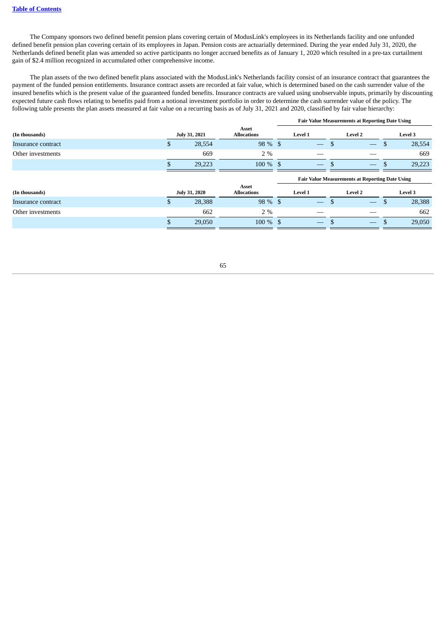The Company sponsors two defined benefit pension plans covering certain of ModusLink's employees in its Netherlands facility and one unfunded defined benefit pension plan covering certain of its employees in Japan. Pension costs are actuarially determined. During the year ended July 31, 2020, the Netherlands defined benefit plan was amended so active participants no longer accrued benefits as of January 1, 2020 which resulted in a pre-tax curtailment gain of \$2.4 million recognized in accumulated other comprehensive income.

The plan assets of the two defined benefit plans associated with the ModusLink's Netherlands facility consist of an insurance contract that guarantees the payment of the funded pension entitlements. Insurance contract assets are recorded at fair value, which is determined based on the cash surrender value of the insured benefits which is the present value of the guaranteed funded benefits. Insurance contracts are valued using unobservable inputs, primarily by discounting expected future cash flows relating to benefits paid from a notional investment portfolio in order to determine the cash surrender value of the policy. The following table presents the plan assets measured at fair value on a recurring basis as of July 31, 2021 and 2020, classified by fair value hierarchy:

|                    |     |                      |                             | <b>Fair Value Measurements at Reporting Date Using</b> |                           |    |                          |         |         |
|--------------------|-----|----------------------|-----------------------------|--------------------------------------------------------|---------------------------|----|--------------------------|---------|---------|
| (In thousands)     |     | July 31, 2021        | Asset<br><b>Allocations</b> |                                                        | <b>Level 2</b><br>Level 1 |    |                          | Level 3 |         |
| Insurance contract | S   | 28,554               | $98\%$ \$                   |                                                        | $\hspace{0.05cm}$         | S  | $\hspace{0.05cm}$        | D       | 28,554  |
| Other investments  |     | 669                  | $2\%$                       |                                                        |                           |    |                          |         | 669     |
|                    |     | 29,223               | $100\%$ \$                  |                                                        | $\overline{\phantom{m}}$  | -S | $\overline{\phantom{0}}$ | \$.     | 29,223  |
|                    |     |                      |                             | <b>Fair Value Measurements at Reporting Date Using</b> |                           |    |                          |         |         |
|                    |     |                      |                             |                                                        |                           |    |                          |         |         |
| (In thousands)     |     | <b>July 31, 2020</b> | Asset<br><b>Allocations</b> |                                                        | Level 1                   |    | <b>Level 2</b>           |         | Level 3 |
| Insurance contract | \$. | 28,388               | $98\%$ \$                   |                                                        | $\qquad \qquad -$         |    | $\overline{\phantom{m}}$ |         | 28,388  |
| Other investments  |     | 662                  | $2\%$                       |                                                        |                           |    |                          |         | 662     |
|                    | S.  | 29,050               | $100\%$ \$                  |                                                        | $\overline{\phantom{m}}$  | -S | $\overline{\phantom{m}}$ | S.      | 29,050  |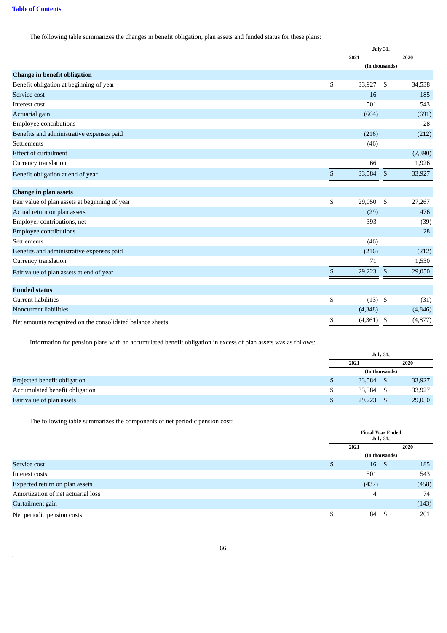The following table summarizes the changes in benefit obligation, plan assets and funded status for these plans:

|                                                           |              | <b>July 31,</b> |    |         |
|-----------------------------------------------------------|--------------|-----------------|----|---------|
|                                                           |              | 2021            |    | 2020    |
|                                                           |              | (In thousands)  |    |         |
| <b>Change in benefit obligation</b>                       |              |                 |    |         |
| Benefit obligation at beginning of year                   | \$           | 33,927          | \$ | 34,538  |
| Service cost                                              |              | 16              |    | 185     |
| Interest cost                                             |              | 501             |    | 543     |
| Actuarial gain                                            |              | (664)           |    | (691)   |
| <b>Employee contributions</b>                             |              |                 |    | 28      |
| Benefits and administrative expenses paid                 |              | (216)           |    | (212)   |
| Settlements                                               |              | (46)            |    |         |
| <b>Effect of curtailment</b>                              |              |                 |    | (2,390) |
| Currency translation                                      |              | 66              |    | 1,926   |
| Benefit obligation at end of year                         | $\mathbb{S}$ | 33,584          | \$ | 33,927  |
| <b>Change in plan assets</b>                              |              |                 |    |         |
| Fair value of plan assets at beginning of year            | \$           | 29,050          | \$ | 27,267  |
| Actual return on plan assets                              |              | (29)            |    | 476     |
| Employer contributions, net                               |              | 393             |    | (39)    |
| <b>Employee contributions</b>                             |              |                 |    | 28      |
| Settlements                                               |              | (46)            |    |         |
| Benefits and administrative expenses paid                 |              | (216)           |    | (212)   |
| Currency translation                                      |              | 71              |    | 1,530   |
| Fair value of plan assets at end of year                  | \$           | 29,223          | \$ | 29,050  |
| <b>Funded status</b>                                      |              |                 |    |         |
| <b>Current liabilities</b>                                | \$           | $(13)$ \$       |    | (31)    |
| Noncurrent liabilities                                    |              | (4,348)         |    | (4,846) |
| Net amounts recognized on the consolidated balance sheets | \$           | (4,361)         | \$ | (4,877) |

Information for pension plans with an accumulated benefit obligation in excess of plan assets was as follows:

|                                | <b>July 31,</b> |        |
|--------------------------------|-----------------|--------|
|                                | 2021            | 2020   |
|                                | (In thousands)  |        |
| Projected benefit obligation   | 33,584          | 33,927 |
| Accumulated benefit obligation | 33,584          | 33,927 |
| Fair value of plan assets      | 29,223          | 29,050 |

The following table summarizes the components of net periodic pension cost:

|                                    |               | <b>Fiscal Year Ended</b><br><b>July 31,</b> |                |       |  |  |
|------------------------------------|---------------|---------------------------------------------|----------------|-------|--|--|
|                                    |               | 2021                                        |                | 2020  |  |  |
|                                    |               |                                             | (In thousands) |       |  |  |
| Service cost                       | <sup>\$</sup> | 16                                          | - \$           | 185   |  |  |
| Interest costs                     |               | 501                                         |                | 543   |  |  |
| Expected return on plan assets     |               | (437)                                       |                | (458) |  |  |
| Amortization of net actuarial loss |               | 4                                           |                | 74    |  |  |
| Curtailment gain                   |               |                                             |                | (143) |  |  |
| Net periodic pension costs         |               | 84                                          |                | 201   |  |  |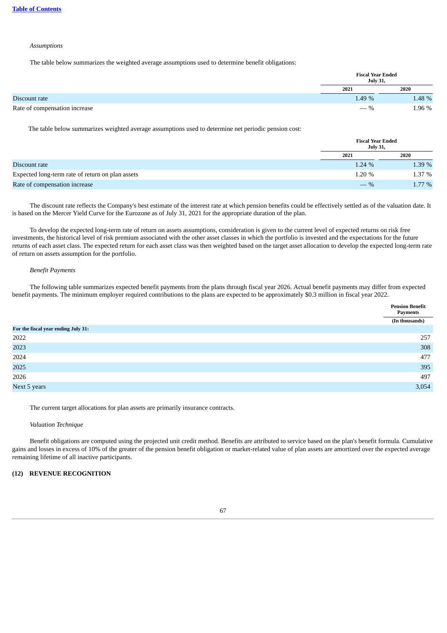## *Assumptions*

The table below summarizes the weighted average assumptions used to determine benefit obligations:

|                               |        | <b>Fiscal Year Ended</b><br><b>July 31,</b> |
|-------------------------------|--------|---------------------------------------------|
|                               | 2021   | 2020                                        |
| Discount rate                 | 1.49 % | $1.48 \%$                                   |
| Rate of compensation increase | $-$ %  | 1.96 %                                      |

The table below summarizes weighted average assumptions used to determine net periodic pension cost:

|                                                  | <b>Fiscal Year Ended</b><br><b>July 31,</b> |        |
|--------------------------------------------------|---------------------------------------------|--------|
|                                                  | 2021                                        | 2020   |
| Discount rate                                    | 1.24%                                       | 1.39 % |
| Expected long-term rate of return on plan assets | 1.20 %                                      | 1.37 % |
| Rate of compensation increase                    | $-$ %                                       | 1.77 % |

The discount rate reflects the Company's best estimate of the interest rate at which pension benefits could be effectively settled as of the valuation date. It is based on the Mercer Yield Curve for the Eurozone as of July 31, 2021 for the appropriate duration of the plan.

To develop the expected long-term rate of return on assets assumptions, consideration is given to the current level of expected returns on risk free investments, the historical level of risk premium associated with the other asset classes in which the portfolio is invested and the expectations for the future returns of each asset class. The expected return for each asset class was then weighted based on the target asset allocation to develop the expected long-term rate of return on assets assumption for the portfolio.

## *Benefit Payments*

The following table summarizes expected benefit payments from the plans through fiscal year 2026. Actual benefit payments may differ from expected benefit payments. The minimum employer required contributions to the plans are expected to be approximately \$0.3 million in fiscal year 2022.

|                                     | <b>Pension Benefit</b><br>Payments |
|-------------------------------------|------------------------------------|
|                                     | (In thousands)                     |
| For the fiscal year ending July 31: |                                    |
| 2022                                | 257                                |
| 2023                                | 308                                |
| 2024                                | 477                                |
| 2025                                | 395                                |
| 2026                                | 497                                |
| Next 5 years                        | 3,054                              |

The current target allocations for plan assets are primarily insurance contracts.

# *Valuation Technique*

Benefit obligations are computed using the projected unit credit method. Benefits are attributed to service based on the plan's benefit formula. Cumulative gains and losses in excess of 10% of the greater of the pension benefit obligation or market-related value of plan assets are amortized over the expected average remaining lifetime of all inactive participants.

# **(12) REVENUE RECOGNITION**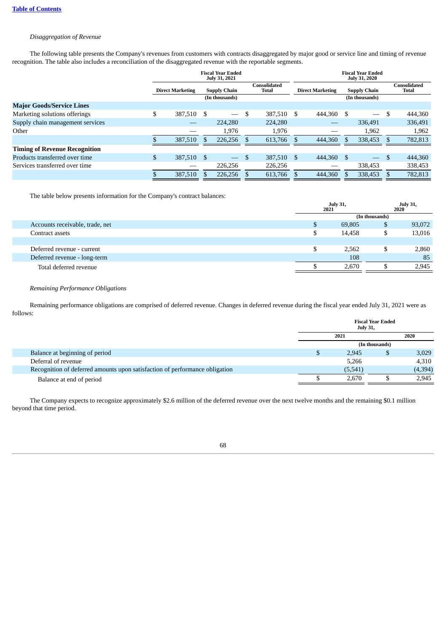# *Disaggregation of Revenue*

The following table presents the Company's revenues from customers with contracts disaggregated by major good or service line and timing of revenue recognition. The table also includes a reconciliation of the disaggregated revenue with the reportable segments.

|                                      | <b>Fiscal Year Ended</b><br>July 31, 2021 |                         |      |                     | <b>Fiscal Year Ended</b><br><b>July 31, 2020</b> |                              |      |                         |                     |                |      |                       |
|--------------------------------------|-------------------------------------------|-------------------------|------|---------------------|--------------------------------------------------|------------------------------|------|-------------------------|---------------------|----------------|------|-----------------------|
|                                      |                                           | <b>Direct Marketing</b> |      | <b>Supply Chain</b> |                                                  | <b>Consolidated</b><br>Total |      | <b>Direct Marketing</b> | <b>Supply Chain</b> |                |      | Consolidated<br>Total |
|                                      |                                           |                         |      | (In thousands)      |                                                  |                              |      |                         |                     | (In thousands) |      |                       |
| <b>Major Goods/Service Lines</b>     |                                           |                         |      |                     |                                                  |                              |      |                         |                     |                |      |                       |
| Marketing solutions offerings        | \$                                        | 387,510                 | \$   |                     | Ŝ.                                               | 387,510                      | - S  | 444,360                 | - \$                |                | Ŝ.   | 444,360               |
| Supply chain management services     |                                           | $-$                     |      | 224,280             |                                                  | 224,280                      |      | $-$                     |                     | 336,491        |      | 336,491               |
| Other                                |                                           |                         |      | 1,976               |                                                  | 1,976                        |      |                         |                     | 1,962          |      | 1,962                 |
|                                      |                                           | 387,510                 |      | 226,256             |                                                  | 613,766                      |      | 444,360                 |                     | 338,453        |      | 782,813               |
| <b>Timing of Revenue Recognition</b> |                                           |                         |      |                     |                                                  |                              |      |                         |                     |                |      |                       |
| Products transferred over time       | \$                                        | 387,510                 | - \$ |                     | $\mathbf{s}$                                     | 387,510                      | - \$ | 444,360                 | $\mathsf{S}$        |                | - \$ | 444,360               |
| Services transferred over time       |                                           |                         |      | 226.256             |                                                  | 226,256                      |      |                         |                     | 338.453        |      | 338,453               |
|                                      |                                           | 387,510                 |      | 226.256             |                                                  | 613,766                      |      | 444,360                 |                     | 338,453        |      | 782,813               |

The table below presents information for the Company's contract balances:

|                                 |    | July 31,<br>2021 |                | July 31,<br>2020 |  |
|---------------------------------|----|------------------|----------------|------------------|--|
|                                 |    |                  | (In thousands) |                  |  |
| Accounts receivable, trade, net |    | 69,805           | Φ              | 93,072           |  |
| Contract assets                 | S  | 14,458           | S              | 13,016           |  |
|                                 |    |                  |                |                  |  |
| Deferred revenue - current      | S. | 2,562            |                | 2,860            |  |
| Deferred revenue - long-term    |    | 108              |                | 85               |  |
| Total deferred revenue          |    | 2.670            |                | 2,945            |  |
|                                 |    |                  |                |                  |  |

# *Remaining Performance Obligations*

Remaining performance obligations are comprised of deferred revenue. Changes in deferred revenue during the fiscal year ended July 31, 2021 were as follows:

|                                                                             |                | <b>Fiscal Year Ended</b><br><b>July 31,</b> |      |         |  |  |
|-----------------------------------------------------------------------------|----------------|---------------------------------------------|------|---------|--|--|
|                                                                             |                | 2021                                        | 2020 |         |  |  |
|                                                                             | (In thousands) |                                             |      |         |  |  |
| Balance at beginning of period                                              | S              | 2,945                                       | ۰υ   | 3,029   |  |  |
| Deferral of revenue                                                         |                | 5,266                                       |      | 4,310   |  |  |
| Recognition of deferred amounts upon satisfaction of performance obligation |                | (5,541)                                     |      | (4,394) |  |  |
| Balance at end of period                                                    |                | 2.670                                       |      | 2.945   |  |  |

The Company expects to recognize approximately \$2.6 million of the deferred revenue over the next twelve months and the remaining \$0.1 million beyond that time period.

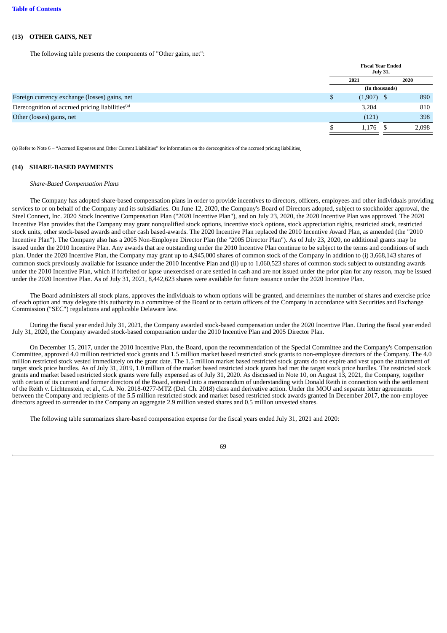# **(13) OTHER GAINS, NET**

The following table presents the components of "Other gains, net":

|                                                             |                | <b>Fiscal Year Ended</b><br><b>July 31,</b> |  |       |  |
|-------------------------------------------------------------|----------------|---------------------------------------------|--|-------|--|
|                                                             |                | 2021                                        |  | 2020  |  |
|                                                             | (In thousands) |                                             |  |       |  |
| Foreign currency exchange (losses) gains, net               | \$             | $(1,907)$ \$                                |  | 890   |  |
| Derecognition of accrued pricing liabilities <sup>(a)</sup> |                | 3,204                                       |  | 810   |  |
| Other (losses) gains, net                                   |                | (121)                                       |  | 398   |  |
|                                                             |                | 1,176                                       |  | 2,098 |  |

(a) Refer to Note 6 – "Accrued Expenses and Other Current Liabilities" for information on the derecognition of the accrued pricing liabilities.

#### **(14) SHARE-BASED PAYMENTS**

#### *Share-Based Compensation Plans*

The Company has adopted share-based compensation plans in order to provide incentives to directors, officers, employees and other individuals providing services to or on behalf of the Company and its subsidiaries. On June 12, 2020, the Company's Board of Directors adopted, subject to stockholder approval, the Steel Connect, Inc. 2020 Stock Incentive Compensation Plan ("2020 Incentive Plan"), and on July 23, 2020, the 2020 Incentive Plan was approved. The 2020 Incentive Plan provides that the Company may grant nonqualified stock options, incentive stock options, stock appreciation rights, restricted stock, restricted stock units, other stock-based awards and other cash based-awards. The 2020 Incentive Plan replaced the 2010 Incentive Award Plan, as amended (the "2010 Incentive Plan"). The Company also has a 2005 Non-Employee Director Plan (the "2005 Director Plan"). As of July 23, 2020, no additional grants may be issued under the 2010 Incentive Plan. Any awards that are outstanding under the 2010 Incentive Plan continue to be subject to the terms and conditions of such plan. Under the 2020 Incentive Plan, the Company may grant up to 4,945,000 shares of common stock of the Company in addition to (i) 3,668,143 shares of common stock previously available for issuance under the 2010 Incentive Plan and (ii) up to 1,060,523 shares of common stock subject to outstanding awards under the 2010 Incentive Plan, which if forfeited or lapse unexercised or are settled in cash and are not issued under the prior plan for any reason, may be issued under the 2020 Incentive Plan. As of July 31, 2021, 8,442,623 shares were available for future issuance under the 2020 Incentive Plan.

The Board administers all stock plans, approves the individuals to whom options will be granted, and determines the number of shares and exercise price of each option and may delegate this authority to a committee of the Board or to certain officers of the Company in accordance with Securities and Exchange Commission ("SEC") regulations and applicable Delaware law.

During the fiscal year ended July 31, 2021, the Company awarded stock-based compensation under the 2020 Incentive Plan. During the fiscal year ended July 31, 2020, the Company awarded stock-based compensation under the 2010 Incentive Plan and 2005 Director Plan.

On December 15, 2017, under the 2010 Incentive Plan, the Board, upon the recommendation of the Special Committee and the Company's Compensation Committee, approved 4.0 million restricted stock grants and 1.5 million market based restricted stock grants to non-employee directors of the Company. The 4.0 million restricted stock vested immediately on the grant date. The 1.5 million market based restricted stock grants do not expire and vest upon the attainment of target stock price hurdles. As of July 31, 2019, 1.0 million of the market based restricted stock grants had met the target stock price hurdles. The restricted stock grants and market based restricted stock grants were fully expensed as of July 31, 2020. As discussed in Note 10, on August 13, 2021, the Company, together with certain of its current and former directors of the Board, entered into a memorandum of understanding with Donald Reith in connection with the settlement of the Reith v. Lichtenstein, et al., C.A. No. 2018-0277-MTZ (Del. Ch. 2018) class and derivative action. Under the MOU and separate letter agreements between the Company and recipients of the 5.5 million restricted stock and market based restricted stock awards granted In December 2017, the non-employee directors agreed to surrender to the Company an aggregate 2.9 million vested shares and 0.5 million unvested shares.

The following table summarizes share-based compensation expense for the fiscal years ended July 31, 2021 and 2020:

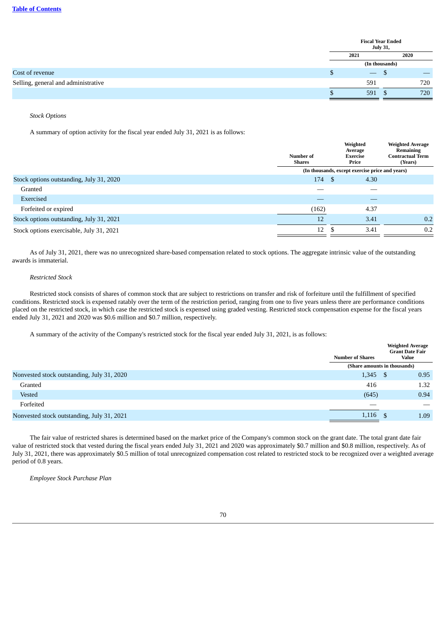|                                     |                          | <b>Fiscal Year Ended</b><br><b>July 31,</b> |      |
|-------------------------------------|--------------------------|---------------------------------------------|------|
|                                     | 2021                     |                                             | 2020 |
|                                     |                          | (In thousands)                              |      |
| Cost of revenue                     | $\overline{\phantom{m}}$ | D                                           |      |
| Selling, general and administrative | 591                      |                                             | 720  |
|                                     | 591                      |                                             | 720  |

*Stock Options*

A summary of option activity for the fiscal year ended July 31, 2021 is as follows:

|                                          | <b>Number of</b><br><b>Shares</b>               | Weighted<br>Average<br>Exercise<br>Price | <b>Weighted Average</b><br>Remaining<br><b>Contractual Term</b><br>(Years) |  |  |  |
|------------------------------------------|-------------------------------------------------|------------------------------------------|----------------------------------------------------------------------------|--|--|--|
|                                          | (In thousands, except exercise price and years) |                                          |                                                                            |  |  |  |
| Stock options outstanding, July 31, 2020 | $174 \quad $$                                   | 4.30                                     |                                                                            |  |  |  |
| Granted                                  |                                                 |                                          |                                                                            |  |  |  |
| Exercised                                |                                                 |                                          |                                                                            |  |  |  |
| Forfeited or expired                     | (162)                                           | 4.37                                     |                                                                            |  |  |  |
| Stock options outstanding, July 31, 2021 | 12                                              | 3.41                                     | 0.2                                                                        |  |  |  |
| Stock options exercisable, July 31, 2021 | 12                                              | 3.41                                     | 0.2                                                                        |  |  |  |
|                                          |                                                 |                                          |                                                                            |  |  |  |

As of July 31, 2021, there was no unrecognized share-based compensation related to stock options. The aggregate intrinsic value of the outstanding awards is immaterial.

# *Restricted Stock*

Restricted stock consists of shares of common stock that are subject to restrictions on transfer and risk of forfeiture until the fulfillment of specified conditions. Restricted stock is expensed ratably over the term of the restriction period, ranging from one to five years unless there are performance conditions placed on the restricted stock, in which case the restricted stock is expensed using graded vesting. Restricted stock compensation expense for the fiscal years ended July 31, 2021 and 2020 was \$0.6 million and \$0.7 million, respectively.

A summary of the activity of the Company's restricted stock for the fiscal year ended July 31, 2021, is as follows:

|                                            | <b>Number of Shares</b>      |      | <b>Weighted Average</b><br><b>Grant Date Fair</b><br>Value |
|--------------------------------------------|------------------------------|------|------------------------------------------------------------|
|                                            | (Share amounts in thousands) |      |                                                            |
| Nonvested stock outstanding, July 31, 2020 | 1,345                        | - \$ | 0.95                                                       |
| Granted                                    | 416                          |      | 1.32                                                       |
| Vested                                     | (645)                        |      | 0.94                                                       |
| Forfeited                                  |                              |      |                                                            |
| Nonvested stock outstanding, July 31, 2021 | 1,116                        | -\$  | 1.09                                                       |

The fair value of restricted shares is determined based on the market price of the Company's common stock on the grant date. The total grant date fair value of restricted stock that vested during the fiscal years ended July 31, 2021 and 2020 was approximately \$0.7 million and \$0.8 million, respectively. As of July 31, 2021, there was approximately \$0.5 million of total unrecognized compensation cost related to restricted stock to be recognized over a weighted average period of 0.8 years.

*Employee Stock Purchase Plan*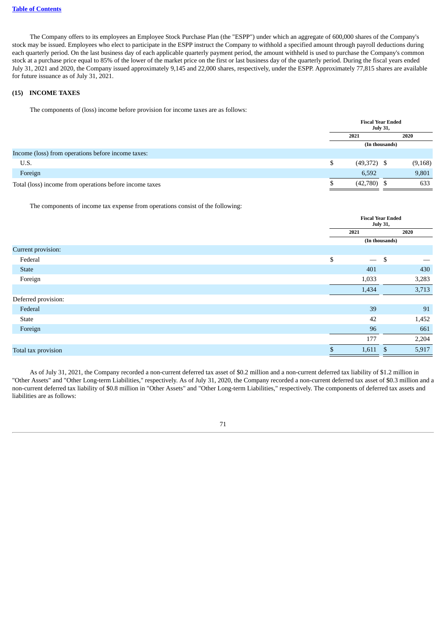The Company offers to its employees an Employee Stock Purchase Plan (the "ESPP") under which an aggregate of 600,000 shares of the Company's stock may be issued. Employees who elect to participate in the ESPP instruct the Company to withhold a specified amount through payroll deductions during each quarterly period. On the last business day of each applicable quarterly payment period, the amount withheld is used to purchase the Company's common stock at a purchase price equal to 85% of the lower of the market price on the first or last business day of the quarterly period. During the fiscal years ended July 31, 2021 and 2020, the Company issued approximately 9,145 and 22,000 shares, respectively, under the ESPP. Approximately 77,815 shares are available for future issuance as of July 31, 2021.

# **(15) INCOME TAXES**

The components of (loss) income before provision for income taxes are as follows:

|                                                         |                | <b>Fiscal Year Ended</b> | <b>July 31,</b> |         |
|---------------------------------------------------------|----------------|--------------------------|-----------------|---------|
|                                                         |                | 2021                     |                 | 2020    |
|                                                         | (In thousands) |                          |                 |         |
| Income (loss) from operations before income taxes:      |                |                          |                 |         |
| U.S.                                                    | S.             | $(49,372)$ \$            |                 | (9,168) |
| Foreign                                                 |                | 6,592                    |                 | 9,801   |
| Total (loss) income from operations before income taxes |                | $(42,780)$ \$            |                 | 633     |

The components of income tax expense from operations consist of the following:

|                     |                     | <b>Fiscal Year Ended</b><br><b>July 31,</b> |  |  |  |
|---------------------|---------------------|---------------------------------------------|--|--|--|
|                     | 2021                | 2020                                        |  |  |  |
|                     |                     | (In thousands)                              |  |  |  |
| Current provision:  |                     |                                             |  |  |  |
| Federal             | \$<br>$\frac{1}{2}$ | \$                                          |  |  |  |
| <b>State</b>        | 401                 | 430                                         |  |  |  |
| Foreign             | 1,033               | 3,283                                       |  |  |  |
|                     | 1,434               | 3,713                                       |  |  |  |
| Deferred provision: |                     |                                             |  |  |  |
| Federal             | 39                  | 91                                          |  |  |  |
| State               | 42                  | 1,452                                       |  |  |  |
| Foreign             | 96                  | 661                                         |  |  |  |
|                     | 177                 | 2,204                                       |  |  |  |
| Total tax provision | \$<br>$1,611$ \$    | 5,917                                       |  |  |  |

As of July 31, 2021, the Company recorded a non-current deferred tax asset of \$0.2 million and a non-current deferred tax liability of \$1.2 million in "Other Assets" and "Other Long-term Liabilities," respectively. As of July 31, 2020, the Company recorded a non-current deferred tax asset of \$0.3 million and a non-current deferred tax liability of \$0.8 million in "Other Assets" and "Other Long-term Liabilities," respectively. The components of deferred tax assets and liabilities are as follows: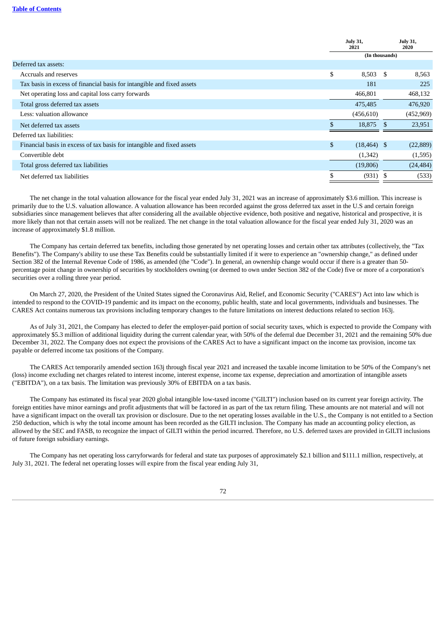|                                                                        | <b>July 31,</b><br>2021 |                | <b>July 31,</b><br>2020 |
|------------------------------------------------------------------------|-------------------------|----------------|-------------------------|
|                                                                        |                         | (In thousands) |                         |
| Deferred tax assets:                                                   |                         |                |                         |
| Accruals and reserves                                                  | \$<br>8,503             | - \$           | 8,563                   |
| Tax basis in excess of financial basis for intangible and fixed assets | 181                     |                | 225                     |
| Net operating loss and capital loss carry forwards                     | 466,801                 |                | 468,132                 |
| Total gross deferred tax assets                                        | 475,485                 |                | 476,920                 |
| Less: valuation allowance                                              | (456, 610)              |                | (452, 969)              |
| Net deferred tax assets                                                | 18,875 \$               |                | 23,951                  |
| Deferred tax liabilities:                                              |                         |                |                         |
| Financial basis in excess of tax basis for intangible and fixed assets | \$<br>$(18, 464)$ \$    |                | (22, 889)               |
| Convertible debt                                                       | (1,342)                 |                | (1,595)                 |
| Total gross deferred tax liabilities                                   | (19,806)                |                | (24, 484)               |
| Net deferred tax liabilities                                           | $(931)$ \$              |                | (533)                   |

The net change in the total valuation allowance for the fiscal year ended July 31, 2021 was an increase of approximately \$3.6 million. This increase is primarily due to the U.S. valuation allowance. A valuation allowance has been recorded against the gross deferred tax asset in the U.S and certain foreign subsidiaries since management believes that after considering all the available objective evidence, both positive and negative, historical and prospective, it is more likely than not that certain assets will not be realized. The net change in the total valuation allowance for the fiscal year ended July 31, 2020 was an increase of approximately \$1.8 million.

The Company has certain deferred tax benefits, including those generated by net operating losses and certain other tax attributes (collectively, the "Tax Benefits"). The Company's ability to use these Tax Benefits could be substantially limited if it were to experience an "ownership change," as defined under Section 382 of the Internal Revenue Code of 1986, as amended (the "Code"). In general, an ownership change would occur if there is a greater than 50 percentage point change in ownership of securities by stockholders owning (or deemed to own under Section 382 of the Code) five or more of a corporation's securities over a rolling three year period.

On March 27, 2020, the President of the United States signed the Coronavirus Aid, Relief, and Economic Security ("CARES") Act into law which is intended to respond to the COVID-19 pandemic and its impact on the economy, public health, state and local governments, individuals and businesses. The CARES Act contains numerous tax provisions including temporary changes to the future limitations on interest deductions related to section 163j.

As of July 31, 2021, the Company has elected to defer the employer-paid portion of social security taxes, which is expected to provide the Company with approximately \$5.3 million of additional liquidity during the current calendar year, with 50% of the deferral due December 31, 2021 and the remaining 50% due December 31, 2022. The Company does not expect the provisions of the CARES Act to have a significant impact on the income tax provision, income tax payable or deferred income tax positions of the Company.

The CARES Act temporarily amended section 163j through fiscal year 2021 and increased the taxable income limitation to be 50% of the Company's net (loss) income excluding net charges related to interest income, interest expense, income tax expense, depreciation and amortization of intangible assets ("EBITDA"), on a tax basis. The limitation was previously 30% of EBITDA on a tax basis.

The Company has estimated its fiscal year 2020 global intangible low-taxed income ("GILTI") inclusion based on its current year foreign activity. The foreign entities have minor earnings and profit adjustments that will be factored in as part of the tax return filing. These amounts are not material and will not have a significant impact on the overall tax provision or disclosure. Due to the net operating losses available in the U.S., the Company is not entitled to a Section 250 deduction, which is why the total income amount has been recorded as the GILTI inclusion. The Company has made an accounting policy election, as allowed by the SEC and FASB, to recognize the impact of GILTI within the period incurred. Therefore, no U.S. deferred taxes are provided in GILTI inclusions of future foreign subsidiary earnings.

The Company has net operating loss carryforwards for federal and state tax purposes of approximately \$2.1 billion and \$111.1 million, respectively, at July 31, 2021. The federal net operating losses will expire from the fiscal year ending July 31,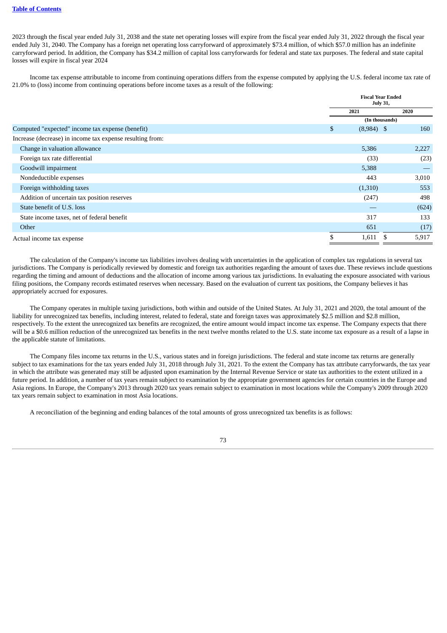2023 through the fiscal year ended July 31, 2038 and the state net operating losses will expire from the fiscal year ended July 31, 2022 through the fiscal year ended July 31, 2040. The Company has a foreign net operating loss carryforward of approximately \$73.4 million, of which \$57.0 million has an indefinite carryforward period. In addition, the Company has \$34.2 million of capital loss carryforwards for federal and state tax purposes. The federal and state capital losses will expire in fiscal year 2024

Income tax expense attributable to income from continuing operations differs from the expense computed by applying the U.S. federal income tax rate of 21.0% to (loss) income from continuing operations before income taxes as a result of the following:

|                                                           | <b>Fiscal Year Ended</b><br><b>July 31,</b> |              |                |       |
|-----------------------------------------------------------|---------------------------------------------|--------------|----------------|-------|
|                                                           |                                             | 2021         | 2020           |       |
|                                                           |                                             |              | (In thousands) |       |
| Computed "expected" income tax expense (benefit)          | \$                                          | $(8,984)$ \$ |                | 160   |
| Increase (decrease) in income tax expense resulting from: |                                             |              |                |       |
| Change in valuation allowance                             |                                             | 5,386        |                | 2,227 |
| Foreign tax rate differential                             |                                             | (33)         |                | (23)  |
| Goodwill impairment                                       |                                             | 5,388        |                |       |
| Nondeductible expenses                                    |                                             | 443          |                | 3,010 |
| Foreign withholding taxes                                 |                                             | (1,310)      |                | 553   |
| Addition of uncertain tax position reserves               |                                             | (247)        |                | 498   |
| State benefit of U.S. loss                                |                                             |              |                | (624) |
| State income taxes, net of federal benefit                |                                             | 317          |                | 133   |
| Other                                                     |                                             | 651          |                | (17)  |
| Actual income tax expense                                 |                                             | 1,611        |                | 5,917 |

The calculation of the Company's income tax liabilities involves dealing with uncertainties in the application of complex tax regulations in several tax jurisdictions. The Company is periodically reviewed by domestic and foreign tax authorities regarding the amount of taxes due. These reviews include questions regarding the timing and amount of deductions and the allocation of income among various tax jurisdictions. In evaluating the exposure associated with various filing positions, the Company records estimated reserves when necessary. Based on the evaluation of current tax positions, the Company believes it has appropriately accrued for exposures.

The Company operates in multiple taxing jurisdictions, both within and outside of the United States. At July 31, 2021 and 2020, the total amount of the liability for unrecognized tax benefits, including interest, related to federal, state and foreign taxes was approximately \$2.5 million and \$2.8 million, respectively. To the extent the unrecognized tax benefits are recognized, the entire amount would impact income tax expense. The Company expects that there will be a \$0.6 million reduction of the unrecognized tax benefits in the next twelve months related to the U.S. state income tax exposure as a result of a lapse in the applicable statute of limitations.

The Company files income tax returns in the U.S., various states and in foreign jurisdictions. The federal and state income tax returns are generally subject to tax examinations for the tax years ended July 31, 2018 through July 31, 2021. To the extent the Company has tax attribute carryforwards, the tax year in which the attribute was generated may still be adjusted upon examination by the Internal Revenue Service or state tax authorities to the extent utilized in a future period. In addition, a number of tax years remain subject to examination by the appropriate government agencies for certain countries in the Europe and Asia regions. In Europe, the Company's 2013 through 2020 tax years remain subject to examination in most locations while the Company's 2009 through 2020 tax years remain subject to examination in most Asia locations.

A reconciliation of the beginning and ending balances of the total amounts of gross unrecognized tax benefits is as follows: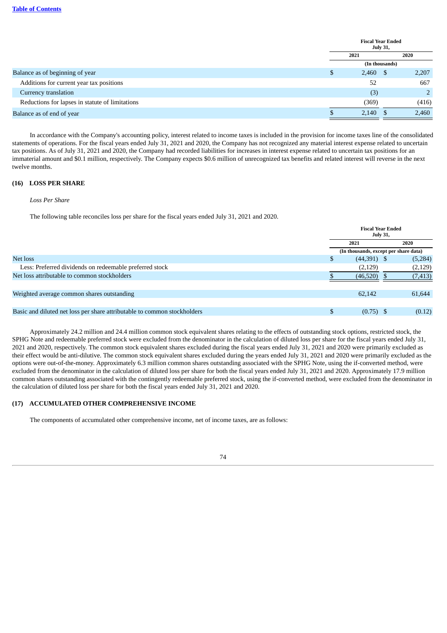|                                                 |                | <b>Fiscal Year Ended</b><br><b>July 31,</b> |      |               |  |      |
|-------------------------------------------------|----------------|---------------------------------------------|------|---------------|--|------|
|                                                 |                | 2021                                        |      |               |  | 2020 |
|                                                 | (In thousands) |                                             |      |               |  |      |
| Balance as of beginning of year                 | D              | 2,460                                       | - \$ | 2,207         |  |      |
| Additions for current year tax positions        |                | 52                                          |      | 667           |  |      |
| Currency translation                            |                | (3)                                         |      | $\mathcal{P}$ |  |      |
| Reductions for lapses in statute of limitations |                | (369)                                       |      | (416)         |  |      |
| Balance as of end of year                       |                | 2,140                                       |      | 2,460         |  |      |

In accordance with the Company's accounting policy, interest related to income taxes is included in the provision for income taxes line of the consolidated statements of operations. For the fiscal years ended July 31, 2021 and 2020, the Company has not recognized any material interest expense related to uncertain tax positions. As of July 31, 2021 and 2020, the Company had recorded liabilities for increases in interest expense related to uncertain tax positions for an immaterial amount and \$0.1 million, respectively. The Company expects \$0.6 million of unrecognized tax benefits and related interest will reverse in the next twelve months.

# **(16) LOSS PER SHARE**

#### *Loss Per Share*

The following table reconciles loss per share for the fiscal years ended July 31, 2021 and 2020.

|                                                                          |   | <b>Fiscal Year Ended</b><br><b>July 31,</b> |                                       |          |  |
|--------------------------------------------------------------------------|---|---------------------------------------------|---------------------------------------|----------|--|
|                                                                          |   | 2021                                        | 2020                                  |          |  |
|                                                                          |   |                                             | (In thousands, except per share data) |          |  |
| Net loss                                                                 | D | $(44,391)$ \$                               |                                       | (5,284)  |  |
| Less: Preferred dividends on redeemable preferred stock                  |   | (2,129)                                     |                                       | (2,129)  |  |
| Net loss attributable to common stockholders                             |   | (46,520)                                    |                                       | (7, 413) |  |
|                                                                          |   |                                             |                                       |          |  |
| Weighted average common shares outstanding                               |   | 62,142                                      |                                       | 61,644   |  |
|                                                                          |   |                                             |                                       |          |  |
| Basic and diluted net loss per share attributable to common stockholders |   | $(0.75)$ \$                                 |                                       | (0.12)   |  |

Approximately 24.2 million and 24.4 million common stock equivalent shares relating to the effects of outstanding stock options, restricted stock, the SPHG Note and redeemable preferred stock were excluded from the denominator in the calculation of diluted loss per share for the fiscal years ended July 31, 2021 and 2020, respectively. The common stock equivalent shares excluded during the fiscal years ended July 31, 2021 and 2020 were primarily excluded as their effect would be anti-dilutive. The common stock equivalent shares excluded during the years ended July 31, 2021 and 2020 were primarily excluded as the options were out-of-the-money. Approximately 6.3 million common shares outstanding associated with the SPHG Note, using the if-converted method, were excluded from the denominator in the calculation of diluted loss per share for both the fiscal years ended July 31, 2021 and 2020. Approximately 17.9 million common shares outstanding associated with the contingently redeemable preferred stock, using the if-converted method, were excluded from the denominator in the calculation of diluted loss per share for both the fiscal years ended July 31, 2021 and 2020.

# **(17) ACCUMULATED OTHER COMPREHENSIVE INCOME**

The components of accumulated other comprehensive income, net of income taxes, are as follows: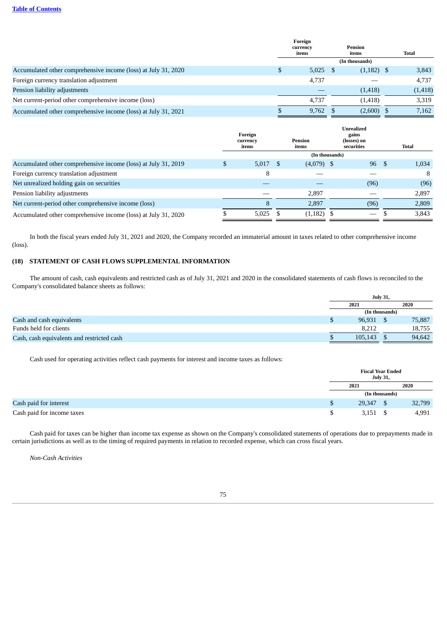|                                                                | Foreign<br>Pension<br>currency<br>items<br>items |                |  |              |  |          |  | Total |
|----------------------------------------------------------------|--------------------------------------------------|----------------|--|--------------|--|----------|--|-------|
|                                                                |                                                  | (In thousands) |  |              |  |          |  |       |
| Accumulated other comprehensive income (loss) at July 31, 2020 | S                                                | $5,025$ \$     |  | $(1,182)$ \$ |  | 3,843    |  |       |
| Foreign currency translation adjustment                        |                                                  | 4.737          |  |              |  | 4.737    |  |       |
| Pension liability adjustments                                  |                                                  |                |  | (1, 418)     |  | (1, 418) |  |       |
| Net current-period other comprehensive income (loss)           |                                                  | 4.737          |  | (1,418)      |  | 3,319    |  |       |
| Accumulated other comprehensive income (loss) at July 31, 2021 |                                                  | $9,762$ \$     |  | $(2,600)$ \$ |  | 7,162    |  |       |

|                                                                |   | Foreign<br>currency<br>items |    | Pension<br>items |  | Unrealized<br>gains<br>(losses) on<br>securities |    | Total |
|----------------------------------------------------------------|---|------------------------------|----|------------------|--|--------------------------------------------------|----|-------|
|                                                                |   | (In thousands)               |    |                  |  |                                                  |    |       |
| Accumulated other comprehensive income (loss) at July 31, 2019 | S | 5,017                        | -S | $(4,079)$ \$     |  | 96                                               | -S | 1,034 |
| Foreign currency translation adjustment                        |   | 8                            |    |                  |  |                                                  |    | 8     |
| Net unrealized holding gain on securities                      |   |                              |    |                  |  | (96)                                             |    | (96)  |
| Pension liability adjustments                                  |   |                              |    | 2.897            |  |                                                  |    | 2.897 |
| Net current-period other comprehensive income (loss)           |   | 8                            |    | 2,897            |  | (96)                                             |    | 2,809 |
| Accumulated other comprehensive income (loss) at July 31, 2020 |   | 5,025                        |    | $(1,182)$ \$     |  |                                                  |    | 3,843 |

In both the fiscal years ended July 31, 2021 and 2020, the Company recorded an immaterial amount in taxes related to other comprehensive income (loss).

# **(18) STATEMENT OF CASH FLOWS SUPPLEMENTAL INFORMATION**

The amount of cash, cash equivalents and restricted cash as of July 31, 2021 and 2020 in the consolidated statements of cash flows is reconciled to the Company's consolidated balance sheets as follows:

|                                            | <b>July 31.</b> |                |        |  |
|--------------------------------------------|-----------------|----------------|--------|--|
|                                            | 2021            |                | 2020   |  |
|                                            |                 | (In thousands) |        |  |
| Cash and cash equivalents                  | 96,931          |                | 75,887 |  |
| Funds held for clients                     | 8.212           |                | 18,755 |  |
| Cash, cash equivalents and restricted cash | 105,143         |                | 94.642 |  |

Cash used for operating activities reflect cash payments for interest and income taxes as follows:

|  | <b>Fiscal Year Ended</b> | <b>July 31,</b> |        |
|--|--------------------------|-----------------|--------|
|  | 2021                     |                 | 2020   |
|  |                          | (In thousands)  |        |
|  | 29,347                   |                 | 32,799 |
|  | 3,151                    |                 | 4,991  |

Cash paid for taxes can be higher than income tax expense as shown on the Company's consolidated statements of operations due to prepayments made in certain jurisdictions as well as to the timing of required payments in relation to recorded expense, which can cross fiscal years.

*Non-Cash Activities*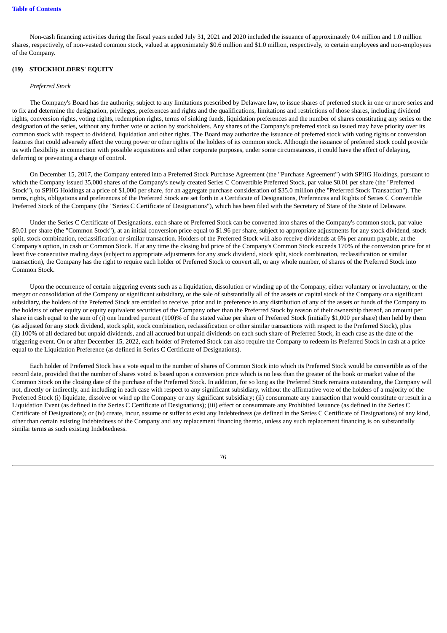Non-cash financing activities during the fiscal years ended July 31, 2021 and 2020 included the issuance of approximately 0.4 million and 1.0 million shares, respectively, of non-vested common stock, valued at approximately \$0.6 million and \$1.0 million, respectively, to certain employees and non-employees of the Company.

# **(19) STOCKHOLDERS' EQUITY**

# *Preferred Stock*

The Company's Board has the authority, subject to any limitations prescribed by Delaware law, to issue shares of preferred stock in one or more series and to fix and determine the designation, privileges, preferences and rights and the qualifications, limitations and restrictions of those shares, including dividend rights, conversion rights, voting rights, redemption rights, terms of sinking funds, liquidation preferences and the number of shares constituting any series or the designation of the series, without any further vote or action by stockholders. Any shares of the Company's preferred stock so issued may have priority over its common stock with respect to dividend, liquidation and other rights. The Board may authorize the issuance of preferred stock with voting rights or conversion features that could adversely affect the voting power or other rights of the holders of its common stock. Although the issuance of preferred stock could provide us with flexibility in connection with possible acquisitions and other corporate purposes, under some circumstances, it could have the effect of delaying, deferring or preventing a change of control.

On December 15, 2017, the Company entered into a Preferred Stock Purchase Agreement (the "Purchase Agreement") with SPHG Holdings, pursuant to which the Company issued 35,000 shares of the Company's newly created Series C Convertible Preferred Stock, par value \$0.01 per share (the "Preferred Stock"), to SPHG Holdings at a price of \$1,000 per share, for an aggregate purchase consideration of \$35.0 million (the "Preferred Stock Transaction"). The terms, rights, obligations and preferences of the Preferred Stock are set forth in a Certificate of Designations, Preferences and Rights of Series C Convertible Preferred Stock of the Company (the "Series C Certificate of Designations"), which has been filed with the Secretary of State of the State of Delaware.

Under the Series C Certificate of Designations, each share of Preferred Stock can be converted into shares of the Company's common stock, par value \$0.01 per share (the "Common Stock"), at an initial conversion price equal to \$1.96 per share, subject to appropriate adjustments for any stock dividend, stock split, stock combination, reclassification or similar transaction. Holders of the Preferred Stock will also receive dividends at 6% per annum payable, at the Company's option, in cash or Common Stock. If at any time the closing bid price of the Company's Common Stock exceeds 170% of the conversion price for at least five consecutive trading days (subject to appropriate adjustments for any stock dividend, stock split, stock combination, reclassification or similar transaction), the Company has the right to require each holder of Preferred Stock to convert all, or any whole number, of shares of the Preferred Stock into Common Stock.

Upon the occurrence of certain triggering events such as a liquidation, dissolution or winding up of the Company, either voluntary or involuntary, or the merger or consolidation of the Company or significant subsidiary, or the sale of substantially all of the assets or capital stock of the Company or a significant subsidiary, the holders of the Preferred Stock are entitled to receive, prior and in preference to any distribution of any of the assets or funds of the Company to the holders of other equity or equity equivalent securities of the Company other than the Preferred Stock by reason of their ownership thereof, an amount per share in cash equal to the sum of (i) one hundred percent (100)% of the stated value per share of Preferred Stock (initially \$1,000 per share) then held by them (as adjusted for any stock dividend, stock split, stock combination, reclassification or other similar transactions with respect to the Preferred Stock), plus (ii) 100% of all declared but unpaid dividends, and all accrued but unpaid dividends on each such share of Preferred Stock, in each case as the date of the triggering event. On or after December 15, 2022, each holder of Preferred Stock can also require the Company to redeem its Preferred Stock in cash at a price equal to the Liquidation Preference (as defined in Series C Certificate of Designations).

Each holder of Preferred Stock has a vote equal to the number of shares of Common Stock into which its Preferred Stock would be convertible as of the record date, provided that the number of shares voted is based upon a conversion price which is no less than the greater of the book or market value of the Common Stock on the closing date of the purchase of the Preferred Stock. In addition, for so long as the Preferred Stock remains outstanding, the Company will not, directly or indirectly, and including in each case with respect to any significant subsidiary, without the affirmative vote of the holders of a majority of the Preferred Stock (i) liquidate, dissolve or wind up the Company or any significant subsidiary; (ii) consummate any transaction that would constitute or result in a Liquidation Event (as defined in the Series C Certificate of Designations); (iii) effect or consummate any Prohibited Issuance (as defined in the Series C Certificate of Designations); or (iv) create, incur, assume or suffer to exist any Indebtedness (as defined in the Series C Certificate of Designations) of any kind, other than certain existing Indebtedness of the Company and any replacement financing thereto, unless any such replacement financing is on substantially similar terms as such existing Indebtedness.

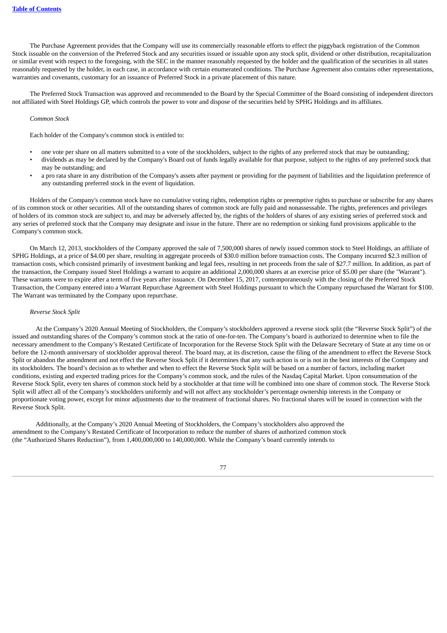The Purchase Agreement provides that the Company will use its commercially reasonable efforts to effect the piggyback registration of the Common Stock issuable on the conversion of the Preferred Stock and any securities issued or issuable upon any stock split, dividend or other distribution, recapitalization or similar event with respect to the foregoing, with the SEC in the manner reasonably requested by the holder and the qualification of the securities in all states reasonably requested by the holder, in each case, in accordance with certain enumerated conditions. The Purchase Agreement also contains other representations, warranties and covenants, customary for an issuance of Preferred Stock in a private placement of this nature.

The Preferred Stock Transaction was approved and recommended to the Board by the Special Committee of the Board consisting of independent directors not affiliated with Steel Holdings GP, which controls the power to vote and dispose of the securities held by SPHG Holdings and its affiliates.

#### *Common Stock*

Each holder of the Company's common stock is entitled to:

- one vote per share on all matters submitted to a vote of the stockholders, subject to the rights of any preferred stock that may be outstanding;
- dividends as may be declared by the Company's Board out of funds legally available for that purpose, subject to the rights of any preferred stock that may be outstanding; and
- a pro rata share in any distribution of the Company's assets after payment or providing for the payment of liabilities and the liquidation preference of any outstanding preferred stock in the event of liquidation.

Holders of the Company's common stock have no cumulative voting rights, redemption rights or preemptive rights to purchase or subscribe for any shares of its common stock or other securities. All of the outstanding shares of common stock are fully paid and nonassessable. The rights, preferences and privileges of holders of its common stock are subject to, and may be adversely affected by, the rights of the holders of shares of any existing series of preferred stock and any series of preferred stock that the Company may designate and issue in the future. There are no redemption or sinking fund provisions applicable to the Company's common stock.

On March 12, 2013, stockholders of the Company approved the sale of 7,500,000 shares of newly issued common stock to Steel Holdings, an affiliate of SPHG Holdings, at a price of \$4.00 per share, resulting in aggregate proceeds of \$30.0 million before transaction costs. The Company incurred \$2.3 million of transaction costs, which consisted primarily of investment banking and legal fees, resulting in net proceeds from the sale of \$27.7 million. In addition, as part of the transaction, the Company issued Steel Holdings a warrant to acquire an additional 2,000,000 shares at an exercise price of \$5.00 per share (the "Warrant"). These warrants were to expire after a term of five years after issuance. On December 15, 2017, contemporaneously with the closing of the Preferred Stock Transaction, the Company entered into a Warrant Repurchase Agreement with Steel Holdings pursuant to which the Company repurchased the Warrant for \$100. The Warrant was terminated by the Company upon repurchase.

#### *Reverse Stock Split*

At the Company's 2020 Annual Meeting of Stockholders, the Company's stockholders approved a reverse stock split (the "Reverse Stock Split") of the issued and outstanding shares of the Company's common stock at the ratio of one-for-ten. The Company's board is authorized to determine when to file the necessary amendment to the Company's Restated Certificate of Incorporation for the Reverse Stock Split with the Delaware Secretary of State at any time on or before the 12-month anniversary of stockholder approval thereof. The board may, at its discretion, cause the filing of the amendment to effect the Reverse Stock Split or abandon the amendment and not effect the Reverse Stock Split if it determines that any such action is or is not in the best interests of the Company and its stockholders. The board's decision as to whether and when to effect the Reverse Stock Split will be based on a number of factors, including market conditions, existing and expected trading prices for the Company's common stock, and the rules of the Nasdaq Capital Market. Upon consummation of the Reverse Stock Split, every ten shares of common stock held by a stockholder at that time will be combined into one share of common stock. The Reverse Stock Split will affect all of the Company's stockholders uniformly and will not affect any stockholder's percentage ownership interests in the Company or proportionate voting power, except for minor adjustments due to the treatment of fractional shares. No fractional shares will be issued in connection with the Reverse Stock Split.

Additionally, at the Company's 2020 Annual Meeting of Stockholders, the Company's stockholders also approved the amendment to the Company's Restated Certificate of Incorporation to reduce the number of shares of authorized common stock (the "Authorized Shares Reduction"), from 1,400,000,000 to 140,000,000. While the Company's board currently intends to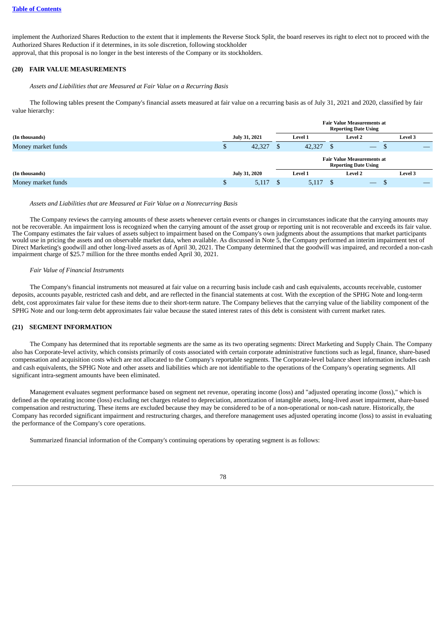implement the Authorized Shares Reduction to the extent that it implements the Reverse Stock Split, the board reserves its right to elect not to proceed with the Authorized Shares Reduction if it determines, in its sole discretion, following stockholder approval, that this proposal is no longer in the best interests of the Company or its stockholders.

# **(20) FAIR VALUE MEASUREMENTS**

#### *Assets and Liabilities that are Measured at Fair Value on a Recurring Basis*

The following tables present the Company's financial assets measured at fair value on a recurring basis as of July 31, 2021 and 2020, classified by fair value hierarchy:

|                    |   |                      | <b>Fair Value Measurements at</b><br><b>Reporting Date Using</b> |         |  |                                                                  |   |         |
|--------------------|---|----------------------|------------------------------------------------------------------|---------|--|------------------------------------------------------------------|---|---------|
| (In thousands)     |   | July 31, 2021        |                                                                  | Level 1 |  | Level 2                                                          |   | Level 3 |
| Money market funds | D | 42,327               | S                                                                | 42,327  |  | $\overline{\phantom{0}}$                                         | D |         |
|                    |   |                      |                                                                  |         |  | <b>Fair Value Measurements at</b><br><b>Reporting Date Using</b> |   |         |
| (In thousands)     |   | <b>July 31, 2020</b> |                                                                  | Level 1 |  | Level 2                                                          |   | Level 3 |
| Money market funds |   | 5,117                |                                                                  | 5,117   |  | $\overline{\phantom{a}}$                                         | D |         |

#### *Assets and Liabilities that are Measured at Fair Value on a Nonrecurring Basis*

The Company reviews the carrying amounts of these assets whenever certain events or changes in circumstances indicate that the carrying amounts may not be recoverable. An impairment loss is recognized when the carrying amount of the asset group or reporting unit is not recoverable and exceeds its fair value. The Company estimates the fair values of assets subject to impairment based on the Company's own judgments about the assumptions that market participants would use in pricing the assets and on observable market data, when available. As discussed in Note 5, the Company performed an interim impairment test of Direct Marketing's goodwill and other long-lived assets as of April 30, 2021. The Company determined that the goodwill was impaired, and recorded a non-cash impairment charge of \$25.7 million for the three months ended April 30, 2021.

#### *Fair Value of Financial Instruments*

The Company's financial instruments not measured at fair value on a recurring basis include cash and cash equivalents, accounts receivable, customer deposits, accounts payable, restricted cash and debt, and are reflected in the financial statements at cost. With the exception of the SPHG Note and long-term debt, cost approximates fair value for these items due to their short-term nature. The Company believes that the carrying value of the liability component of the SPHG Note and our long-term debt approximates fair value because the stated interest rates of this debt is consistent with current market rates.

# **(21) SEGMENT INFORMATION**

The Company has determined that its reportable segments are the same as its two operating segments: Direct Marketing and Supply Chain. The Company also has Corporate-level activity, which consists primarily of costs associated with certain corporate administrative functions such as legal, finance, share-based compensation and acquisition costs which are not allocated to the Company's reportable segments. The Corporate-level balance sheet information includes cash and cash equivalents, the SPHG Note and other assets and liabilities which are not identifiable to the operations of the Company's operating segments. All significant intra-segment amounts have been eliminated.

Management evaluates segment performance based on segment net revenue, operating income (loss) and "adjusted operating income (loss)," which is defined as the operating income (loss) excluding net charges related to depreciation, amortization of intangible assets, long-lived asset impairment, share-based compensation and restructuring. These items are excluded because they may be considered to be of a non-operational or non-cash nature. Historically, the Company has recorded significant impairment and restructuring charges, and therefore management uses adjusted operating income (loss) to assist in evaluating the performance of the Company's core operations.

Summarized financial information of the Company's continuing operations by operating segment is as follows:

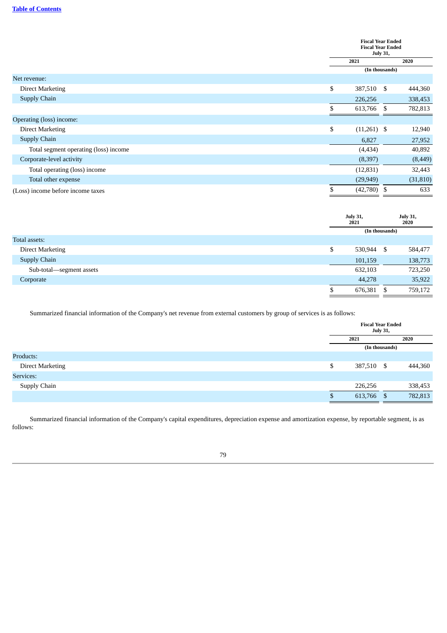|                                       | <b>Fiscal Year Ended</b><br><b>Fiscal Year Ended</b><br><b>July 31,</b> |     |           |
|---------------------------------------|-------------------------------------------------------------------------|-----|-----------|
|                                       | 2021                                                                    |     | 2020      |
|                                       | (In thousands)                                                          |     |           |
| Net revenue:                          |                                                                         |     |           |
| <b>Direct Marketing</b>               | \$<br>387,510                                                           | -\$ | 444,360   |
| <b>Supply Chain</b>                   | 226,256                                                                 |     | 338,453   |
|                                       | 613,766 \$                                                              |     | 782,813   |
| Operating (loss) income:              |                                                                         |     |           |
| <b>Direct Marketing</b>               | \$<br>$(11,261)$ \$                                                     |     | 12,940    |
| <b>Supply Chain</b>                   | 6,827                                                                   |     | 27,952    |
| Total segment operating (loss) income | (4, 434)                                                                |     | 40,892    |
| Corporate-level activity              | (8,397)                                                                 |     | (8, 449)  |
| Total operating (loss) income         | (12, 831)                                                               |     | 32,443    |
| Total other expense                   | (29, 949)                                                               |     | (31, 810) |
| (Loss) income before income taxes     | $(42,780)$ \$                                                           |     | 633       |

|                          | <b>July 31,</b><br>2021 |     | <b>July 31,</b><br>2020 |
|--------------------------|-------------------------|-----|-------------------------|
|                          | (In thousands)          |     |                         |
| Total assets:            |                         |     |                         |
| <b>Direct Marketing</b>  | \$<br>530,944           | -\$ | 584,477                 |
| <b>Supply Chain</b>      | 101,159                 |     | 138,773                 |
| Sub-total-segment assets | 632,103                 |     | 723,250                 |
| Corporate                | 44,278                  |     | 35,922                  |
|                          | 676,381                 | \$  | 759,172                 |

Summarized financial information of the Company's net revenue from external customers by group of services is as follows:

|                         | <b>Fiscal Year Ended</b><br><b>July 31,</b> |         |                |         |
|-------------------------|---------------------------------------------|---------|----------------|---------|
|                         | 2021                                        |         |                | 2020    |
|                         |                                             |         | (In thousands) |         |
| Products:               |                                             |         |                |         |
| <b>Direct Marketing</b> | \$                                          | 387,510 | $^{\circ}$     | 444,360 |
| Services:               |                                             |         |                |         |
| Supply Chain            |                                             | 226,256 |                | 338,453 |
|                         |                                             | 613,766 | - \$           | 782,813 |

Summarized financial information of the Company's capital expenditures, depreciation expense and amortization expense, by reportable segment, is as follows: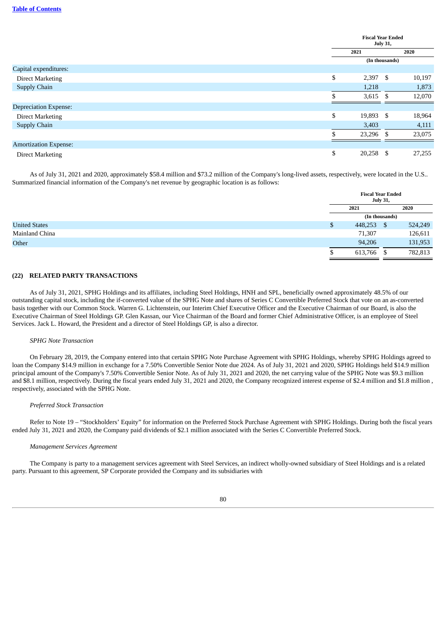|                              | <b>Fiscal Year Ended</b><br><b>July 31,</b> |  |        |
|------------------------------|---------------------------------------------|--|--------|
|                              | 2021<br>2020                                |  |        |
|                              | (In thousands)                              |  |        |
| Capital expenditures:        |                                             |  |        |
| <b>Direct Marketing</b>      | \$<br>$2,397$ \$                            |  | 10,197 |
| <b>Supply Chain</b>          | 1,218                                       |  | 1,873  |
|                              | $3,615$ \$                                  |  | 12,070 |
| <b>Depreciation Expense:</b> |                                             |  |        |
| <b>Direct Marketing</b>      | \$<br>19,893 \$                             |  | 18,964 |
| <b>Supply Chain</b>          | 3,403                                       |  | 4,111  |
|                              | 23,296 \$                                   |  | 23,075 |
| <b>Amortization Expense:</b> |                                             |  |        |
| <b>Direct Marketing</b>      | \$<br>$20,258$ \$                           |  | 27,255 |

As of July 31, 2021 and 2020, approximately \$58.4 million and \$73.2 million of the Company's long-lived assets, respectively, were located in the U.S.. Summarized financial information of the Company's net revenue by geographic location is as follows:

|                      |    | <b>Fiscal Year Ended</b> | <b>July 31,</b> |         |
|----------------------|----|--------------------------|-----------------|---------|
|                      |    | 2021                     |                 | 2020    |
|                      |    | (In thousands)           |                 |         |
| <b>United States</b> | S. | 448,253                  | - \$            | 524,249 |
| Mainland China       |    | 71,307                   |                 | 126,611 |
| Other                |    | 94,206                   |                 | 131,953 |
|                      |    | 613,766                  | -\$             | 782,813 |

## **(22) RELATED PARTY TRANSACTIONS**

As of July 31, 2021, SPHG Holdings and its affiliates, including Steel Holdings, HNH and SPL, beneficially owned approximately 48.5% of our outstanding capital stock, including the if-converted value of the SPHG Note and shares of Series C Convertible Preferred Stock that vote on an as-converted basis together with our Common Stock. Warren G. Lichtenstein, our Interim Chief Executive Officer and the Executive Chairman of our Board, is also the Executive Chairman of Steel Holdings GP. Glen Kassan, our Vice Chairman of the Board and former Chief Administrative Officer, is an employee of Steel Services. Jack L. Howard, the President and a director of Steel Holdings GP, is also a director.

#### *SPHG Note Transaction*

On February 28, 2019, the Company entered into that certain SPHG Note Purchase Agreement with SPHG Holdings, whereby SPHG Holdings agreed to loan the Company \$14.9 million in exchange for a 7.50% Convertible Senior Note due 2024. As of July 31, 2021 and 2020, SPHG Holdings held \$14.9 million principal amount of the Company's 7.50% Convertible Senior Note. As of July 31, 2021 and 2020, the net carrying value of the SPHG Note was \$9.3 million and \$8.1 million, respectively. During the fiscal years ended July 31, 2021 and 2020, the Company recognized interest expense of \$2.4 million and \$1.8 million , respectively, associated with the SPHG Note.

#### *Preferred Stock Transaction*

Refer to Note 19 – "Stockholders' Equity" for information on the Preferred Stock Purchase Agreement with SPHG Holdings. During both the fiscal years ended July 31, 2021 and 2020, the Company paid dividends of \$2.1 million associated with the Series C Convertible Preferred Stock.

#### *Management Services Agreement*

The Company is party to a management services agreement with Steel Services, an indirect wholly-owned subsidiary of Steel Holdings and is a related party. Pursuant to this agreement, SP Corporate provided the Company and its subsidiaries with

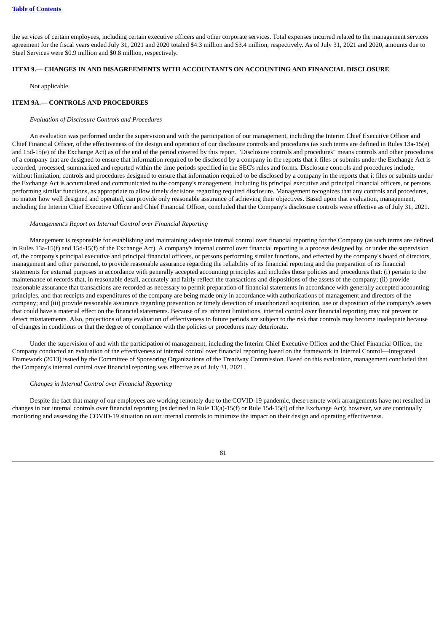the services of certain employees, including certain executive officers and other corporate services. Total expenses incurred related to the management services agreement for the fiscal years ended July 31, 2021 and 2020 totaled \$4.3 million and \$3.4 million, respectively. As of July 31, 2021 and 2020, amounts due to Steel Services were \$0.9 million and \$0.8 million, respectively.

## **ITEM 9.— CHANGES IN AND DISAGREEMENTS WITH ACCOUNTANTS ON ACCOUNTING AND FINANCIAL DISCLOSURE**

#### Not applicable.

# **ITEM 9A.— CONTROLS AND PROCEDURES**

#### *Evaluation of Disclosure Controls and Procedures*

An evaluation was performed under the supervision and with the participation of our management, including the Interim Chief Executive Officer and Chief Financial Officer, of the effectiveness of the design and operation of our disclosure controls and procedures (as such terms are defined in Rules 13a-15(e) and 15d-15(e) of the Exchange Act) as of the end of the period covered by this report. "Disclosure controls and procedures" means controls and other procedures of a company that are designed to ensure that information required to be disclosed by a company in the reports that it files or submits under the Exchange Act is recorded, processed, summarized and reported within the time periods specified in the SEC's rules and forms. Disclosure controls and procedures include, without limitation, controls and procedures designed to ensure that information required to be disclosed by a company in the reports that it files or submits under the Exchange Act is accumulated and communicated to the company's management, including its principal executive and principal financial officers, or persons performing similar functions, as appropriate to allow timely decisions regarding required disclosure. Management recognizes that any controls and procedures, no matter how well designed and operated, can provide only reasonable assurance of achieving their objectives. Based upon that evaluation, management, including the Interim Chief Executive Officer and Chief Financial Officer, concluded that the Company's disclosure controls were effective as of July 31, 2021.

#### *Management's Report on Internal Control over Financial Reporting*

Management is responsible for establishing and maintaining adequate internal control over financial reporting for the Company (as such terms are defined in Rules 13a-15(f) and 15d-15(f) of the Exchange Act). A company's internal control over financial reporting is a process designed by, or under the supervision of, the company's principal executive and principal financial officers, or persons performing similar functions, and effected by the company's board of directors, management and other personnel, to provide reasonable assurance regarding the reliability of its financial reporting and the preparation of its financial statements for external purposes in accordance with generally accepted accounting principles and includes those policies and procedures that: (i) pertain to the maintenance of records that, in reasonable detail, accurately and fairly reflect the transactions and dispositions of the assets of the company; (ii) provide reasonable assurance that transactions are recorded as necessary to permit preparation of financial statements in accordance with generally accepted accounting principles, and that receipts and expenditures of the company are being made only in accordance with authorizations of management and directors of the company; and (iii) provide reasonable assurance regarding prevention or timely detection of unauthorized acquisition, use or disposition of the company's assets that could have a material effect on the financial statements. Because of its inherent limitations, internal control over financial reporting may not prevent or detect misstatements. Also, projections of any evaluation of effectiveness to future periods are subject to the risk that controls may become inadequate because of changes in conditions or that the degree of compliance with the policies or procedures may deteriorate.

Under the supervision of and with the participation of management, including the Interim Chief Executive Officer and the Chief Financial Officer, the Company conducted an evaluation of the effectiveness of internal control over financial reporting based on the framework in Internal Control—Integrated Framework (2013) issued by the Committee of Sponsoring Organizations of the Treadway Commission. Based on this evaluation, management concluded that the Company's internal control over financial reporting was effective as of July 31, 2021.

## *Changes in Internal Control over Financial Reporting*

Despite the fact that many of our employees are working remotely due to the COVID-19 pandemic, these remote work arrangements have not resulted in changes in our internal controls over financial reporting (as defined in Rule 13(a)-15(f) or Rule 15d-15(f) of the Exchange Act); however, we are continually monitoring and assessing the COVID-19 situation on our internal controls to minimize the impact on their design and operating effectiveness.

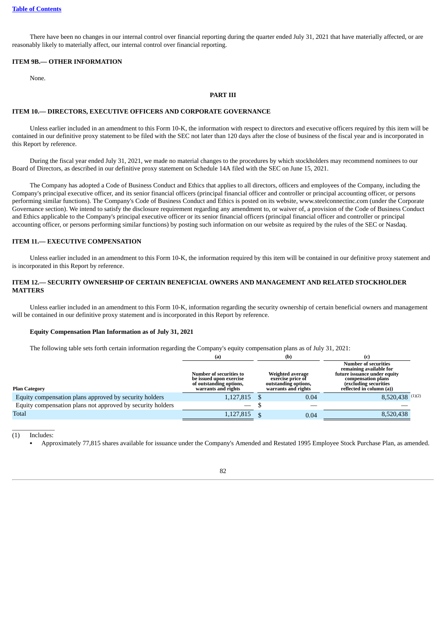There have been no changes in our internal control over financial reporting during the quarter ended July 31, 2021 that have materially affected, or are reasonably likely to materially affect, our internal control over financial reporting.

# **ITEM 9B.— OTHER INFORMATION**

None.

#### **PART III**

#### **ITEM 10.— DIRECTORS, EXECUTIVE OFFICERS AND CORPORATE GOVERNANCE**

Unless earlier included in an amendment to this Form 10-K, the information with respect to directors and executive officers required by this item will be contained in our definitive proxy statement to be filed with the SEC not later than 120 days after the close of business of the fiscal year and is incorporated in this Report by reference.

During the fiscal year ended July 31, 2021, we made no material changes to the procedures by which stockholders may recommend nominees to our Board of Directors, as described in our definitive proxy statement on Schedule 14A filed with the SEC on June 15, 2021.

The Company has adopted a Code of Business Conduct and Ethics that applies to all directors, officers and employees of the Company, including the Company's principal executive officer, and its senior financial officers (principal financial officer and controller or principal accounting officer, or persons performing similar functions). The Company's Code of Business Conduct and Ethics is posted on its website, www.steelconnectinc.com (under the Corporate Governance section). We intend to satisfy the disclosure requirement regarding any amendment to, or waiver of, a provision of the Code of Business Conduct and Ethics applicable to the Company's principal executive officer or its senior financial officers (principal financial officer and controller or principal accounting officer, or persons performing similar functions) by posting such information on our website as required by the rules of the SEC or Nasdaq.

## **ITEM 11.— EXECUTIVE COMPENSATION**

Unless earlier included in an amendment to this Form 10-K, the information required by this item will be contained in our definitive proxy statement and is incorporated in this Report by reference.

## **ITEM 12.— SECURITY OWNERSHIP OF CERTAIN BENEFICIAL OWNERS AND MANAGEMENT AND RELATED STOCKHOLDER MATTERS**

Unless earlier included in an amendment to this Form 10-K, information regarding the security ownership of certain beneficial owners and management will be contained in our definitive proxy statement and is incorporated in this Report by reference.

#### **Equity Compensation Plan Information as of July 31, 2021**

The following table sets forth certain information regarding the Company's equity compensation plans as of July 31, 2021:

|                                                            | (a)                                                                                                         | (b)                                                                                  |                                                                                                                                                                    |  |
|------------------------------------------------------------|-------------------------------------------------------------------------------------------------------------|--------------------------------------------------------------------------------------|--------------------------------------------------------------------------------------------------------------------------------------------------------------------|--|
| <b>Plan Category</b>                                       | <b>Number of securities to</b><br>be issued upon exercise<br>of outstanding options,<br>warrants and rights | Weighted average<br>exercise price of<br>outstanding options,<br>warrants and rights | <b>Number of securities</b><br>remaining available for<br>future issuance under equity<br>compensation plans<br>(excluding securities)<br>reflected in column (a)) |  |
| Equity compensation plans approved by security holders     | 1,127,815                                                                                                   | 0.04                                                                                 | $8,520,438$ <sup>(1)(2)</sup>                                                                                                                                      |  |
| Equity compensation plans not approved by security holders |                                                                                                             |                                                                                      |                                                                                                                                                                    |  |
| <b>Total</b>                                               | 1,127,815                                                                                                   | 0.04                                                                                 | 8,520,438                                                                                                                                                          |  |

 $\overline{\phantom{a}}$ (1) Includes:

▪ Approximately 77,815 shares available for issuance under the Company's Amended and Restated 1995 Employee Stock Purchase Plan, as amended.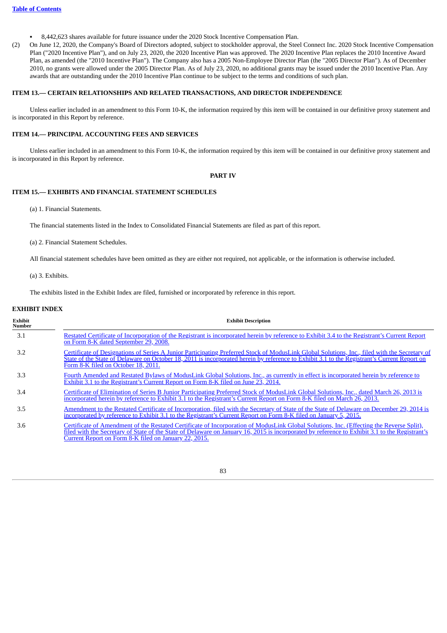- 8,442,623 shares available for future issuance under the 2020 Stock Incentive Compensation Plan.
- (2) On June 12, 2020, the Company's Board of Directors adopted, subject to stockholder approval, the Steel Connect Inc. 2020 Stock Incentive Compensation Plan ("2020 Incentive Plan"), and on July 23, 2020, the 2020 Incentive Plan was approved. The 2020 Incentive Plan replaces the 2010 Incentive Award Plan, as amended (the "2010 Incentive Plan"). The Company also has a 2005 Non-Employee Director Plan (the "2005 Director Plan"). As of December 2010, no grants were allowed under the 2005 Director Plan. As of July 23, 2020, no additional grants may be issued under the 2010 Incentive Plan. Any awards that are outstanding under the 2010 Incentive Plan continue to be subject to the terms and conditions of such plan.

#### **ITEM 13.— CERTAIN RELATIONSHIPS AND RELATED TRANSACTIONS, AND DIRECTOR INDEPENDENCE**

Unless earlier included in an amendment to this Form 10-K, the information required by this item will be contained in our definitive proxy statement and is incorporated in this Report by reference.

## **ITEM 14.— PRINCIPAL ACCOUNTING FEES AND SERVICES**

Unless earlier included in an amendment to this Form 10-K, the information required by this item will be contained in our definitive proxy statement and is incorporated in this Report by reference.

#### **PART IV**

#### **ITEM 15.— EXHIBITS AND FINANCIAL STATEMENT SCHEDULES**

(a) 1. Financial Statements.

The financial statements listed in the Index to Consolidated Financial Statements are filed as part of this report.

(a) 2. Financial Statement Schedules.

All financial statement schedules have been omitted as they are either not required, not applicable, or the information is otherwise included.

#### (a) 3. Exhibits.

The exhibits listed in the Exhibit Index are filed, furnished or incorporated by reference in this report.

# **EXHIBIT INDEX**

| Exhibit<br>Number | <b>Exhibit Description</b>                                                                                                                                                                                                                                                                                                                                 |
|-------------------|------------------------------------------------------------------------------------------------------------------------------------------------------------------------------------------------------------------------------------------------------------------------------------------------------------------------------------------------------------|
| 3.1               | Restated Certificate of Incorporation of the Registrant is incorporated herein by reference to Exhibit 3.4 to the Registrant's Current Report<br>on Form 8-K dated September 29, 2008.                                                                                                                                                                     |
| 3.2               | Certificate of Designations of Series A Junior Participating Preferred Stock of ModusLink Global Solutions, Inc., filed with the Secretary of<br>State of the State of Delaware on October 18, 2011 is incorporated herein by reference to Exhibit 3.1 to the Registrant's Current Report on<br>Form 8-K filed on October 18, 2011.                        |
| 3.3               | Fourth Amended and Restated Bylaws of ModusLink Global Solutions, Inc., as currently in effect is incorporated herein by reference to<br>Exhibit 3.1 to the Registrant's Current Report on Form 8-K filed on June 23, 2014.                                                                                                                                |
| 3.4               | Certificate of Elimination of Series B Junior Participating Preferred Stock of ModusLink Global Solutions, Inc., dated March 26, 2013 is<br>incorporated herein by reference to Exhibit 3.1 to the Registrant's Current Report on Form 8-K filed on March 26, 2013.                                                                                        |
| 3.5               | Amendment to the Restated Certificate of Incorporation, filed with the Secretary of State of the State of Delaware on December 29, 2014 is incorporated by reference to Exhibit 3.1 to the Registrant's Current Report on Form                                                                                                                             |
| 3.6               | Certificate of Amendment of the Restated Certificate of Incorporation of ModusLink Global Solutions, Inc. (Effecting the Reverse Split),<br><u>filed with the Secretary of State of the State of Delaware on January 16, 2015 is incorporated by reference to Exhibit 3.1 to the Registrant's</u><br>Current Report on Form 8-K filed on January 22, 2015. |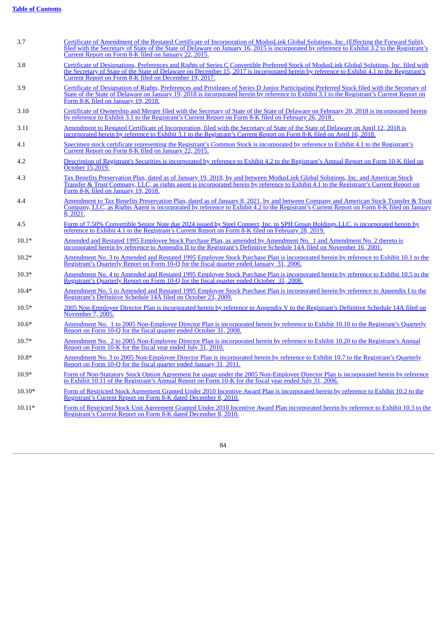| 3.7      | Certificate of Amendment of the Restated Certificate of Incorporation of ModusLink Global Solutions, Inc. (Effecting the Forward Split),<br>filed with the Secretary of State of the State of Delaware on January 16, 2015 is incorporated by reference to Exhibit 3.2 to the Registrant's<br>Current Report on Form 8-K filed on January 22, 2015. |
|----------|-----------------------------------------------------------------------------------------------------------------------------------------------------------------------------------------------------------------------------------------------------------------------------------------------------------------------------------------------------|
| 3.8      | Certificate of Designations, Preferences and Rights of Series C Convertible Preferred Stock of ModusLink Global Solutions, Inc. filed with<br>the Secretary of State of the State of Delaware on December 15, 2017 is incorporated herein by reference to Exhibit 4.1 to the Registrant's<br>Current Report on Form 8-K filed on December 19, 2017. |
| 3.9      | Certificate of Designation of Rights, Preferences and Privileges of Series D Junior Participating Preferred Stock filed with the Secretary of<br>State of the State of Delaware on January 19, 2018 is incorporated herein by reference to Exhibit 3.1 to the Registrant's Current Report on<br>Form 8-K filed on January 19, 2018.                 |
| 3.10     | Certificate of Ownership and Merger filed with the Secretary of State of the State of Delaware on February 20, 2018 is incorporated herein<br>by reference to Exhibit 3.1 to the Registrant's Current Report on Form 8-K filed on February 26, 2018.                                                                                                |
| 3.11     | Amendment to Restated Certificate of Incorporation, filed with the Secretary of State of the State of Delaware on April 12, 2018 is<br>incorporated herein by reference to Exhibit 3.1 to the Registrant's Current Report on Form 8-K filed on April 16, 2018.                                                                                      |
| 4.1      | Specimen stock certificate representing the Registrant's Common Stock is incorporated by reference to Exhibit 4.1 to the Registrant's<br>Current Report on Form 8-K filed on January 22, 2015.                                                                                                                                                      |
| 4.2      | Description of Registrant's Securities is incorporated by reference to Exhibit 4.2 to the Registrant's Annual Report on Form 10-K filed on<br>October 15,2019.                                                                                                                                                                                      |
| 4.3      | Tax Benefits Preservation Plan, dated as of January 19, 2018, by and between ModusLink Global Solutions, Inc. and American Stock<br>Transfer & Trust Company, LLC, as rights agent is incorporated herein by reference to Exhibit 4.1 to the Registrant's Current Report on<br>Form 8-K filed on January 19, 2018.                                  |
| 4.4      | Amendment to Tax Benefits Preservation Plan, dated as of January 8, 2021, by and between Company and American Stock Transfer & Trust<br>Company, LLC, as Rights Agent is incorporated by reference to Exhibit 4.2 to the Registrant's Current Report on Form 8-K filed on January<br>8, 2021.                                                       |
| 4.5      | Form of 7.50% Convertible Senior Note due 2024 issued by Steel Connect, Inc. to SPH Group Holdings LLC. is incorporated herein by<br>reference to Exhibit 4.1 to the Registrant's Current Report on Form 8-K filed on February 28, 2019.                                                                                                            |
| $10.1*$  | Amended and Restated 1995 Employee Stock Purchase Plan, as amended by Amendment No. 1 and Amendment No. 2 thereto is<br>incorporated herein by reference to Appendix II to the Registrant's Definitive Schedule 14A filed on November 16, 2001.                                                                                                     |
| $10.2*$  | Amendment No. 3 to Amended and Restated 1995 Employee Stock Purchase Plan is incorporated herein by reference to Exhibit 10.1 to the<br>Registrant's Quarterly Report on Form 10-Q for the fiscal quarter ended January 31, 2006.                                                                                                                   |
| $10.3*$  | Amendment No. 4 to Amended and Restated 1995 Employee Stock Purchase Plan is incorporated herein by reference to Exhibit 10.5 to the<br>Registrant's Quarterly Report on Form 10-Q for the fiscal quarter ended October 31, 2008.                                                                                                                   |
| $10.4*$  | Amendment No. 5 to Amended and Restated 1995 Employee Stock Purchase Plan is incorporated herein by reference to Appendix I to the<br>Registrant's Definitive Schedule 14A filed on October 23, 2009.                                                                                                                                               |
| $10.5*$  | 2005 Non-Employee Director Plan is incorporated herein by reference to Appendix V to the Registrant's Definitive Schedule 14A filed on<br>November 7, 2005.                                                                                                                                                                                         |
| $10.6*$  | Amendment No. 1 to 2005 Non-Employee Director Plan is incorporated herein by reference to Exhibit 10.10 to the Registrant's Quarterly<br>Report on Form 10-Q for the fiscal quarter ended October 31, 2008.                                                                                                                                         |
| $10.7*$  | Amendment No. 2 to 2005 Non-Employee Director Plan is incorporated herein by reference to Exhibit 10.20 to the Registrant's Annual<br>Report on Form 10-K for the fiscal year ended July 31, 2010.                                                                                                                                                  |
| $10.8*$  | Amendment No. 3 to 2005 Non-Employee Director Plan is incorporated herein by reference to Exhibit 10.7 to the Registrant's Quarterly<br>Report on Form 10-Q for the fiscal quarter ended January 31, 2011.                                                                                                                                          |
| $10.9*$  | Form of Non-Statutory Stock Option Agreement for usage under the 2005 Non-Employee Director Plan is incorporated herein by reference<br>to Exhibit 10.11 of the Registrant's Annual Report on Form 10-K for the fiscal year ended July 31, 2006.                                                                                                    |
| $10.10*$ | Form of Restricted Stock Agreement Granted Under 2010 Incentive Award Plan is incorporated herein by reference to Exhibit 10.2 to the<br>Registrant's Current Report on Form 8-K dated December 8, 2010.                                                                                                                                            |
| $10.11*$ | Form of Restricted Stock Unit Agreement Granted Under 2010 Incentive Award Plan incorporated herein by reference to Exhibit 10.3 to the<br>Registrant's Current Report on Form 8-K dated December 8, 2010.                                                                                                                                          |
|          |                                                                                                                                                                                                                                                                                                                                                     |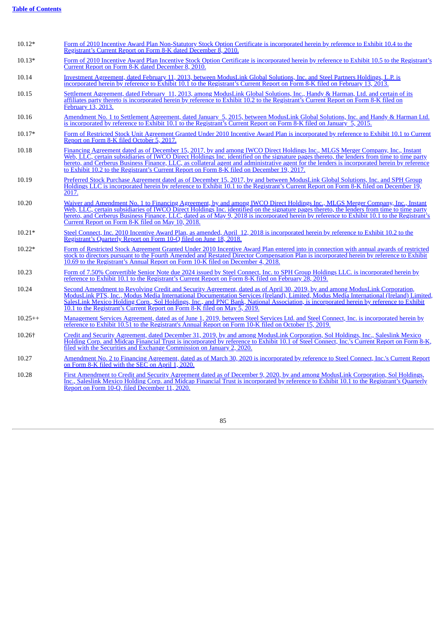| $10.12*$  | Form of 2010 Incentive Award Plan Non-Statutory Stock Option Certificate is incorporated herein by reference to Exhibit 10.4 to the<br>Registrant's Current Report on Form 8-K dated December 8, 2010.                                                                                                                                                                                                                                                                                                                    |
|-----------|---------------------------------------------------------------------------------------------------------------------------------------------------------------------------------------------------------------------------------------------------------------------------------------------------------------------------------------------------------------------------------------------------------------------------------------------------------------------------------------------------------------------------|
| $10.13*$  | Form of 2010 Incentive Award Plan Incentive Stock Option Certificate is incorporated herein by reference to Exhibit 10.5 to the Registrant's<br>Current Report on Form 8-K dated December 8, 2010.                                                                                                                                                                                                                                                                                                                        |
| 10.14     | Investment Agreement, dated February 11, 2013, between ModusLink Global Solutions, Inc. and Steel Partners Holdings, L.P. is<br>incorporated herein by reference to Exhibit 10.1 to the Registrant's Current Report on Form 8-K filed on February 13, 2013.                                                                                                                                                                                                                                                               |
| 10.15     | Settlement Agreement, dated February 11, 2013, among ModusLink Global Solutions, Inc., Handy & Harman, Ltd. and certain of its<br>affiliates party thereto is incorporated herein by reference to Exhibit 10.2 to the Registrant's Current Report on Form 8-K filed on<br>February 13, 2013.                                                                                                                                                                                                                              |
| 10.16     | Amendment No. 1 to Settlement Agreement, dated January 5, 2015, between ModusLink Global Solutions, Inc. and Handy & Harman Ltd.<br>is incorporated by reference to Exhibit 10.1 to the Registrant's Current Report on Form 8-K filed on January 5, 2015.                                                                                                                                                                                                                                                                 |
| $10.17*$  | Form of Restricted Stock Unit Agreement Granted Under 2010 Incentive Award Plan is incorporated by reference to Exhibit 10.1 to Current<br>Report on Form 8-K filed October 5, 2017.                                                                                                                                                                                                                                                                                                                                      |
| 10.18     | Financing Agreement dated as of December 15, 2017, by and among IWCO Direct Holdings Inc., MLGS Merger Company, Inc., Instant<br>Web, LLC, certain subsidiaries of IWCO Direct Holdings Inc. identified on the signature pages thereto, the lenders from time to time party<br>hereto, and Cerberus Business Finance, LLC, as collateral agent and administrative agent for the lenders is incorporated herein by reference<br>to Exhibit 10.2 to the Registrant's Current Report on Form 8-K filed on December 19, 2017. |
| 10.19     | Preferred Stock Purchase Agreement dated as of December 15, 2017, by and between ModusLink Global Solutions, Inc. and SPH Group<br>Holdings LLC is incorporated herein by reference to Exhibit 10.1 to the Registrant's Current Report on Form 8-K filed on December 19.<br>2017.                                                                                                                                                                                                                                         |
| 10.20     | Waiver and Amendment No. 1 to Financing Agreement, by and among IWCO Direct Holdings Inc., MLGS Merger Company, Inc., Instant<br>Web, LLC, certain subsidiaries of IWCO Direct Holdings Inc. identified on the signature pages thereto, the lenders from time to time party<br>hereto, and Cerberus Business Finance, LLC, dated as of May 9, 2018 is incorporated herein by reference to Exhibit 10.1 to the Registrant's<br>Current Report on Form 8-K filed on May 10, 2018.                                           |
| $10.21*$  | Steel Connect, Inc. 2010 Incentive Award Plan, as amended, April 12, 2018 is incorporated herein by reference to Exhibit 10.2 to the<br><u>Registrant's Quarterly Report on Form 10-Q filed on June 18, 2018.</u>                                                                                                                                                                                                                                                                                                         |
| $10.22*$  | Form of Restricted Stock Agreement Granted Under 2010 Incentive Award Plan entered into in connection with annual awards of restricted<br>stock to directors pursuant to the Fourth Amended and Restated Director Compensation Plan is incorporated herein by reference to Exhibit<br>10.69 to the Registrant's Annual Report on Form 10-K filed on December 4, 2018.                                                                                                                                                     |
| 10.23     | Form of 7.50% Convertible Senior Note due 2024 issued by Steel Connect, Inc. to SPH Group Holdings LLC. is incorporated herein by<br>reference to Exhibit 10.1 to the Registrant's Current Report on Form 8-K filed on February 28, 2019.                                                                                                                                                                                                                                                                                 |
| 10.24     | Second Amendment to Revolving Credit and Security Agreement, dated as of April 30, 2019, by and among ModusLink Corporation,<br>ModusLink PTS, Inc., Modus Media International Documentation Services (Ireland), Limited, Modus Media International (Ireland) Limited<br>SalesLink Mexico Holding Corp., Sol Holdings, Inc., and PNC Bank, National Association, is incorporated herein by reference to Exhibit<br>10.1 to the Registrant's Current Report on Form 8-K filed on May 5, 2019.                              |
| $10.25++$ | Management Services Agreement, dated as of June 1, 2019, between Steel Services Ltd. and Steel Connect, Inc. is incorporated herein by<br>reference to Exhibit 10.51 to the Registrant's Annual Report on Form 10-K filed on October 15, 2019.                                                                                                                                                                                                                                                                            |
| 10.26†    | Credit and Security Agreement, dated December 31, 2019, by and among ModusLink Corporation, Sol Holdings, Inc., Saleslink Mexico<br>Holding Corp. and Midcap Financial Trust is incorporated by reference to Exhibit 10.1 of Steel Connect, Inc.'s Current Report on Form 8-K,<br>filed with the Securities and Exchange Commission on January 2, 2020.                                                                                                                                                                   |
| 10.27     | Amendment No. 2 to Financing Agreement, dated as of March 30, 2020 is incorporated by reference to Steel Connect, Inc.'s Current Report<br>on Form 8-K filed with the SEC on April 1, 2020.                                                                                                                                                                                                                                                                                                                               |
| 10.28     | First Amendment to Credit and Security Agreement dated as of December 9, 2020, by and among ModusLink Corporation, Sol Holdings,<br>Inc., Saleslink Mexico Holding Corp. and Midcap Financial Trust is incorporated by reference to Exhibit 10.1 to the Registrant's Quarterly<br>Report on Form 10-O, filed December 11, 2020.                                                                                                                                                                                           |
|           |                                                                                                                                                                                                                                                                                                                                                                                                                                                                                                                           |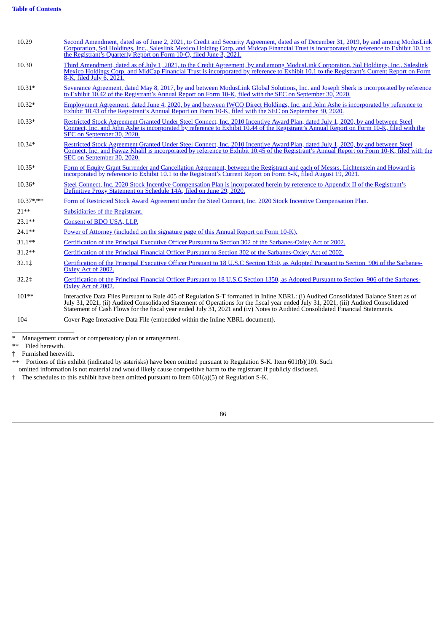# **Table of [Contents](#page-1-0)**

| 10.29             | Second Amendment, dated as of June 2, 2021, to Credit and Security Agreement, dated as of December 31, 2019, by and among ModusLink<br>Corporation, Sol Holdings, Inc., Saleslink Mexico Holding Corp. and Midcap Financial Trust is incorporated by reference to Exhibit 10.1 to<br>the Registrant's Quarterly Report on Form 10-Q, filed June 3, 2021.                                                     |
|-------------------|--------------------------------------------------------------------------------------------------------------------------------------------------------------------------------------------------------------------------------------------------------------------------------------------------------------------------------------------------------------------------------------------------------------|
| 10.30             | Third Amendment, dated as of July 1, 2021, to the Credit Agreement, by and among ModusLink Corporation, Sol Holdings, Inc., Saleslink<br>Mexico Holdings Corp. and MidCap Financial Trust is incorporated by reference to Exhibit 10.1 to the Registrant's Current Report on Form<br>8-K, filed July 6, 2021.                                                                                                |
| $10.31*$          | Severance Agreement, dated May 8, 2017, by and between ModusLink Global Solutions, Inc. and Joseph Sherk is incorporated by reference<br>to Exhibit 10.42 of the Registrant's Annual Report on Form 10-K, filed with the SEC on September 30, 2020.                                                                                                                                                          |
| $10.32*$          | Employment Agreement, dated June 4, 2020, by and between IWCO Direct Holdings, Inc. and John Ashe is incorporated by reference to<br>Exhibit 10.43 of the Registrant's Annual Report on Form 10-K, filed with the SEC on September 30, 2020.                                                                                                                                                                 |
| $10.33*$          | Restricted Stock Agreement Granted Under Steel Connect, Inc. 2010 Incentive Award Plan, dated July 1, 2020, by and between Steel<br>Connect, Inc. and John Ashe is incorporated by reference to Exhibit 10.44 of the Registrant's Annual Report on Form 10-K, filed with the<br>SEC on September 30, 2020.                                                                                                   |
| $10.34*$          | Restricted Stock Agreement Granted Under Steel Connect, Inc. 2010 Incentive Award Plan, dated July 1, 2020, by and between Steel<br>Connect, Inc. and Fawaz Khalil is incorporated by reference to Exhibit 10.45 of the Registrant's Annual Report on Form 10-K, filed with the<br>SEC on September 30, 2020.                                                                                                |
| $10.35*$          | Form of Equity Grant Surrender and Cancellation Agreement, between the Registrant and each of Messrs. Lichtenstein and Howard is<br>incorporated by reference to Exhibit 10.1 to the Registrant's Current Report on Form 8-K, filed August 19, 2021.                                                                                                                                                         |
| $10.36*$          | Steel Connect, Inc. 2020 Stock Incentive Compensation Plan is incorporated herein by reference to Appendix II of the Registrant's<br>Definitive Proxy Statement on Schedule 14A, filed on June 29, 2020.                                                                                                                                                                                                     |
| $10.37^*/**$      | Form of Restricted Stock Award Agreement under the Steel Connect, Inc. 2020 Stock Incentive Compensation Plan.                                                                                                                                                                                                                                                                                               |
| $21***$           | Subsidiaries of the Registrant.                                                                                                                                                                                                                                                                                                                                                                              |
| $23.1**$          | Consent of BDO USA, LLP.                                                                                                                                                                                                                                                                                                                                                                                     |
| $24.1**$          | Power of Attorney (included on the signature page of this Annual Report on Form 10-K).                                                                                                                                                                                                                                                                                                                       |
| $31.1***$         | Certification of the Principal Executive Officer Pursuant to Section 302 of the Sarbanes-Oxley Act of 2002.                                                                                                                                                                                                                                                                                                  |
| $31.2**$          | Certification of the Principal Financial Officer Pursuant to Section 302 of the Sarbanes-Oxley Act of 2002.                                                                                                                                                                                                                                                                                                  |
| $32.1\pm$         | Certification of the Principal Executive Officer Pursuant to 18 U.S.C Section 1350, as Adopted Pursuant to Section 906 of the Sarbanes-<br>Oxley Act of 2002.                                                                                                                                                                                                                                                |
| 32.2 <sup>‡</sup> | Certification of the Principal Financial Officer Pursuant to 18 U.S.C Section 1350, as Adopted Pursuant to Section 906 of the Sarbanes-<br>Oxley Act of 2002.                                                                                                                                                                                                                                                |
| $101**$           | Interactive Data Files Pursuant to Rule 405 of Regulation S-T formatted in Inline XBRL: (i) Audited Consolidated Balance Sheet as of<br>July 31, 2021, (ii) Audited Consolidated Statement of Operations for the fiscal year ended July 31, 2021, (iii) Audited Consolidated<br>Statement of Cash Flows for the fiscal year ended July 31, 2021 and (iv) Notes to Audited Consolidated Financial Statements. |
| 104               | Cover Page Interactive Data File (embedded within the Inline XBRL document).                                                                                                                                                                                                                                                                                                                                 |
|                   |                                                                                                                                                                                                                                                                                                                                                                                                              |

omitted information is not material and would likely cause competitive harm to the registrant if publicly disclosed.

† The schedules to this exhibit have been omitted pursuant to Item 601(a)(5) of Regulation S-K.

<sup>\*</sup> Management contract or compensatory plan or arrangement.

<sup>\*\*</sup> Filed herewith.

<sup>‡</sup> Furnished herewith.

<sup>++</sup> Portions of this exhibit (indicated by asterisks) have been omitted pursuant to Regulation S-K. Item 601(b)(10). Such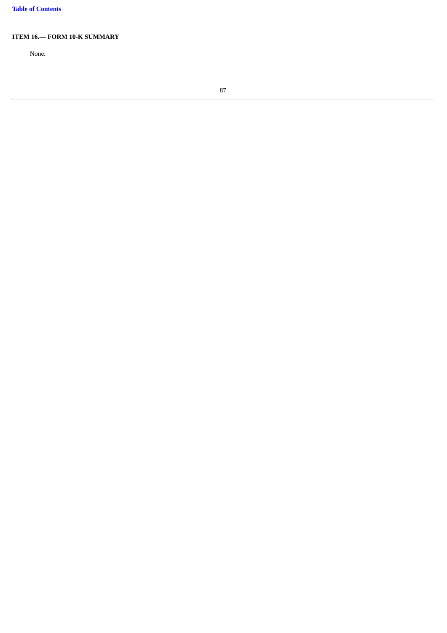# **ITEM 16.— FORM 10-K SUMMARY**

<span id="page-89-0"></span>None.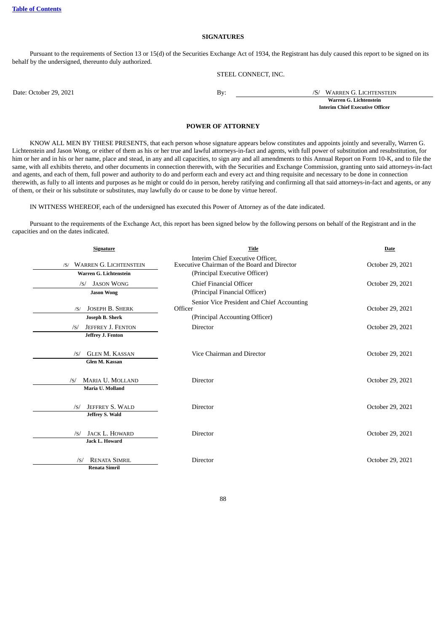## **SIGNATURES**

Pursuant to the requirements of Section 13 or 15(d) of the Securities Exchange Act of 1934, the Registrant has duly caused this report to be signed on its behalf by the undersigned, thereunto duly authorized.

STEEL CONNECT, INC.

Date: October 29, 2021 **By:** /S/ WARREN G. LICHTENSTEIN **Warren G. Lichtenstein**

**Interim Chief Executive Officer**

### **POWER OF ATTORNEY**

KNOW ALL MEN BY THESE PRESENTS, that each person whose signature appears below constitutes and appoints jointly and severally, Warren G. Lichtenstein and Jason Wong, or either of them as his or her true and lawful attorneys-in-fact and agents, with full power of substitution and resubstitution, for him or her and in his or her name, place and stead, in any and all capacities, to sign any and all amendments to this Annual Report on Form 10-K, and to file the same, with all exhibits thereto, and other documents in connection therewith, with the Securities and Exchange Commission, granting unto said attorneys-in-fact and agents, and each of them, full power and authority to do and perform each and every act and thing requisite and necessary to be done in connection therewith, as fully to all intents and purposes as he might or could do in person, hereby ratifying and confirming all that said attorneys-in-fact and agents, or any of them, or their or his substitute or substitutes, may lawfully do or cause to be done by virtue hereof.

IN WITNESS WHEREOF, each of the undersigned has executed this Power of Attorney as of the date indicated.

Pursuant to the requirements of the Exchange Act, this report has been signed below by the following persons on behalf of the Registrant and in the capacities and on the dates indicated.

| <b>Signature</b>                                                                                         | <b>Title</b>                                                                                                      | <b>Date</b>                          |
|----------------------------------------------------------------------------------------------------------|-------------------------------------------------------------------------------------------------------------------|--------------------------------------|
| <b>WARREN G. LICHTENSTEIN</b><br>/S/<br>Warren G. Lichtenstein                                           | Interim Chief Executive Officer,<br>Executive Chairman of the Board and Director<br>(Principal Executive Officer) | October 29, 2021                     |
| <b>JASON WONG</b><br>/S/<br><b>Jason Wong</b>                                                            | Chief Financial Officer<br>(Principal Financial Officer)                                                          | October 29, 2021                     |
| <b>JOSEPH B. SHERK</b><br>/S/<br>Joseph B. Sherk<br>JEFFREY J. FENTON<br>$\sqrt{s}$<br>Jeffrey J. Fenton | Senior Vice President and Chief Accounting<br>Officer<br>(Principal Accounting Officer)<br><b>Director</b>        | October 29, 2021<br>October 29, 2021 |
| <b>GLEN M. KASSAN</b><br>/S/<br><b>Glen M. Kassan</b>                                                    | Vice Chairman and Director                                                                                        | October 29, 2021                     |
| <b>MARIA U. MOLLAND</b><br>/S/<br>Maria U. Molland                                                       | Director                                                                                                          | October 29, 2021                     |
| JEFFREY S. WALD<br>/S/<br><b>Jeffrey S. Wald</b>                                                         | Director                                                                                                          | October 29, 2021                     |
| <b>JACK L. HOWARD</b><br>/S/<br><b>Jack L. Howard</b>                                                    | Director                                                                                                          | October 29, 2021                     |
| <b>RENATA SIMRIL</b><br>/S/<br><b>Renata Simril</b>                                                      | Director                                                                                                          | October 29, 2021                     |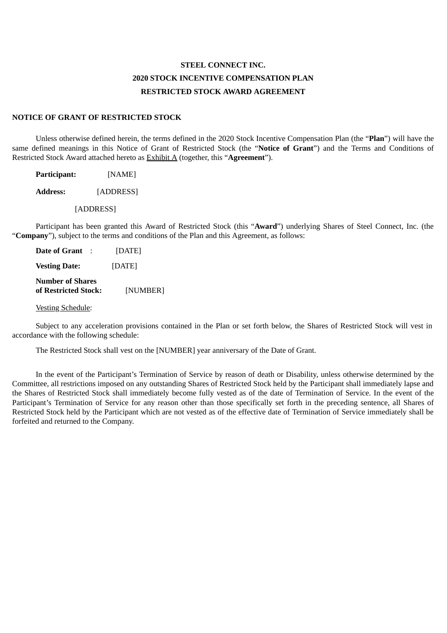# **STEEL CONNECT INC. 2020 STOCK INCENTIVE COMPENSATION PLAN RESTRICTED STOCK AWARD AGREEMENT**

# <span id="page-91-0"></span>**NOTICE OF GRANT OF RESTRICTED STOCK**

Unless otherwise defined herein, the terms defined in the 2020 Stock Incentive Compensation Plan (the "**Plan**") will have the same defined meanings in this Notice of Grant of Restricted Stock (the "**Notice of Grant**") and the Terms and Conditions of Restricted Stock Award attached hereto as Exhibit A (together, this "**Agreement**").

| Participant:    | [NAME]    |
|-----------------|-----------|
| <b>Address:</b> | [ADDRESS] |

[ADDRESS]

Participant has been granted this Award of Restricted Stock (this "**Award**") underlying Shares of Steel Connect, Inc. (the "**Company**"), subject to the terms and conditions of the Plan and this Agreement, as follows:

| Date of Grant                                   | [DATE]   |
|-------------------------------------------------|----------|
| <b>Vesting Date:</b>                            | [DATE]   |
| <b>Number of Shares</b><br>of Restricted Stock: | [NUMBER] |

# Vesting Schedule:

Subject to any acceleration provisions contained in the Plan or set forth below, the Shares of Restricted Stock will vest in accordance with the following schedule:

The Restricted Stock shall vest on the [NUMBER] year anniversary of the Date of Grant.

In the event of the Participant's Termination of Service by reason of death or Disability, unless otherwise determined by the Committee, all restrictions imposed on any outstanding Shares of Restricted Stock held by the Participant shall immediately lapse and the Shares of Restricted Stock shall immediately become fully vested as of the date of Termination of Service. In the event of the Participant's Termination of Service for any reason other than those specifically set forth in the preceding sentence, all Shares of Restricted Stock held by the Participant which are not vested as of the effective date of Termination of Service immediately shall be forfeited and returned to the Company.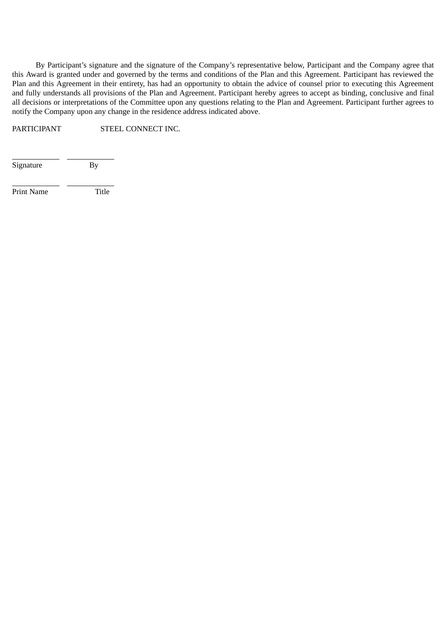By Participant's signature and the signature of the Company's representative below, Participant and the Company agree that this Award is granted under and governed by the terms and conditions of the Plan and this Agreement. Participant has reviewed the Plan and this Agreement in their entirety, has had an opportunity to obtain the advice of counsel prior to executing this Agreement and fully understands all provisions of the Plan and Agreement. Participant hereby agrees to accept as binding, conclusive and final all decisions or interpretations of the Committee upon any questions relating to the Plan and Agreement. Participant further agrees to notify the Company upon any change in the residence address indicated above.

PARTICIPANT STEEL CONNECT INC.

 $\overline{a}$ Signature By

Print Name Title

 $\overline{a}$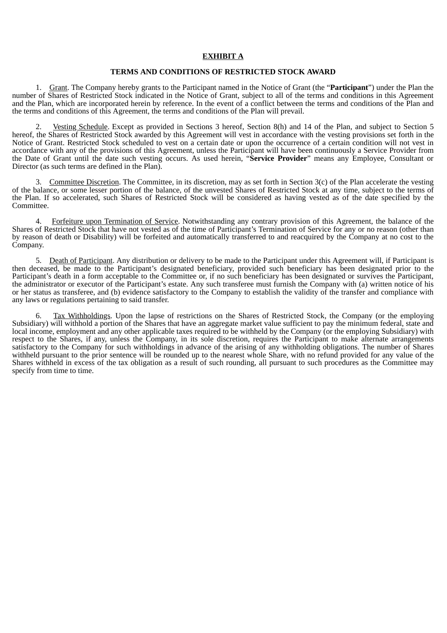# **EXHIBIT A**

# **TERMS AND CONDITIONS OF RESTRICTED STOCK AWARD**

1. Grant. The Company hereby grants to the Participant named in the Notice of Grant (the "**Participant**") under the Plan the number of Shares of Restricted Stock indicated in the Notice of Grant, subject to all of the terms and conditions in this Agreement and the Plan, which are incorporated herein by reference. In the event of a conflict between the terms and conditions of the Plan and the terms and conditions of this Agreement, the terms and conditions of the Plan will prevail.

2. Vesting Schedule. Except as provided in Sections 3 hereof, Section 8(h) and 14 of the Plan, and subject to Section 5 hereof, the Shares of Restricted Stock awarded by this Agreement will vest in accordance with the vesting provisions set forth in the Notice of Grant. Restricted Stock scheduled to vest on a certain date or upon the occurrence of a certain condition will not vest in accordance with any of the provisions of this Agreement, unless the Participant will have been continuously a Service Provider from the Date of Grant until the date such vesting occurs. As used herein, "**Service Provider**" means any Employee, Consultant or Director (as such terms are defined in the Plan).

3. Committee Discretion. The Committee, in its discretion, may as set forth in Section 3(c) of the Plan accelerate the vesting of the balance, or some lesser portion of the balance, of the unvested Shares of Restricted Stock at any time, subject to the terms of the Plan. If so accelerated, such Shares of Restricted Stock will be considered as having vested as of the date specified by the Committee.

4. Forfeiture upon Termination of Service. Notwithstanding any contrary provision of this Agreement, the balance of the Shares of Restricted Stock that have not vested as of the time of Participant's Termination of Service for any or no reason (other than by reason of death or Disability) will be forfeited and automatically transferred to and reacquired by the Company at no cost to the Company.

5. Death of Participant. Any distribution or delivery to be made to the Participant under this Agreement will, if Participant is then deceased, be made to the Participant's designated beneficiary, provided such beneficiary has been designated prior to the Participant's death in a form acceptable to the Committee or, if no such beneficiary has been designated or survives the Participant, the administrator or executor of the Participant's estate. Any such transferee must furnish the Company with (a) written notice of his or her status as transferee, and (b) evidence satisfactory to the Company to establish the validity of the transfer and compliance with any laws or regulations pertaining to said transfer.

Tax Withholdings. Upon the lapse of restrictions on the Shares of Restricted Stock, the Company (or the employing Subsidiary) will withhold a portion of the Shares that have an aggregate market value sufficient to pay the minimum federal, state and local income, employment and any other applicable taxes required to be withheld by the Company (or the employing Subsidiary) with respect to the Shares, if any, unless the Company, in its sole discretion, requires the Participant to make alternate arrangements satisfactory to the Company for such withholdings in advance of the arising of any withholding obligations. The number of Shares withheld pursuant to the prior sentence will be rounded up to the nearest whole Share, with no refund provided for any value of the Shares withheld in excess of the tax obligation as a result of such rounding, all pursuant to such procedures as the Committee may specify from time to time.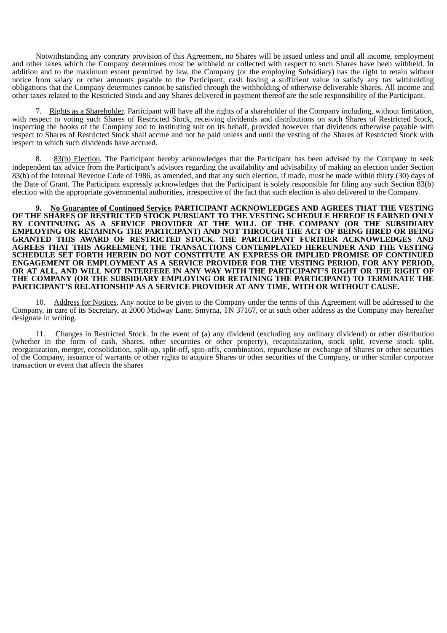Notwithstanding any contrary provision of this Agreement, no Shares will be issued unless and until all income, employment and other taxes which the Company determines must be withheld or collected with respect to such Shares have been withheld. In addition and to the maximum extent permitted by law, the Company (or the employing Subsidiary) has the right to retain without notice from salary or other amounts payable to the Participant, cash having a sufficient value to satisfy any tax withholding obligations that the Company determines cannot be satisfied through the withholding of otherwise deliverable Shares. All income and other taxes related to the Restricted Stock and any Shares delivered in payment thereof are the sole responsibility of the Participant.

7. Rights as a Shareholder. Participant will have all the rights of a shareholder of the Company including, without limitation, with respect to voting such Shares of Restricted Stock, receiving dividends and distributions on such Shares of Restricted Stock, inspecting the books of the Company and to instituting suit on its behalf, provided however that dividends otherwise payable with respect to Shares of Restricted Stock shall accrue and not be paid unless and until the vesting of the Shares of Restricted Stock with respect to which such dividends have accrued.

8. 83(b) Election*.* The Participant hereby acknowledges that the Participant has been advised by the Company to seek independent tax advice from the Participant's advisors regarding the availability and advisability of making an election under Section 83(b) of the Internal Revenue Code of 1986, as amended, and that any such election, if made, must be made within thirty (30) days of the Date of Grant. The Participant expressly acknowledges that the Participant is solely responsible for filing any such Section 83(b) election with the appropriate governmental authorities, irrespective of the fact that such election is also delivered to the Company.

**9. No Guarantee of Continued Service. PARTICIPANT ACKNOWLEDGES AND AGREES THAT THE VESTING OF THE SHARES OF RESTRICTED STOCK PURSUANT TO THE VESTING SCHEDULE HEREOF IS EARNED ONLY BY CONTINUING AS A SERVICE PROVIDER AT THE WILL OF THE COMPANY (OR THE SUBSIDIARY EMPLOYING OR RETAINING THE PARTICIPANT) AND NOT THROUGH THE ACT OF BEING HIRED OR BEING GRANTED THIS AWARD OF RESTRICTED STOCK. THE PARTICIPANT FURTHER ACKNOWLEDGES AND AGREES THAT THIS AGREEMENT, THE TRANSACTIONS CONTEMPLATED HEREUNDER AND THE VESTING SCHEDULE SET FORTH HEREIN DO NOT CONSTITUTE AN EXPRESS OR IMPLIED PROMISE OF CONTINUED ENGAGEMENT OR EMPLOYMENT AS A SERVICE PROVIDER FOR THE VESTING PERIOD, FOR ANY PERIOD, OR AT ALL, AND WILL NOT INTERFERE IN ANY WAY WITH THE PARTICIPANT'S RIGHT OR THE RIGHT OF THE COMPANY (OR THE SUBSIDIARY EMPLOYING OR RETAINING THE PARTICIPANT) TO TERMINATE THE PARTICIPANT'S RELATIONSHIP AS A SERVICE PROVIDER AT ANY TIME, WITH OR WITHOUT CAUSE.**

10. Address for Notices. Any notice to be given to the Company under the terms of this Agreement will be addressed to the Company, in care of its Secretary, at 2000 Midway Lane, Smyrna, TN 37167, or at such other address as the Company may hereafter designate in writing.

11. Changes in Restricted Stock. In the event of (a) any dividend (excluding any ordinary dividend) or other distribution (whether in the form of cash, Shares, other securities or other property), recapitalization, stock split, reverse stock split, reorganization, merger, consolidation, split-up, split-off, spin-offs, combination, repurchase or exchange of Shares or other securities of the Company, issuance of warrants or other rights to acquire Shares or other securities of the Company, or other similar corporate transaction or event that affects the shares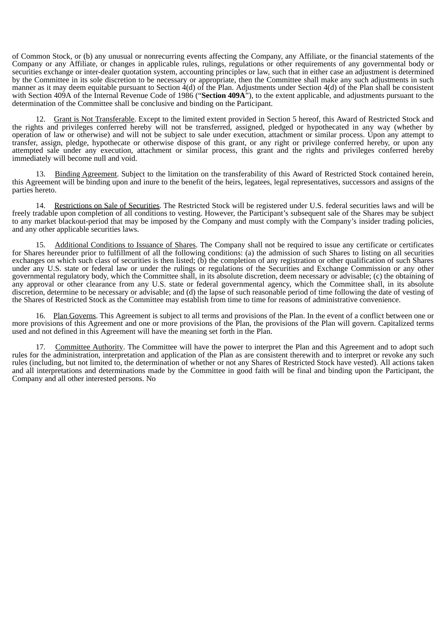of Common Stock, or (b) any unusual or nonrecurring events affecting the Company, any Affiliate, or the financial statements of the Company or any Affiliate, or changes in applicable rules, rulings, regulations or other requirements of any governmental body or securities exchange or inter-dealer quotation system, accounting principles or law, such that in either case an adjustment is determined by the Committee in its sole discretion to be necessary or appropriate, then the Committee shall make any such adjustments in such manner as it may deem equitable pursuant to Section  $\tilde{4}(d)$  of the Plan. Adjustments under Section 4(d) of the Plan shall be consistent with Section 409A of the Internal Revenue Code of 1986 ("Section 409A"), to the extent applicable, and adjustments pursuant to the determination of the Committee shall be conclusive and binding on the Participant.

12. Grant is Not Transferable. Except to the limited extent provided in Section 5 hereof, this Award of Restricted Stock and the rights and privileges conferred hereby will not be transferred, assigned, pledged or hypothecated in any way (whether by operation of law or otherwise) and will not be subject to sale under execution, attachment or similar process. Upon any attempt to transfer, assign, pledge, hypothecate or otherwise dispose of this grant, or any right or privilege conferred hereby, or upon any attempted sale under any execution, attachment or similar process, this grant and the rights and privileges conferred hereby immediately will become null and void.

13. Binding Agreement. Subject to the limitation on the transferability of this Award of Restricted Stock contained herein, this Agreement will be binding upon and inure to the benefit of the heirs, legatees, legal representatives, successors and assigns of the parties hereto.

14. Restrictions on Sale of Securities. The Restricted Stock will be registered under U.S. federal securities laws and will be freely tradable upon completion of all conditions to vesting. However, the Participant's subsequent sale of the Shares may be subject to any market blackout-period that may be imposed by the Company and must comply with the Company's insider trading policies, and any other applicable securities laws.

15. Additional Conditions to Issuance of Shares. The Company shall not be required to issue any certificate or certificates for Shares hereunder prior to fulfillment of all the following conditions: (a) the admission of such Shares to listing on all securities exchanges on which such class of securities is then listed; (b) the completion of any registration or other qualification of such Shares under any U.S. state or federal law or under the rulings or regulations of the Securities and Exchange Commission or any other governmental regulatory body, which the Committee shall, in its absolute discretion, deem necessary or advisable; (c) the obtaining of any approval or other clearance from any U.S. state or federal governmental agency, which the Committee shall, in its absolute discretion, determine to be necessary or advisable; and (d) the lapse of such reasonable period of time following the date of vesting of the Shares of Restricted Stock as the Committee may establish from time to time for reasons of administrative convenience.

16. Plan Governs. This Agreement is subject to all terms and provisions of the Plan. In the event of a conflict between one or more provisions of this Agreement and one or more provisions of the Plan, the provisions of the Plan will govern. Capitalized terms used and not defined in this Agreement will have the meaning set forth in the Plan.

17. Committee Authority. The Committee will have the power to interpret the Plan and this Agreement and to adopt such rules for the administration, interpretation and application of the Plan as are consistent therewith and to interpret or revoke any such rules (including, but not limited to, the determination of whether or not any Shares of Restricted Stock have vested). All actions taken and all interpretations and determinations made by the Committee in good faith will be final and binding upon the Participant, the Company and all other interested persons. No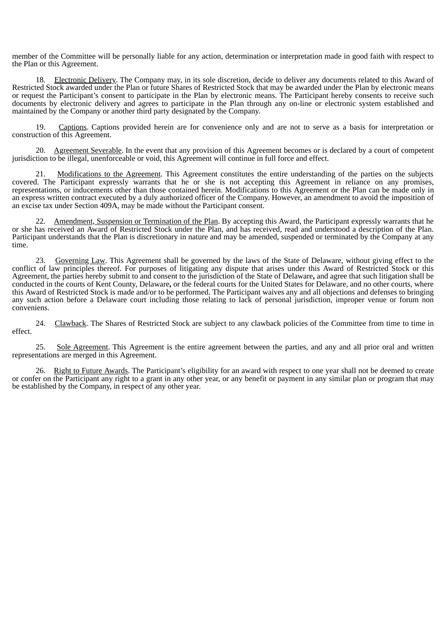member of the Committee will be personally liable for any action, determination or interpretation made in good faith with respect to the Plan or this Agreement.

18. Electronic Delivery. The Company may, in its sole discretion, decide to deliver any documents related to this Award of Restricted Stock awarded under the Plan or future Shares of Restricted Stock that may be awarded under the Plan by electronic means or request the Participant's consent to participate in the Plan by electronic means. The Participant hereby consents to receive such documents by electronic delivery and agrees to participate in the Plan through any on-line or electronic system established and maintained by the Company or another third party designated by the Company.

19. Captions. Captions provided herein are for convenience only and are not to serve as a basis for interpretation or construction of this Agreement.

20. Agreement Severable. In the event that any provision of this Agreement becomes or is declared by a court of competent jurisdiction to be illegal, unenforceable or void, this Agreement will continue in full force and effect.

21. Modifications to the Agreement. This Agreement constitutes the entire understanding of the parties on the subjects covered. The Participant expressly warrants that he or she is not accepting this Agreement in reliance on any promises, representations, or inducements other than those contained herein. Modifications to this Agreement or the Plan can be made only in an express written contract executed by a duly authorized officer of the Company. However, an amendment to avoid the imposition of an excise tax under Section 409A, may be made without the Participant consent.

22. Amendment, Suspension or Termination of the Plan. By accepting this Award, the Participant expressly warrants that he or she has received an Award of Restricted Stock under the Plan, and has received, read and understood a description of the Plan. Participant understands that the Plan is discretionary in nature and may be amended, suspended or terminated by the Company at any time.

23. Governing Law. This Agreement shall be governed by the laws of the State of Delaware, without giving effect to the conflict of law principles thereof. For purposes of litigating any dispute that arises under this Award of Restricted Stock or this Agreement, the parties hereby submit to and consent to the jurisdiction of the State of Delaware**,** and agree that such litigation shall be conducted in the courts of Kent County, Delaware**,** or the federal courts for the United States for Delaware, and no other courts, where this Award of Restricted Stock is made and/or to be performed. The Participant waives any and all objections and defenses to bringing any such action before a Delaware court including those relating to lack of personal jurisdiction, improper venue or forum non conveniens.

24. Clawback. The Shares of Restricted Stock are subject to any clawback policies of the Committee from time to time in effect.

25. Sole Agreement. This Agreement is the entire agreement between the parties, and any and all prior oral and written representations are merged in this Agreement.

26. Right to Future Awards. The Participant's eligibility for an award with respect to one year shall not be deemed to create or confer on the Participant any right to a grant in any other year, or any benefit or payment in any similar plan or program that may be established by the Company, in respect of any other year.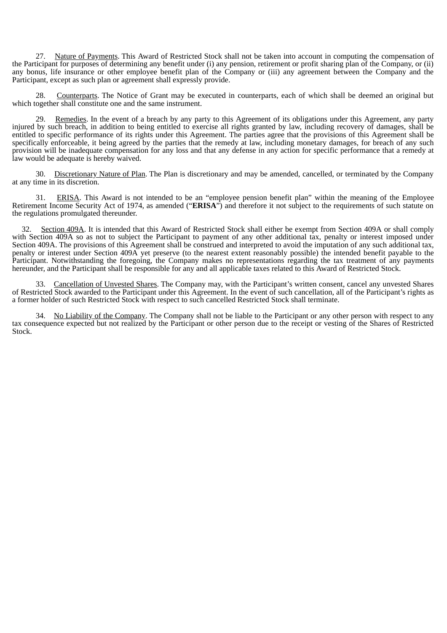27. Nature of Payments. This Award of Restricted Stock shall not be taken into account in computing the compensation of the Participant for purposes of determining any benefit under (i) any pension, retirement or profit sharing plan of the Company, or (ii) any bonus, life insurance or other employee benefit plan of the Company or (iii) any agreement between the Company and the Participant, except as such plan or agreement shall expressly provide.

28. Counterparts. The Notice of Grant may be executed in counterparts, each of which shall be deemed an original but which together shall constitute one and the same instrument.

29. Remedies. In the event of a breach by any party to this Agreement of its obligations under this Agreement, any party injured by such breach, in addition to being entitled to exercise all rights granted by law, including recovery of damages, shall be entitled to specific performance of its rights under this Agreement. The parties agree that the provisions of this Agreement shall be specifically enforceable, it being agreed by the parties that the remedy at law, including monetary damages, for breach of any such provision will be inadequate compensation for any loss and that any defense in any action for specific performance that a remedy at law would be adequate is hereby waived.

30. Discretionary Nature of Plan. The Plan is discretionary and may be amended, cancelled, or terminated by the Company at any time in its discretion.

31. ERISA. This Award is not intended to be an "employee pension benefit plan" within the meaning of the Employee Retirement Income Security Act of 1974, as amended ("**ERISA**") and therefore it not subject to the requirements of such statute on the regulations promulgated thereunder.

32. Section 409A. It is intended that this Award of Restricted Stock shall either be exempt from Section 409A or shall comply with Section 409A so as not to subject the Participant to payment of any other additional tax, penalty or interest imposed under Section 409A. The provisions of this Agreement shall be construed and interpreted to avoid the imputation of any such additional tax, penalty or interest under Section 409A yet preserve (to the nearest extent reasonably possible) the intended benefit payable to the Participant. Notwithstanding the foregoing, the Company makes no representations regarding the tax treatment of any payments hereunder, and the Participant shall be responsible for any and all applicable taxes related to this Award of Restricted Stock.

33. Cancellation of Unvested Shares. The Company may, with the Participant's written consent, cancel any unvested Shares of Restricted Stock awarded to the Participant under this Agreement. In the event of such cancellation, all of the Participant's rights as a former holder of such Restricted Stock with respect to such cancelled Restricted Stock shall terminate.

No Liability of the Company. The Company shall not be liable to the Participant or any other person with respect to any tax consequence expected but not realized by the Participant or other person due to the receipt or vesting of the Shares of Restricted Stock.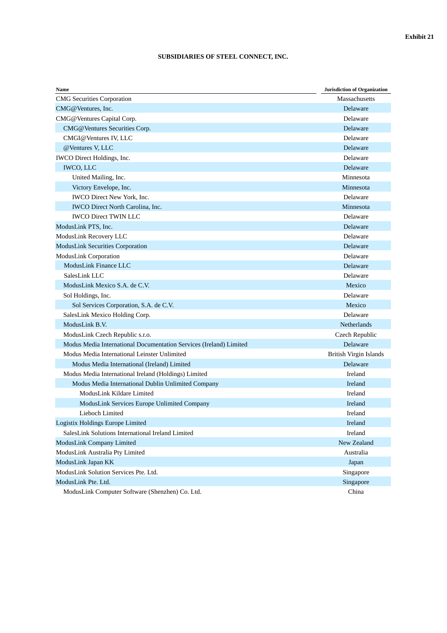# **SUBSIDIARIES OF STEEL CONNECT, INC.**

<span id="page-98-0"></span>

| Name                                                               | Jurisdiction of Organization |
|--------------------------------------------------------------------|------------------------------|
| <b>CMG</b> Securities Corporation                                  | Massachusetts                |
| CMG@Ventures, Inc.                                                 | Delaware                     |
| CMG@Ventures Capital Corp.                                         | Delaware                     |
| CMG@Ventures Securities Corp.                                      | Delaware                     |
| CMGI@Ventures IV, LLC                                              | Delaware                     |
| @Ventures V, LLC                                                   | Delaware                     |
| IWCO Direct Holdings, Inc.                                         | Delaware                     |
| <b>IWCO, LLC</b>                                                   | Delaware                     |
| United Mailing, Inc.                                               | Minnesota                    |
| Victory Envelope, Inc.                                             | Minnesota                    |
| IWCO Direct New York, Inc.                                         | Delaware                     |
| <b>IWCO Direct North Carolina, Inc.</b>                            | Minnesota                    |
| <b>IWCO Direct TWIN LLC</b>                                        | Delaware                     |
| ModusLink PTS, Inc.                                                | Delaware                     |
| ModusLink Recovery LLC                                             | Delaware                     |
| <b>ModusLink Securities Corporation</b>                            | Delaware                     |
| <b>ModusLink Corporation</b>                                       | Delaware                     |
| ModusLink Finance LLC                                              | Delaware                     |
| SalesLink LLC                                                      | Delaware                     |
| ModusLink Mexico S.A. de C.V.                                      | Mexico                       |
| Sol Holdings, Inc.                                                 | Delaware                     |
| Sol Services Corporation, S.A. de C.V.                             | Mexico                       |
| SalesLink Mexico Holding Corp.                                     | Delaware                     |
| ModusLink B.V.                                                     | <b>Netherlands</b>           |
| ModusLink Czech Republic s.r.o.                                    | Czech Republic               |
| Modus Media International Documentation Services (Ireland) Limited | Delaware                     |
| Modus Media International Leinster Unlimited                       | British Virgin Islands       |
| Modus Media International (Ireland) Limited                        | Delaware                     |
| Modus Media International Ireland (Holdings) Limited               | Ireland                      |
| Modus Media International Dublin Unlimited Company                 | Ireland                      |
| ModusLink Kildare Limited                                          | Ireland                      |
| ModusLink Services Europe Unlimited Company                        | Ireland                      |
| Lieboch Limited                                                    | Ireland                      |
| Logistix Holdings Europe Limited                                   | Ireland                      |
| SalesLink Solutions International Ireland Limited                  | Ireland                      |
| ModusLink Company Limited                                          | New Zealand                  |
| ModusLink Australia Pty Limited                                    | Australia                    |
| ModusLink Japan KK                                                 | Japan                        |
| ModusLink Solution Services Pte. Ltd.                              | Singapore                    |
| ModusLink Pte. Ltd.                                                | Singapore                    |
| ModusLink Computer Software (Shenzhen) Co. Ltd.                    | China                        |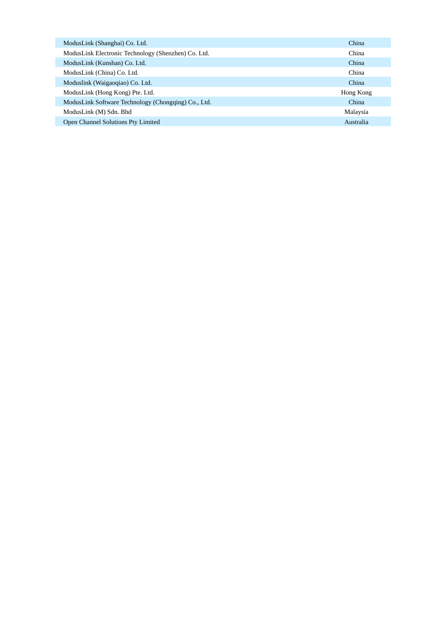| ModusLink (Shanghai) Co. Ltd.                       | China     |
|-----------------------------------------------------|-----------|
| ModusLink Electronic Technology (Shenzhen) Co. Ltd. | China     |
| ModusLink (Kunshan) Co. Ltd.                        | China     |
| ModusLink (China) Co. Ltd.                          | China     |
| Moduslink (Waigaogiao) Co. Ltd.                     | China     |
| ModusLink (Hong Kong) Pte. Ltd.                     | Hong Kong |
| ModusLink Software Technology (Chongqing) Co., Ltd. | China     |
| ModusLink (M) Sdn. Bhd                              | Malaysia  |
| Open Channel Solutions Pty Limited                  | Australia |
|                                                     |           |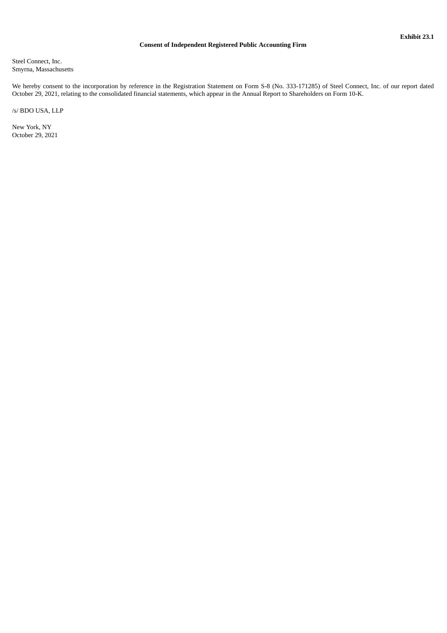# **Consent of Independent Registered Public Accounting Firm**

<span id="page-100-0"></span>Steel Connect, Inc. Smyrna, Massachusetts

We hereby consent to the incorporation by reference in the Registration Statement on Form S-8 (No. 333-171285) of Steel Connect, Inc. of our report dated October 29, 2021, relating to the consolidated financial statements, which appear in the Annual Report to Shareholders on Form 10-K.

/s/ BDO USA, LLP

New York, NY October 29, 2021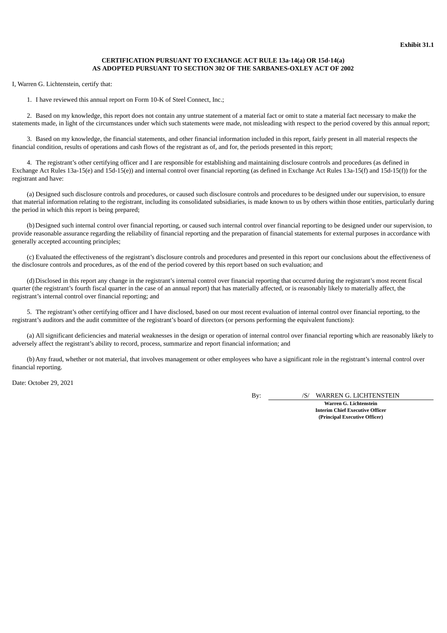# **CERTIFICATION PURSUANT TO EXCHANGE ACT RULE 13a-14(a) OR 15d-14(a) AS ADOPTED PURSUANT TO SECTION 302 OF THE SARBANES-OXLEY ACT OF 2002**

<span id="page-101-0"></span>I, Warren G. Lichtenstein, certify that:

1. I have reviewed this annual report on Form 10-K of Steel Connect, Inc.;

2. Based on my knowledge, this report does not contain any untrue statement of a material fact or omit to state a material fact necessary to make the statements made, in light of the circumstances under which such statements were made, not misleading with respect to the period covered by this annual report;

3. Based on my knowledge, the financial statements, and other financial information included in this report, fairly present in all material respects the financial condition, results of operations and cash flows of the registrant as of, and for, the periods presented in this report;

4. The registrant's other certifying officer and I are responsible for establishing and maintaining disclosure controls and procedures (as defined in Exchange Act Rules 13a-15(e) and 15d-15(e)) and internal control over financial reporting (as defined in Exchange Act Rules 13a-15(f) and 15d-15(f)) for the registrant and have:

(a) Designed such disclosure controls and procedures, or caused such disclosure controls and procedures to be designed under our supervision, to ensure that material information relating to the registrant, including its consolidated subsidiaries, is made known to us by others within those entities, particularly during the period in which this report is being prepared;

(b) Designed such internal control over financial reporting, or caused such internal control over financial reporting to be designed under our supervision, to provide reasonable assurance regarding the reliability of financial reporting and the preparation of financial statements for external purposes in accordance with generally accepted accounting principles;

(c) Evaluated the effectiveness of the registrant's disclosure controls and procedures and presented in this report our conclusions about the effectiveness of the disclosure controls and procedures, as of the end of the period covered by this report based on such evaluation; and

(d) Disclosed in this report any change in the registrant's internal control over financial reporting that occurred during the registrant's most recent fiscal quarter (the registrant's fourth fiscal quarter in the case of an annual report) that has materially affected, or is reasonably likely to materially affect, the registrant's internal control over financial reporting; and

5. The registrant's other certifying officer and I have disclosed, based on our most recent evaluation of internal control over financial reporting, to the registrant's auditors and the audit committee of the registrant's board of directors (or persons performing the equivalent functions):

(a) All significant deficiencies and material weaknesses in the design or operation of internal control over financial reporting which are reasonably likely to adversely affect the registrant's ability to record, process, summarize and report financial information; and

(b) Any fraud, whether or not material, that involves management or other employees who have a significant role in the registrant's internal control over financial reporting.

Date: October 29, 2021

By: /S/ WARREN G. LICHTENSTEIN

**Warren G. Lichtenstein Interim Chief Executive Officer (Principal Executive Officer)**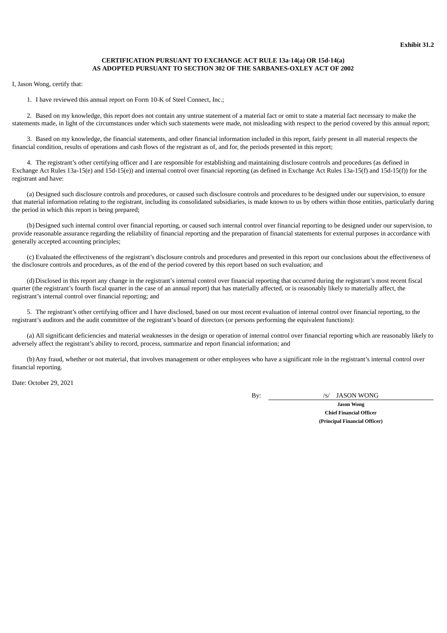# **CERTIFICATION PURSUANT TO EXCHANGE ACT RULE 13a-14(a) OR 15d-14(a) AS ADOPTED PURSUANT TO SECTION 302 OF THE SARBANES-OXLEY ACT OF 2002**

<span id="page-102-0"></span>I, Jason Wong, certify that:

1. I have reviewed this annual report on Form 10-K of Steel Connect, Inc.;

2. Based on my knowledge, this report does not contain any untrue statement of a material fact or omit to state a material fact necessary to make the statements made, in light of the circumstances under which such statements were made, not misleading with respect to the period covered by this annual report;

3. Based on my knowledge, the financial statements, and other financial information included in this report, fairly present in all material respects the financial condition, results of operations and cash flows of the registrant as of, and for, the periods presented in this report;

4. The registrant's other certifying officer and I are responsible for establishing and maintaining disclosure controls and procedures (as defined in Exchange Act Rules 13a-15(e) and 15d-15(e)) and internal control over financial reporting (as defined in Exchange Act Rules 13a-15(f) and 15d-15(f)) for the registrant and have:

(a) Designed such disclosure controls and procedures, or caused such disclosure controls and procedures to be designed under our supervision, to ensure that material information relating to the registrant, including its consolidated subsidiaries, is made known to us by others within those entities, particularly during the period in which this report is being prepared;

(b) Designed such internal control over financial reporting, or caused such internal control over financial reporting to be designed under our supervision, to provide reasonable assurance regarding the reliability of financial reporting and the preparation of financial statements for external purposes in accordance with generally accepted accounting principles;

(c) Evaluated the effectiveness of the registrant's disclosure controls and procedures and presented in this report our conclusions about the effectiveness of the disclosure controls and procedures, as of the end of the period covered by this report based on such evaluation; and

(d) Disclosed in this report any change in the registrant's internal control over financial reporting that occurred during the registrant's most recent fiscal quarter (the registrant's fourth fiscal quarter in the case of an annual report) that has materially affected, or is reasonably likely to materially affect, the registrant's internal control over financial reporting; and

5. The registrant's other certifying officer and I have disclosed, based on our most recent evaluation of internal control over financial reporting, to the registrant's auditors and the audit committee of the registrant's board of directors (or persons performing the equivalent functions):

(a) All significant deficiencies and material weaknesses in the design or operation of internal control over financial reporting which are reasonably likely to adversely affect the registrant's ability to record, process, summarize and report financial information; and

(b) Any fraud, whether or not material, that involves management or other employees who have a significant role in the registrant's internal control over financial reporting.

Date: October 29, 2021

By: /s/ JASON WONG

**Jason Wong Chief Financial Officer (Principal Financial Officer)**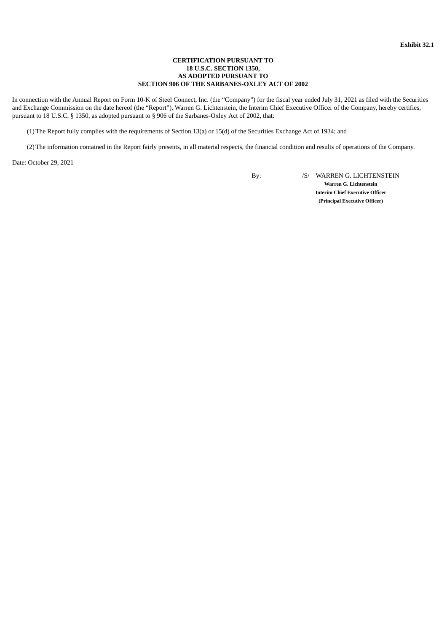## **CERTIFICATION PURSUANT TO 18 U.S.C. SECTION 1350, AS ADOPTED PURSUANT TO SECTION 906 OF THE SARBANES-OXLEY ACT OF 2002**

<span id="page-103-0"></span>In connection with the Annual Report on Form 10-K of Steel Connect, Inc. (the "Company") for the fiscal year ended July 31, 2021 as filed with the Securities and Exchange Commission on the date hereof (the "Report"), Warren G. Lichtenstein, the Interim Chief Executive Officer of the Company, hereby certifies, pursuant to 18 U.S.C. § 1350, as adopted pursuant to § 906 of the Sarbanes-Oxley Act of 2002, that:

(1)The Report fully complies with the requirements of Section 13(a) or 15(d) of the Securities Exchange Act of 1934; and

(2)The information contained in the Report fairly presents, in all material respects, the financial condition and results of operations of the Company.

Date: October 29, 2021

By: /S/ WARREN G. LICHTENSTEIN

**Warren G. Lichtenstein Interim Chief Executive Officer (Principal Executive Officer)**